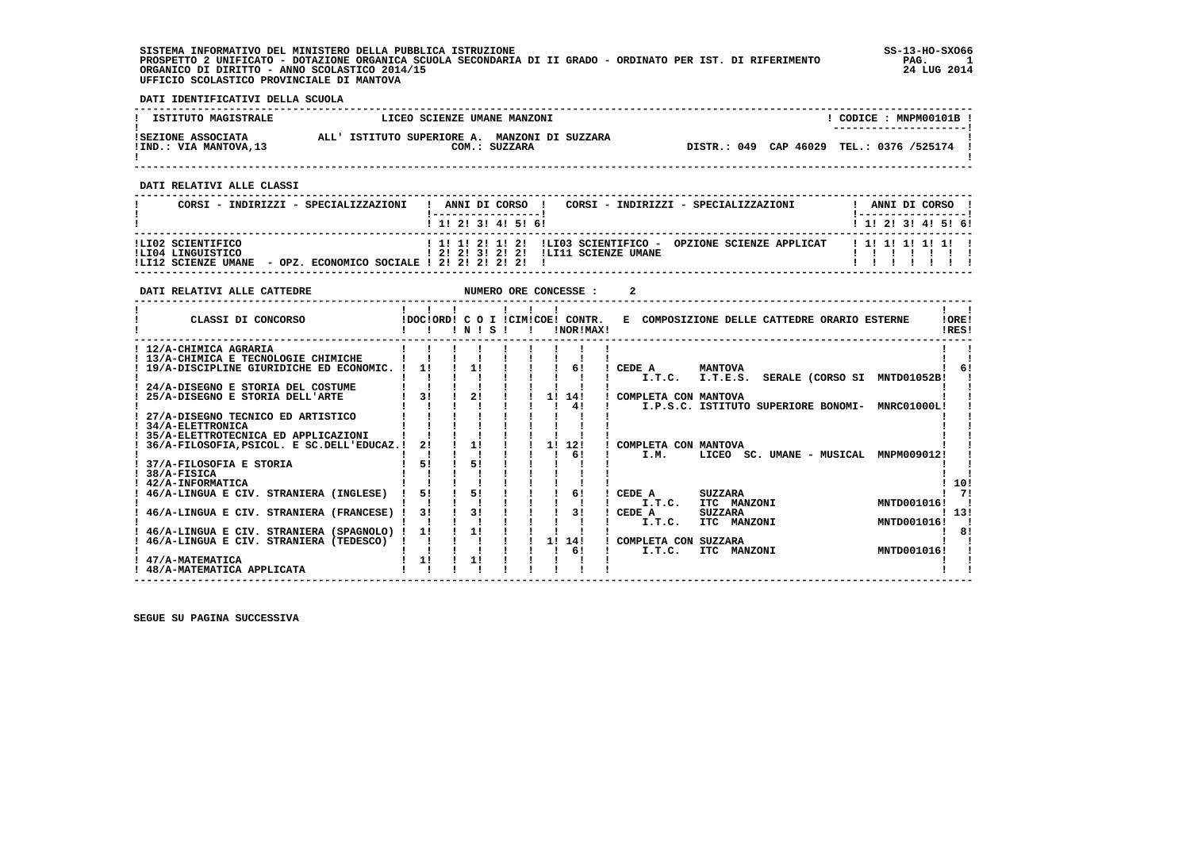| SISTEMA INFORMATIVO DEL MINISTERO DELLA PUBBLICA ISTRUZIONE<br>PROSPETTO 2 UNIFICATO - DOTAZIONE ORGANICA SCUOLA SECONDARIA DI II GRADO - ORDINATO PER IST. DI RIFERIMENTO<br>ORGANICO DI DIRITTO - ANNO SCOLASTICO 2014/15<br>UFFICIO SCOLASTICO PROVINCIALE DI MANTOVA |                                                                                           |                                                                                    |                                                                                                                              |                           |                                                                                                                                                                                                                                                                                                    | SS-13-HO-SX066<br>PAG.<br>$\blacksquare$<br>24 LUG 2014 |
|--------------------------------------------------------------------------------------------------------------------------------------------------------------------------------------------------------------------------------------------------------------------------|-------------------------------------------------------------------------------------------|------------------------------------------------------------------------------------|------------------------------------------------------------------------------------------------------------------------------|---------------------------|----------------------------------------------------------------------------------------------------------------------------------------------------------------------------------------------------------------------------------------------------------------------------------------------------|---------------------------------------------------------|
| DATI IDENTIFICATIVI DELLA SCUOLA                                                                                                                                                                                                                                         |                                                                                           |                                                                                    |                                                                                                                              |                           |                                                                                                                                                                                                                                                                                                    |                                                         |
| ISTITUTO MAGISTRALE                                                                                                                                                                                                                                                      |                                                                                           | LICEO SCIENZE UMANE MANZONI                                                        |                                                                                                                              |                           |                                                                                                                                                                                                                                                                                                    | ! CODICE : MNPM00101B !                                 |
|                                                                                                                                                                                                                                                                          |                                                                                           |                                                                                    |                                                                                                                              |                           | .<br>! DISTR.: 049 CAP 46029 TEL.: 0376 /525174                                                                                                                                                                                                                                                    |                                                         |
| DATI RELATIVI ALLE CLASSI                                                                                                                                                                                                                                                |                                                                                           |                                                                                    |                                                                                                                              |                           |                                                                                                                                                                                                                                                                                                    |                                                         |
| CORSI - INDIRIZZI - SPECIALIZZAZIONI                                                                                                                                                                                                                                     |                                                                                           |                                                                                    |                                                                                                                              |                           | ! ANNI DI CORSO ! CORSI - INDIRIZZI - SPECIALIZZAZIONI                                                                                                                                                                                                                                             | ! ANNI DI CORSO !                                       |
|                                                                                                                                                                                                                                                                          |                                                                                           | 1 1 2 3 3 4 5 6                                                                    |                                                                                                                              |                           |                                                                                                                                                                                                                                                                                                    | ! 1! 2! 3! 4! 5! 6!                                     |
|                                                                                                                                                                                                                                                                          |                                                                                           |                                                                                    |                                                                                                                              |                           |                                                                                                                                                                                                                                                                                                    |                                                         |
| DATI RELATIVI ALLE CATTEDRE                                                                                                                                                                                                                                              |                                                                                           | NUMERO ORE CONCESSE :                                                              |                                                                                                                              |                           | $\overline{2}$                                                                                                                                                                                                                                                                                     |                                                         |
| CLASSI DI CONCORSO (DOCIORDI CO I ICIMICOBI CONTR. E COMPOSIZIONE DELLE CATTEDRE ORARIO ESTERNE<br>Ι.                                                                                                                                                                    |                                                                                           | $\begin{array}{cccccccccccccc} 1 & 1 & 1 & 1 & \cdots & 1 & 1 & 1 & 1 \end{array}$ |                                                                                                                              |                           |                                                                                                                                                                                                                                                                                                    | !ORE!<br>!RES!                                          |
| ! 12/A-CHIMICA AGRARIA<br>$1 \t13/A$ -CHIMICA E TECNOLOGIE CHIMICHE $1 \t1 \t1$<br>! 19/A-DISCIPLINE GIURIDICHE ED ECONOMIC. ! 1!                                                                                                                                        | $\mathbf{I}$ $\mathbf{I}$                                                                 |                                                                                    | $\begin{array}{ccccccccccccc}\n1 & 1 & 1\n\end{array}$                                                                       |                           | $\blacksquare$ $\blacksquare$ $\blacksquare$ $\blacksquare$ $\blacksquare$ $\blacksquare$ $\blacksquare$ $\blacksquare$ $\blacksquare$ $\blacksquare$ $\blacksquare$ $\blacksquare$ $\blacksquare$ $\blacksquare$ $\blacksquare$<br><b>MANTOVA</b><br>I.T.C. I.T.E.S. SERALE (CORSO SI MNTD01052B! | ! 6!                                                    |
| : 24/A-DISEGNO E STORIA DEL COSTUME<br>! 25/A-DISEGNO E STORIA DELL'ARTE                                                                                                                                                                                                 | $\mathbf{I}$ $\mathbf{I}$<br>$1 \quad 31 \quad 1 \quad 21$<br>$1 \quad 1 \quad 1 \quad 1$ |                                                                                    | $1 \quad 1 \quad 11 \quad 141$<br>$\mathbf{I}$<br>$1 \quad 1 \quad 41$                                                       |                           | ! COMPLETA CON MANTOVA<br>I.P.S.C. ISTITUTO SUPERIORE BONOMI- MNRC01000L!<br>$\mathbf{I}$ and $\mathbf{I}$                                                                                                                                                                                         |                                                         |
| 27/A-DISEGNO TECNICO ED ARTISTICO        <br><b>34/A-ELETTRONICA</b><br>Ι.<br>! 35/A-ELETTROTECNICA ED APPLICAZIONI                                                                                                                                                      |                                                                                           |                                                                                    | $1 \quad 1 \quad 1$                                                                                                          |                           |                                                                                                                                                                                                                                                                                                    |                                                         |
| ! 36/A-FILOSOFIA, PSICOL. E SC. DELL'EDUCAZ. ! 2! ! 1! ! ! 1! 12!                                                                                                                                                                                                        | $\mathbf{I}$ and $\mathbf{I}$                                                             | <b>Contract Contract</b>                                                           | $1 \t1 \t61$                                                                                                                 |                           | $\mathbf{I}$<br>COMPLETA CON MANTOVA<br>I.M.                                                                                                                                                                                                                                                       | LICEO SC. UMANE - MUSICAL MNPM009012!                   |
| ! 37/A-FILOSOFIA E STORIA<br>! 38/A-FISICA<br>! 42/A-INFORMATICA                                                                                                                                                                                                         | $1 \quad 51$<br>$\mathbf{I}$ $\mathbf{I}$                                                 | $\sqrt{51}$                                                                        | <b>The Contract of Contract Inc.</b><br>$\mathbf{1}$ $\mathbf{1}$ $\mathbf{1}$<br>$1 \quad 1 \quad 1$<br>$1 \quad 1 \quad 1$ |                           |                                                                                                                                                                                                                                                                                                    | 1101                                                    |
| ! 46/A-LINGUA E CIV. STRANIERA (INGLESE) ! 5! ! 5! !                                                                                                                                                                                                                     |                                                                                           |                                                                                    |                                                                                                                              |                           |                                                                                                                                                                                                                                                                                                    | 71<br>MNTD001016!<br>- 1                                |
| ! 46/A-LINGUA E CIV. STRANIERA (FRANCESE) ! 3!                                                                                                                                                                                                                           |                                                                                           |                                                                                    |                                                                                                                              |                           |                                                                                                                                                                                                                                                                                                    | 1131<br>MNTD001016!<br>$\blacksquare$                   |
| ! 46/A-LINGUA E CIV. STRANIERA (TEDESCO) ! ! ! ! ! ! 1! 14!                                                                                                                                                                                                              | $1 \quad 1 \quad 1 \quad 1$                                                               | <b>Contract Contract</b>                                                           | $1 \t1 \t61$                                                                                                                 |                           | PLETA CON SUZZARA<br>I.T.C. ITC MANZONI<br>! COMPLETA CON SUZZARA<br><b>Contract Contract Contract</b>                                                                                                                                                                                             | $\frac{1}{1}$ 81<br>MNTD001016!                         |
| ! 47/A-MATEMATICA<br>! 48/A-MATEMATICA APPLICATA                                                                                                                                                                                                                         | $1 \quad 11$                                                                              | 11                                                                                 |                                                                                                                              | $\mathbf{I}$ $\mathbf{I}$ |                                                                                                                                                                                                                                                                                                    |                                                         |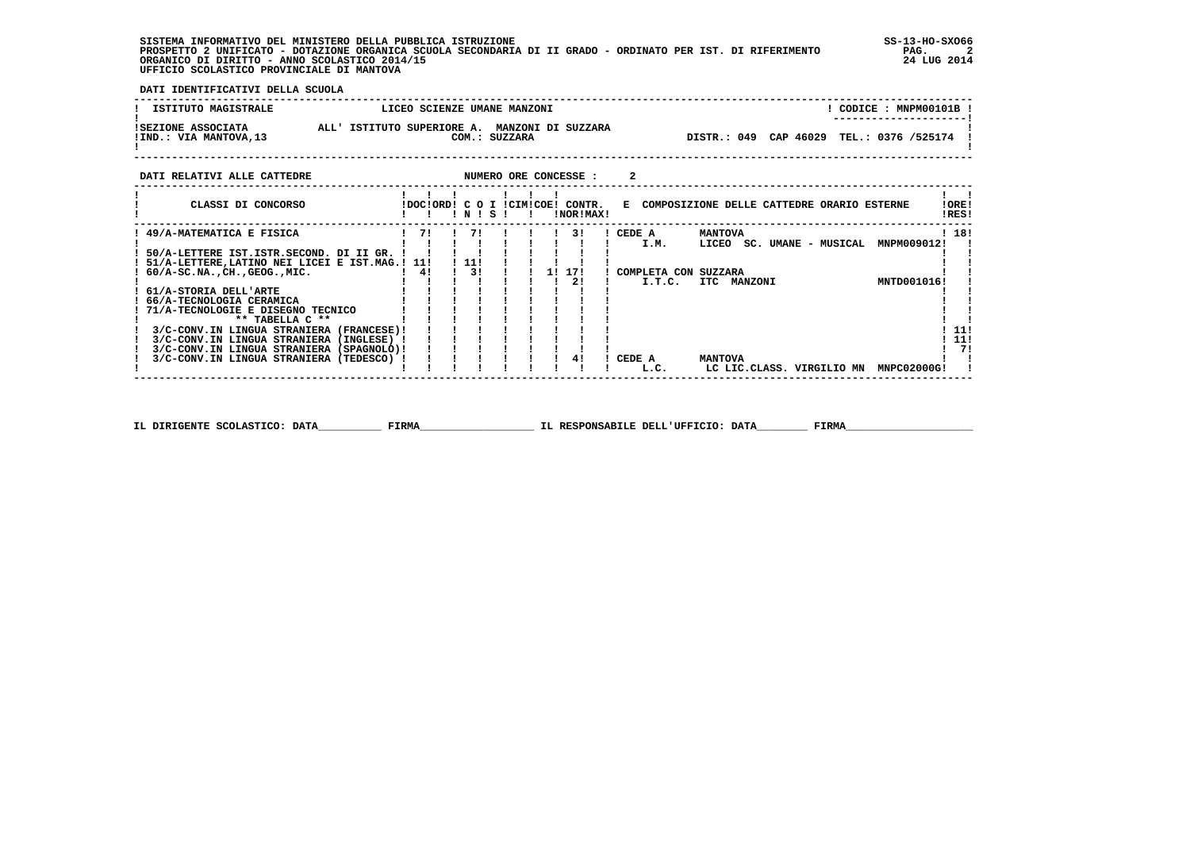**SISTEMA INFORMATIVO DEL MINISTERO DELLA PUBBLICA ISTRUZIONE SS-13-HO-SXO66 PROSPETTO 2 UNIFICATO - DOTAZIONE ORGANICA SCUOLA SECONDARIA DI II GRADO - ORDINATO PER IST. DI RIFERIMENTO PAG. 2 ORGANICO DI DIRITTO - ANNO SCOLASTICO 2014/15 24 LUG 2014 UFFICIO SCOLASTICO PROVINCIALE DI MANTOVA**

j

 **DATI IDENTIFICATIVI DELLA SCUOLA**

| <b>ISTITUTO MAGISTRALE</b>                  | LICEO SCIENZE UMANE MANZONI                                    | CODICE : MNPM00101B<br>---------------------- |
|---------------------------------------------|----------------------------------------------------------------|-----------------------------------------------|
| ISEZIONE ASSOCIATA<br>IIND.: VIA MANTOVA,13 | ALL' ISTITUTO SUPERIORE A. MANZONI DI SUZZARA<br>COM.: SUZZARA | DISTR.: 049 CAP 46029 TEL.: 0376 /525174      |

 **DATI RELATIVI ALLE CATTEDRE NUMERO ORE CONCESSE : 2** 

 **------------------------------------------------------------------------------------------------------------------------------------**

| CLASSI DI CONCORSO                          |     | !DOC!ORD! | NI  | s | стм | LCOE L | CONTR.<br>!NOR!MAX! | E. |              |                |             |  |                           | COMPOSIZIONE DELLE CATTEDRE ORARIO ESTERNE | !ORE!<br>!RES! |    |
|---------------------------------------------|-----|-----------|-----|---|-----|--------|---------------------|----|--------------|----------------|-------------|--|---------------------------|--------------------------------------------|----------------|----|
| 49/A-MATEMATICA E FISICA                    | 71  |           | 71  |   |     |        | 31                  |    | CEDE A       | <b>MANTOVA</b> |             |  |                           |                                            | ! 18!          |    |
|                                             |     |           |     |   |     |        |                     |    | I.M.         | LICEO          |             |  | SC. UMANE - MUSICAL       | MNPM009012!                                |                |    |
| 50/A-LETTERE IST.ISTR.SECOND. DI II GR.     |     |           |     |   |     |        |                     |    |              |                |             |  |                           |                                            |                |    |
| 51/A-LETTERE, LATINO NEI LICEI E IST. MAG.! | 11! |           | 11! |   |     |        |                     |    |              |                |             |  |                           |                                            |                |    |
| $60/A-SC.NA.$ , $CH.$ , $GEOG.$ , $MIC.$    | 4!  |           | 31  |   |     | 11     | 171                 |    | COMPLETA CON | SUZZARA        |             |  |                           |                                            |                |    |
|                                             |     |           |     |   |     |        | 21                  |    | I.T.C.       |                | ITC MANZONI |  |                           | MNTD001016!                                |                |    |
| 61/A-STORIA DELL'ARTE                       |     |           |     |   |     |        |                     |    |              |                |             |  |                           |                                            |                |    |
| 66/A-TECNOLOGIA CERAMICA                    |     |           |     |   |     |        |                     |    |              |                |             |  |                           |                                            |                |    |
| 71/A-TECNOLOGIE E DISEGNO TECNICO           |     |           |     |   |     |        |                     |    |              |                |             |  |                           |                                            |                |    |
| $***$ TABELLA $C***$                        |     |           |     |   |     |        |                     |    |              |                |             |  |                           |                                            |                |    |
| 3/C-CONV.IN LINGUA STRANIERA<br>(FRANCESE)! |     |           |     |   |     |        |                     |    |              |                |             |  |                           |                                            | - 11!          |    |
| 3/C-CONV.IN LINGUA STRANIERA<br>(INGLESE)   |     |           |     |   |     |        |                     |    |              |                |             |  |                           |                                            | - 11!          |    |
| 3/C-CONV.IN LINGUA STRANIERA<br>(SPAGNOLO)! |     |           |     |   |     |        |                     |    |              |                |             |  |                           |                                            |                | 71 |
| 3/C-CONV. IN LINGUA STRANIERA<br>(TEDESCO)  |     |           |     |   |     |        | 41                  |    | CEDE A       | <b>MANTOVA</b> |             |  |                           |                                            |                |    |
|                                             |     |           |     |   |     |        |                     |    | L.C.         |                |             |  | LC LIC.CLASS. VIRGILIO MN | MNPC02000G!                                |                |    |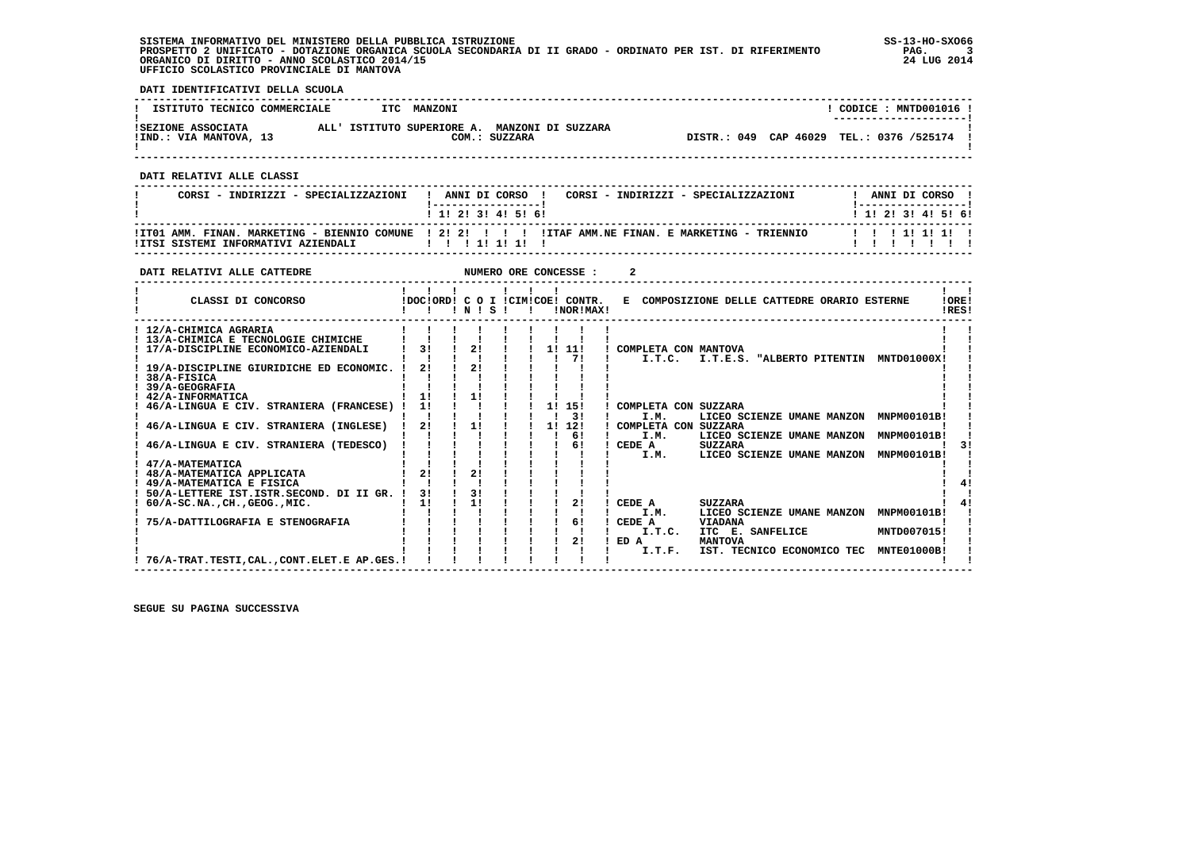**SISTEMA INFORMATIVO DEL MINISTERO DELLA PUBBLICA ISTRUZIONE SS-13-HO-SXO66 PROSPETTO 2 UNIFICATO - DOTAZIONE ORGANICA SCUOLA SECONDARIA DI II GRADO - ORDINATO PER IST. DI RIFERIMENTO PAG. 3 ORGANICO DI DIRITTO - ANNO SCOLASTICO 2014/15 24 LUG 2014 UFFICIO SCOLASTICO PROVINCIALE DI MANTOVA**

j

 **DATI IDENTIFICATIVI DELLA SCUOLA**

| ISTITUTO TECNICO COMMERCIALE                 |  | ITC MANZONI                                   |               |                                          |  | CODICE: MNTD001016 !   |  |
|----------------------------------------------|--|-----------------------------------------------|---------------|------------------------------------------|--|------------------------|--|
| ISEZIONE ASSOCIATA<br>IIND.: VIA MANTOVA, 13 |  | ALL' ISTITUTO SUPERIORE A. MANZONI DI SUZZARA | COM.: SUZZARA | DISTR.: 049 CAP 46029 TEL.: 0376 /525174 |  | ---------------------- |  |

 **------------------------------------------------------------------------------------------------------------------------------------**

 **DATI RELATIVI ALLE CLASSI**

| CORSI - INDIRIZZI - SPECIALIZZAZIONI | ! ANNI DI CORSO !<br>CORSI - INDIRIZZI - SPECIALIZZAZIONI<br>------------------<br>1 1 1 2 1 3 1 4 1 5 1 6 1 | ANNI DI CORSO !<br>1 1 1 2 1 3 1 4 1 5 1 6 1 |
|--------------------------------------|--------------------------------------------------------------------------------------------------------------|----------------------------------------------|
|                                      | ITTO1 AMM. FINAN. MARKETING - BIENNIO COMUNE 12121 11 11TAF AMM.NE FINAN. E MARKETING - TRIENNIO             | 111111111                                    |

 **------------------------------------------------------------------------------------------------------------------------------------**

| DATI RELATIVI ALLE CATTEDRE                                                                           |                |          |  |    | NUMERO ORE CONCESSE :                         |      |                                                      |                                                                                    |  |                                   |                |
|-------------------------------------------------------------------------------------------------------|----------------|----------|--|----|-----------------------------------------------|------|------------------------------------------------------|------------------------------------------------------------------------------------|--|-----------------------------------|----------------|
| CLASSI DI CONCORSO                                                                                    |                | INIS     |  |    | IDOCIORDI C O I ICIMICOEI CONTR.<br>INORIMAXI |      |                                                      | E COMPOSIZIONE DELLE CATTEDRE ORARIO ESTERNE                                       |  |                                   | !ORE!<br>IRES! |
| ! 12/A-CHIMICA AGRARIA<br>! 13/A-CHIMICA E TECNOLOGIE CHIMICHE<br>17/A-DISCIPLINE ECONOMICO-AZIENDALI | 3 <sub>1</sub> | 21       |  | 11 | 11!                                           |      | COMPLETA CON MANTOVA                                 |                                                                                    |  |                                   |                |
| 19/A-DISCIPLINE GIURIDICHE ED ECONOMIC.<br>38/A-FISICA<br>39/A-GEOGRAFIA                              | 21             | 2!       |  |    | 71                                            |      | I.T.C.                                               | I.T.E.S. "ALBERTO PITENTIN                                                         |  | MNTD01000X!                       |                |
| 42/A-INFORMATICA<br>46/A-LINGUA E CIV. STRANIERA (FRANCESE)<br>46/A-LINGUA E CIV. STRANIERA (INGLESE) | 1!<br>11<br>21 | 11<br>1! |  | 1! | 1! 15!<br>3 I<br>12!                          |      | COMPLETA CON SUZZARA<br>I.M.<br>COMPLETA CON SUZZARA | LICEO SCIENZE UMANE MANZON                                                         |  | MNPM00101B!                       |                |
| 46/A-LINGUA E CIV. STRANIERA (TEDESCO)                                                                |                |          |  |    | 61<br>61                                      |      | I.M.<br>CEDE A<br>I.M.                               | LICEO SCIENZE UMANE MANZON<br><b>SUZZARA</b><br>LICEO SCIENZE UMANE MANZON         |  | MNPM00101B!<br>MNPM00101B!        |                |
| 47/A-MATEMATICA<br>48/A-MATEMATICA APPLICATA<br>49/A-MATEMATICA E FISICA                              | 21             | 21       |  |    |                                               |      |                                                      |                                                                                    |  |                                   |                |
| 50/A-LETTERE IST.ISTR.SECOND. DI II GR.<br>$60/A-SC.NA.$ , CH., GEOG., MIC.                           | 31<br>11       | 31<br>11 |  |    | 21                                            |      | CEDE A<br>I.M.                                       | <b>SUZZARA</b><br>LICEO SCIENZE UMANE MANZON                                       |  | MNPM00101B!                       |                |
| 75/A-DATTILOGRAFIA E STENOGRAFIA                                                                      |                |          |  |    | 61<br>2!                                      | ED A | CEDE A<br>I.T.C.<br>I.T.F.                           | <b>VIADANA</b><br>ITC E. SANFELICE<br><b>MANTOVA</b><br>IST. TECNICO ECONOMICO TEC |  | MNTD007015!<br><b>MNTE01000B!</b> |                |
| ! 76/A-TRAT.TESTI.CALCONT.ELET.E AP.GES.!                                                             |                |          |  |    |                                               |      |                                                      |                                                                                    |  |                                   |                |

 **------------------------------------------------------------------------------------------------------------------------------------**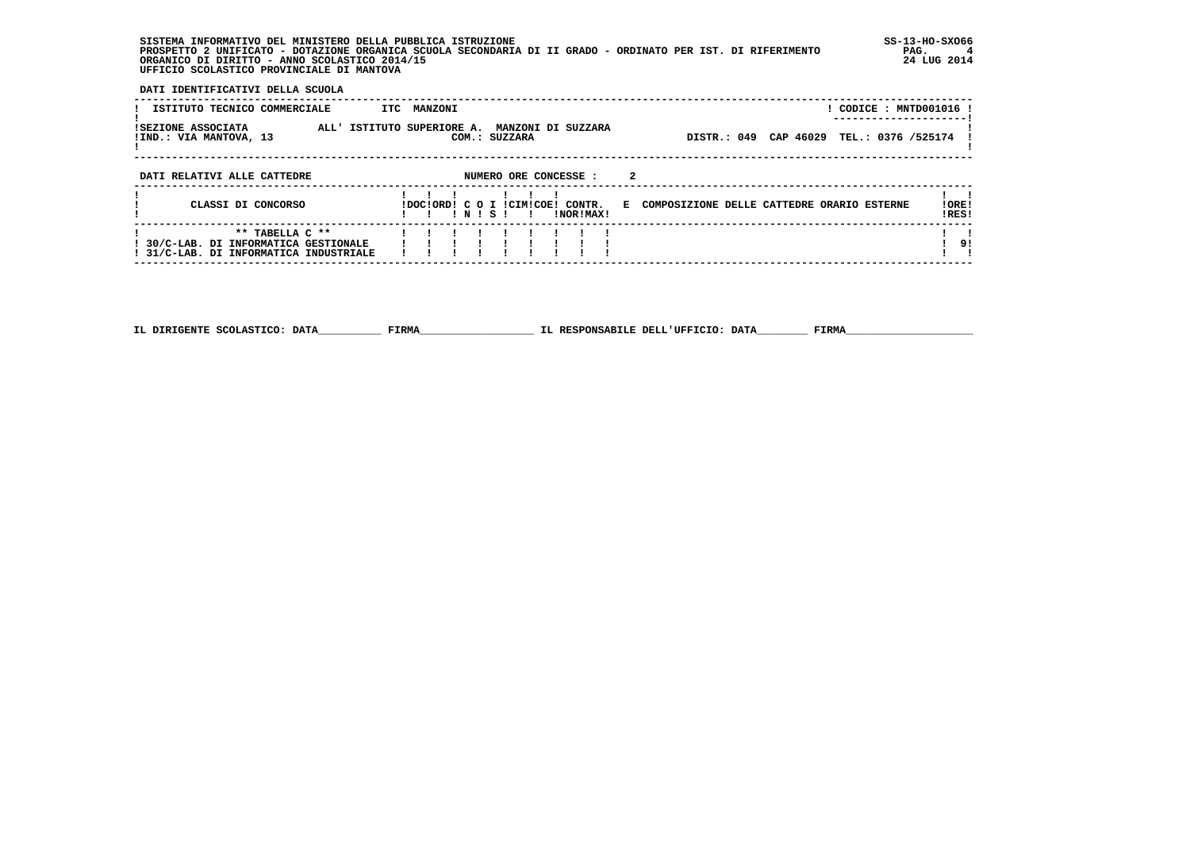**SISTEMA INFORMATIVO DEL MINISTERO DELLA PUBBLICA ISTRUZIONE SS-13-HO-SXO66 PROSPETTO 2 UNIFICATO - DOTAZIONE ORGANICA SCUOLA SECONDARIA DI II GRADO - ORDINATO PER IST. DI RIFERIMENTO PAG. 4 ORGANICO DI DIRITTO - ANNO SCOLASTICO 2014/15 24 LUG 2014 UFFICIO SCOLASTICO PROVINCIALE DI MANTOVA**

:

 **DATI IDENTIFICATIVI DELLA SCUOLA**

| ISTITUTO TECNICO COMMERCIALE                                                                       | ITC MANZONI                                                            | ! CODICE : MNTD001016 !                                        |
|----------------------------------------------------------------------------------------------------|------------------------------------------------------------------------|----------------------------------------------------------------|
| ISEZIONE ASSOCIATA<br>!IND.: VIA MANTOVA, 13                                                       | ALL' ISTITUTO SUPERIORE A. MANZONI DI SUZZARA<br>COM.: SUZZARA         | DISTR.: 049 CAP 46029<br>TEL.: 0376 /525174                    |
| DATI RELATIVI ALLE CATTEDRE                                                                        | NUMERO ORE CONCESSE :                                                  |                                                                |
| CLASSI DI CONCORSO                                                                                 | IDOCIORDI C O I ICIMICOE! CONTR.<br>INISI<br>INORIMAXI<br>$\mathbf{r}$ | !ORE!<br>E COMPOSIZIONE DELLE CATTEDRE ORARIO ESTERNE<br>!RES! |
| ** TABELLA C **<br>! 30/C-LAB. DI INFORMATICA GESTIONALE<br>! 31/C-LAB. DI INFORMATICA INDUSTRIALE |                                                                        | 9!                                                             |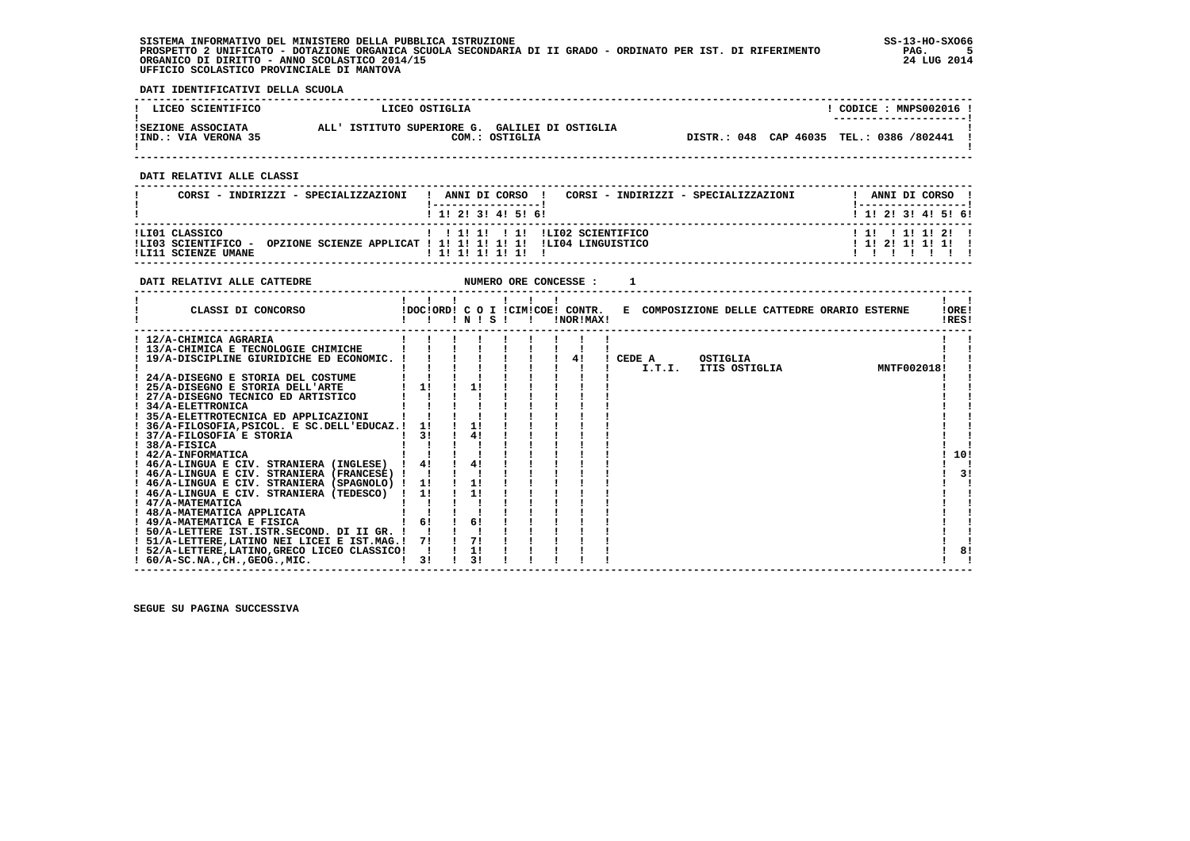**SISTEMA INFORMATIVO DEL MINISTERO DELLA PUBBLICA ISTRUZIONE SS-13-HO-SXO66 PROSPETTO 2 UNIFICATO - DOTAZIONE ORGANICA SCUOLA SECONDARIA DI II GRADO - ORDINATO PER IST. DI RIFERIMENTO PAG. 5 ORGANICO DI DIRITTO - ANNO SCOLASTICO 2014/15 24 LUG 2014 UFFICIO SCOLASTICO PROVINCIALE DI MANTOVA**

j

 **DATI IDENTIFICATIVI DELLA SCUOLA**

| ! LICEO SCIENTIFICO                        | LICEO OSTIGLIA                                                   | CODICE: MNPS002016 !<br>--------------------- |
|--------------------------------------------|------------------------------------------------------------------|-----------------------------------------------|
| ISEZIONE ASSOCIATA<br>!IND.: VIA VERONA 35 | ALL' ISTITUTO SUPERIORE G. GALILEI DI OSTIGLIA<br>COM.: OSTIGLIA | DISTR.: 048 CAP 46035 TEL.: 0386 /802441      |

 **------------------------------------------------------------------------------------------------------------------------------------**

 **DATI RELATIVI ALLE CLASSI**

| CORSI - INDIRIZZI - SPECIALIZZAZIONI                         | ANNI DI CORSO !<br>CORSI - INDIRIZZI - SPECIALIZZAZIONI<br>$\mathbf{I}$           | ANNI DI CORSO !                           |
|--------------------------------------------------------------|-----------------------------------------------------------------------------------|-------------------------------------------|
|                                                              | 1 1 1 2 1 3 1 4 1 5 1 6 1                                                         | 1 1 1 2 1 3 1 4 1 5 1 6 1                 |
| ILI01 CLASSICO<br>ILI03 SCIENTIFICO -<br>ILI11 SCIENZE UMANE | OPZIONE SCIENZE APPLICAT ! 1! 1! 1! 1! 1! 1.LI04 LINGUISTICO<br>1 1 1 1 1 1 1 1 1 | 1 11 1 11 11 21 1<br>$1$ 1! 2! 1! 1! 1! 1 |

| DATI RELATIVI ALLE CATTEDRE                   |    |              |                 |              | NUMERO ORE CONCESSE :                         |  |                      |          |                                              |             |                |    |
|-----------------------------------------------|----|--------------|-----------------|--------------|-----------------------------------------------|--|----------------------|----------|----------------------------------------------|-------------|----------------|----|
| CLASSI DI CONCORSO                            |    | $\mathbf{I}$ | $'$ N $'$ S $'$ | $\mathbf{r}$ | !DOC!ORD! C O I !CIM!COE! CONTR.<br>!NOR!MAX! |  |                      |          | E COMPOSIZIONE DELLE CATTEDRE ORARIO ESTERNE |             | !ORE!<br>!RES! |    |
| ! 12/A-CHIMICA AGRARIA                        |    |              |                 |              |                                               |  |                      |          |                                              |             |                |    |
| ! 13/A-CHIMICA E TECNOLOGIE CHIMICHE          |    |              |                 |              |                                               |  |                      |          |                                              |             |                |    |
| ! 19/A-DISCIPLINE GIURIDICHE ED ECONOMIC. !   |    |              |                 |              | 41                                            |  | CEDE A               | OSTIGLIA |                                              |             |                |    |
|                                               |    |              |                 |              |                                               |  | I.T.I. ITIS OSTIGLIA |          |                                              | MNTF002018! |                |    |
| 24/A-DISEGNO E STORIA DEL COSTUME             |    |              |                 |              |                                               |  |                      |          |                                              |             |                |    |
| ! 25/A-DISEGNO E STORIA DELL'ARTE             | 11 |              | 11              |              |                                               |  |                      |          |                                              |             |                |    |
| ! 27/A-DISEGNO TECNICO ED ARTISTICO           |    |              |                 |              |                                               |  |                      |          |                                              |             |                |    |
| ! 34/A-ELETTRONICA                            |    |              |                 |              |                                               |  |                      |          |                                              |             |                |    |
| ! 35/A-ELETTROTECNICA ED APPLICAZIONI         |    |              |                 |              |                                               |  |                      |          |                                              |             |                |    |
| ! 36/A-FILOSOFIA, PSICOL. E SC.DELL'EDUCAZ.!  | 11 |              | 11              |              |                                               |  |                      |          |                                              |             |                |    |
| ! 37/A-FILOSOFIA E STORIA                     | 31 |              | 41              |              |                                               |  |                      |          |                                              |             |                |    |
| $1.38/A-FISICA$                               |    |              |                 |              |                                               |  |                      |          |                                              |             |                |    |
| ! 42/A-INFORMATICA                            |    |              |                 |              |                                               |  |                      |          |                                              |             | 10!            |    |
| ! 46/A-LINGUA E CIV. STRANIERA (INGLESE)      | 4! |              | 4!              |              |                                               |  |                      |          |                                              |             |                |    |
| ! 46/A-LINGUA E CIV. STRANIERA (FRANCESE) !   |    |              |                 |              |                                               |  |                      |          |                                              |             |                | 3! |
| ! 46/A-LINGUA E CIV. STRANIERA (SPAGNOLO) !   | 11 |              | 1!              |              |                                               |  |                      |          |                                              |             |                |    |
| ! 46/A-LINGUA E CIV. STRANIERA (TEDESCO) !    | 11 |              | 11              |              |                                               |  |                      |          |                                              |             |                |    |
| ! 47/A-MATEMATICA                             |    |              |                 |              |                                               |  |                      |          |                                              |             |                |    |
| ! 48/A-MATEMATICA APPLICATA                   |    |              |                 |              |                                               |  |                      |          |                                              |             |                |    |
| ! 49/A-MATEMATICA E FISICA                    | 6! |              | 6!              |              |                                               |  |                      |          |                                              |             |                |    |
| ! 50/A-LETTERE IST. ISTR. SECOND. DI II GR. ! |    |              |                 |              |                                               |  |                      |          |                                              |             |                |    |
| ! 51/A-LETTERE, LATINO NEI LICEI E IST.MAG.!  | 71 |              | 71              |              |                                               |  |                      |          |                                              |             |                |    |
| ! 52/A-LETTERE, LATINO, GRECO LICEO CLASSICO! |    |              | 1!              |              |                                               |  |                      |          |                                              |             |                | 8! |
| $: 60/A-SC.NA.$ . $CH.$ , $GEOG.$ , $MIC.$    | 3! |              | 31              |              |                                               |  |                      |          |                                              |             |                |    |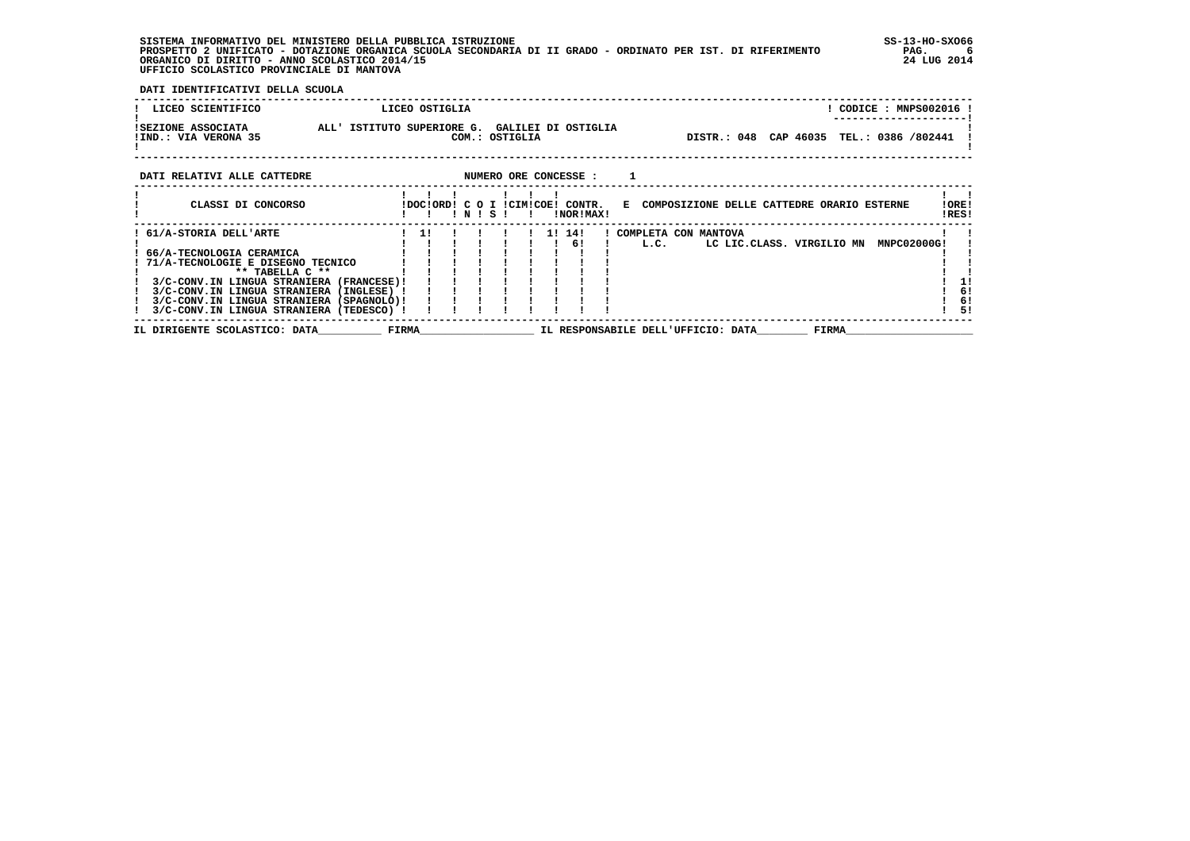**SISTEMA INFORMATIVO DEL MINISTERO DELLA PUBBLICA ISTRUZIONE SS-13-HO-SXO66 PROSPETTO 2 UNIFICATO - DOTAZIONE ORGANICA SCUOLA SECONDARIA DI II GRADO - ORDINATO PER IST. DI RIFERIMENTO PAG. 6 ORGANICO DI DIRITTO - ANNO SCOLASTICO 2014/15 24 LUG 2014 UFFICIO SCOLASTICO PROVINCIALE DI MANTOVA**

 **DATI IDENTIFICATIVI DELLA SCUOLA**

| LICEO SCIENTIFICO                          |                                                                                      |                                                | LICEO OSTIGLIA |           |                |                       |  |      |                                    |  |                                                                               | ! CODICE : MNPS002016                    |                |          |
|--------------------------------------------|--------------------------------------------------------------------------------------|------------------------------------------------|----------------|-----------|----------------|-----------------------|--|------|------------------------------------|--|-------------------------------------------------------------------------------|------------------------------------------|----------------|----------|
| ISEZIONE ASSOCIATA<br>!IND.: VIA VERONA 35 |                                                                                      | ALL' ISTITUTO SUPERIORE G. GALILEI DI OSTIGLIA |                |           | COM.: OSTIGLIA |                       |  |      |                                    |  |                                                                               | DISTR.: 048 CAP 46035 TEL.: 0386 /802441 |                |          |
| DATI RELATIVI ALLE CATTEDRE                |                                                                                      |                                                |                |           |                | NUMERO ORE CONCESSE : |  |      |                                    |  |                                                                               |                                          |                |          |
|                                            | CLASSI DI CONCORSO                                                                   |                                                |                | ! N ! S ! |                | !NOR!MAX!             |  |      |                                    |  | !DOC!ORD! C O I !CIM!COE! CONTR. E COMPOSIZIONE DELLE CATTEDRE ORARIO ESTERNE |                                          | !ORE!<br>!RES! |          |
| 61/A-STORIA DELL'ARTE                      |                                                                                      |                                                | 11             |           |                | 1! 14!                |  |      | ! COMPLETA CON MANTOVA             |  |                                                                               |                                          |                |          |
|                                            |                                                                                      |                                                |                |           |                | 6!                    |  | L.C. |                                    |  | LC LIC.CLASS. VIRGILIO MN                                                     | MNPC02000G!                              |                |          |
| 66/A-TECNOLOGIA CERAMICA                   |                                                                                      |                                                |                |           |                |                       |  |      |                                    |  |                                                                               |                                          |                |          |
|                                            | 71/A-TECNOLOGIE E DISEGNO TECNICO                                                    |                                                |                |           |                |                       |  |      |                                    |  |                                                                               |                                          |                |          |
|                                            | ** TABELLA C **                                                                      |                                                |                |           |                |                       |  |      |                                    |  |                                                                               |                                          |                |          |
|                                            | 3/C-CONV.IN LINGUA STRANIERA (FRANCESE)!                                             |                                                |                |           |                |                       |  |      |                                    |  |                                                                               |                                          |                |          |
|                                            | 3/C-CONV.IN LINGUA STRANIERA (INGLESE) !                                             |                                                |                |           |                |                       |  |      |                                    |  |                                                                               |                                          |                | 6!       |
|                                            | 3/C-CONV.IN LINGUA STRANIERA (SPAGNOLO)!<br>3/C-CONV.IN LINGUA STRANIERA (TEDESCO) ! |                                                |                |           |                |                       |  |      |                                    |  |                                                                               |                                          |                | 6!<br>51 |
|                                            | IL DIRIGENTE SCOLASTICO: DATA                                                        | <b>FIRMA</b>                                   |                |           |                |                       |  |      | IL RESPONSABILE DELL'UFFICIO: DATA |  | FIRMA                                                                         |                                          |                |          |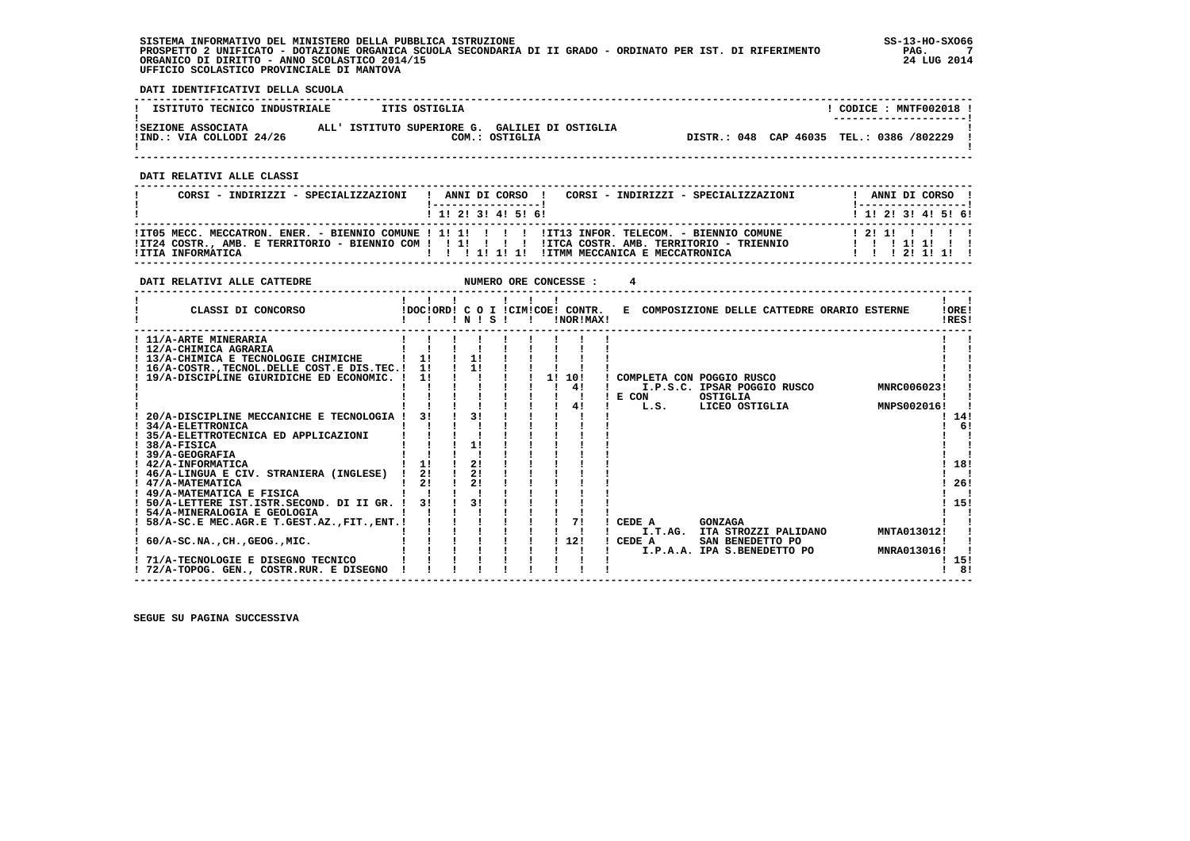**SISTEMA INFORMATIVO DEL MINISTERO DELLA PUBBLICA ISTRUZIONE SS-13-HO-SXO66 PROSPETTO 2 UNIFICATO - DOTAZIONE ORGANICA SCUOLA SECONDARIA DI II GRADO - ORDINATO PER IST. DI RIFERIMENTO PAG. 7 ORGANICO DI DIRITTO - ANNO SCOLASTICO 2014/15 24 LUG 2014 UFFICIO SCOLASTICO PROVINCIALE DI MANTOVA**

j

 **DATI IDENTIFICATIVI DELLA SCUOLA**

| ISTITUTO TECNICO INDUSTRIALE | ITIS OSTIGLIA                                  |  | CODICE: MNTF002018 !                     |  |
|------------------------------|------------------------------------------------|--|------------------------------------------|--|
|                              |                                                |  | ---------------------                    |  |
| ISEZIONE ASSOCIATA           | ALL' ISTITUTO SUPERIORE G. GALILEI DI OSTIGLIA |  |                                          |  |
| !IND.: VIA COLLODI 24/26     | COM.: OSTIGLIA                                 |  | DISTR.: 048 CAP 46035 TEL.: 0386 /802229 |  |
|                              |                                                |  |                                          |  |

 **------------------------------------------------------------------------------------------------------------------------------------**

 **DATI RELATIVI ALLE CLASSI**

| CORSI - INDIRIZZI - SPECIALIZZAZIONI                                                                                       | ! ANNI DI CORSO !<br>------------------ |  |  |  | CORSI - INDIRIZZI - SPECIALIZZAZIONI | ! -----------------!                       |  | ANNI DI CORSO ! |  |
|----------------------------------------------------------------------------------------------------------------------------|-----------------------------------------|--|--|--|--------------------------------------|--------------------------------------------|--|-----------------|--|
|                                                                                                                            | $1$ , 1! 2! 3! 4! 5! 6!                 |  |  |  |                                      | ! 1! 2! 3! 4! 5! 6!                        |  |                 |  |
| ITT05 MECC. MECCATRON. ENER. - BIENNIO COMUNE ! 1! !! !!!!!!! IIT13 INFOR. TELECOM. - BIENNIO COMUNE!<br>!ITIA INFORMATICA |                                         |  |  |  |                                      | 121111111<br>11111111<br>1 1 1 2 1 1 1 1 1 |  |                 |  |

| DATI RELATIVI ALLE CATTEDRE                                                                                                                                                                                                                                                                                                                                                                                                                |                       |                            |  | NUMERO ORE CONCESSE :                         |                                                                                                                                                     |                                    |
|--------------------------------------------------------------------------------------------------------------------------------------------------------------------------------------------------------------------------------------------------------------------------------------------------------------------------------------------------------------------------------------------------------------------------------------------|-----------------------|----------------------------|--|-----------------------------------------------|-----------------------------------------------------------------------------------------------------------------------------------------------------|------------------------------------|
| CLASSI DI CONCORSO                                                                                                                                                                                                                                                                                                                                                                                                                         |                       | INISI                      |  | !DOC!ORD! C O I !CIM!COE! CONTR.<br>INORIMAXI | E COMPOSIZIONE DELLE CATTEDRE ORARIO ESTERNE                                                                                                        | !ORE!<br>IRES!                     |
| ! 11/A-ARTE MINERARIA<br>! 12/A-CHIMICA AGRARIA<br>! 13/A-CHIMICA E TECNOLOGIE CHIMICHE<br>! 16/A-COSTR., TECNOL. DELLE COST. E DIS. TEC. !<br>! 19/A-DISCIPLINE GIURIDICHE ED ECONOMIC. !<br>20/A-DISCIPLINE MECCANICHE E TECNOLOGIA<br><b>34/A-ELETTRONICA</b>                                                                                                                                                                           | 11<br>11<br>11<br>3 I | 1!<br>11<br>31             |  | 11<br>10!<br>4!<br>41                         | COMPLETA CON POGGIO RUSCO<br>I.P.S.C. IPSAR POGGIO RUSCO<br>MNRC006023!<br>OSTIGLIA<br>E CON<br>L.S.<br>LICEO OSTIGLIA<br>MNPS002016!               | 14!<br>6!                          |
| ! 35/A-ELETTROTECNICA ED APPLICAZIONI<br>38/A-FISICA<br>39/A-GEOGRAFIA<br>! 42/A-INFORMATICA<br>46/A-LINGUA E CIV. STRANIERA (INGLESE)<br>47/A-MATEMATICA<br>! 49/A-MATEMATICA E FISICA<br>! 50/A-LETTERE IST.ISTR.SECOND. DI II GR. !<br>54/A-MINERALOGIA E GEOLOGIA<br>58/A-SC.E MEC.AGR.E T.GEST.AZ., FIT., ENT. !<br>$60/A-SC.NA.$ , CH., GEOG., MIC.<br>71/A-TECNOLOGIE E DISEGNO TECNICO<br>! 72/A-TOPOG. GEN., COSTR.RUR. E DISEGNO | 1!<br>21<br>21<br>31  | 11<br>2!<br>21<br>21<br>31 |  | 71<br>12!                                     | <b>GONZAGA</b><br>CEDE A<br>MNTA013012!<br>I.T.AG. ITA STROZZI PALIDANO<br>CEDE A<br>SAN BENEDETTO PO<br>MNRA013016!<br>I.P.A.A. IPA S.BENEDETTO PO | 18!<br>26!<br>15!<br>! 15!<br>! 8! |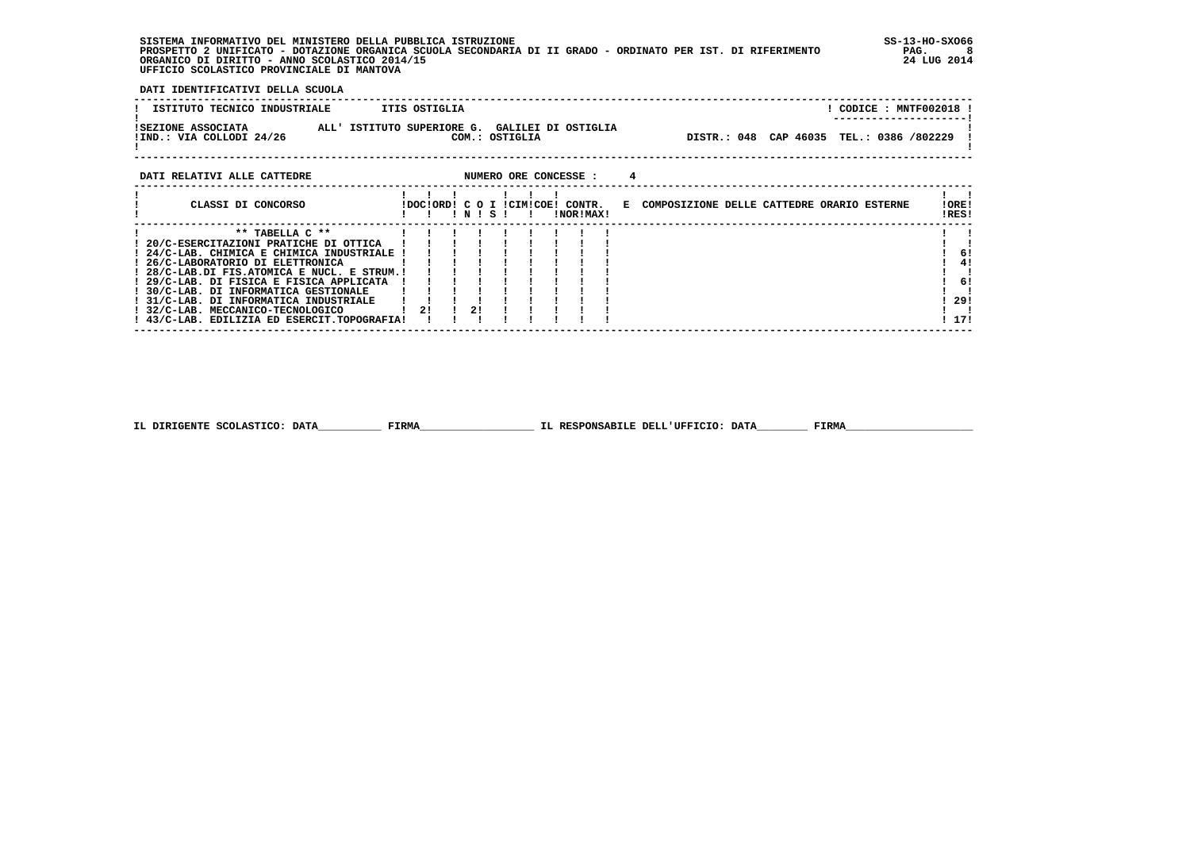**SISTEMA INFORMATIVO DEL MINISTERO DELLA PUBBLICA ISTRUZIONE SS-13-HO-SXO66 PROSPETTO 2 UNIFICATO - DOTAZIONE ORGANICA SCUOLA SECONDARIA DI II GRADO - ORDINATO PER IST. DI RIFERIMENTO PAG. 8 ORGANICO DI DIRITTO - ANNO SCOLASTICO 2014/15 24 LUG 2014 UFFICIO SCOLASTICO PROVINCIALE DI MANTOVA**

 **DATI IDENTIFICATIVI DELLA SCUOLA**

| ISTITUTO TECNICO INDUSTRIALE                   | ITIS OSTIGLIA                                                    |                                              |                                          |  | ! CODICE : MNTF002018 !<br>--------------------- |  |
|------------------------------------------------|------------------------------------------------------------------|----------------------------------------------|------------------------------------------|--|--------------------------------------------------|--|
| ISEZIONE ASSOCIATA<br>!IND.: VIA COLLODI 24/26 | ALL' ISTITUTO SUPERIORE G. GALILEI DI OSTIGLIA<br>COM.: OSTIGLIA |                                              | DISTR.: 048 CAP 46035 TEL.: 0386 /802229 |  |                                                  |  |
| DATI RELATIVI ALLE CATTEDRE                    | NUMERO ORE CONCESSE :                                            |                                              |                                          |  |                                                  |  |
| CLASSI DI CONCORSO                             | IDOCIORDI C O I ICIMICOEI CONTR.                                 | E COMPOSIZIONE DELLE CATTEDRE ORARIO ESTERNE |                                          |  | !ORE!                                            |  |

֖֧֢ׅ֧֧֧֧֧֚֚֚֚֚֚֚֚֚֚֚֚֚֚֚֚֚֚֚֚֚֚֚֚֡֝֝֓֓֡֞֝֬֝֓֝֓֝֬֝֓֞֝֬֝֓֝֬֝֬

|                                             |    |  |  | !NOR!MAX! |  | !RES! |       |
|---------------------------------------------|----|--|--|-----------|--|-------|-------|
| $**$ TABELLA $C**$                          |    |  |  |           |  |       |       |
| 20/C-ESERCITAZIONI PRATICHE DI OTTICA       |    |  |  |           |  |       |       |
| 24/C-LAB. CHIMICA E CHIMICA INDUSTRIALE !   |    |  |  |           |  |       | -61   |
| 26/C-LABORATORIO DI ELETTRONICA             |    |  |  |           |  |       | 41    |
| 28/C-LAB.DI FIS.ATOMICA E NUCL. E STRUM.!   |    |  |  |           |  |       |       |
| 29/C-LAB. DI FISICA E FISICA APPLICATA      |    |  |  |           |  |       | 6!    |
| 30/C-LAB. DI INFORMATICA GESTIONALE         |    |  |  |           |  |       |       |
| 31/C-LAB. DI INFORMATICA INDUSTRIALE        |    |  |  |           |  |       | 29!   |
| 32/C-LAB. MECCANICO-TECNOLOGICO             | 21 |  |  |           |  |       |       |
| ! 43/C-LAB. EDILIZIA ED ESERCIT.TOPOGRAFIA! |    |  |  |           |  |       | ! 17! |

 **------------------------------------------------------------------------------------------------------------------------------------**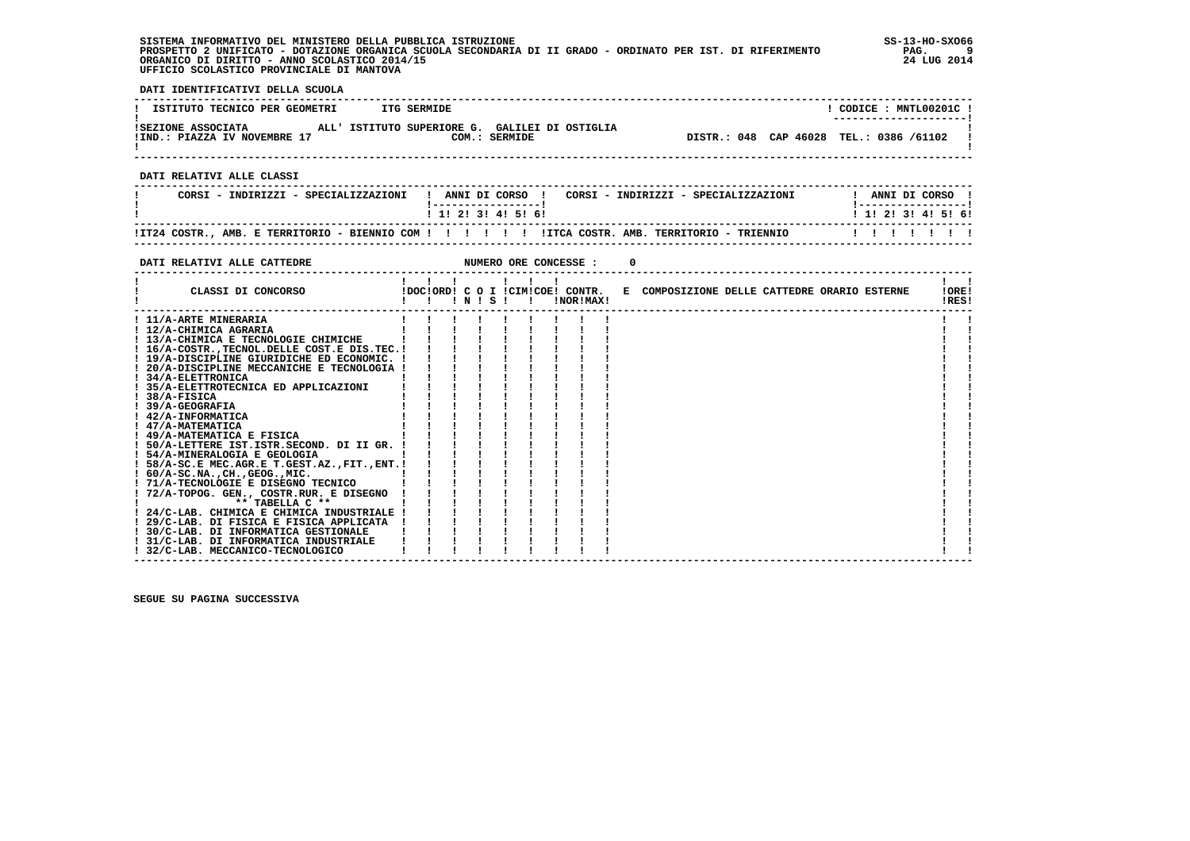**SISTEMA INFORMATIVO DEL MINISTERO DELLA PUBBLICA ISTRUZIONE SS-13-HO-SXO66 PROSPETTO 2 UNIFICATO - DOTAZIONE ORGANICA SCUOLA SECONDARIA DI II GRADO - ORDINATO PER IST. DI RIFERIMENTO PAG. 9 ORGANICO DI DIRITTO - ANNO SCOLASTICO 2014/15 24 LUG 2014 UFFICIO SCOLASTICO PROVINCIALE DI MANTOVA**

j

 **DATI IDENTIFICATIVI DELLA SCUOLA**

| ISTITUTO TECNICO PER GEOMETRI                                                                                          | <b>ITG SERMIDE</b>                                                                                                           | ! CODICE : MNTL00201C !                 |
|------------------------------------------------------------------------------------------------------------------------|------------------------------------------------------------------------------------------------------------------------------|-----------------------------------------|
| !SEZIONE ASSOCIATA MLL'ISTITUTO SUPERIORE G. GALILEI DI OSTIGLIA<br>!IND.: PIAZZA IV NOVEMBRE 17 COM.: SERMIDE         |                                                                                                                              | DISTR.: 048 CAP 46028 TEL.: 0386 /61102 |
|                                                                                                                        |                                                                                                                              |                                         |
| DATI RELATIVI ALLE CLASSI                                                                                              |                                                                                                                              |                                         |
| CORSI - INDIRIZZI - SPECIALIZZAZIONI                                                                                   | ! ANNI DI CORSO ! CORSI - INDIRIZZI - SPECIALIZZAZIONI                                                                       | ! ANNI DI CORSO !                       |
|                                                                                                                        | ! 1! 2! 3! 4! 5! 6!                                                                                                          | 1 1 2 2 1 3 1 4 1 5 1 6 1               |
|                                                                                                                        | !IT24 COSTR., AMB. E TERRITORIO - BIENNIO COM ! ! ! ! ! ! !ITCA COSTR. AMB. TERRITORIO - TRIENNIO                            | 1 1 1 1 1 1 1                           |
| DATI RELATIVI ALLE CATTEDRE                                                                                            | NUMERO ORE CONCESSE :<br>0                                                                                                   |                                         |
|                                                                                                                        |                                                                                                                              |                                         |
| CLASSI DI CONCORSO                                                                                                     | $1 \quad 1 \quad 1 \quad 1 \quad 1 \quad 1$<br>!DOC!ORD! C O I !CIM!COE! CONTR. E COMPOSIZIONE DELLE CATTEDRE ORARIO ESTERNE | $\mathbf{1}$ $\mathbf{1}$<br>!ORE!      |
|                                                                                                                        |                                                                                                                              | !RES!                                   |
| ! 11/A-ARTE MINERARIA                                                                                                  |                                                                                                                              |                                         |
| ! 12/A-CHIMICA AGRARIA                                                                                                 |                                                                                                                              |                                         |
| $12/A$ -CHMICA EXERALA<br>$13/A$ -CHMICA EXEROLOGIE CHIMICHE<br>$116/A$ -COSTR., TECNOL. DELLE COST. E DIS. TEC. ! ! ! |                                                                                                                              |                                         |
|                                                                                                                        |                                                                                                                              |                                         |
| ! 19/A-DISCIPLINE GIURIDICHE ED ECONOMIC. ! ! !                                                                        |                                                                                                                              |                                         |
| ! 20/A-DISCIPLINE MECCANICHE E TECNOLOGIA !                                                                            |                                                                                                                              |                                         |
| ! 34/A-ELETTRONICA                                                                                                     | $\begin{array}{ccccccccc} 1 & 1 & 1 & 1 & 1 \\ 1 & 1 & 1 & 1 & 1 \\ 1 & 1 & 1 & 1 & 1 \\ \end{array}$                        |                                         |
| ! 35/A-ELETTROTECNICA ED APPLICAZIONI                                                                                  |                                                                                                                              |                                         |
| $1.38/A-FISICA$                                                                                                        |                                                                                                                              |                                         |
| ! 39/A-GEOGRAFIA                                                                                                       |                                                                                                                              |                                         |
| ! 42/A-INFORMATICA                                                                                                     |                                                                                                                              |                                         |
| ! 47/A-MATEMATICA                                                                                                      |                                                                                                                              |                                         |
| ! 49/A-MATEMATICA E FISICA                                                                                             |                                                                                                                              |                                         |
| ! 50/A-LETTERE IST. ISTR. SECOND. DI II GR. !                                                                          |                                                                                                                              |                                         |
|                                                                                                                        |                                                                                                                              |                                         |
|                                                                                                                        |                                                                                                                              |                                         |
|                                                                                                                        |                                                                                                                              |                                         |
|                                                                                                                        |                                                                                                                              |                                         |
| ! 72/A-TOPOG. GEN., COSTR.RUR. E DISEGNO !                                                                             |                                                                                                                              |                                         |
|                                                                                                                        |                                                                                                                              |                                         |
|                                                                                                                        |                                                                                                                              |                                         |
|                                                                                                                        |                                                                                                                              |                                         |
| ! 30/C-LAB. DI INFORMATICA GESTIONALE<br>! 31/C-LAB. DI INFORMATICA INDUSTRIALE                                        |                                                                                                                              |                                         |
| ! 32/C-LAB. MECCANICO-TECNOLOGICO                                                                                      |                                                                                                                              |                                         |
|                                                                                                                        |                                                                                                                              |                                         |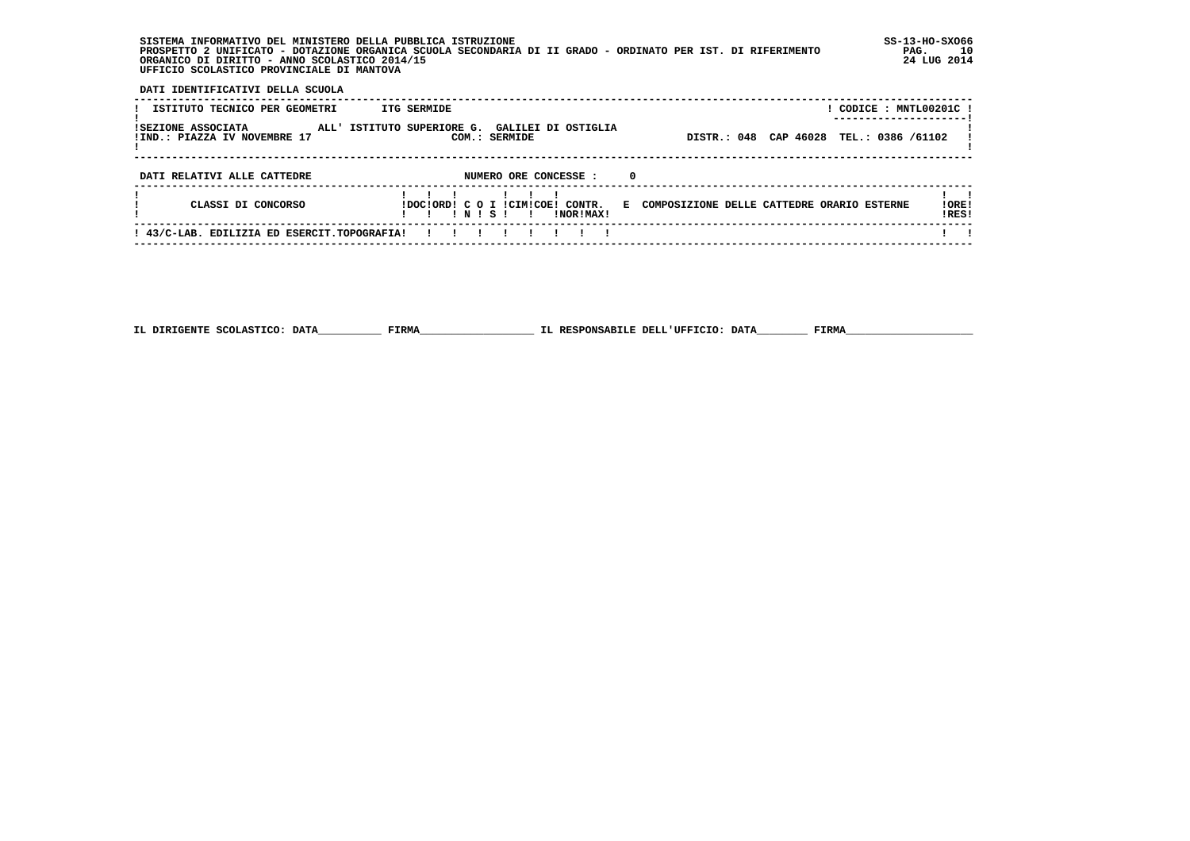**SISTEMA INFORMATIVO DEL MINISTERO DELLA PUBBLICA ISTRUZIONE SS-13-HO-SXO66 PROSPETTO 2 UNIFICATO - DOTAZIONE ORGANICA SCUOLA SECONDARIA DI II GRADO - ORDINATO PER IST. DI RIFERIMENTO PAG. 10 ORGANICO DI DIRITTO - ANNO SCOLASTICO 2014/15 24 LUG 2014 UFFICIO SCOLASTICO PROVINCIALE DI MANTOVA**

 **DATI IDENTIFICATIVI DELLA SCUOLA**

| ISTITUTO TECNICO PER GEOMETRI<br>ISEZIONE ASSOCIATA<br>!IND.: PIAZZA IV NOVEMBRE 17 | ITG SERMIDE<br>ALL' ISTITUTO SUPERIORE G. GALILEI DI OSTIGLIA<br>COM.: SERMIDE  | DISTR.: 048 CAP 46028                        | ! CODICE : MNTL00201C !<br>TEL.: 0386 /61102 |
|-------------------------------------------------------------------------------------|---------------------------------------------------------------------------------|----------------------------------------------|----------------------------------------------|
| DATI RELATIVI ALLE CATTEDRE                                                         | NUMERO ORE CONCESSE :<br>0                                                      |                                              |                                              |
| CLASSI DI CONCORSO                                                                  | IDOCIORDI C O I ICIMICOEI CONTR.<br>INISI<br><b>INORIMAXI</b><br>$\blacksquare$ | E COMPOSIZIONE DELLE CATTEDRE ORARIO ESTERNE | !ORE!<br>!RES!                               |
| ! 43/C-LAB. EDILIZIA ED ESERCIT.TOPOGRAFIA!                                         |                                                                                 |                                              |                                              |

 **------------------------------------------------------------------------------------------------------------------------------------**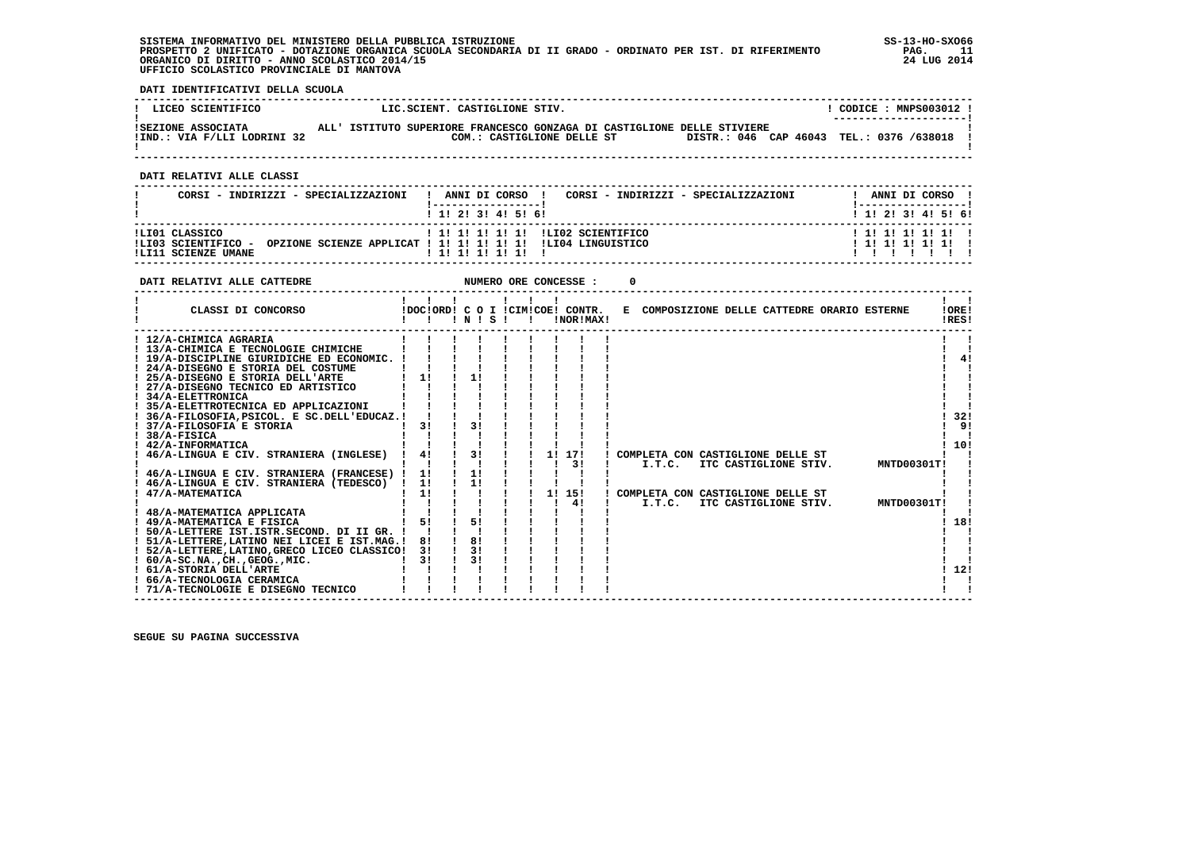## **SISTEMA INFORMATIVO DEL MINISTERO DELLA PUBBLICA ISTRUZIONE SS-13-HO-SXO66 PROSPETTO 2 UNIFICATO - DOTAZIONE ORGANICA SCUOLA SECONDARIA DI II GRADO - ORDINATO PER IST. DI RIFERIMENTO PAG. 11 ORGANICO DI DIRITTO - ANNO SCOLASTICO 2014/15 24 LUG 2014 UFFICIO SCOLASTICO PROVINCIALE DI MANTOVA**

j

 **DATI IDENTIFICATIVI DELLA SCUOLA**

| LICEO SCIENTIFICO                                 | LIC.SCIENT. CASTIGLIONE STIV.                                                                                                                     | CODICE : MNPS003012 !<br>---------------------- |
|---------------------------------------------------|---------------------------------------------------------------------------------------------------------------------------------------------------|-------------------------------------------------|
| ISEZIONE ASSOCIATA<br>!IND.: VIA F/LLI LODRINI 32 | ALL' ISTITUTO SUPERIORE FRANCESCO GONZAGA DI CASTIGLIONE DELLE STIVIERE<br>DISTR.: 046 CAP 46043 TEL.: 0376 /638018<br>COM.: CASTIGLIONE DELLE ST |                                                 |

 **------------------------------------------------------------------------------------------------------------------------------------**

 **DATI RELATIVI ALLE CLASSI**

| CORSI - INDIRIZZI - SPECIALIZZAZIONI                         | ANNI DI CORSO !<br>CORSI - INDIRIZZI - SPECIALIZZAZIONI                                                                   | ANNI DI CORSO !           |
|--------------------------------------------------------------|---------------------------------------------------------------------------------------------------------------------------|---------------------------|
|                                                              | 1 1 1 2 1 3 1 4 1 5 1 6 1                                                                                                 | 1 1 1 2 1 3 1 4 1 5 1 6 1 |
| ILI01 CLASSICO<br>ILI03 SCIENTIFICO -<br>ILI11 SCIENZE UMANE | ! 1! 1! 1! 1! 1! !LI02 SCIENTIFICO<br>OPZIONE SCIENZE APPLICAT ! 1! 1! 1! 1! 1! 1. ILI04 LINGUISTICO<br>1 1 1 1 1 1 1 1 1 | $1$ 1! 1! 1! 1! 1! 1      |

| DATI RELATIVI ALLE CATTEDRE                                                                                               |          |                        |  | NUMERO ORE CONCESSE :                         |                                               |                       |  |             |                |
|---------------------------------------------------------------------------------------------------------------------------|----------|------------------------|--|-----------------------------------------------|-----------------------------------------------|-----------------------|--|-------------|----------------|
| CLASSI DI CONCORSO                                                                                                        |          | ! N ! S !              |  | !DOC!ORD! C O I !CIM!COE! CONTR.<br>!NOR!MAX! | E COMPOSIZIONE DELLE CATTEDRE ORARIO ESTERNE  |                       |  |             | !ORE!<br>!RES! |
| ! 12/A-CHIMICA AGRARIA<br>! 13/A-CHIMICA E TECNOLOGIE CHIMICHE<br>! 19/A-DISCIPLINE GIURIDICHE ED ECONOMIC. !             |          |                        |  |                                               |                                               |                       |  |             | 4!             |
| ! 24/A-DISEGNO E STORIA DEL COSTUME<br>! 25/A-DISEGNO E STORIA DELL'ARTE<br>! 27/A-DISEGNO TECNICO ED ARTISTICO           | 1!       | 11                     |  |                                               |                                               |                       |  |             |                |
| ! 34/A-ELETTRONICA<br>35/A-ELETTROTECNICA ED APPLICAZIONI                                                                 |          |                        |  |                                               |                                               |                       |  |             |                |
| ! 36/A-FILOSOFIA, PSICOL. E SC.DELL'EDUCAZ.!<br>! 37/A-FILOSOFIA E STORIA<br>$1.38/A-FISICA$                              | 31       | 31                     |  |                                               |                                               |                       |  |             | 32!<br>9!      |
| ! 42/A-INFORMATICA<br>46/A-LINGUA E CIV. STRANIERA (INGLESE)                                                              | 4!       | 31                     |  | 11 171<br>3 I                                 | ! COMPLETA CON CASTIGLIONE DELLE ST<br>I.T.C. | ITC CASTIGLIONE STIV. |  | MNTD00301T! | 10!            |
| 46/A-LINGUA E CIV. STRANIERA (FRANCESE) !<br>! 46/A-LINGUA E CIV. STRANIERA (TEDESCO) ! 1!                                | 1!<br>1! | 1!<br>11               |  | 1! 15!                                        |                                               |                       |  |             |                |
| 47/A-MATEMATICA<br>48/A-MATEMATICA APPLICATA                                                                              |          |                        |  | 41                                            | ! COMPLETA CON CASTIGLIONE DELLE ST<br>I.T.C. | ITC CASTIGLIONE STIV. |  | MNTD00301T! |                |
| ! 49/A-MATEMATICA E FISICA<br>! 50/A-LETTERE IST.ISTR.SECOND. DI II GR. !<br>! 51/A-LETTERE, LATINO NEI LICEI E IST.MAG.! | 5!<br>81 | 51<br>$\frac{1}{1}$ 8! |  |                                               |                                               |                       |  |             | 18!            |
| ! 52/A-LETTERE, LATINO, GRECO LICEO CLASSICO!<br>$1.60/A-SC.NA.$ , $CH.$ , $GEOG.$ , $MIC.$<br>! 61/A-STORIA DELL'ARTE    | 31<br>31 | $\frac{1}{3}$<br>31    |  |                                               |                                               |                       |  |             | 12!            |
| ! 66/A-TECNOLOGIA CERAMICA<br>! 71/A-TECNOLOGIE E DISEGNO TECNICO                                                         |          |                        |  |                                               |                                               |                       |  |             |                |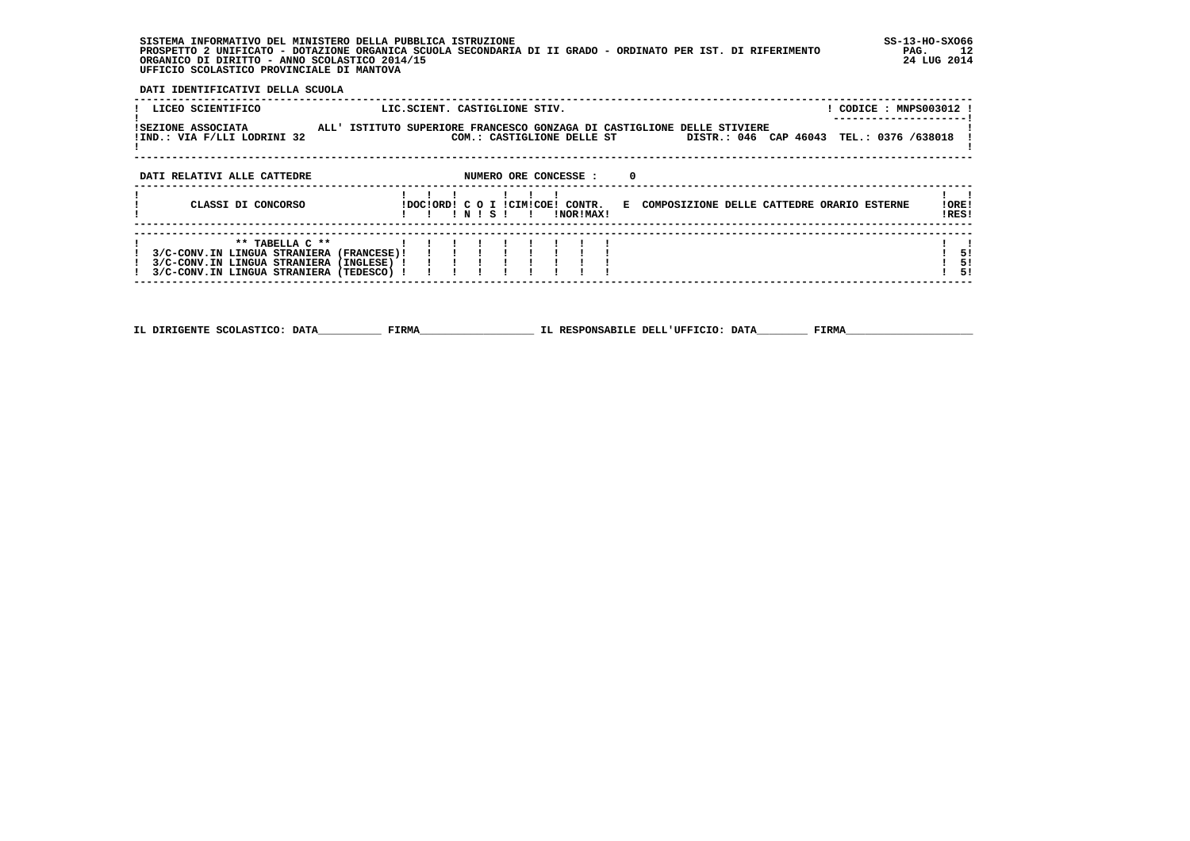**SISTEMA INFORMATIVO DEL MINISTERO DELLA PUBBLICA ISTRUZIONE SS-13-HO-SXO66 PROSPETTO 2 UNIFICATO - DOTAZIONE ORGANICA SCUOLA SECONDARIA DI II GRADO - ORDINATO PER IST. DI RIFERIMENTO PAG. 12 ORGANICO DI DIRITTO - ANNO SCOLASTICO 2014/15 24 LUG 2014 UFFICIO SCOLASTICO PROVINCIALE DI MANTOVA**

j

 **DATI IDENTIFICATIVI DELLA SCUOLA**

| LICEO SCIENTIFICO                                                                                                                                   | ! CODICE : MNPS003012 !<br>LIC.SCIENT. CASTIGLIONE STIV.                                                                                          |                |
|-----------------------------------------------------------------------------------------------------------------------------------------------------|---------------------------------------------------------------------------------------------------------------------------------------------------|----------------|
| ISEZIONE ASSOCIATA<br>!IND.: VIA F/LLI LODRINI 32                                                                                                   | ALL' ISTITUTO SUPERIORE FRANCESCO GONZAGA DI CASTIGLIONE DELLE STIVIERE<br>COM.: CASTIGLIONE DELLE ST<br>DISTR.: 046 CAP 46043 TEL.: 0376 /638018 |                |
| DATI RELATIVI ALLE CATTEDRE                                                                                                                         | NUMERO ORE CONCESSE :<br>- 0                                                                                                                      |                |
| CLASSI DI CONCORSO                                                                                                                                  | IDOCIORDI C O I ICIMICOEI CONTR.<br>E COMPOSIZIONE DELLE CATTEDRE ORARIO ESTERNE<br>INISI<br>!NOR!MAX!                                            | IORE<br>IRES!  |
| ** TABELLA C **<br>3/C-CONV.IN LINGUA STRANIERA (FRANCESE)!<br>3/C-CONV.IN LINGUA STRANIERA (INGLESE) !<br>3/C-CONV.IN LINGUA STRANIERA (TEDESCO) ! |                                                                                                                                                   | 51<br>5!<br>51 |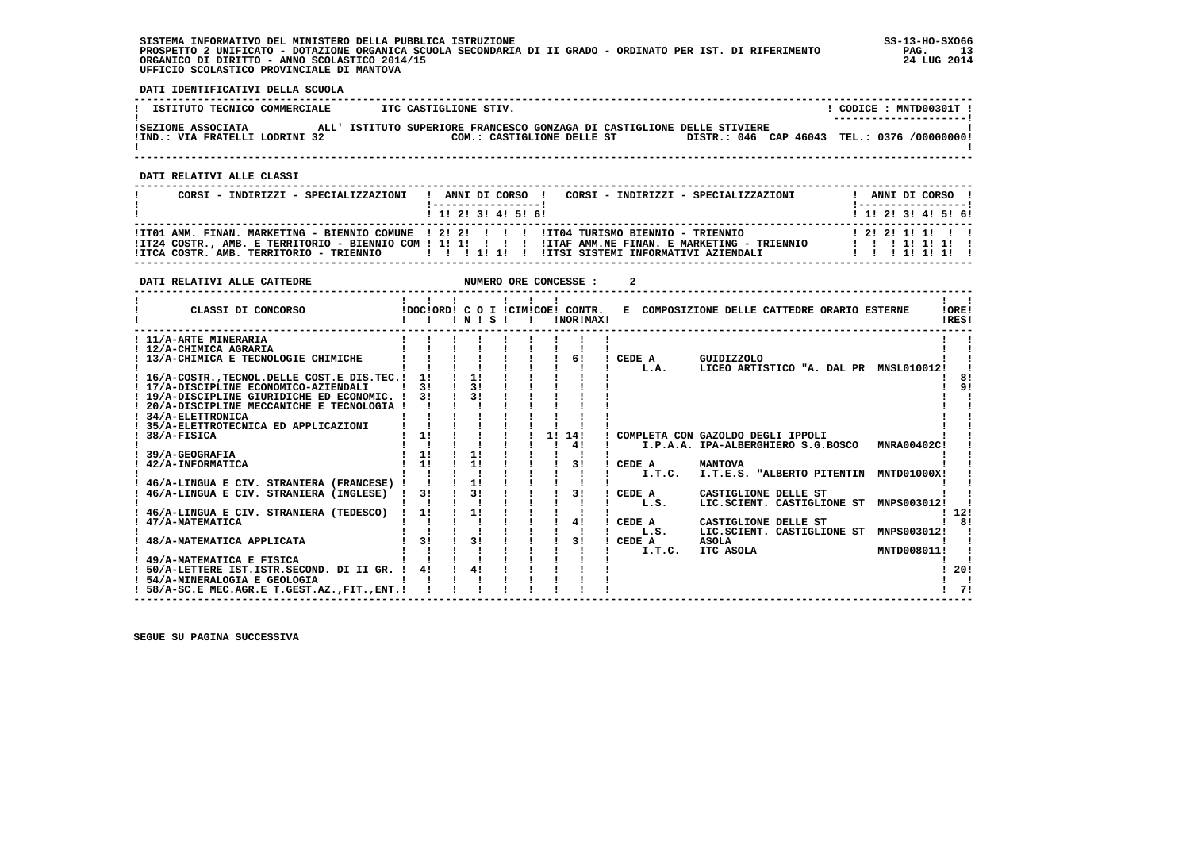## **SISTEMA INFORMATIVO DEL MINISTERO DELLA PUBBLICA ISTRUZIONE SS-13-HO-SXO66 PROSPETTO 2 UNIFICATO - DOTAZIONE ORGANICA SCUOLA SECONDARIA DI II GRADO - ORDINATO PER IST. DI RIFERIMENTO PAG. 13 ORGANICO DI DIRITTO - ANNO SCOLASTICO 2014/15 24 LUG 2014 UFFICIO SCOLASTICO PROVINCIALE DI MANTOVA**

j

 **DATI IDENTIFICATIVI DELLA SCUOLA**

| ISTITUTO TECNICO COMMERCIALE                         | ITC CASTIGLIONE STIV.                                                                                                                                 | CODICE : MNTD00301T ! |
|------------------------------------------------------|-------------------------------------------------------------------------------------------------------------------------------------------------------|-----------------------|
| ISEZIONE ASSOCIATA<br>!IND.: VIA FRATELLI LODRINI 32 | ALL' ISTITUTO SUPERIORE FRANCESCO GONZAGA DI CASTIGLIONE DELLE STIVIERE<br>DISTR.: 046 CAP 46043 TEL.: 0376 /000000000!<br>COM.: CASTIGLIONE DELLE ST | --------------------- |
|                                                      |                                                                                                                                                       |                       |

 **DATI RELATIVI ALLE CLASSI**

| CORSI - INDIRIZZI - SPECIALIZZAZIONI                                                                                                                            |  | ANNI DI CORSO !   | CORSI - INDIRIZZI - SPECIALIZZAZIONI |  |  | ANNI DI CORSO !<br>!------------------! |  |
|-----------------------------------------------------------------------------------------------------------------------------------------------------------------|--|-------------------|--------------------------------------|--|--|-----------------------------------------|--|
|                                                                                                                                                                 |  | 1 1 2 3 3 4 5 5 6 |                                      |  |  | ! 1! 2! 3! 4! 5! 6!                     |  |
| ITT01 AMM. FINAN. MARKETING - BIENNIO COMUNE 1 21 21 1 1 1 11T04 TURISMO BIENNIO - TRIENNIO                                                                     |  |                   |                                      |  |  | 1 2 1 2 1 1 1 1 1 1                     |  |
| IT24 COSTR., AMB. E TERRITORIO - BIENNIO COM ! 1! 1! ! ! ! ! ITAF AMM.NE FINAN. E MARKETING - TRIENNIO<br>! ITCA COSTR. AMB. TERRITORIO - TRIENNIO         1  1 |  |                   | IITSI SISTEMI INFORMATIVI AZIENDALI  |  |  | 1 1 1 1 1 1 1 1 1<br>1 1 1 1 1 1 1 1    |  |

| DATI RELATIVI ALLE CATTEDRE                        |                |                |  | NUMERO ORE CONCESSE :                         |          |                                              |             |                |
|----------------------------------------------------|----------------|----------------|--|-----------------------------------------------|----------|----------------------------------------------|-------------|----------------|
| CLASSI DI CONCORSO                                 |                | INISI          |  | IDOCIORD! C O I ICIMICOE! CONTR.<br>!NOR!MAX! |          | E COMPOSIZIONE DELLE CATTEDRE ORARIO ESTERNE |             | !ORE!<br>IRES! |
| ! 11/A-ARTE MINERARIA                              |                |                |  |                                               |          |                                              |             |                |
| ! 12/A-CHIMICA AGRARIA                             |                |                |  |                                               |          |                                              |             |                |
| ! 13/A-CHIMICA E TECNOLOGIE CHIMICHE               |                |                |  | 61                                            | CEDE A   | GUIDIZZOLO                                   |             |                |
|                                                    |                |                |  |                                               | L.A.     | LICEO ARTISTICO "A. DAL PR MNSL010012!       |             |                |
| ! 16/A-COSTR. TECNOL. DELLE COST. E DIS. TEC. !    | 1!             | 11             |  |                                               |          |                                              |             | 81             |
| ! 17/A-DISCIPLINE ECONOMICO-AZIENDALI              | 31             | 3 <sub>1</sub> |  |                                               |          |                                              |             | ۹!             |
| ! 19/A-DISCIPLINE GIURIDICHE ED ECONOMIC. !        | 31             | 31             |  |                                               |          |                                              |             |                |
| 20/A-DISCIPLINE MECCANICHE E TECNOLOGIA !          |                |                |  |                                               |          |                                              |             |                |
| 34/A-ELETTRONICA                                   |                |                |  |                                               |          |                                              |             |                |
| 35/A-ELETTROTECNICA ED APPLICAZIONI<br>38/A-FISICA | 1!             |                |  | 11<br>14!                                     |          | COMPLETA CON GAZOLDO DEGLI IPPOLI            |             |                |
|                                                    |                |                |  | 41                                            |          | I.P.A.A. IPA-ALBERGHIERO S.G.BOSCO           | MNRA00402C! |                |
| 39/A-GEOGRAFIA                                     | 11             | 11             |  |                                               |          |                                              |             |                |
| 42/A-INFORMATICA                                   | 11             | 11             |  | 31                                            | CEDE A   | <b>MANTOVA</b>                               |             |                |
|                                                    |                |                |  |                                               | I.T.C.   | I.T.E.S. "ALBERTO PITENTIN MNTD01000X!       |             |                |
| 46/A-LINGUA E CIV. STRANIERA (FRANCESE) !          |                | 11             |  |                                               |          |                                              |             |                |
| 46/A-LINGUA E CIV. STRANIERA (INGLESE)             | 3!             | 3!             |  | 31                                            | CEDE A   | CASTIGLIONE DELLE ST                         |             |                |
|                                                    |                |                |  |                                               | L.S.     | LIC.SCIENT. CASTIGLIONE ST                   | MNPS003012! |                |
| 46/A-LINGUA E CIV. STRANIERA (TEDESCO)             | 1!             | 1!             |  |                                               |          |                                              |             | -12!           |
| 47/A-MATEMATICA                                    |                |                |  | 41                                            | CEDE A   | CASTIGLIONE DELLE ST                         |             | 81             |
|                                                    |                |                |  |                                               | L.S.     | LIC.SCIENT. CASTIGLIONE ST MNPS003012!       |             |                |
| 48/A-MATEMATICA APPLICATA                          | 3 <sub>1</sub> | 3 <sub>1</sub> |  | 3!                                            | ! CEDE A | <b>ASOLA</b>                                 |             |                |
|                                                    |                |                |  |                                               | I.T.C.   | ITC ASOLA                                    | MNTD008011! |                |
| 49/A-MATEMATICA E FISICA                           |                |                |  |                                               |          |                                              |             |                |
| 50/A-LETTERE IST.ISTR.SECOND. DI II GR. !          | 4!             | 41             |  |                                               |          |                                              |             | 20!            |
| ! 54/A-MINERALOGIA E GEOLOGIA                      |                |                |  |                                               |          |                                              |             |                |
| ! 58/A-SC.E MEC.AGR.E T.GEST.AZ., FIT., ENT. !     |                |                |  |                                               |          |                                              |             | 71             |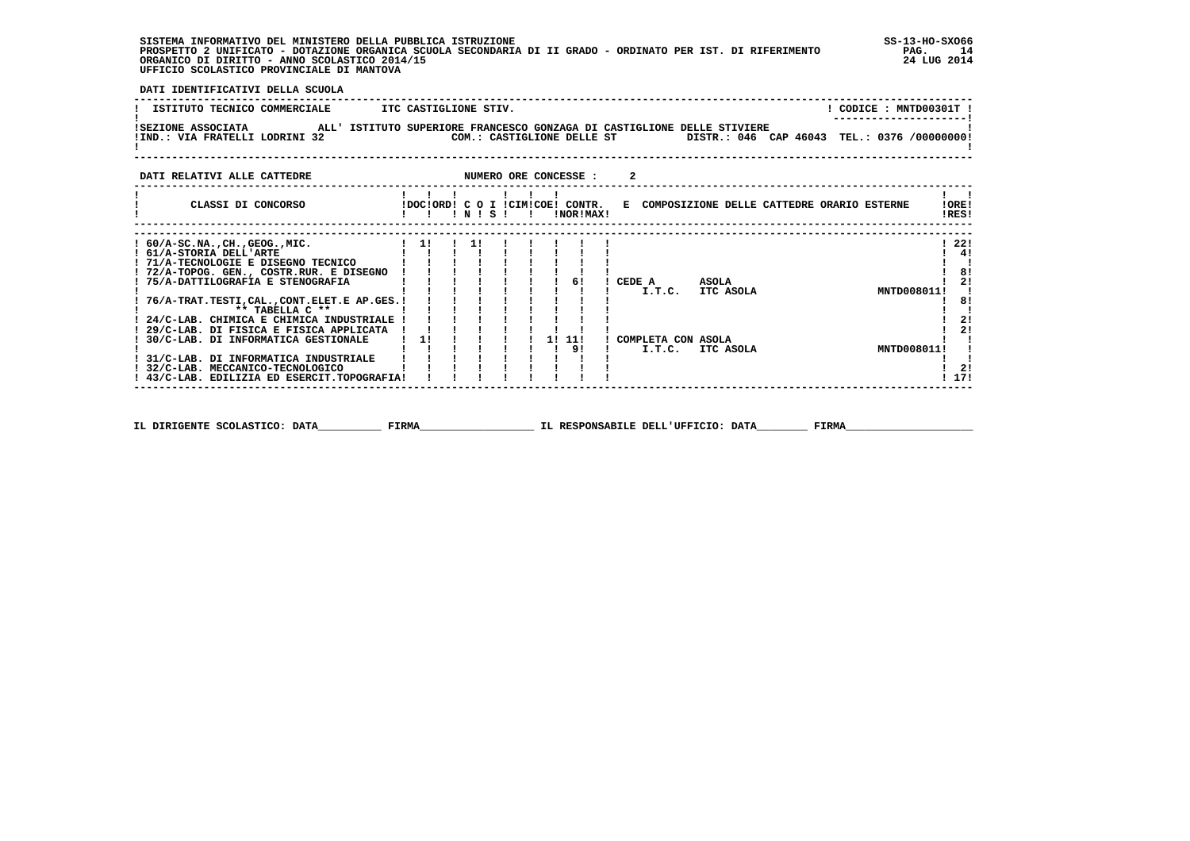**SISTEMA INFORMATIVO DEL MINISTERO DELLA PUBBLICA ISTRUZIONE SS-13-HO-SXO66**PROSPETTO 2 UNIFICATO - DOTAZIONE ORGANICA SCUOLA SECONDARIA DI II GRADO - ORDINATO PER IST. DI RIFERIMENTO ORGANICO DI DIRITTO - ANNO SCOLASTICO 2014/15  **UFFICIO SCOLASTICO PROVINCIALE DI MANTOVA**

**PAG.** 14 24 LUG 2014

 **DATI IDENTIFICATIVI DELLA SCUOLA ------------------------------------------------------------------------------------------------------------------------------------**! CODICE : MNTD00301T ! **I ISTITUTO TECNICO COMMERCIALE ITC CASTIGLIONE STIV.** \_\_\_\_\_\_\_\_\_\_\_\_\_\_\_\_\_\_\_\_\_\_\_\_  **! ---------------------! !SEZIONE ASSOCIATA ALL' ISTITUTO SUPERIORE FRANCESCO GONZAGA DI CASTIGLIONE DELLE STIVIERE ! !IND.: VIA FRATELLI LODRINI 32 COM.: CASTIGLIONE DELLE ST DISTR.: 046 CAP 46043 TEL.: 0376 /00000000!** $\mathbf{I}$  **! ! ------------------------------------------------------------------------------------------------------------------------------------DATI RELATIVI ALLE CATTEDRE NUMERO ORE CONCESSE : 2 ------------------------------------------------------------------------------------------------------------------------------------ ! ! ! ! ! ! ! ! ! ! CLASSI DI CONCORSO !DOC!ORD! C O I !CIM!COE! CONTR. E COMPOSIZIONE DELLE CATTEDRE ORARIO ESTERNE !ORE! ! ! ! ! N ! S ! ! !NOR!MAX! !RES! ------------------------------------------------------------------------------------------------------------------------------------ ------------------------------------------------------------------------------------------------------------------------------------** $1221$  **! 60/A-SC.NA.,CH.,GEOG.,MIC. ! 1! ! 1! ! ! ! ! ! ! 22! ! 61/A-STORIA DELL'ARTE ! ! ! ! ! ! ! ! ! ! 4!** $1 \quad 41$ **College State ! 71/A-TECNOLOGIE E DISEGNO TECNICO ! ! ! ! ! ! ! ! ! ! ! ! 72/A-TOPOG. GEN., COSTR.RUR. E DISEGNO ! ! ! ! ! ! ! ! ! ! 8! ! 75/A-DATTILOGRAFIA E STENOGRAFIA ! ! ! ! ! ! ! 6! ! CEDE A ASOLA ! 2! ! ! ! ! ! ! ! ! ! ! I.T.C. ITC ASOLA MNTD008011! ! ! 76/A-TRAT.TESTI,CAL.,CONT.ELET.E AP.GES.! ! ! ! ! ! ! ! ! ! 8!** $\frac{1}{1}$  81  $1 \quad 21$  $\overline{\phantom{a}}$ ----------<br>81  $\mathbf{1}$   $\mathbf{1}$  **! \*\* TABELLA C \*\* ! ! ! ! ! ! ! ! ! ! ! ! 24/C-LAB. CHIMICA E CHIMICA INDUSTRIALE ! ! ! ! ! ! ! ! ! ! 2! ! 29/C-LAB. DI FISICA E FISICA APPLICATA ! ! ! ! ! ! ! ! ! ! 2! ! 30/C-LAB. DI INFORMATICA GESTIONALE ! 1! ! ! ! ! 1! 11! ! COMPLETA CON ASOLA ! !** $\frac{1}{2}$  $1 \quad 21$  $\mathbf{I}$  and  $\mathbf{I}$   **! ! ! ! ! ! ! ! 9! ! I.T.C. ITC ASOLA MNTD008011! ! ! 31/C-LAB. DI INFORMATICA INDUSTRIALE ! ! ! ! ! ! ! ! ! ! ! ! 32/C-LAB. MECCANICO-TECNOLOGICO ! ! ! ! ! ! ! ! ! ! 2!**1 171  **! 43/C-LAB. EDILIZIA ED ESERCIT.TOPOGRAFIA! ! ! ! ! ! ! ! ! ! 17! ------------------------------------------------------------------------------------------------------------------------------------**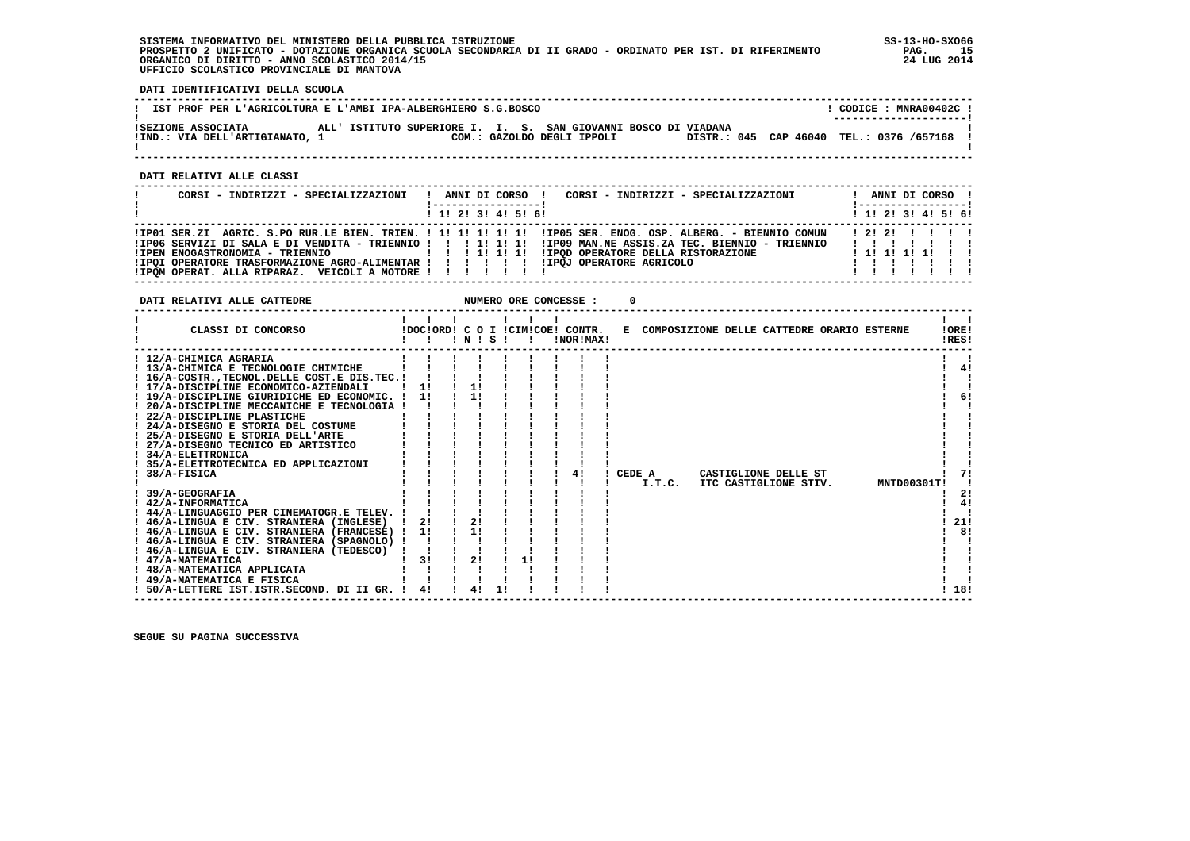## **SISTEMA INFORMATIVO DEL MINISTERO DELLA PUBBLICA ISTRUZIONE SS-13-HO-SXO66 PROSPETTO 2 UNIFICATO - DOTAZIONE ORGANICA SCUOLA SECONDARIA DI II GRADO - ORDINATO PER IST. DI RIFERIMENTO PAG. 15 ORGANICO DI DIRITTO - ANNO SCOLASTICO 2014/15 24 LUG 2014 UFFICIO SCOLASTICO PROVINCIALE DI MANTOVA**

j

 **DATI IDENTIFICATIVI DELLA SCUOLA**

| IST PROF PER L'AGRICOLTURA E L'AMBI IPA-ALBERGHIERO S.G.BOSCO |  |                                                                |  |                            |  |                                            |  | CODICE: MNRA00402C!<br>--------------------- |  |
|---------------------------------------------------------------|--|----------------------------------------------------------------|--|----------------------------|--|--------------------------------------------|--|----------------------------------------------|--|
| ISEZIONE ASSOCIATA<br>!IND.: VIA DELL'ARTIGIANATO, 1          |  | ALL' ISTITUTO SUPERIORE I. I. S. SAN GIOVANNI BOSCO DI VIADANA |  | COM.: GAZOLDO DEGLI IPPOLI |  | DISTR.: 045 CAP 46040 TEL.: 0376 /657168 ! |  |                                              |  |

 **------------------------------------------------------------------------------------------------------------------------------------**

 **DATI RELATIVI ALLE CLASSI**

| CORSI - INDIRIZZI - SPECIALIZZAZIONI                                                                                                                | CORSI - INDIRIZZI - SPECIALIZZAZIONI<br>ANNI DI CORSO !<br>-----------------                                                                                                                                      | ANNI DI CORSO !<br>!-----------------!                       |
|-----------------------------------------------------------------------------------------------------------------------------------------------------|-------------------------------------------------------------------------------------------------------------------------------------------------------------------------------------------------------------------|--------------------------------------------------------------|
|                                                                                                                                                     | $1$ , 1! 2! 3! 4! 5! 6!                                                                                                                                                                                           | $1$ , 1!, 2!, 3!, 4!, 5!, 6!                                 |
| !IPOI OPERATORE TRASFORMAZIONE AGRO-ALIMENTAR ! ! ! ! ! ! !IPOJ OPERATORE AGRICOLO<br>! IPOM OPERAT. ALLA RIPARAZ. VEICOLI A MOTORE ! ! ! ! ! ! ! ! | IIPO1 SER.ZI AGRIC. S.PO RUR.LE BIEN. TRIEN. ! 1! 1! 1! 1! 1! IIPO5 SER. ENOG. OSP. ALBERG. - BIENNIO COMUN<br>IPEN ENOGASTRONOMIA - TRIENNIO                         !!!!!!!!!!!POD OPERATORE DELLA RISTORAZIONE | 1 2 1 2 1 1 1 1 1<br>1111111<br>1 1 1 1 1 1 1 1 1<br>1111111 |

 **DATI RELATIVI ALLE CATTEDRE NUMERO ORE CONCESSE : 0**

| CLASSI DI CONCORSO                                                                      |    | INISI |    |    | !DOC!ORD! C O I !CIM!COE! CONTR.<br>!NOR!MAX! |        |        |  | E COMPOSIZIONE DELLE CATTEDRE ORARIO ESTERNE |             | !ORE!<br>!RES! |
|-----------------------------------------------------------------------------------------|----|-------|----|----|-----------------------------------------------|--------|--------|--|----------------------------------------------|-------------|----------------|
| ! 12/A-CHIMICA AGRARIA                                                                  |    |       |    |    |                                               |        |        |  |                                              |             |                |
| ! 13/A-CHIMICA E TECNOLOGIE CHIMICHE                                                    |    |       |    |    |                                               |        |        |  |                                              |             | 4!             |
| ! 16/A-COSTRTECNOL.DELLE COST.E DIS.TEC.!                                               |    |       |    |    |                                               |        |        |  |                                              |             |                |
| ! 17/A-DISCIPLINE ECONOMICO-AZIENDALI                                                   |    |       | 1! |    |                                               |        |        |  |                                              |             |                |
| ! 19/A-DISCIPLINE GIURIDICHE ED ECONOMIC.                                               | 11 |       | 11 |    |                                               |        |        |  |                                              |             | 6!             |
| ! 20/A-DISCIPLINE MECCANICHE E TECNOLOGIA !                                             |    |       |    |    |                                               |        |        |  |                                              |             |                |
| ! 22/A-DISCIPLINE PLASTICHE                                                             |    |       |    |    |                                               |        |        |  |                                              |             |                |
| ! 24/A-DISEGNO E STORIA DEL COSTUME                                                     |    |       |    |    |                                               |        |        |  |                                              |             |                |
| 25/A-DISEGNO E STORIA DELL'ARTE                                                         |    |       |    |    |                                               |        |        |  |                                              |             |                |
| ! 27/A-DISEGNO TECNICO ED ARTISTICO                                                     |    |       |    |    |                                               |        |        |  |                                              |             |                |
| ! 34/A-ELETTRONICA                                                                      |    |       |    |    |                                               |        |        |  |                                              |             |                |
| 35/A-ELETTROTECNICA ED APPLICAZIONI                                                     |    |       |    |    |                                               |        |        |  |                                              |             |                |
| 38/A-FISICA                                                                             |    |       |    |    | 41                                            | CEDE A |        |  | CASTIGLIONE DELLE ST                         |             |                |
|                                                                                         |    |       |    |    |                                               |        | I.T.C. |  | ITC CASTIGLIONE STIV.                        | MNTD00301T! |                |
| 39/A-GEOGRAFIA                                                                          |    |       |    |    |                                               |        |        |  |                                              |             | 2!             |
| ! 42/A-INFORMATICA                                                                      |    |       |    |    |                                               |        |        |  |                                              |             | 4!             |
| ! 44/A-LINGUAGGIO PER CINEMATOGR.E TELEV.                                               |    |       |    |    |                                               |        |        |  |                                              |             |                |
| ! 46/A-LINGUA E CIV. STRANIERA (INGLESE)                                                | 2! |       | 2! |    |                                               |        |        |  |                                              |             | 21!<br>81      |
| ! 46/A-LINGUA E CIV. STRANIERA (FRANCESE) !                                             | 1! |       | 1! |    |                                               |        |        |  |                                              |             |                |
| ! 46/A-LINGUA E CIV. STRANIERA (SPAGNOLO) !<br>! 46/A-LINGUA E CIV. STRANIERA (TEDESCO) |    |       |    |    |                                               |        |        |  |                                              |             |                |
| 47/A-MATEMATICA                                                                         | 31 |       | 2! | 11 |                                               |        |        |  |                                              |             |                |
| ! 48/A-MATEMATICA APPLICATA                                                             |    |       |    |    |                                               |        |        |  |                                              |             |                |
| ! 49/A-MATEMATICA E FISICA                                                              |    |       |    |    |                                               |        |        |  |                                              |             |                |
| ! 50/A-LETTERE IST.ISTR.SECOND. DI II GR.                                               | 41 |       | 41 |    |                                               |        |        |  |                                              |             | 18!            |
|                                                                                         |    |       |    |    |                                               |        |        |  |                                              |             |                |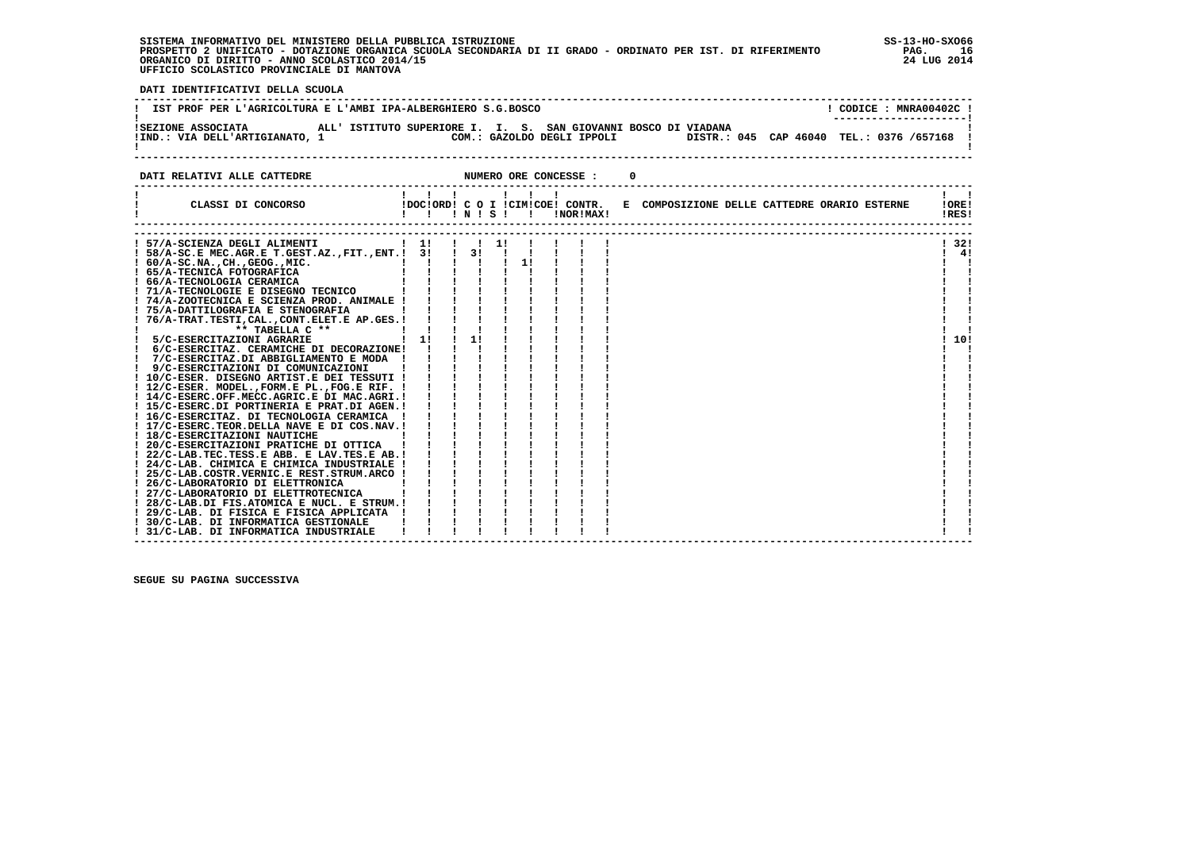**SISTEMA INFORMATIVO DEL MINISTERO DELLA PUBBLICA ISTRUZIONE SS-13-HO-SXO66 PROSPETTO 2 UNIFICATO - DOTAZIONE ORGANICA SCUOLA SECONDARIA DI II GRADO - ORDINATO PER IST. DI RIFERIMENTO PAG. 16**ORGANICO DI DIRITTO - ANNO SCOLASTICO 2014/15  **UFFICIO SCOLASTICO PROVINCIALE DI MANTOVA**

 $PAG.$  16 24 LUG 2014

 **DATI IDENTIFICATIVI DELLA SCUOLA ------------------------------------------------------------------------------------------------------------------------------------**! CODICE: MNRA00402C ! **! IST PROF PER L'AGRICOLTURA E L'AMBI IPA-ALBERGHIERO S.G.BOSCO** ---------------------- **! ---------------------! !SEZIONE ASSOCIATA ALL' ISTITUTO SUPERIORE I. I. S. SAN GIOVANNI BOSCO DI VIADANA ! !IND.: VIA DELL'ARTIGIANATO, 1 COM.: GAZOLDO DEGLI IPPOLI DISTR.: 045 CAP 46040 TEL.: 0376 /657168 !** $\mathbf{I}$  **! ! ------------------------------------------------------------------------------------------------------------------------------------ DATI RELATIVI ALLE CATTEDRE NUMERO ORE CONCESSE : 0**

| CLASSI DI CONCORSO                                                                     | !DOC!ORD! C O I !CIM!COE! CONTR.<br>!!!N!S!! |    |  | !NOR!MAX! | E COMPOSIZIONE DELLE CATTEDRE ORARIO ESTERNE | !ORE!<br>!RES! |
|----------------------------------------------------------------------------------------|----------------------------------------------|----|--|-----------|----------------------------------------------|----------------|
|                                                                                        |                                              |    |  |           |                                              |                |
| ! 57/A-SCIENZA DEGLI ALIMENTI                                                          | ! 1! ! ! 1!                                  |    |  |           |                                              | ! 32!          |
| $!$ 58/A-SC.E MEC.AGR.E T.GEST.AZ., FIT., ENT. $!$ 3!! 3!!                             |                                              |    |  |           |                                              | 41             |
| $60/A-SC.NA.$ , $CH.$ , $GEOG.$ , $MIC.$                                               |                                              |    |  |           |                                              |                |
| ! 65/A-TECNICA FOTOGRAFICA                                                             |                                              |    |  |           |                                              |                |
| ! 66/A-TECNOLOGIA CERAMICA                                                             |                                              |    |  |           |                                              |                |
| ! 71/A-TECNOLOGIE E DISEGNO TECNICO                                                    |                                              |    |  |           |                                              |                |
| ! 74/A-ZOOTECNICA E SCIENZA PROD. ANIMALE !                                            |                                              |    |  |           |                                              |                |
| ! 75/A-DATTILOGRAFIA E STENOGRAFIA                                                     |                                              |    |  |           |                                              |                |
| 76/A-TRAT.TESTI, CAL., CONT.ELET.E AP.GES.!                                            |                                              |    |  |           |                                              |                |
| ** TABELLA C **                                                                        |                                              |    |  |           |                                              |                |
| 5/C-ESERCITAZIONI AGRARIE                                                              | 1!                                           | 11 |  |           |                                              | 10!            |
| 6/C-ESERCITAZ. CERAMICHE DI DECORAZIONE!                                               |                                              |    |  |           |                                              |                |
| 7/C-ESERCITAZ.DI ABBIGLIAMENTO E MODA !                                                |                                              |    |  |           |                                              |                |
| 9/C-ESERCITAZIONI DI COMUNICAZIONI                                                     |                                              |    |  |           |                                              |                |
| ! 10/C-ESER. DISEGNO ARTIST.E DEI TESSUTI !                                            |                                              |    |  |           |                                              |                |
| ! 12/C-ESER. MODEL., FORM.E PL., FOG.E RIF. !                                          |                                              |    |  |           |                                              |                |
| ! 14/C-ESERC.OFF.MECC.AGRIC.E DI MAC.AGRI.!                                            |                                              |    |  |           |                                              |                |
| ! 15/C-ESERC.DI PORTINERIA E PRAT.DI AGEN.!                                            |                                              |    |  |           |                                              |                |
| ! 16/C-ESERCITAZ. DI TECNOLOGIA CERAMICA !                                             |                                              |    |  |           |                                              |                |
| ! 17/C-ESERC.TEOR.DELLA NAVE E DI COS.NAV.!                                            |                                              |    |  |           |                                              |                |
| ! 18/C-ESERCITAZIONI NAUTICHE                                                          |                                              |    |  |           |                                              |                |
| ! 20/C-ESERCITAZIONI PRATICHE DI OTTICA<br>! 22/C-LAB.TEC.TESS.E ABB. E LAV.TES.E AB.! |                                              |    |  |           |                                              |                |
| ! 24/C-LAB. CHIMICA E CHIMICA INDUSTRIALE !                                            |                                              |    |  |           |                                              |                |
| ! 25/C-LAB.COSTR.VERNIC.E REST.STRUM.ARCO !                                            |                                              |    |  |           |                                              |                |
| ! 26/C-LABORATORIO DI ELETTRONICA                                                      |                                              |    |  |           |                                              |                |
| ! 27/C-LABORATORIO DI ELETTROTECNICA                                                   |                                              |    |  |           |                                              |                |
| ! 28/C-LAB.DI FIS.ATOMICA E NUCL. E STRUM.!                                            |                                              |    |  |           |                                              |                |
| ! 29/C-LAB. DI FISICA E FISICA APPLICATA                                               |                                              |    |  |           |                                              |                |
| 30/C-LAB. DI INFORMATICA GESTIONALE                                                    |                                              |    |  |           |                                              |                |
| ! 31/C-LAB. DI INFORMATICA INDUSTRIALE                                                 |                                              |    |  |           |                                              |                |
|                                                                                        |                                              |    |  |           |                                              |                |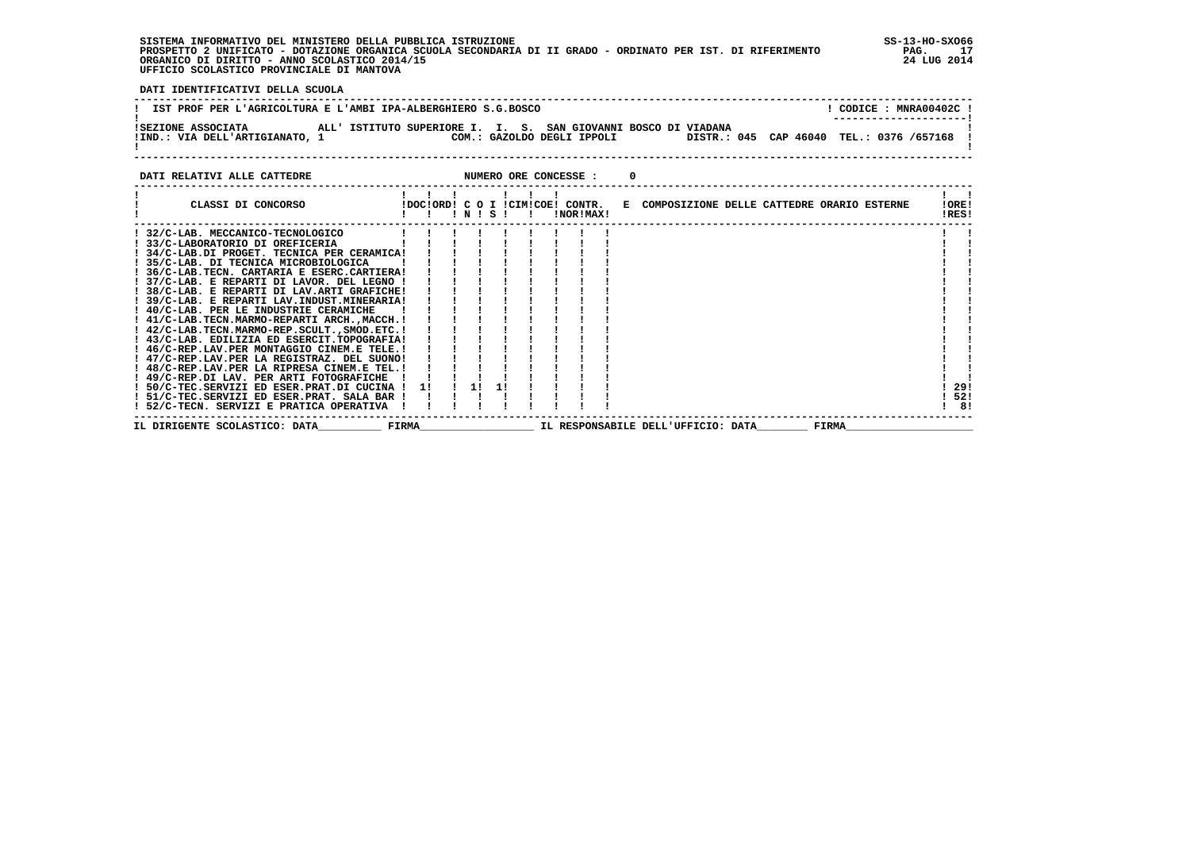**SISTEMA INFORMATIVO DEL MINISTERO DELLA PUBBLICA ISTRUZIONE SS-13-HO-SXO66 PROSPETTO 2 UNIFICATO - DOTAZIONE ORGANICA SCUOLA SECONDARIA DI II GRADO - ORDINATO PER IST. DI RIFERIMENTO PAG. 17 ORGANICO DI DIRITTO - ANNO SCOLASTICO 2014/15 24 LUG 2014 UFFICIO SCOLASTICO PROVINCIALE DI MANTOVA**

j

 **DATI IDENTIFICATIVI DELLA SCUOLA**

| IST PROF PER L'AGRICOLTURA E L'AMBI IPA-ALBERGHIERO S.G.BOSCO |  |                                                                |  |                            |                                            |  |  | CODICE: MNRA00402C!<br>--------------------- |  |
|---------------------------------------------------------------|--|----------------------------------------------------------------|--|----------------------------|--------------------------------------------|--|--|----------------------------------------------|--|
| ISEZIONE ASSOCIATA<br>!IND.: VIA DELL'ARTIGIANATO, 1          |  | ALL' ISTITUTO SUPERIORE I. I. S. SAN GIOVANNI BOSCO DI VIADANA |  | COM.: GAZOLDO DEGLI IPPOLI | DISTR.: 045 CAP 46040 TEL.: 0376 /657168 ! |  |  |                                              |  |

**DATI RELATIVI ALLE CATTEDRE CONCESSE : 0** 

| CLASSI DI CONCORSO                          |       | IDOCIORDI C O I ICIMICOEI CONTR. | ! N ! S ! |  | !NOR!MAX! |  | E COMPOSIZIONE DELLE CATTEDRE ORARIO ESTERNE | !ORE!<br>!RES! |
|---------------------------------------------|-------|----------------------------------|-----------|--|-----------|--|----------------------------------------------|----------------|
| 32/C-LAB. MECCANICO-TECNOLOGICO             |       |                                  |           |  |           |  |                                              |                |
| 33/C-LABORATORIO DI OREFICERIA              |       |                                  |           |  |           |  |                                              |                |
| ! 34/C-LAB.DI PROGET. TECNICA PER CERAMICA! |       |                                  |           |  |           |  |                                              |                |
| ! 35/C-LAB. DI TECNICA MICROBIOLOGICA       |       |                                  |           |  |           |  |                                              |                |
| ! 36/C-LAB.TECN. CARTARIA E ESERC.CARTIERA! |       |                                  |           |  |           |  |                                              |                |
| ! 37/C-LAB. E REPARTI DI LAVOR. DEL LEGNO ! |       |                                  |           |  |           |  |                                              |                |
| 38/C-LAB. E REPARTI DI LAV.ARTI GRAFICHE!   |       |                                  |           |  |           |  |                                              |                |
| ! 39/C-LAB. E REPARTI LAV.INDUST.MINERARIA! |       |                                  |           |  |           |  |                                              |                |
| ! 40/C-LAB. PER LE INDUSTRIE CERAMICHE      |       |                                  |           |  |           |  |                                              |                |
| ! 41/C-LAB.TECN.MARMO-REPARTI ARCH.,MACCH.! |       |                                  |           |  |           |  |                                              |                |
| ! 42/C-LAB.TECN.MARMO-REP.SCULTSMOD.ETC.!   |       |                                  |           |  |           |  |                                              |                |
| ! 43/C-LAB. EDILIZIA ED ESERCIT.TOPOGRAFIA! |       |                                  |           |  |           |  |                                              |                |
| ! 46/C-REP.LAV.PER MONTAGGIO CINEM.E TELE.! |       |                                  |           |  |           |  |                                              |                |
| 47/C-REP.LAV.PER LA REGISTRAZ. DEL SUONO!   |       |                                  |           |  |           |  |                                              |                |
| ! 48/C-REP.LAV.PER LA RIPRESA CINEM.E TEL.! |       |                                  |           |  |           |  |                                              |                |
| ! 49/C-REP.DI LAV. PER ARTI FOTOGRAFICHE    |       |                                  |           |  |           |  |                                              |                |
| ! 50/C-TEC.SERVIZI ED ESER.PRAT.DI CUCINA   |       | 11                               | 1!        |  |           |  |                                              | 29!            |
| ! 51/C-TEC.SERVIZI ED ESER.PRAT. SALA BAR   |       |                                  |           |  |           |  |                                              | 52!            |
| ! 52/C-TECN. SERVIZI E PRATICA OPERATIVA    |       |                                  |           |  |           |  |                                              | 81             |
| IL DIRIGENTE SCOLASTICO: DATA               | FIRMA |                                  |           |  |           |  | IL RESPONSABILE DELL'UFFICIO: DATA<br>FIRMA  |                |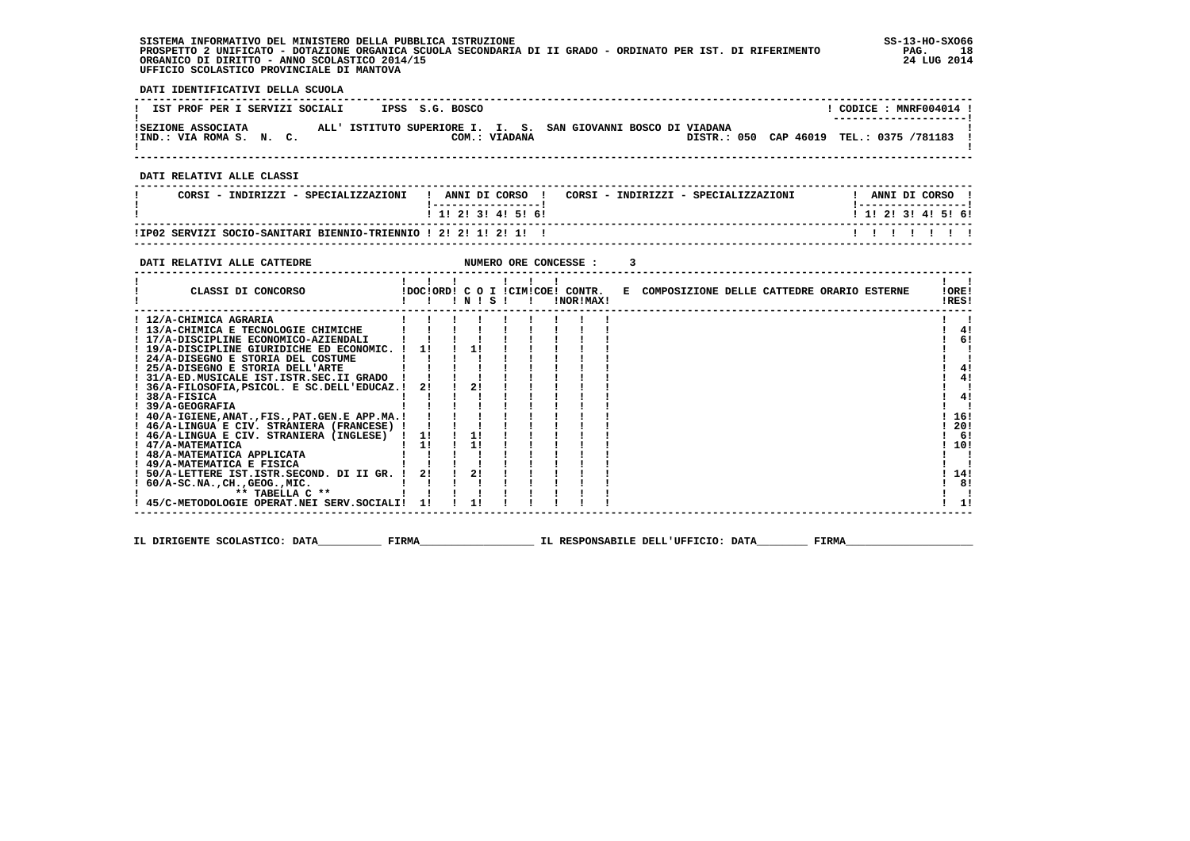| SISTEMA INFORMATIVO DEL MINISTERO DELLA PUBBLICA ISTRUZIONE                                                 | $SS-13-HO-SXO66$ |
|-------------------------------------------------------------------------------------------------------------|------------------|
| PROSPETTO 2 UNIFICATO - DOTAZIONE ORGANICA SCUOLA SECONDARIA DI II GRADO - ORDINATO PER IST. DI RIFERIMENTO | PAG.             |
| ORGANICO DI DIRITTO - ANNO SCOLASTICO 2014/15                                                               | 24 LUG 2014      |
| UFFICIO SCOLASTICO PROVINCIALE DI MANTOVA                                                                   |                  |

 **DATI IDENTIFICATIVI DELLA SCUOLA**

| IST PROF PER I SERVIZI SOCIALI                 | IPSS S.G. BOSCO                                                                 | CODICE: MNRF004014 !<br>--------------------- |
|------------------------------------------------|---------------------------------------------------------------------------------|-----------------------------------------------|
| ISEZIONE ASSOCIATA<br>!IND.: VIA ROMA S. N. C. | ALL' ISTITUTO SUPERIORE I. I. S. SAN GIOVANNI BOSCO DI VIADANA<br>COM.: VIADANA | DISTR.: 050 CAP 46019 TEL.: 0375 /781183      |

 **------------------------------------------------------------------------------------------------------------------------------------**

 **DATI RELATIVI ALLE CLASSI**

| CORSI<br>: - INDIRIZZI - SPECIALIZZAZIONI                      | ANNI DI CORSO | CORSI - INDIRIZZI - SPECIALIZZAZIONI |                           | ANNI DI CORSO |  |
|----------------------------------------------------------------|---------------|--------------------------------------|---------------------------|---------------|--|
|                                                                | 1 1 2 3 4 5 6 |                                      | 1 1 1 2 1 3 1 4 1 5 1 6 1 |               |  |
| !IP02 SERVIZI SOCIO-SANITARI BIENNIO-TRIENNIO ! 2! 2! 1! 2! 1! |               |                                      |                           |               |  |

 **------------------------------------------------------------------------------------------------------------------------------------**

#### **DATI RELATIVI ALLE CATTEDRE NUMERO ORE CONCESSE : 3 ------------------------------------------------------------------------------------------------------------------------------------** $\mathbf{I}$   $\mathbf{I}$  **! ! ! ! ! ! ! ! !IORE! ! CLASSI DI CONCORSO !DOC!ORD! C O I !CIM!COE! CONTR. E COMPOSIZIONE DELLE CATTEDRE ORARIO ESTERNE !ORE!**IRES!  **! ! ! ! N ! S ! ! !NOR!MAX! !RES! ------------------------------------------------------------------------------------------------------------------------------------** $\blacksquare$  **! 12/A-CHIMICA AGRARIA ! ! ! ! ! ! ! ! ! ! ! ! 13/A-CHIMICA E TECNOLOGIE CHIMICHE ! ! ! ! ! ! ! ! ! ! 4! ! 17/A-DISCIPLINE ECONOMICO-AZIENDALI ! ! ! ! ! ! ! ! ! ! 6!** $1 \quad 41$  $1 \quad 61$  $1 \quad 1$  **! 19/A-DISCIPLINE GIURIDICHE ED ECONOMIC. ! 1! ! 1! ! ! ! ! ! ! !** $\overline{\phantom{a}}$  **! 24/A-DISEGNO E STORIA DEL COSTUME ! ! ! ! ! ! ! ! ! ! ! ! 25/A-DISEGNO E STORIA DELL'ARTE ! ! ! ! ! ! ! ! ! ! 4! ! 31/A-ED.MUSICALE IST.ISTR.SEC.II GRADO ! ! ! ! ! ! ! ! ! ! 4! ! 36/A-FILOSOFIA,PSICOL. E SC.DELL'EDUCAZ.! 2! ! 2! ! ! ! ! ! ! ! ! 38/A-FISICA ! ! ! ! ! ! ! ! ! ! 4! ! 39/A-GEOGRAFIA ! ! ! ! ! ! ! ! ! ! !** $1 \quad 41$  $1 \quad 4!$  $\mathbf{I}$  $1 \quad 4!$  $\blacksquare$  $1.161$  **! 40/A-IGIENE,ANAT.,FIS.,PAT.GEN.E APP.MA.! ! ! ! ! ! ! ! ! ! 16! ! 46/A-LINGUA E CIV. STRANIERA (FRANCESE) ! ! ! ! ! ! ! ! ! ! 20! ! 46/A-LINGUA E CIV. STRANIERA (INGLESE) ! 1! ! 1! ! ! ! ! ! ! 6!** $1201$  $1 - 61$  $110!$  **! 47/A-MATEMATICA ! 1! ! 1! ! ! ! ! ! ! 10! ! 48/A-MATEMATICA APPLICATA ! ! ! ! ! ! ! ! ! ! ! ! 49/A-MATEMATICA E FISICA ! ! ! ! ! ! ! ! ! ! !** $1 \; 14!$  **! 50/A-LETTERE IST.ISTR.SECOND. DI II GR. ! 2! ! 2! ! ! ! ! ! ! 14!** $\frac{1}{1}$  8!  **! 60/A-SC.NA.,CH.,GEOG.,MIC. ! ! ! ! ! ! ! ! ! ! 8! ! \*\* TABELLA C \*\* ! ! ! ! ! ! ! ! ! ! !** $\mathbf{I}$  $1 \quad 11$  **! 45/C-METODOLOGIE OPERAT.NEI SERV.SOCIALI! 1! ! 1! ! ! ! ! ! ! 1! ------------------------------------------------------------------------------------------------------------------------------------**

 **IL DIRIGENTE SCOLASTICO: DATA\_\_\_\_\_\_\_\_\_\_ FIRMA\_\_\_\_\_\_\_\_\_\_\_\_\_\_\_\_\_\_ IL RESPONSABILE DELL'UFFICIO: DATA\_\_\_\_\_\_\_\_ FIRMA\_\_\_\_\_\_\_\_\_\_\_\_\_\_\_\_\_\_\_\_**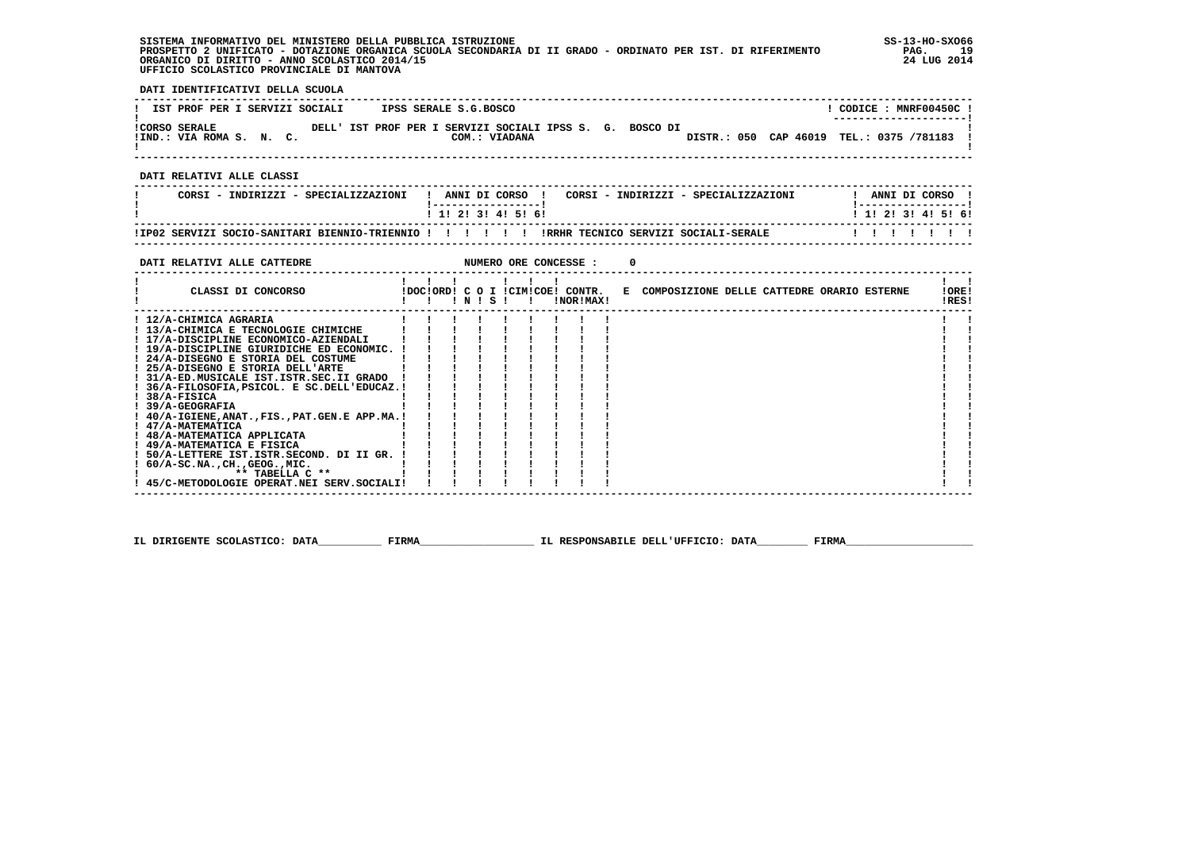## **SISTEMA INFORMATIVO DEL MINISTERO DELLA PUBBLICA ISTRUZIONE SS-13-HO-SXO66 PROSPETTO 2 UNIFICATO - DOTAZIONE ORGANICA SCUOLA SECONDARIA DI II GRADO - ORDINATO PER IST. DI RIFERIMENTO PAG. 19 ORGANICO DI DIRITTO - ANNO SCOLASTICO 2014/15 24 LUG 2014 UFFICIO SCOLASTICO PROVINCIALE DI MANTOVA**

 **DATI IDENTIFICATIVI DELLA SCUOLA**

| IST PROF PER I SERVIZI SOCIALI                   | IPSS SERALE S.G.BOSCO                                                     | CODICE: MNRF00450C!<br>---------------------- |
|--------------------------------------------------|---------------------------------------------------------------------------|-----------------------------------------------|
| <b>!CORSO SERALE</b><br>!IND.: VIA ROMA S. N. C. | DELL' IST PROF PER I SERVIZI SOCIALI IPSS S. G. BOSCO DI<br>COM.: VIADANA | DISTR.: 050 CAP 46019 TEL.: 0375 /781183      |

 **DATI RELATIVI ALLE CLASSI**

| CORSI - INDIRIZZI - SPECIALIZZAZIONI                  | CORSI - INDIRIZZI - SPECIALIZZAZIONI<br>ANNI DI CORSO | ANNI DI CORSO             |
|-------------------------------------------------------|-------------------------------------------------------|---------------------------|
|                                                       | 1 1 2 3 3 4 5 5 6                                     | 1 1 1 2 1 3 1 4 1 5 1 6 1 |
| !IP02 SERVIZI SOCIO-SANITARI BIENNIO-TRIENNIO !!!!!!! | IRRHR TECNICO SERVIZI SOCIALI-SERALE                  |                           |

 **------------------------------------------------------------------------------------------------------------------------------------**

| DATI RELATIVI ALLE CATTEDRE                      |  |                 |  | NUMERO ORE CONCESSE :                         |  |                                              |                |
|--------------------------------------------------|--|-----------------|--|-----------------------------------------------|--|----------------------------------------------|----------------|
| CLASSI DI CONCORSO                               |  | $'$ N $'$ S $'$ |  | IDOCIORD! C O I ICIMICOE! CONTR.<br>!NOR!MAX! |  | E COMPOSIZIONE DELLE CATTEDRE ORARIO ESTERNE | !ORE!<br>!RES! |
| ! 12/A-CHIMICA AGRARIA                           |  |                 |  |                                               |  |                                              |                |
| ! 13/A-CHIMICA E TECNOLOGIE CHIMICHE             |  |                 |  |                                               |  |                                              |                |
| ! 17/A-DISCIPLINE ECONOMICO-AZIENDALI            |  |                 |  |                                               |  |                                              |                |
| ! 19/A-DISCIPLINE GIURIDICHE ED ECONOMIC.        |  |                 |  |                                               |  |                                              |                |
| ! 24/A-DISEGNO E STORIA DEL COSTUME              |  |                 |  |                                               |  |                                              |                |
| ! 25/A-DISEGNO E STORIA DELL'ARTE                |  |                 |  |                                               |  |                                              |                |
| ! 31/A-ED.MUSICALE IST.ISTR.SEC.II GRADO         |  |                 |  |                                               |  |                                              |                |
| ! 36/A-FILOSOFIA, PSICOL. E SC.DELL'EDUCAZ.!     |  |                 |  |                                               |  |                                              |                |
| $1.38/A-FISICA$                                  |  |                 |  |                                               |  |                                              |                |
| $1.39/A-GEOGRAPHA$                               |  |                 |  |                                               |  |                                              |                |
| ! 40/A-IGIENE, ANAT., FIS., PAT. GEN. E APP.MA.! |  |                 |  |                                               |  |                                              |                |
| ! 47/A-MATEMATICA                                |  |                 |  |                                               |  |                                              |                |
| ! 48/A-MATEMATICA APPLICATA                      |  |                 |  |                                               |  |                                              |                |
| ! 49/A-MATEMATICA E FISICA                       |  |                 |  |                                               |  |                                              |                |
| 50/A-LETTERE IST.ISTR.SECOND. DI II GR.          |  |                 |  |                                               |  |                                              |                |
| $60/A-SC.NA.$ , $CH.$ , $GEOG.$ , $MIC.$         |  |                 |  |                                               |  |                                              |                |
| $**$ TABELLA $C**$                               |  |                 |  |                                               |  |                                              |                |
| ! 45/C-METODOLOGIE OPERAT.NEI SERV.SOCIALI!      |  |                 |  |                                               |  |                                              |                |

 **IL DIRIGENTE SCOLASTICO: DATA\_\_\_\_\_\_\_\_\_\_ FIRMA\_\_\_\_\_\_\_\_\_\_\_\_\_\_\_\_\_\_ IL RESPONSABILE DELL'UFFICIO: DATA\_\_\_\_\_\_\_\_ FIRMA\_\_\_\_\_\_\_\_\_\_\_\_\_\_\_\_\_\_\_\_**

j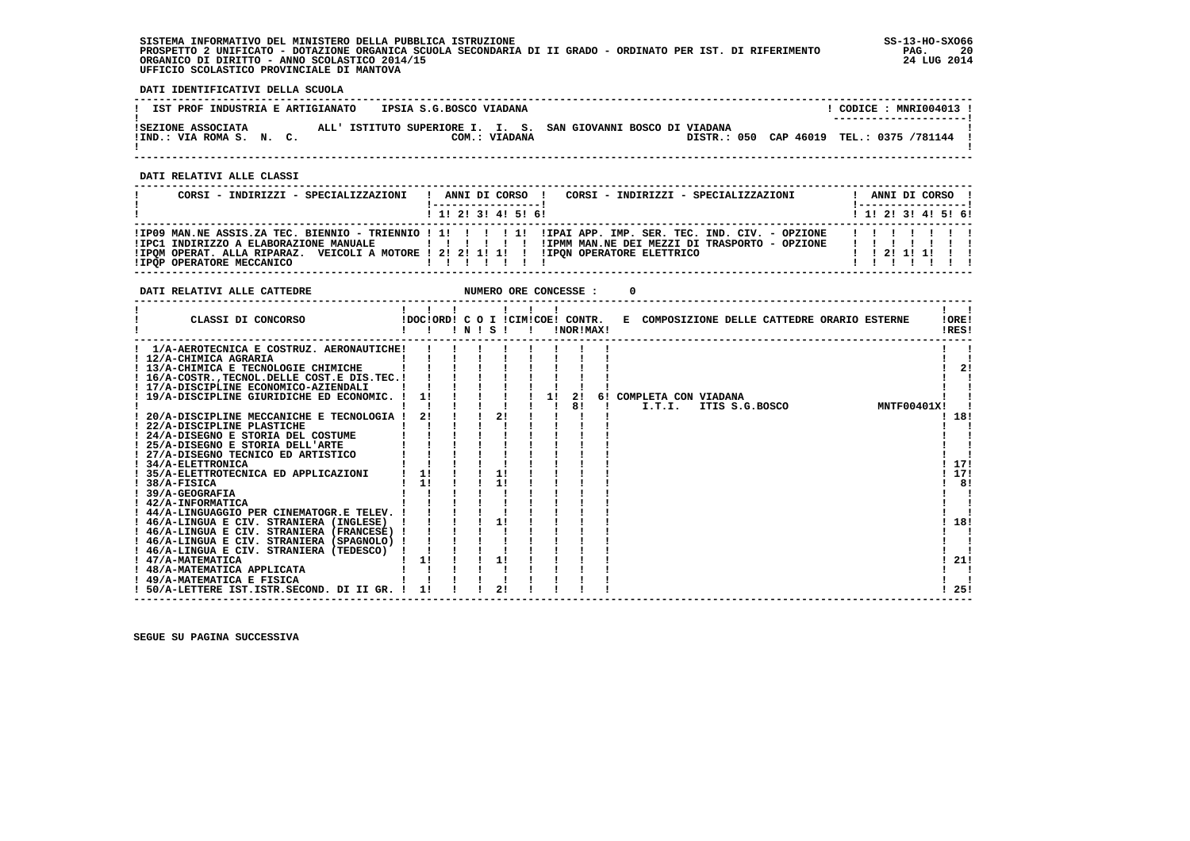**SISTEMA INFORMATIVO DEL MINISTERO DELLA PUBBLICA ISTRUZIONE SS-13-HO-SXO66 PROSPETTO 2 UNIFICATO - DOTAZIONE ORGANICA SCUOLA SECONDARIA DI II GRADO - ORDINATO PER IST. DI RIFERIMENTO PAG. 20 ORGANICO DI DIRITTO - ANNO SCOLASTICO 2014/15 24 LUG 2014 UFFICIO SCOLASTICO PROVINCIALE DI MANTOVA**

 **DATI IDENTIFICATIVI DELLA SCUOLA**

| IST PROF INDUSTRIA E ARTIGIANATO               | IPSIA S.G.BOSCO VIADANA                                                         | CODICE: MNRI004013 !<br>--------------------- |
|------------------------------------------------|---------------------------------------------------------------------------------|-----------------------------------------------|
| ISEZIONE ASSOCIATA<br>!IND.: VIA ROMA S. N. C. | ALL' ISTITUTO SUPERIORE I. I. S. SAN GIOVANNI BOSCO DI VIADANA<br>COM.: VIADANA | DISTR.: 050 CAP 46019 TEL.: 0375 /781144 !    |

 **------------------------------------------------------------------------------------------------------------------------------------**

 **DATI RELATIVI ALLE CLASSI**

| CORSI - INDIRIZZI - SPECIALIZZAZIONI                                                                                                                           | CORSI - INDIRIZZI - SPECIALIZZAZIONI<br>ANNI DI CORSO !                                                                                                                        | ANNI DI CORSO !<br>(------------------)     |
|----------------------------------------------------------------------------------------------------------------------------------------------------------------|--------------------------------------------------------------------------------------------------------------------------------------------------------------------------------|---------------------------------------------|
|                                                                                                                                                                | ! 1! 2! 3! 4! 5! 6!                                                                                                                                                            | $1 \; 1 \; 2 \; 3 \; 1 \; 4 \; 5 \; 6 \; 6$ |
| !IPC1 INDIRIZZO A ELABORAZIONE MANUALE<br>!IPOM OPERAT. ALLA RIPARAZ. VEICOLI A MOTORE ! 2! 2! 1! 1! !! !IPON OPERATORE ELETTRICO<br>IIPOP OPERATORE MECCANICO | IPO9 MAN.NE ASSIS.ZA TEC. BIENNIO - TRIENNIO ! 1! ! ! ! ! I! IIPAI APP. IMP. SER. TEC. IND. CIV. - OPZIONE<br>IIPMM MAN.NE DEI MEZZI DI TRASPORTO - OPZIONE<br>, , , , , , , , | 1111111<br>1111111<br>$1$ 1 2 1 1 1 1 1     |

**DATI RELATIVI ALLE CATTEDRE NUMERO ORE CONCESSE : 0** 

| CLASSI DI CONCORSO                          | !DOC!ORD! C O I !CIM!COE! CONTR. | $!$ N $!$ S $!$ |                |    | !NOR!MAX! |  | !ORE!<br>E COMPOSIZIONE DELLE CATTEDRE ORARIO ESTERNE<br>!RES! |     |
|---------------------------------------------|----------------------------------|-----------------|----------------|----|-----------|--|----------------------------------------------------------------|-----|
| 1/A-AEROTECNICA E COSTRUZ. AERONAUTICHE!    |                                  |                 |                |    |           |  |                                                                |     |
| ! 12/A-CHIMICA AGRARIA                      |                                  |                 |                |    |           |  |                                                                |     |
| ! 13/A-CHIMICA E TECNOLOGIE CHIMICHE        |                                  |                 |                |    |           |  |                                                                | 21  |
| ! 16/A-COSTRTECNOL.DELLE COST.E DIS.TEC.!   |                                  |                 |                |    |           |  |                                                                |     |
| ! 17/A-DISCIPLINE ECONOMICO-AZIENDALI       |                                  |                 |                |    |           |  |                                                                |     |
| ! 19/A-DISCIPLINE GIURIDICHE ED ECONOMIC.   | 1!                               |                 |                | 11 | 2!        |  | 6! COMPLETA CON VIADANA                                        |     |
|                                             |                                  |                 |                |    | 81        |  | <b>MNTF00401X!</b><br>I.T.I.<br>ITIS S.G.BOSCO                 |     |
| 20/A-DISCIPLINE MECCANICHE E TECNOLOGIA     | 2!                               |                 | 2!             |    |           |  |                                                                | 18! |
| 22/A-DISCIPLINE PLASTICHE                   |                                  |                 |                |    |           |  |                                                                |     |
| ! 24/A-DISEGNO E STORIA DEL COSTUME         |                                  |                 |                |    |           |  |                                                                |     |
| 25/A-DISEGNO E STORIA DELL'ARTE             |                                  |                 |                |    |           |  |                                                                |     |
| 27/A-DISEGNO TECNICO ED ARTISTICO           |                                  |                 |                |    |           |  |                                                                |     |
| ! 34/A-ELETTRONICA                          |                                  |                 |                |    |           |  |                                                                | 17! |
| 35/A-ELETTROTECNICA ED APPLICAZIONI         | 1!                               |                 | 11             |    |           |  |                                                                | 17! |
| 38/A-FISICA                                 | 11                               |                 | 11             |    |           |  |                                                                | 8!  |
| 39/A-GEOGRAFIA                              |                                  |                 |                |    |           |  |                                                                |     |
| 42/A-INFORMATICA                            |                                  |                 |                |    |           |  |                                                                |     |
| ! 44/A-LINGUAGGIO PER CINEMATOGR.E TELEV.   |                                  |                 |                |    |           |  |                                                                |     |
| ! 46/A-LINGUA E CIV. STRANIERA (INGLESE)    |                                  |                 | 1!             |    |           |  |                                                                | 18! |
| ! 46/A-LINGUA E CIV. STRANIERA (FRANCESE)   |                                  |                 |                |    |           |  |                                                                |     |
| ! 46/A-LINGUA E CIV. STRANIERA (SPAGNOLO) ! |                                  |                 |                |    |           |  |                                                                |     |
| 46/A-LINGUA E CIV. STRANIERA (TEDESCO)      |                                  |                 |                |    |           |  |                                                                |     |
| ! 47/A-MATEMATICA                           | 1!                               |                 | 11             |    |           |  |                                                                | 21! |
| ! 48/A-MATEMATICA APPLICATA                 |                                  |                 |                |    |           |  |                                                                |     |
| 49/A-MATEMATICA E FISICA                    |                                  |                 |                |    |           |  |                                                                |     |
| 50/A-LETTERE IST.ISTR.SECOND. DI II GR.     |                                  |                 | 2 <sub>1</sub> |    |           |  |                                                                | 25! |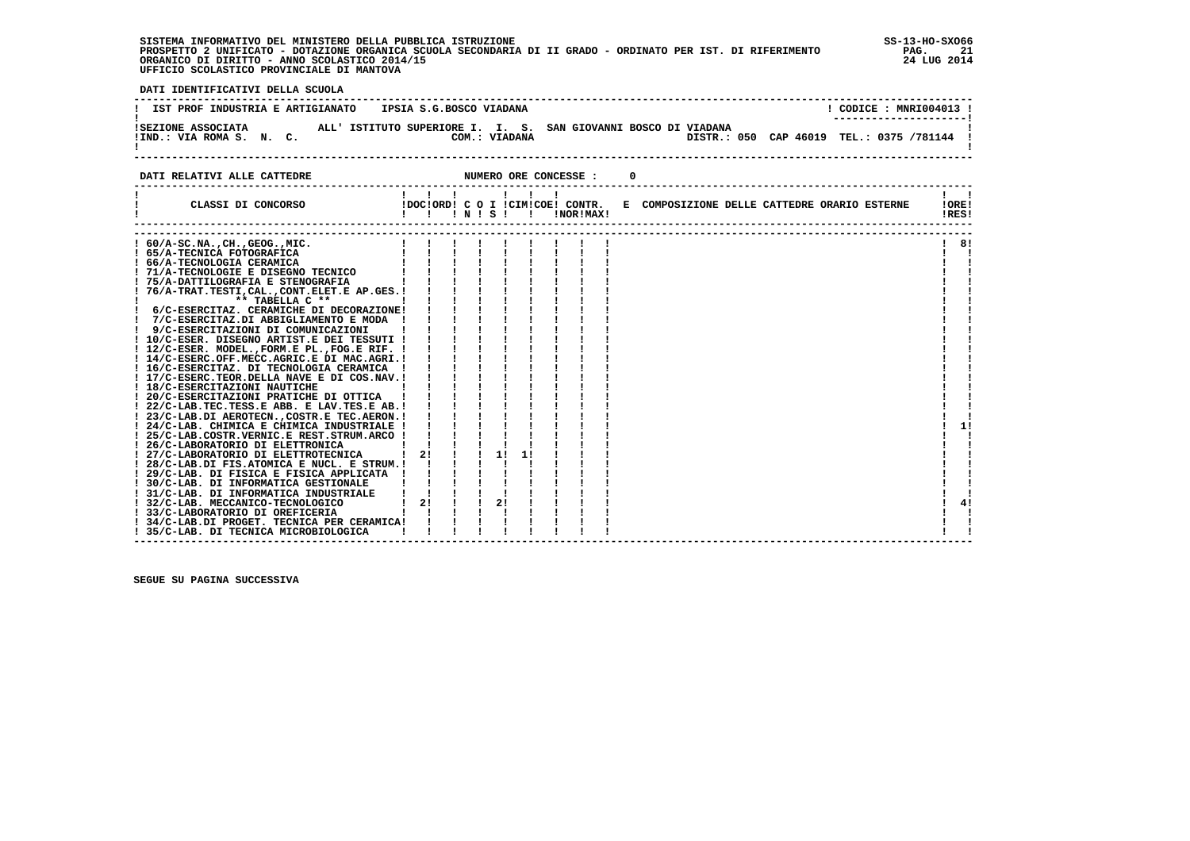**SISTEMA INFORMATIVO DEL MINISTERO DELLA PUBBLICA ISTRUZIONE SS-13-HO-SXO66 PROSPETTO 2 UNIFICATO - DOTAZIONE ORGANICA SCUOLA SECONDARIA DI II GRADO - ORDINATO PER IST. DI RIFERIMENTO PAG. 21 ORGANICO DI DIRITTO - ANNO SCOLASTICO 2014/15 24 LUG 2014 UFFICIO SCOLASTICO PROVINCIALE DI MANTOVA**

j

 **DATI IDENTIFICATIVI DELLA SCUOLA**

| IST PROF INDUSTRIA E ARTIGIANATO | IPSIA S.G.BOSCO VIADANA                                        | CODICE: MNRI004013 !                     |
|----------------------------------|----------------------------------------------------------------|------------------------------------------|
| ISEZIONE ASSOCIATA               | ALL' ISTITUTO SUPERIORE I. I. S. SAN GIOVANNI BOSCO DI VIADANA | ---------------------                    |
| !IND.: VIA ROMA S. N. C.         | COM.: VIADANA                                                  | DISTR.: 050 CAP 46019 TEL.: 0375 /781144 |

**DATI RELATIVI ALLE CATTEDRE CONCESSE : 0** 

|                                                | .            |  |    |    |                                  |                                              |       |
|------------------------------------------------|--------------|--|----|----|----------------------------------|----------------------------------------------|-------|
| CLASSI DI CONCORSO                             |              |  |    |    | !DOC!ORD! C O I !CIM!COE! CONTR. | E COMPOSIZIONE DELLE CATTEDRE ORARIO ESTERNE | !ORE! |
|                                                | !!!N!S!!     |  |    |    | !NOR!MAX!                        |                                              | !RES! |
|                                                |              |  |    |    |                                  |                                              |       |
| $60/A-SC.NA.$ , $CH.$ , $GEOG.$ , $MIC.$       |              |  |    |    |                                  |                                              | 81    |
| ! 65/A-TECNICA FOTOGRAFICA                     |              |  |    |    |                                  |                                              |       |
| ! 66/A-TECNOLOGIA CERAMICA                     |              |  |    |    |                                  |                                              |       |
| ! 71/A-TECNOLOGIE E DISEGNO TECNICO            |              |  |    |    |                                  |                                              |       |
| ! 75/A-DATTILOGRAFIA E STENOGRAFIA             |              |  |    |    |                                  |                                              |       |
| 76/A-TRAT.TESTI, CAL., CONT. ELET. E AP. GES.! |              |  |    |    |                                  |                                              |       |
| ** TABELLA C **                                |              |  |    |    |                                  |                                              |       |
| 6/C-ESERCITAZ. CERAMICHE DI DECORAZIONE!       |              |  |    |    |                                  |                                              |       |
| 7/C-ESERCITAZ.DI ABBIGLIAMENTO E MODA          |              |  |    |    |                                  |                                              |       |
| 9/C-ESERCITAZIONI DI COMUNICAZIONI             |              |  |    |    |                                  |                                              |       |
| ! 10/C-ESER. DISEGNO ARTIST.E DEI TESSUTI !    |              |  |    |    |                                  |                                              |       |
| ! 12/C-ESER. MODEL., FORM.E PL., FOG.E RIF. !  |              |  |    |    |                                  |                                              |       |
| ! 14/C-ESERC.OFF.MECC.AGRIC.E DI MAC.AGRI.!    |              |  |    |    |                                  |                                              |       |
| ! 16/C-ESERCITAZ. DI TECNOLOGIA CERAMICA       |              |  |    |    |                                  |                                              |       |
| ! 17/C-ESERC.TEOR.DELLA NAVE E DI COS.NAV.!    |              |  |    |    |                                  |                                              |       |
| ! 18/C-ESERCITAZIONI NAUTICHE                  |              |  |    |    |                                  |                                              |       |
| ! 20/C-ESERCITAZIONI PRATICHE DI OTTICA        |              |  |    |    |                                  |                                              |       |
| ! 22/C-LAB.TEC.TESS.E ABB. E LAV.TES.E AB. !   |              |  |    |    |                                  |                                              |       |
| ! 23/C-LAB.DI AEROTECN., COSTR.E TEC.AERON. !  |              |  |    |    |                                  |                                              |       |
| ! 24/C-LAB. CHIMICA E CHIMICA INDUSTRIALE !    |              |  |    |    |                                  |                                              | 11    |
| ! 25/C-LAB.COSTR.VERNIC.E REST.STRUM.ARCO !    |              |  |    |    |                                  |                                              |       |
| ! 26/C-LABORATORIO DI ELETTRONICA              |              |  |    |    |                                  |                                              |       |
| ! 27/C-LABORATORIO DI ELETTROTECNICA           | $1 \quad 21$ |  | 11 | 11 |                                  |                                              |       |
| ! 28/C-LAB.DI FIS.ATOMICA E NUCL. E STRUM.!    |              |  |    |    |                                  |                                              |       |
| ! 29/C-LAB. DI FISICA E FISICA APPLICATA !     |              |  |    |    |                                  |                                              |       |
| ! 30/C-LAB. DI INFORMATICA GESTIONALE          |              |  |    |    |                                  |                                              |       |
| ! 31/C-LAB. DI INFORMATICA INDUSTRIALE         |              |  |    |    |                                  |                                              |       |
| 32/C-LAB. MECCANICO-TECNOLOGICO                | 21           |  | 2! |    |                                  |                                              | 41    |
| 33/C-LABORATORIO DI OREFICERIA                 |              |  |    |    |                                  |                                              |       |
| 34/C-LAB.DI PROGET. TECNICA PER CERAMICA!      |              |  |    |    |                                  |                                              |       |
| 35/C-LAB. DI TECNICA MICROBIOLOGICA            |              |  |    |    |                                  |                                              |       |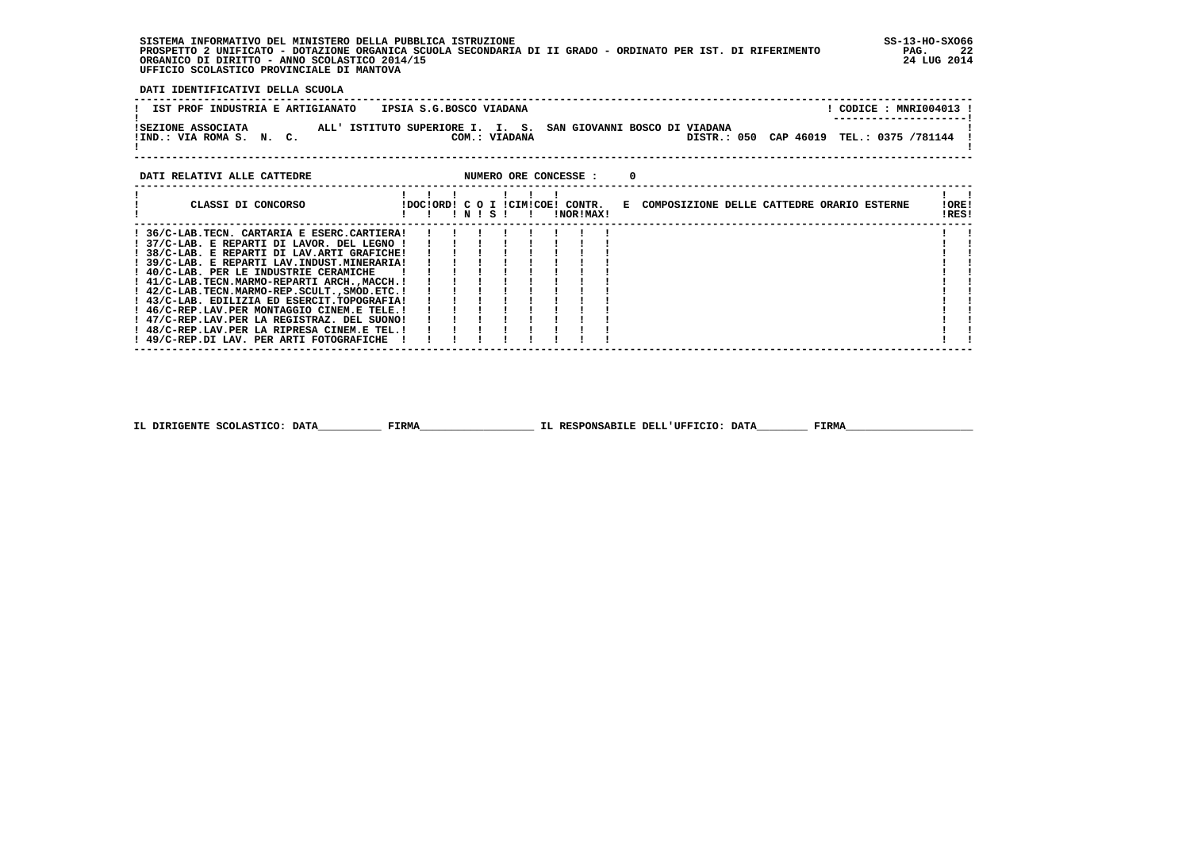**SISTEMA INFORMATIVO DEL MINISTERO DELLA PUBBLICA ISTRUZIONE SS-13-HO-SXO66 PROSPETTO 2 UNIFICATO - DOTAZIONE ORGANICA SCUOLA SECONDARIA DI II GRADO - ORDINATO PER IST. DI RIFERIMENTO PAG. 22 ORGANICO DI DIRITTO - ANNO SCOLASTICO 2014/15 24 LUG 2014 UFFICIO SCOLASTICO PROVINCIALE DI MANTOVA**

j

 **DATI IDENTIFICATIVI DELLA SCUOLA**

| IST PROF INDUSTRIA E ARTIGIANATO               | IPSIA S.G.BOSCO VIADANA                                                         | CODICE: MNRI004013 !<br>--------------------- |
|------------------------------------------------|---------------------------------------------------------------------------------|-----------------------------------------------|
| ISEZIONE ASSOCIATA<br>!IND.: VIA ROMA S. N. C. | ALL' ISTITUTO SUPERIORE I. I. S. SAN GIOVANNI BOSCO DI VIADANA<br>COM.: VIADANA | DISTR.: 050 CAP 46019 TEL.: 0375 /781144      |

### **DATI RELATIVI ALLE CATTEDRE NUMERO ORE CONCESSE : 0**

 **------------------------------------------------------------------------------------------------------------------------------------**

| CLASSI DI CONCORSO                          |  | $'$ N $'$ S $'$ |  |  | IDOCIORD! C O I ICIMICOE! CONTR.<br>INORIMAXI |  | E COMPOSIZIONE DELLE CATTEDRE ORARIO ESTERNE | !ORE!<br>!RES! |  |
|---------------------------------------------|--|-----------------|--|--|-----------------------------------------------|--|----------------------------------------------|----------------|--|
| 36/C-LAB.TECN. CARTARIA E ESERC.CARTIERA!   |  |                 |  |  |                                               |  |                                              |                |  |
| 37/C-LAB. E REPARTI DI LAVOR. DEL LEGNO !   |  |                 |  |  |                                               |  |                                              |                |  |
| ! 38/C-LAB. E REPARTI DI LAV.ARTI GRAFICHE! |  |                 |  |  |                                               |  |                                              |                |  |
| ! 39/C-LAB. E REPARTI LAV.INDUST.MINERARIA! |  |                 |  |  |                                               |  |                                              |                |  |
| ! 40/C-LAB. PER LE INDUSTRIE CERAMICHE      |  |                 |  |  |                                               |  |                                              |                |  |
| ! 41/C-LAB.TECN.MARMO-REPARTI ARCH.,MACCH.! |  |                 |  |  |                                               |  |                                              |                |  |
| ! 42/C-LAB.TECN.MARMO-REP.SCULTSMOD.ETC.!   |  |                 |  |  |                                               |  |                                              |                |  |
| ! 43/C-LAB. EDILIZIA ED ESERCIT.TOPOGRAFIA! |  |                 |  |  |                                               |  |                                              |                |  |
| ! 46/C-REP.LAV.PER MONTAGGIO CINEM.E TELE.! |  |                 |  |  |                                               |  |                                              |                |  |
| ! 47/C-REP.LAV.PER LA REGISTRAZ. DEL SUONO! |  |                 |  |  |                                               |  |                                              |                |  |
| ! 48/C-REP.LAV.PER LA RIPRESA CINEM.E TEL.! |  |                 |  |  |                                               |  |                                              |                |  |
| ! 49/C-REP.DI LAV. PER ARTI FOTOGRAFICHE    |  |                 |  |  |                                               |  |                                              |                |  |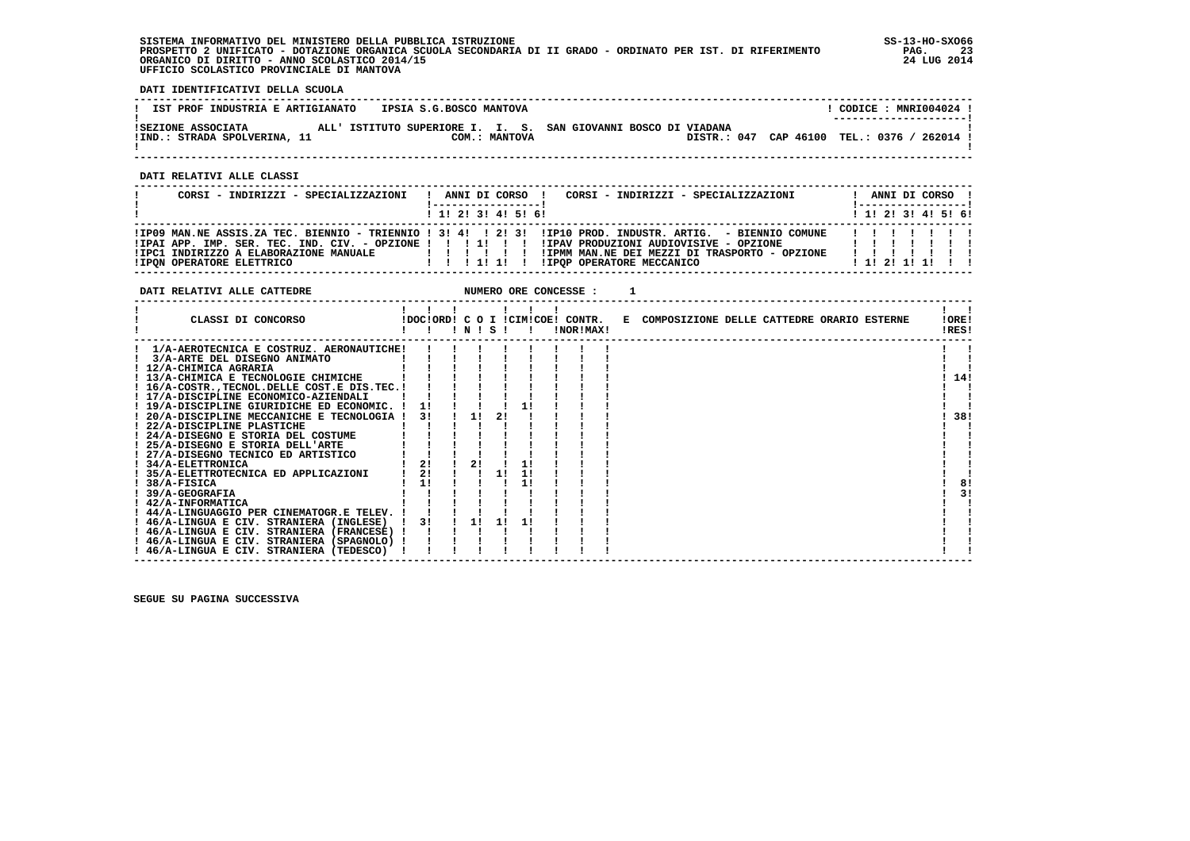**SISTEMA INFORMATIVO DEL MINISTERO DELLA PUBBLICA ISTRUZIONE SS-13-HO-SXO66 PROSPETTO 2 UNIFICATO - DOTAZIONE ORGANICA SCUOLA SECONDARIA DI II GRADO - ORDINATO PER IST. DI RIFERIMENTO PAG. 23 ORGANICO DI DIRITTO - ANNO SCOLASTICO 2014/15 24 LUG 2014 UFFICIO SCOLASTICO PROVINCIALE DI MANTOVA**

**DATI RELATIVI ALLE CATTEDRE NUMERO ORE CONCESSE : 1** 

j

 **DATI IDENTIFICATIVI DELLA SCUOLA**

| IST PROF INDUSTRIA E ARTIGIANATO                   | IPSIA S.G.BOSCO MANTOVA                                                         | CODICE: MNRI004024 !<br>---------------------- |
|----------------------------------------------------|---------------------------------------------------------------------------------|------------------------------------------------|
| ISEZIONE ASSOCIATA<br>!IND.: STRADA SPOLVERINA, 11 | ALL' ISTITUTO SUPERIORE I. I. S. SAN GIOVANNI BOSCO DI VIADANA<br>COM.: MANTOVA | DISTR.: 047 CAP 46100 TEL.: 0376 / 262014 !    |

 **------------------------------------------------------------------------------------------------------------------------------------**

 **DATI RELATIVI ALLE CLASSI**

| CORSI - INDIRIZZI - SPECIALIZZAZIONI                                       | CORSI - INDIRIZZI - SPECIALIZZAZIONI<br>ANNI DI CORSO !<br>-----------------<br>$1$ , 1, 2, 3, 4, 5, 6,                                                                                                                                                                                       | ANNI DI CORSO !<br>! ------------------<br>$1$ , 1! 2! 3! 4! 5! 6! |
|----------------------------------------------------------------------------|-----------------------------------------------------------------------------------------------------------------------------------------------------------------------------------------------------------------------------------------------------------------------------------------------|--------------------------------------------------------------------|
| !IPC1 INDIRIZZO A ELABORAZIONE MANUALE<br><b>!IPON OPERATORE ELETTRICO</b> | IIP09 MAN.NE ASSIS.ZA TEC. BIENNIO - TRIENNIO ! 3! 4! ! 2! 3! IIP10 PROD. INDUSTR. ARTIG. - BIENNIO COMUNE<br>IPAI APP. IMP. SER. TEC. IND. CIV. - OPZIONE ! ! ! !! ! !! IIPAV PRODUZIONI AUDIOVISIVE - OPZIONE<br>!IPMM MAN.NE DEI MEZZI DI TRASPORTO - OPZIONE<br>IIPOP OPERATORE MECCANICO | 1111111<br>$1$ 1! 2! 1! 1! !!                                      |

| CLASSI DI CONCORSO                          |    |    | $'$ N $'$ S $'$ |    |    | !DOC!ORD! C O I !CIM!COE! CONTR.<br>!NOR!MAX! |  | E COMPOSIZIONE DELLE CATTEDRE ORARIO ESTERNE |  |  | !ORE!<br>!RES! |    |
|---------------------------------------------|----|----|-----------------|----|----|-----------------------------------------------|--|----------------------------------------------|--|--|----------------|----|
| 1/A-AEROTECNICA E COSTRUZ. AERONAUTICHE!    |    |    |                 |    |    |                                               |  |                                              |  |  |                |    |
| 3/A-ARTE DEL DISEGNO ANIMATO                |    |    |                 |    |    |                                               |  |                                              |  |  |                |    |
| 12/A-CHIMICA AGRARIA                        |    |    |                 |    |    |                                               |  |                                              |  |  |                |    |
| ! 13/A-CHIMICA E TECNOLOGIE CHIMICHE        |    |    |                 |    |    |                                               |  |                                              |  |  | 14!            |    |
| ! 16/A-COSTRTECNOL.DELLE COST.E DIS.TEC.!   |    |    |                 |    |    |                                               |  |                                              |  |  |                |    |
| ! 17/A-DISCIPLINE ECONOMICO-AZIENDALI       |    |    |                 |    |    |                                               |  |                                              |  |  |                |    |
| ! 19/A-DISCIPLINE GIURIDICHE ED ECONOMIC. ! | 11 |    |                 |    |    |                                               |  |                                              |  |  |                |    |
| ! 20/A-DISCIPLINE MECCANICHE E TECNOLOGIA ! | 3! | 11 |                 | 21 |    |                                               |  |                                              |  |  | 38!            |    |
| ! 22/A-DISCIPLINE PLASTICHE                 |    |    |                 |    |    |                                               |  |                                              |  |  |                |    |
| ! 24/A-DISEGNO E STORIA DEL COSTUME         |    |    |                 |    |    |                                               |  |                                              |  |  |                |    |
| ! 25/A-DISEGNO E STORIA DELL'ARTE           |    |    |                 |    |    |                                               |  |                                              |  |  |                |    |
| ! 27/A-DISEGNO TECNICO ED ARTISTICO         |    |    |                 |    |    |                                               |  |                                              |  |  |                |    |
| ! 34/A-ELETTRONICA                          | 2! | 2! |                 |    |    |                                               |  |                                              |  |  |                |    |
| ! 35/A-ELETTROTECNICA ED APPLICAZIONI       | 2! |    |                 | 11 | 1! |                                               |  |                                              |  |  |                |    |
| $!$ 38/A-FISICA                             | 1! |    |                 |    | 1! |                                               |  |                                              |  |  | 8!             |    |
| ! 39/A-GEOGRAFIA                            |    |    |                 |    |    |                                               |  |                                              |  |  |                | 3! |
| ! 42/A-INFORMATICA                          |    |    |                 |    |    |                                               |  |                                              |  |  |                |    |
| ! 44/A-LINGUAGGIO PER CINEMATOGR.E TELEV. ! |    |    |                 |    |    |                                               |  |                                              |  |  |                |    |
| ! 46/A-LINGUA E CIV. STRANIERA (INGLESE)    | 3! |    |                 |    |    |                                               |  |                                              |  |  |                |    |
| ! 46/A-LINGUA E CIV. STRANIERA (FRANCESE)   |    |    |                 |    |    |                                               |  |                                              |  |  |                |    |
| ! 46/A-LINGUA E CIV. STRANIERA (SPAGNOLO) ! |    |    |                 |    |    |                                               |  |                                              |  |  |                |    |
| ! 46/A-LINGUA E CIV. STRANIERA (TEDESCO)    |    |    |                 |    |    |                                               |  |                                              |  |  |                |    |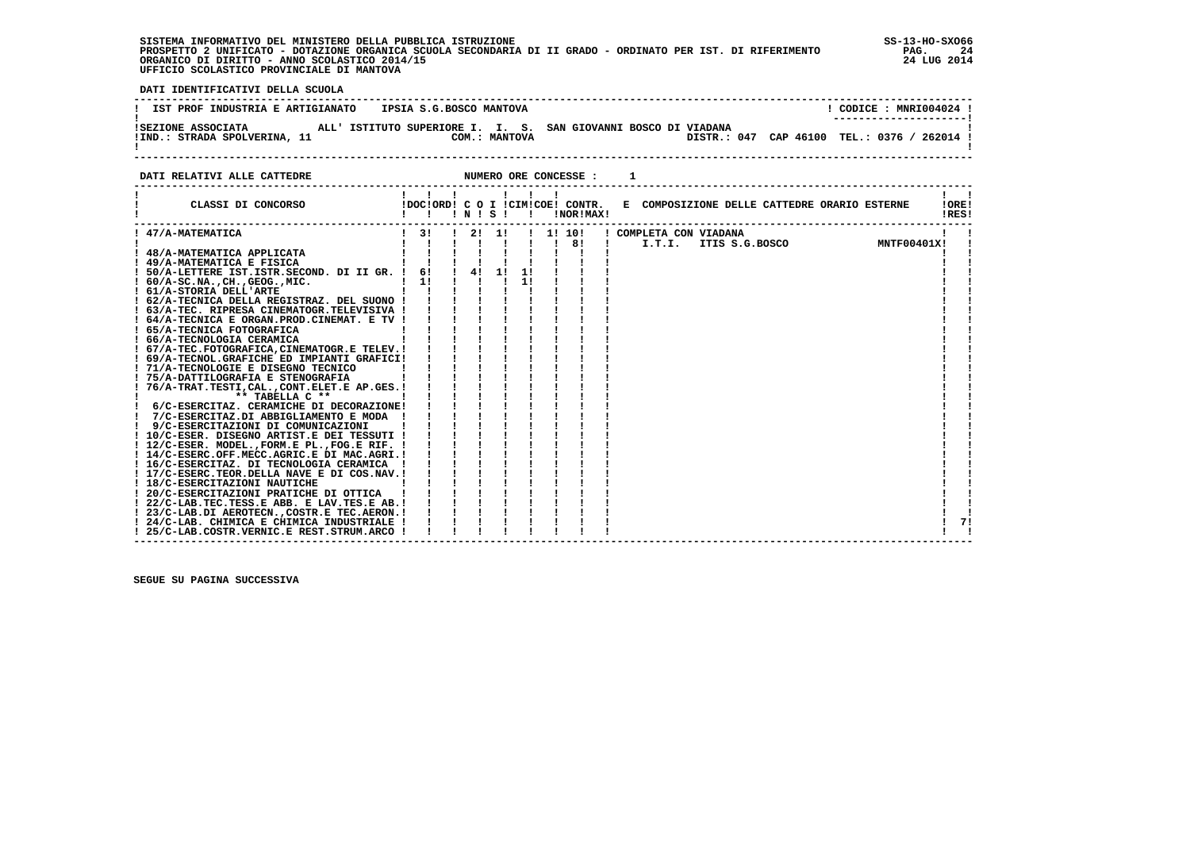**SISTEMA INFORMATIVO DEL MINISTERO DELLA PUBBLICA ISTRUZIONE SS-13-HO-SXO66 PROSPETTO 2 UNIFICATO - DOTAZIONE ORGANICA SCUOLA SECONDARIA DI II GRADO - ORDINATO PER IST. DI RIFERIMENTO PAG. 24 ORGANICO DI DIRITTO - ANNO SCOLASTICO 2014/15 24 LUG 2014 UFFICIO SCOLASTICO PROVINCIALE DI MANTOVA**

:

 **DATI IDENTIFICATIVI DELLA SCUOLA**

| IST PROF INDUSTRIA E ARTIGIANATO                   | IPSIA S.G.BOSCO MANTOVA                                                         | CODICE : MNRI004024 !<br>--------------------- |
|----------------------------------------------------|---------------------------------------------------------------------------------|------------------------------------------------|
| ISEZIONE ASSOCIATA<br>!IND.: STRADA SPOLVERINA, 11 | ALL' ISTITUTO SUPERIORE I. I. S. SAN GIOVANNI BOSCO DI VIADANA<br>COM.: MANTOVA | DISTR.: 047 CAP 46100 TEL.: 0376 / 262014 !    |

**DATI RELATIVI ALLE CATTEDRE NUMERO ORE CONCESSE : 1** 

 **------------------------------------------------------------------------------------------------------------------------------------**

| CLASSI DI CONCORSO<br>!DOC!ORD! C O I !CIM!COE! CONTR. E COMPOSIZIONE DELLE CATTEDRE ORARIO ESTERNE<br>10RE!<br>!NOR!MAX!<br>IRES!<br>INISI<br>$\mathbf{I}$<br>! 47/A-MATEMATICA<br>$\frac{1}{3}$<br>1! 10!<br>! COMPLETA CON VIADANA<br>21<br>11<br>ITIS S.G.BOSCO<br>MNTF00401X!<br>$\frac{1}{1}$ 8!<br>I.T.I.<br>! 48/A-MATEMATICA APPLICATA<br>! 49/A-MATEMATICA E FISICA<br>$\frac{1}{4}$<br>61<br>-11<br>! 50/A-LETTERE IST.ISTR.SECOND. DI II GR. !<br>11<br>11<br>$1.60/A-SC.NA.$ , $CH.$ , $GEOG.$ , $MIC.$<br>! 61/A-STORIA DELL'ARTE<br>! 62/A-TECNICA DELLA REGISTRAZ. DEL SUONO !<br>! 63/A-TEC. RIPRESA CINEMATOGR. TELEVISIVA !<br>! 64/A-TECNICA E ORGAN.PROD.CINEMAT. E TV !<br>! 65/A-TECNICA FOTOGRAFICA<br>! 66/A-TECNOLOGIA CERAMICA<br>! 67/A-TEC.FOTOGRAFICA, CINEMATOGR.E TELEV. !<br>! 69/A-TECNOL.GRAFICHE ED IMPIANTI GRAFICI!<br>! 71/A-TECNOLOGIE E DISEGNO TECNICO<br>! 75/A-DATTILOGRAFIA E STENOGRAFIA<br>76/A-TRAT.TESTI, CAL., CONT.ELET.E AP.GES.!<br>** TABELLA C **<br>! 6/C-ESERCITAZ. CERAMICHE DI DECORAZIONE!<br>7/C-ESERCITAZ.DI ABBIGLIAMENTO E MODA !<br>9/C-ESERCITAZIONI DI COMUNICAZIONI<br>! 10/C-ESER. DISEGNO ARTIST.E DEI TESSUTI !<br>! 12/C-ESER. MODEL., FORM.E PL., FOG.E RIF. !<br>! 14/C-ESERC.OFF.MECC.AGRIC.E DI MAC.AGRI.!<br>! 16/C-ESERCITAZ. DI TECNOLOGIA CERAMICA<br>! 17/C-ESERC.TEOR.DELLA NAVE E DI COS.NAV.!<br>! 18/C-ESERCITAZIONI NAUTICHE<br>! 20/C-ESERCITAZIONI PRATICHE DI OTTICA<br>! 22/C-LAB.TEC.TESS.E ABB. E LAV.TES.E AB. !<br>! 23/C-LAB.DI AEROTECN., COSTR.E TEC.AERON. !<br>71<br>! 24/C-LAB. CHIMICA E CHIMICA INDUSTRIALE !<br>25/C-LAB.COSTR.VERNIC.E REST.STRUM.ARCO ! | DAII REUAIIVI AUUE CAIIEDRE |  |  | NUMERO ORE CONCESSE . |  |  |  |
|------------------------------------------------------------------------------------------------------------------------------------------------------------------------------------------------------------------------------------------------------------------------------------------------------------------------------------------------------------------------------------------------------------------------------------------------------------------------------------------------------------------------------------------------------------------------------------------------------------------------------------------------------------------------------------------------------------------------------------------------------------------------------------------------------------------------------------------------------------------------------------------------------------------------------------------------------------------------------------------------------------------------------------------------------------------------------------------------------------------------------------------------------------------------------------------------------------------------------------------------------------------------------------------------------------------------------------------------------------------------------------------------------------------------------------------------------------------------------------------------------------------------------------------------------------------------------------------------------------------------------------------------------------------|-----------------------------|--|--|-----------------------|--|--|--|
|                                                                                                                                                                                                                                                                                                                                                                                                                                                                                                                                                                                                                                                                                                                                                                                                                                                                                                                                                                                                                                                                                                                                                                                                                                                                                                                                                                                                                                                                                                                                                                                                                                                                  |                             |  |  |                       |  |  |  |
|                                                                                                                                                                                                                                                                                                                                                                                                                                                                                                                                                                                                                                                                                                                                                                                                                                                                                                                                                                                                                                                                                                                                                                                                                                                                                                                                                                                                                                                                                                                                                                                                                                                                  |                             |  |  |                       |  |  |  |
|                                                                                                                                                                                                                                                                                                                                                                                                                                                                                                                                                                                                                                                                                                                                                                                                                                                                                                                                                                                                                                                                                                                                                                                                                                                                                                                                                                                                                                                                                                                                                                                                                                                                  |                             |  |  |                       |  |  |  |
|                                                                                                                                                                                                                                                                                                                                                                                                                                                                                                                                                                                                                                                                                                                                                                                                                                                                                                                                                                                                                                                                                                                                                                                                                                                                                                                                                                                                                                                                                                                                                                                                                                                                  |                             |  |  |                       |  |  |  |
|                                                                                                                                                                                                                                                                                                                                                                                                                                                                                                                                                                                                                                                                                                                                                                                                                                                                                                                                                                                                                                                                                                                                                                                                                                                                                                                                                                                                                                                                                                                                                                                                                                                                  |                             |  |  |                       |  |  |  |
|                                                                                                                                                                                                                                                                                                                                                                                                                                                                                                                                                                                                                                                                                                                                                                                                                                                                                                                                                                                                                                                                                                                                                                                                                                                                                                                                                                                                                                                                                                                                                                                                                                                                  |                             |  |  |                       |  |  |  |
|                                                                                                                                                                                                                                                                                                                                                                                                                                                                                                                                                                                                                                                                                                                                                                                                                                                                                                                                                                                                                                                                                                                                                                                                                                                                                                                                                                                                                                                                                                                                                                                                                                                                  |                             |  |  |                       |  |  |  |
|                                                                                                                                                                                                                                                                                                                                                                                                                                                                                                                                                                                                                                                                                                                                                                                                                                                                                                                                                                                                                                                                                                                                                                                                                                                                                                                                                                                                                                                                                                                                                                                                                                                                  |                             |  |  |                       |  |  |  |
|                                                                                                                                                                                                                                                                                                                                                                                                                                                                                                                                                                                                                                                                                                                                                                                                                                                                                                                                                                                                                                                                                                                                                                                                                                                                                                                                                                                                                                                                                                                                                                                                                                                                  |                             |  |  |                       |  |  |  |
|                                                                                                                                                                                                                                                                                                                                                                                                                                                                                                                                                                                                                                                                                                                                                                                                                                                                                                                                                                                                                                                                                                                                                                                                                                                                                                                                                                                                                                                                                                                                                                                                                                                                  |                             |  |  |                       |  |  |  |
|                                                                                                                                                                                                                                                                                                                                                                                                                                                                                                                                                                                                                                                                                                                                                                                                                                                                                                                                                                                                                                                                                                                                                                                                                                                                                                                                                                                                                                                                                                                                                                                                                                                                  |                             |  |  |                       |  |  |  |
|                                                                                                                                                                                                                                                                                                                                                                                                                                                                                                                                                                                                                                                                                                                                                                                                                                                                                                                                                                                                                                                                                                                                                                                                                                                                                                                                                                                                                                                                                                                                                                                                                                                                  |                             |  |  |                       |  |  |  |
|                                                                                                                                                                                                                                                                                                                                                                                                                                                                                                                                                                                                                                                                                                                                                                                                                                                                                                                                                                                                                                                                                                                                                                                                                                                                                                                                                                                                                                                                                                                                                                                                                                                                  |                             |  |  |                       |  |  |  |
|                                                                                                                                                                                                                                                                                                                                                                                                                                                                                                                                                                                                                                                                                                                                                                                                                                                                                                                                                                                                                                                                                                                                                                                                                                                                                                                                                                                                                                                                                                                                                                                                                                                                  |                             |  |  |                       |  |  |  |
|                                                                                                                                                                                                                                                                                                                                                                                                                                                                                                                                                                                                                                                                                                                                                                                                                                                                                                                                                                                                                                                                                                                                                                                                                                                                                                                                                                                                                                                                                                                                                                                                                                                                  |                             |  |  |                       |  |  |  |
|                                                                                                                                                                                                                                                                                                                                                                                                                                                                                                                                                                                                                                                                                                                                                                                                                                                                                                                                                                                                                                                                                                                                                                                                                                                                                                                                                                                                                                                                                                                                                                                                                                                                  |                             |  |  |                       |  |  |  |
|                                                                                                                                                                                                                                                                                                                                                                                                                                                                                                                                                                                                                                                                                                                                                                                                                                                                                                                                                                                                                                                                                                                                                                                                                                                                                                                                                                                                                                                                                                                                                                                                                                                                  |                             |  |  |                       |  |  |  |
|                                                                                                                                                                                                                                                                                                                                                                                                                                                                                                                                                                                                                                                                                                                                                                                                                                                                                                                                                                                                                                                                                                                                                                                                                                                                                                                                                                                                                                                                                                                                                                                                                                                                  |                             |  |  |                       |  |  |  |
|                                                                                                                                                                                                                                                                                                                                                                                                                                                                                                                                                                                                                                                                                                                                                                                                                                                                                                                                                                                                                                                                                                                                                                                                                                                                                                                                                                                                                                                                                                                                                                                                                                                                  |                             |  |  |                       |  |  |  |
|                                                                                                                                                                                                                                                                                                                                                                                                                                                                                                                                                                                                                                                                                                                                                                                                                                                                                                                                                                                                                                                                                                                                                                                                                                                                                                                                                                                                                                                                                                                                                                                                                                                                  |                             |  |  |                       |  |  |  |
|                                                                                                                                                                                                                                                                                                                                                                                                                                                                                                                                                                                                                                                                                                                                                                                                                                                                                                                                                                                                                                                                                                                                                                                                                                                                                                                                                                                                                                                                                                                                                                                                                                                                  |                             |  |  |                       |  |  |  |
|                                                                                                                                                                                                                                                                                                                                                                                                                                                                                                                                                                                                                                                                                                                                                                                                                                                                                                                                                                                                                                                                                                                                                                                                                                                                                                                                                                                                                                                                                                                                                                                                                                                                  |                             |  |  |                       |  |  |  |
|                                                                                                                                                                                                                                                                                                                                                                                                                                                                                                                                                                                                                                                                                                                                                                                                                                                                                                                                                                                                                                                                                                                                                                                                                                                                                                                                                                                                                                                                                                                                                                                                                                                                  |                             |  |  |                       |  |  |  |
|                                                                                                                                                                                                                                                                                                                                                                                                                                                                                                                                                                                                                                                                                                                                                                                                                                                                                                                                                                                                                                                                                                                                                                                                                                                                                                                                                                                                                                                                                                                                                                                                                                                                  |                             |  |  |                       |  |  |  |
|                                                                                                                                                                                                                                                                                                                                                                                                                                                                                                                                                                                                                                                                                                                                                                                                                                                                                                                                                                                                                                                                                                                                                                                                                                                                                                                                                                                                                                                                                                                                                                                                                                                                  |                             |  |  |                       |  |  |  |
|                                                                                                                                                                                                                                                                                                                                                                                                                                                                                                                                                                                                                                                                                                                                                                                                                                                                                                                                                                                                                                                                                                                                                                                                                                                                                                                                                                                                                                                                                                                                                                                                                                                                  |                             |  |  |                       |  |  |  |
|                                                                                                                                                                                                                                                                                                                                                                                                                                                                                                                                                                                                                                                                                                                                                                                                                                                                                                                                                                                                                                                                                                                                                                                                                                                                                                                                                                                                                                                                                                                                                                                                                                                                  |                             |  |  |                       |  |  |  |
|                                                                                                                                                                                                                                                                                                                                                                                                                                                                                                                                                                                                                                                                                                                                                                                                                                                                                                                                                                                                                                                                                                                                                                                                                                                                                                                                                                                                                                                                                                                                                                                                                                                                  |                             |  |  |                       |  |  |  |
|                                                                                                                                                                                                                                                                                                                                                                                                                                                                                                                                                                                                                                                                                                                                                                                                                                                                                                                                                                                                                                                                                                                                                                                                                                                                                                                                                                                                                                                                                                                                                                                                                                                                  |                             |  |  |                       |  |  |  |
|                                                                                                                                                                                                                                                                                                                                                                                                                                                                                                                                                                                                                                                                                                                                                                                                                                                                                                                                                                                                                                                                                                                                                                                                                                                                                                                                                                                                                                                                                                                                                                                                                                                                  |                             |  |  |                       |  |  |  |
|                                                                                                                                                                                                                                                                                                                                                                                                                                                                                                                                                                                                                                                                                                                                                                                                                                                                                                                                                                                                                                                                                                                                                                                                                                                                                                                                                                                                                                                                                                                                                                                                                                                                  |                             |  |  |                       |  |  |  |
|                                                                                                                                                                                                                                                                                                                                                                                                                                                                                                                                                                                                                                                                                                                                                                                                                                                                                                                                                                                                                                                                                                                                                                                                                                                                                                                                                                                                                                                                                                                                                                                                                                                                  |                             |  |  |                       |  |  |  |
|                                                                                                                                                                                                                                                                                                                                                                                                                                                                                                                                                                                                                                                                                                                                                                                                                                                                                                                                                                                                                                                                                                                                                                                                                                                                                                                                                                                                                                                                                                                                                                                                                                                                  |                             |  |  |                       |  |  |  |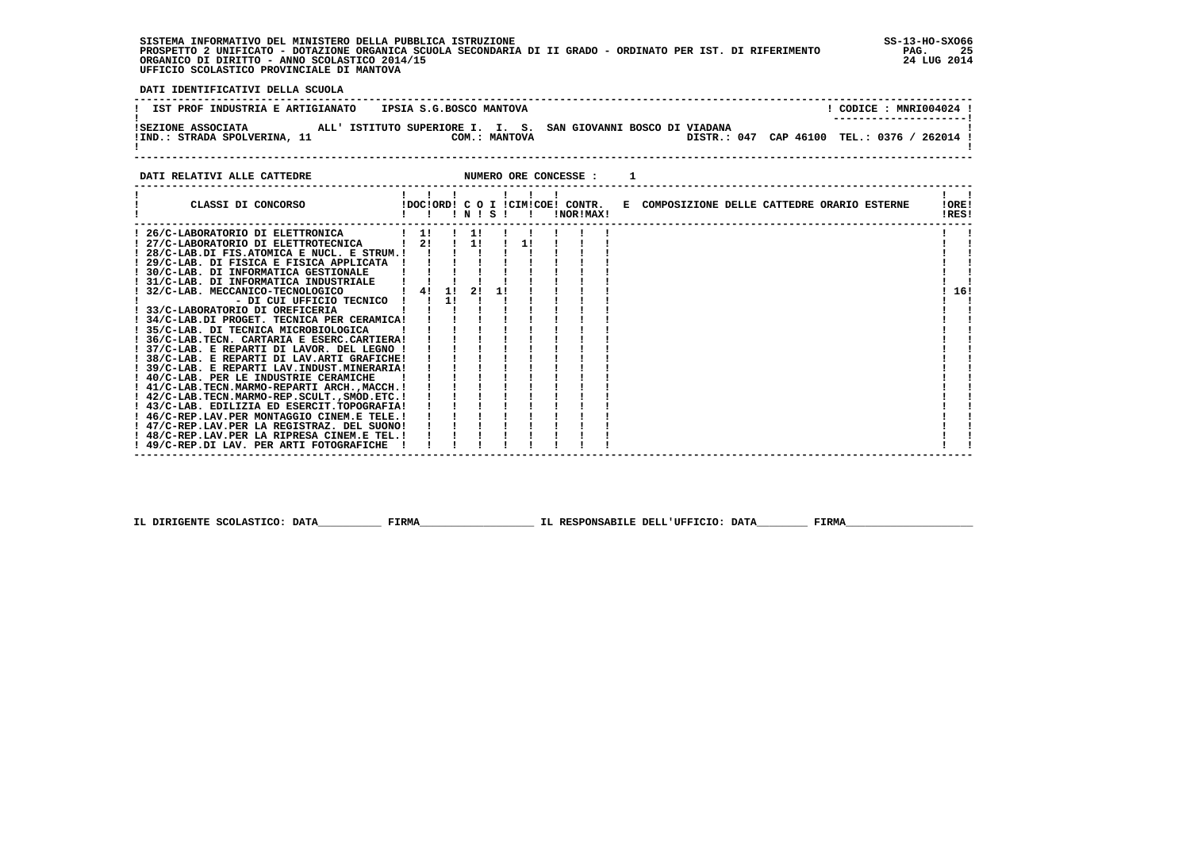**SISTEMA INFORMATIVO DEL MINISTERO DELLA PUBBLICA ISTRUZIONE SS-13-HO-SXO66 PROSPETTO 2 UNIFICATO - DOTAZIONE ORGANICA SCUOLA SECONDARIA DI II GRADO - ORDINATO PER IST. DI RIFERIMENTO PAG. 25**ORGANICO DI DIRITTO - ANNO SCOLASTICO 2014/15  **UFFICIO SCOLASTICO PROVINCIALE DI MANTOVA**

j

 **DATI IDENTIFICATIVI DELLA SCUOLA**

| IST PROF INDUSTRIA E ARTIGIANATO | IPSIA S.G.BOSCO MANTOVA                                        | CODICE: MNRI004024 !<br>--------------------- |
|----------------------------------|----------------------------------------------------------------|-----------------------------------------------|
| ISEZIONE ASSOCIATA               | ALL' ISTITUTO SUPERIORE I. I. S. SAN GIOVANNI BOSCO DI VIADANA | DISTR.: 047 CAP 46100 TEL.: 0376 /            |
| !IND.: STRADA SPOLVERINA, 11     | COM.: MANTOVA                                                  | $'$ 262014 l                                  |

**DATI RELATIVI ALLE CATTEDRE NUMERO ORE CONCESSE : 1** 

 **------------------------------------------------------------------------------------------------------------------------------------**

| CLASSI DI CONCORSO                                                                         |    |    | INISI |  |  | INORIMAX! |  |  |  | !DOC!ORD! C O I !CIM!COE! CONTR. E COMPOSIZIONE DELLE CATTEDRE ORARIO ESTERNE |  | !ORE!<br>!RES! |     |
|--------------------------------------------------------------------------------------------|----|----|-------|--|--|-----------|--|--|--|-------------------------------------------------------------------------------|--|----------------|-----|
| ! 26/C-LABORATORIO DI ELETTRONICA                                                          | 11 |    | 11    |  |  |           |  |  |  |                                                                               |  |                |     |
| ! 27/C-LABORATORIO DI ELETTROTECNICA                                                       | 2! |    | 11    |  |  |           |  |  |  |                                                                               |  |                |     |
| ! 28/C-LAB.DI FIS.ATOMICA E NUCL. E STRUM.!                                                |    |    |       |  |  |           |  |  |  |                                                                               |  |                |     |
| ! 29/C-LAB. DI FISICA E FISICA APPLICATA                                                   |    |    |       |  |  |           |  |  |  |                                                                               |  |                |     |
| ! 30/C-LAB, DI INFORMATICA GESTIONALE                                                      |    |    |       |  |  |           |  |  |  |                                                                               |  |                |     |
| 31/C-LAB. DI INFORMATICA INDUSTRIALE                                                       |    |    |       |  |  |           |  |  |  |                                                                               |  |                |     |
| ! 32/C-LAB. MECCANICO-TECNOLOGICO                                                          | 4! | 1! | 21    |  |  |           |  |  |  |                                                                               |  |                | 16! |
| - DI CUI UFFICIO TECNICO                                                                   |    | 1! |       |  |  |           |  |  |  |                                                                               |  |                |     |
| ! 33/C-LABORATORIO DI OREFICERIA                                                           |    |    |       |  |  |           |  |  |  |                                                                               |  |                |     |
| ! 34/C-LAB.DI PROGET. TECNICA PER CERAMICA!                                                |    |    |       |  |  |           |  |  |  |                                                                               |  |                |     |
| ! 35/C-LAB, DI TECNICA MICROBIOLOGICA                                                      |    |    |       |  |  |           |  |  |  |                                                                               |  |                |     |
| ! 36/C-LAB.TECN. CARTARIA E ESERC.CARTIERA!                                                |    |    |       |  |  |           |  |  |  |                                                                               |  |                |     |
| ! 37/C-LAB. E REPARTI DI LAVOR. DEL LEGNO !                                                |    |    |       |  |  |           |  |  |  |                                                                               |  |                |     |
| ! 38/C-LAB. E REPARTI DI LAV.ARTI GRAFICHE!                                                |    |    |       |  |  |           |  |  |  |                                                                               |  |                |     |
| ! 39/C-LAB. E REPARTI LAV.INDUST.MINERARIA!                                                |    |    |       |  |  |           |  |  |  |                                                                               |  |                |     |
| ! 40/C-LAB. PER LE INDUSTRIE CERAMICHE                                                     |    |    |       |  |  |           |  |  |  |                                                                               |  |                |     |
| ! 41/C-LAB.TECN.MARMO-REPARTI ARCH.,MACCH. !                                               |    |    |       |  |  |           |  |  |  |                                                                               |  |                |     |
| ! 42/C-LAB.TECN.MARMO-REP.SCULT., SMOD.ETC. !                                              |    |    |       |  |  |           |  |  |  |                                                                               |  |                |     |
| ! 43/C-LAB. EDILIZIA ED ESERCIT.TOPOGRAFIA!                                                |    |    |       |  |  |           |  |  |  |                                                                               |  |                |     |
| ! 46/C-REP.LAV.PER MONTAGGIO CINEM.E TELE.!                                                |    |    |       |  |  |           |  |  |  |                                                                               |  |                |     |
| ! 47/C-REP.LAV.PER LA REGISTRAZ. DEL SUONO!<br>! 48/C-REP.LAV.PER LA RIPRESA CINEM.E TEL.! |    |    |       |  |  |           |  |  |  |                                                                               |  |                |     |
| ! 49/C-REP.DI LAV. PER ARTI FOTOGRAFICHE                                                   |    |    |       |  |  |           |  |  |  |                                                                               |  |                |     |
|                                                                                            |    |    |       |  |  |           |  |  |  |                                                                               |  |                |     |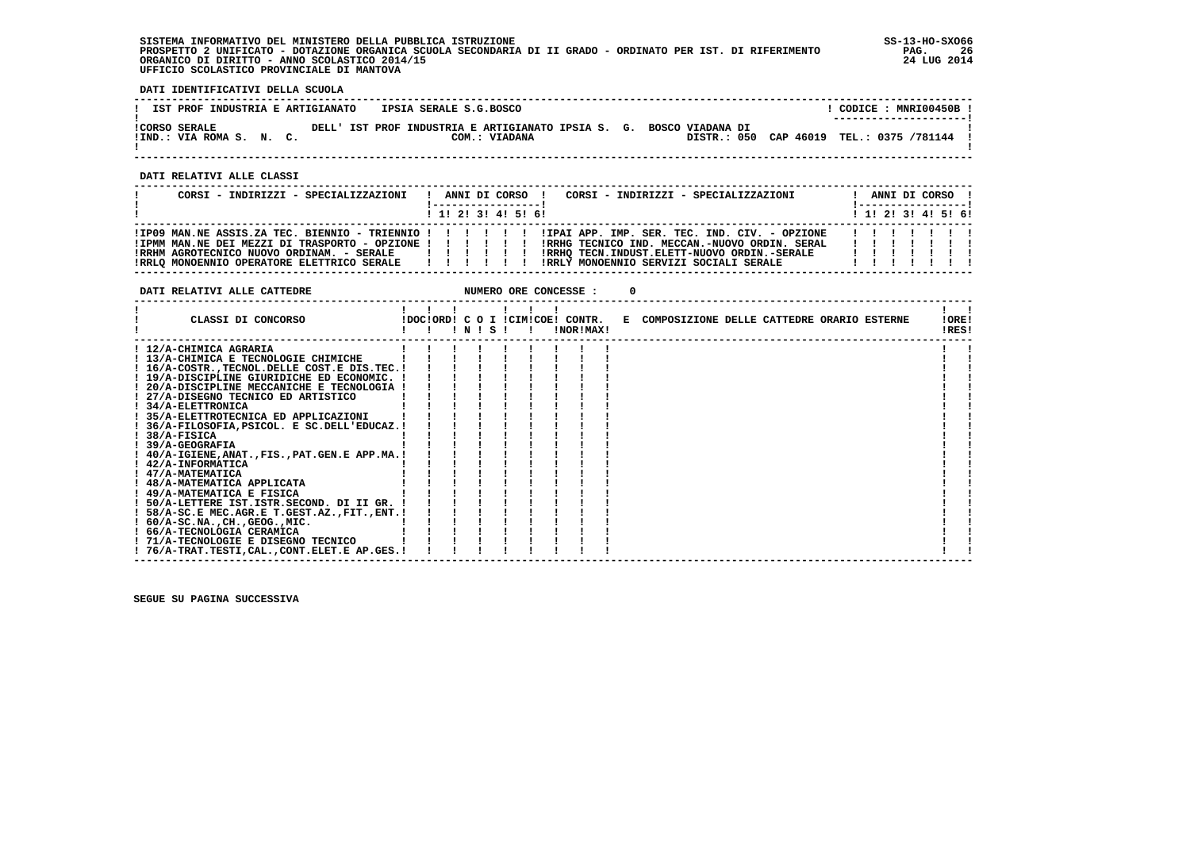**SISTEMA INFORMATIVO DEL MINISTERO DELLA PUBBLICA ISTRUZIONE SS-13-HO-SXO66 PROSPETTO 2 UNIFICATO - DOTAZIONE ORGANICA SCUOLA SECONDARIA DI II GRADO - ORDINATO PER IST. DI RIFERIMENTO PAG. 26 ORGANICO DI DIRITTO - ANNO SCOLASTICO 2014/15 24 LUG 2014 UFFICIO SCOLASTICO PROVINCIALE DI MANTOVA**

 **DATI IDENTIFICATIVI DELLA SCUOLA**

| IST PROF INDUSTRIA E ARTIGIANATO                 |  |  | IPSIA SERALE S.G.BOSCO |                                                                     |  |                                                                |  | CODICE: MNRI00450B!<br>--------------------- |  |  |
|--------------------------------------------------|--|--|------------------------|---------------------------------------------------------------------|--|----------------------------------------------------------------|--|----------------------------------------------|--|--|
| <b>!CORSO SERALE</b><br>!IND.: VIA ROMA S. N. C. |  |  |                        | DELL' IST PROF INDUSTRIA E ARTIGIANATO IPSIA S. G.<br>COM.: VIADANA |  | ROSCO VIADANA DI<br>DISTR.: 050 CAP 46019 TEL.: 0375 /781144 ! |  |                                              |  |  |

 **------------------------------------------------------------------------------------------------------------------------------------**

 **DATI RELATIVI ALLE CLASSI**

| CORSI - INDIRIZZI - SPECIALIZZAZIONI                                                                                                                                         | CORSI - INDIRIZZI - SPECIALIZZAZIONI<br>ANNI DI CORSO !<br>-----------------                                                                                                                                                                      | ANNI DI CORSO !<br>! -----------------! |
|------------------------------------------------------------------------------------------------------------------------------------------------------------------------------|---------------------------------------------------------------------------------------------------------------------------------------------------------------------------------------------------------------------------------------------------|-----------------------------------------|
|                                                                                                                                                                              | $1$ , 1, 2, 3, 4, 5, 6,                                                                                                                                                                                                                           | $1$ 1! 2! 3! 4! 5! 6!                   |
| !IPMM MAN.NE DEI MEZZI DI TRASPORTO - OPZIONE ! ! ! ! ! !<br>!RRHM AGROTECNICO NUOVO ORDINAM. - SERALE   ! ! ! ! !<br>!RRLQ MONOENNIO OPERATORE ELETTRICO SERALE   ! ! ! ! ! | IIP09 MAN.NE ASSIS.ZA TEC. BIENNIO - TRIENNIO ! ! ! ! ! ! IIPAI APP. IMP. SER. TEC. IND. CIV. - OPZIONE<br>IRRHG TECNICO IND. MECCAN.-NUOVO ORDIN. SERAL<br>!RRHO TECN.INDUST.ELETT-NUOVO ORDIN.-SERALE<br>!RRLY MONOENNIO SERVIZI SOCIALI SERALE | 1111111<br>.<br>.                       |

| DATI RELATIVI ALLE CATTEDRE                       |  |                 |  | NUMERO ORE CONCESSE : |                                                                               |  |  |                            |  |
|---------------------------------------------------|--|-----------------|--|-----------------------|-------------------------------------------------------------------------------|--|--|----------------------------|--|
| CLASSI DI CONCORSO                                |  | $'$ N $'$ S $'$ |  | !NOR!MAX!             | !DOC!ORD! C O I !CIM!COE! CONTR. E COMPOSIZIONE DELLE CATTEDRE ORARIO ESTERNE |  |  | IORE <sub>1</sub><br>!RES! |  |
| ! 12/A-CHIMICA AGRARIA                            |  |                 |  |                       |                                                                               |  |  |                            |  |
| ! 13/A-CHIMICA E TECNOLOGIE CHIMICHE              |  |                 |  |                       |                                                                               |  |  |                            |  |
| ! 16/A-COSTR., TECNOL. DELLE COST. E DIS. TEC. !  |  |                 |  |                       |                                                                               |  |  |                            |  |
| ! 19/A-DISCIPLINE GIURIDICHE ED ECONOMIC. !       |  |                 |  |                       |                                                                               |  |  |                            |  |
| ! 20/A-DISCIPLINE MECCANICHE E TECNOLOGIA !       |  |                 |  |                       |                                                                               |  |  |                            |  |
| ! 27/A-DISEGNO TECNICO ED ARTISTICO               |  |                 |  |                       |                                                                               |  |  |                            |  |
| ! 34/A-ELETTRONICA                                |  |                 |  |                       |                                                                               |  |  |                            |  |
| ! 35/A-ELETTROTECNICA ED APPLICAZIONI             |  |                 |  |                       |                                                                               |  |  |                            |  |
| ! 36/A-FILOSOFIA, PSICOL. E SC.DELL'EDUCAZ.!      |  |                 |  |                       |                                                                               |  |  |                            |  |
| $!$ 38/A-FISICA                                   |  |                 |  |                       |                                                                               |  |  |                            |  |
| $1.39/A-GEOGRAPH$                                 |  |                 |  |                       |                                                                               |  |  |                            |  |
| ! 40/A-IGIENE, ANAT., FIS., PAT. GEN. E APP. MA.! |  |                 |  |                       |                                                                               |  |  |                            |  |
| ! 42/A-INFORMATICA                                |  |                 |  |                       |                                                                               |  |  |                            |  |
| ! 47/A-MATEMATICA                                 |  |                 |  |                       |                                                                               |  |  |                            |  |
| ! 48/A-MATEMATICA APPLICATA                       |  |                 |  |                       |                                                                               |  |  |                            |  |
| ! 49/A-MATEMATICA E FISICA                        |  |                 |  |                       |                                                                               |  |  |                            |  |
| ! 50/A-LETTERE IST.ISTR.SECOND. DI II GR.         |  |                 |  |                       |                                                                               |  |  |                            |  |
| ! 58/A-SC.E MEC.AGR.E T.GEST.AZ., FIT., ENT.!     |  |                 |  |                       |                                                                               |  |  |                            |  |
| $: 60/A-SC.NA.$ , $CH.$ , $GEOG.$ , $MIC.$        |  |                 |  |                       |                                                                               |  |  |                            |  |
| ! 66/A-TECNOLOGIA CERAMICA                        |  |                 |  |                       |                                                                               |  |  |                            |  |
| ! 71/A-TECNOLOGIE E DISEGNO TECNICO               |  |                 |  |                       |                                                                               |  |  |                            |  |
| ! 76/A-TRAT.TESTI,CAL.,CONT.ELET.E AP.GES.!       |  |                 |  |                       |                                                                               |  |  |                            |  |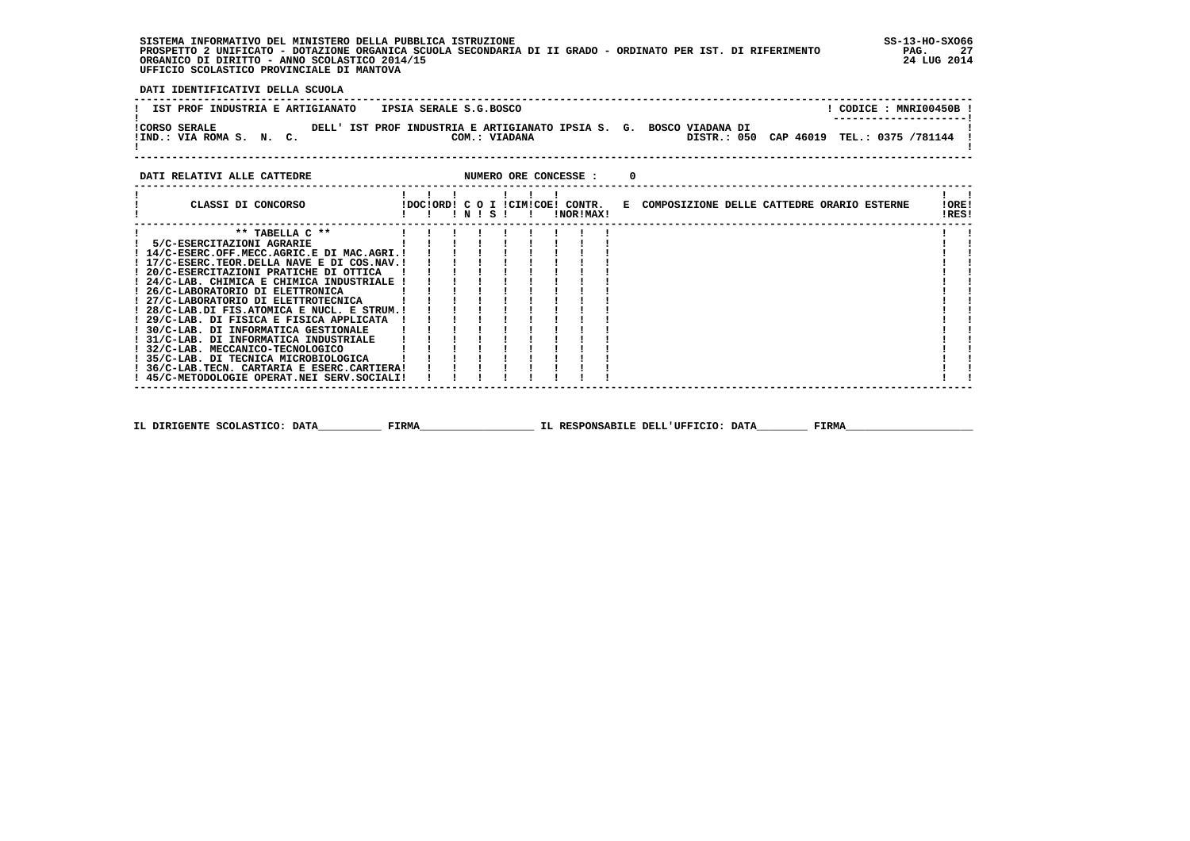**SISTEMA INFORMATIVO DEL MINISTERO DELLA PUBBLICA ISTRUZIONE SS-13-HO-SXO66 PROSPETTO 2 UNIFICATO - DOTAZIONE ORGANICA SCUOLA SECONDARIA DI II GRADO - ORDINATO PER IST. DI RIFERIMENTO PAG. 27 ORGANICO DI DIRITTO - ANNO SCOLASTICO 2014/15 24 LUG 2014 UFFICIO SCOLASTICO PROVINCIALE DI MANTOVA**

j

 **DATI IDENTIFICATIVI DELLA SCUOLA**

| IST PROF INDUSTRIA E ARTIGIANATO                 |  |  | IPSIA SERALE S.G.BOSCO |                                                                                      |  |                                            |  |  | CODICE: MNRI00450B!<br>--------------------- |  |
|--------------------------------------------------|--|--|------------------------|--------------------------------------------------------------------------------------|--|--------------------------------------------|--|--|----------------------------------------------|--|
| <b>!CORSO SERALE</b><br>!IND.: VIA ROMA S. N. C. |  |  |                        | DELL' IST PROF INDUSTRIA E ARTIGIANATO IPSIA S. G. BOSCO VIADANA DI<br>COM.: VIADANA |  | DISTR.: 050 CAP 46019 TEL.: 0375 /781144 ! |  |  |                                              |  |

### **DATI RELATIVI ALLE CATTEDRE NUMERO ORE CONCESSE : 0**

 **------------------------------------------------------------------------------------------------------------------------------------**

| CLASSI DI CONCORSO                              |  | $'$ N $'$ S $'$ |  | !DOC!ORD! C O I !CIM!COE! CONTR.<br>!NOR!MAX! | E COMPOSIZIONE DELLE CATTEDRE ORARIO ESTERNE |  |  | IORE!<br>!RES! |  |
|-------------------------------------------------|--|-----------------|--|-----------------------------------------------|----------------------------------------------|--|--|----------------|--|
| ** TABELLA $C$ **                               |  |                 |  |                                               |                                              |  |  |                |  |
| 5/C-ESERCITAZIONI AGRARIE                       |  |                 |  |                                               |                                              |  |  |                |  |
| ! 14/C-ESERC.OFF.MECC.AGRIC.E DI MAC.AGRI.!     |  |                 |  |                                               |                                              |  |  |                |  |
| ! 17/C-ESERC. TEOR. DELLA NAVE E DI COS. NAV. ! |  |                 |  |                                               |                                              |  |  |                |  |
| ! 20/C-ESERCITAZIONI PRATICHE DI OTTICA         |  |                 |  |                                               |                                              |  |  |                |  |
| ! 24/C-LAB. CHIMICA E CHIMICA INDUSTRIALE !     |  |                 |  |                                               |                                              |  |  |                |  |
| 26/C-LABORATORIO DI ELETTRONICA                 |  |                 |  |                                               |                                              |  |  |                |  |
| ! 27/C-LABORATORIO DI ELETTROTECNICA            |  |                 |  |                                               |                                              |  |  |                |  |
| ! 28/C-LAB.DI FIS.ATOMICA E NUCL. E STRUM.!     |  |                 |  |                                               |                                              |  |  |                |  |
| ! 29/C-LAB. DI FISICA E FISICA APPLICATA        |  |                 |  |                                               |                                              |  |  |                |  |
| ! 30/C-LAB. DI INFORMATICA GESTIONALE           |  |                 |  |                                               |                                              |  |  |                |  |
| ! 31/C-LAB. DI INFORMATICA INDUSTRIALE          |  |                 |  |                                               |                                              |  |  |                |  |
| ! 32/C-LAB. MECCANICO-TECNOLOGICO               |  |                 |  |                                               |                                              |  |  |                |  |
| ! 35/C-LAB. DI TECNICA MICROBIOLOGICA           |  |                 |  |                                               |                                              |  |  |                |  |
| ! 36/C-LAB.TECN. CARTARIA E ESERC.CARTIERA!     |  |                 |  |                                               |                                              |  |  |                |  |
| ! 45/C-METODOLOGIE OPERAT.NEI SERV.SOCIALI!     |  |                 |  |                                               |                                              |  |  |                |  |
|                                                 |  |                 |  |                                               |                                              |  |  |                |  |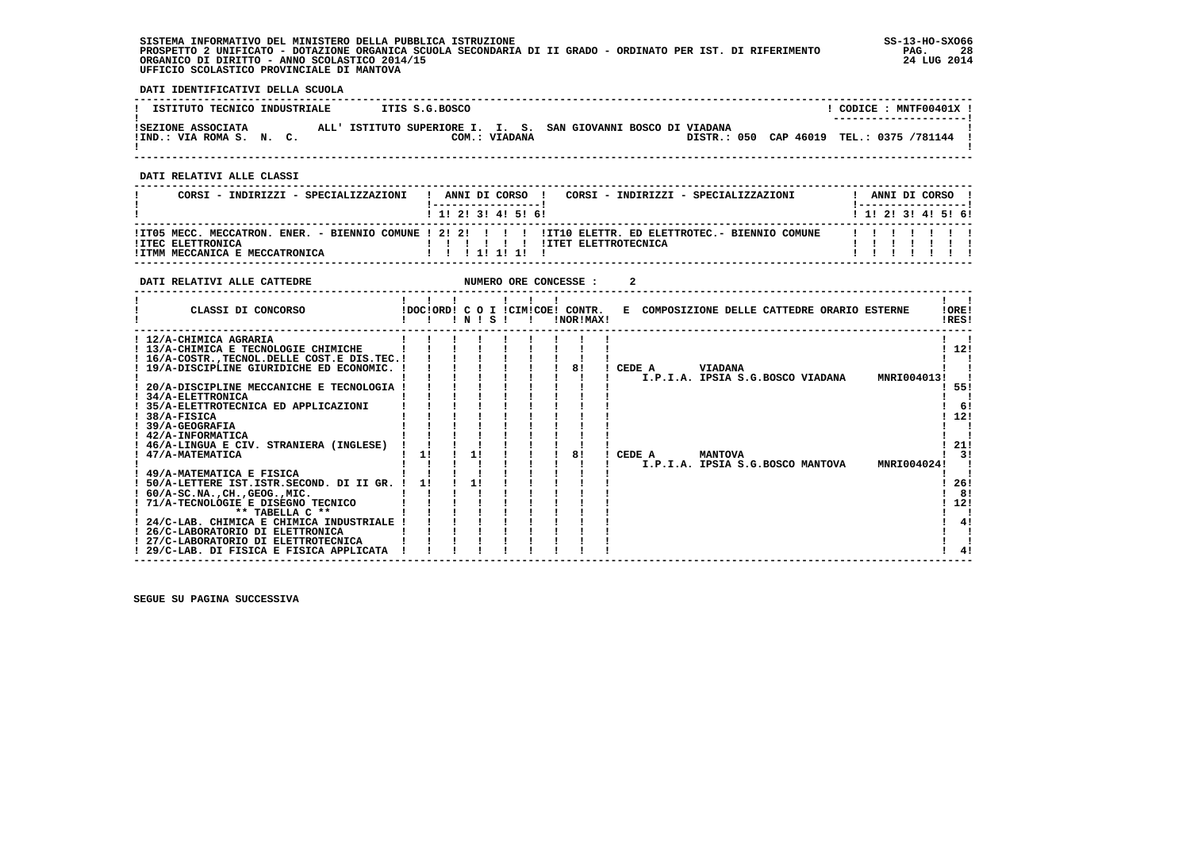**SISTEMA INFORMATIVO DEL MINISTERO DELLA PUBBLICA ISTRUZIONE SS-13-HO-SXO66 PROSPETTO 2 UNIFICATO - DOTAZIONE ORGANICA SCUOLA SECONDARIA DI II GRADO - ORDINATO PER IST. DI RIFERIMENTO PAG. 28 ORGANICO DI DIRITTO - ANNO SCOLASTICO 2014/15 24 LUG 2014 UFFICIO SCOLASTICO PROVINCIALE DI MANTOVA**

֚֚֡

 **DATI IDENTIFICATIVI DELLA SCUOLA**

| ISTITUTO TECNICO INDUSTRIALE                   | ITIS S.G.BOSCO |                                                                | CODICE: MNTF00401X !<br>--------------------- |
|------------------------------------------------|----------------|----------------------------------------------------------------|-----------------------------------------------|
| ISEZIONE ASSOCIATA<br>!IND.: VIA ROMA S. N. C. | COM.: VIADANA  | ALL' ISTITUTO SUPERIORE I. I. S. SAN GIOVANNI BOSCO DI VIADANA | DISTR.: 050 CAP 46019 TEL.: 0375 /781144      |

 **------------------------------------------------------------------------------------------------------------------------------------**

 **DATI RELATIVI ALLE CLASSI**

| CORSI - INDIRIZZI - SPECIALIZZAZIONI<br>CORSI - INDIRIZZI - SPECIALIZZAZIONI<br>ANNI DI CORSO !                                                                   |  |  | ANNI DI CORSO !              |   |
|-------------------------------------------------------------------------------------------------------------------------------------------------------------------|--|--|------------------------------|---|
| ! 1! 2! 3! 4! 5! 6!                                                                                                                                               |  |  | $1$ , 1!, 2!, 3!, 4!, 5!, 6! |   |
| ITO5 MECC. MECCATRON. ENER. - BIENNIO COMUNE ! 2! 2! ! !! !ITIO ELETTR. ED ELETTROTEC.- BIENNIO COMUNE<br><b>!ITEC ELETTRONICA</b><br><b>!ITET ELETTROTECNICA</b> |  |  |                              | . |
| !ITMM MECCANICA E MECCATRONICA<br>1 1 1 1 1 1 1 1                                                                                                                 |  |  |                              |   |

| DATI RELATIVI ALLE CATTEDRE                      |    |    |    |       |  | NUMERO ORE CONCESSE :                         |        |                                              |  |             |                |
|--------------------------------------------------|----|----|----|-------|--|-----------------------------------------------|--------|----------------------------------------------|--|-------------|----------------|
| CLASSI DI CONCORSO                               |    |    |    | INISI |  | IDOCIORD! C O I ICIMICOE! CONTR.<br>!NOR!MAX! |        | E COMPOSIZIONE DELLE CATTEDRE ORARIO ESTERNE |  |             | !ORE!<br>!RES! |
| ! 12/A-CHIMICA AGRARIA                           |    |    |    |       |  |                                               |        |                                              |  |             |                |
| ! 13/A-CHIMICA E TECNOLOGIE CHIMICHE             |    |    |    |       |  |                                               |        |                                              |  |             | 12!            |
| ! 16/A-COSTR., TECNOL. DELLE COST. E DIS. TEC. ! |    |    |    |       |  |                                               |        |                                              |  |             |                |
| ! 19/A-DISCIPLINE GIURIDICHE ED ECONOMIC.        |    |    |    |       |  | 81                                            | CEDE A | <b>VIADANA</b>                               |  |             |                |
|                                                  |    |    |    |       |  |                                               |        | I.P.I.A. IPSIA S.G.BOSCO VIADANA             |  | MNRI004013! |                |
| 20/A-DISCIPLINE MECCANICHE E TECNOLOGIA          |    |    |    |       |  |                                               |        |                                              |  |             | 55!            |
| 34/A-ELETTRONICA                                 |    |    |    |       |  |                                               |        |                                              |  |             |                |
| ! 35/A-ELETTROTECNICA ED APPLICAZIONI            |    |    |    |       |  |                                               |        |                                              |  |             | -61            |
| 38/A-FISICA                                      |    |    |    |       |  |                                               |        |                                              |  |             | 12!            |
| <b>39/A-GEOGRAFIA</b>                            |    |    |    |       |  |                                               |        |                                              |  |             |                |
| ! 42/A-INFORMATICA                               |    |    |    |       |  |                                               |        |                                              |  |             |                |
| ! 46/A-LINGUA E CIV. STRANIERA (INGLESE)         |    |    |    |       |  |                                               |        |                                              |  |             | 21!            |
| 47/A-MATEMATICA                                  |    | 11 |    | 1 !   |  | 81                                            | CEDE A | <b>MANTOVA</b>                               |  |             | 31             |
|                                                  |    |    |    |       |  |                                               |        | I.P.I.A. IPSIA S.G.BOSCO MANTOVA             |  | MNRI004024! |                |
| 49/A-MATEMATICA E FISICA                         |    |    |    |       |  |                                               |        |                                              |  |             |                |
| 50/A-LETTERE IST.ISTR.SECOND. DI II GR.          | 11 |    | 1! |       |  |                                               |        |                                              |  |             | 26!            |
| $60/A-SC.NA.$ , $CH.$ , $GEOG.$ , $MIC.$         |    |    |    |       |  |                                               |        |                                              |  |             | 8!             |
| 71/A-TECNOLOGIE E DISEGNO TECNICO                |    |    |    |       |  |                                               |        |                                              |  |             | 12!            |
| ** TABELLA C **                                  |    |    |    |       |  |                                               |        |                                              |  |             |                |
| 24/C-LAB. CHIMICA E CHIMICA INDUSTRIALE          |    |    |    |       |  |                                               |        |                                              |  |             | 4!             |
| 26/C-LABORATORIO DI ELETTRONICA                  |    |    |    |       |  |                                               |        |                                              |  |             |                |
| 27/C-LABORATORIO DI ELETTROTECNICA               |    |    |    |       |  |                                               |        |                                              |  |             |                |
| ! 29/C-LAB. DI FISICA E FISICA APPLICATA         |    |    |    |       |  |                                               |        |                                              |  |             |                |
|                                                  |    |    |    |       |  |                                               |        |                                              |  |             |                |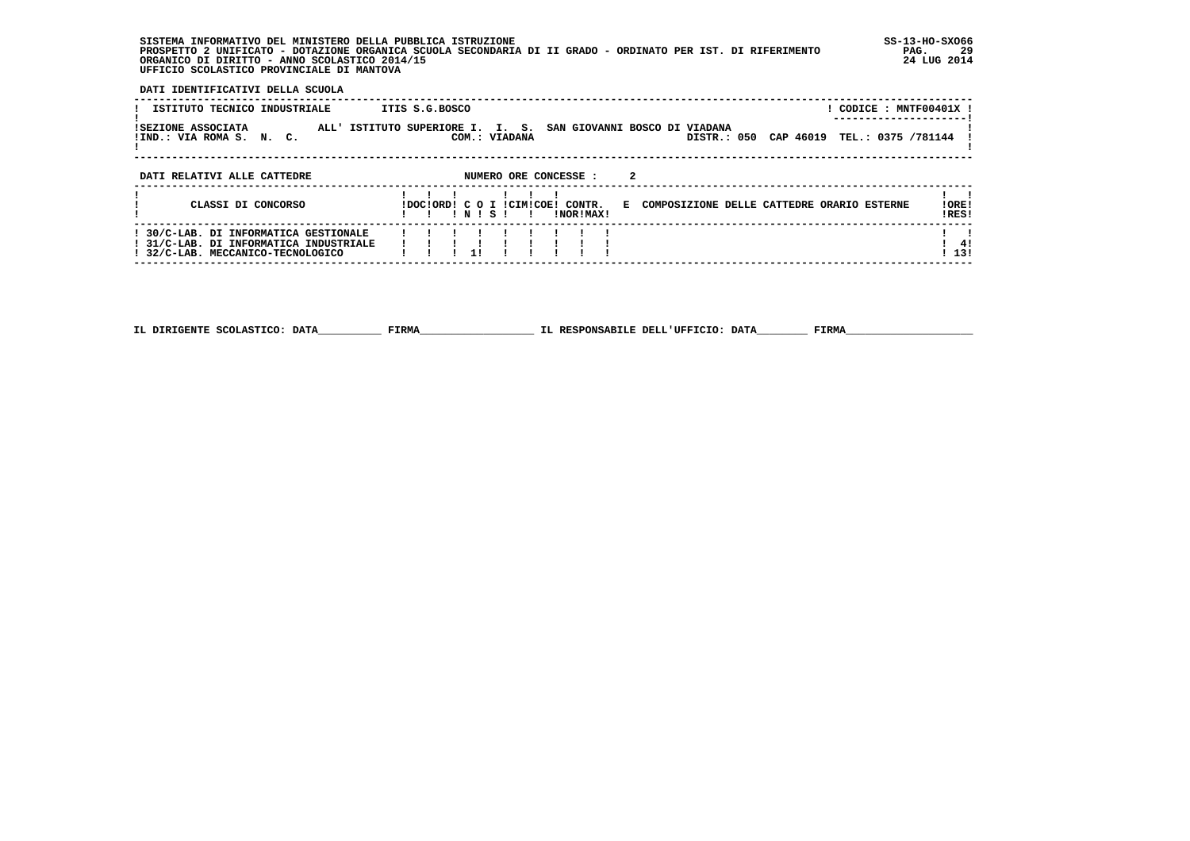**SISTEMA INFORMATIVO DEL MINISTERO DELLA PUBBLICA ISTRUZIONE SS-13-HO-SXO66 PROSPETTO 2 UNIFICATO - DOTAZIONE ORGANICA SCUOLA SECONDARIA DI II GRADO - ORDINATO PER IST. DI RIFERIMENTO PAG. 29 ORGANICO DI DIRITTO - ANNO SCOLASTICO 2014/15 24 LUG 2014 UFFICIO SCOLASTICO PROVINCIALE DI MANTOVA**

j

 **DATI IDENTIFICATIVI DELLA SCUOLA**

| ISTITUTO TECNICO INDUSTRIALE<br>ISEZIONE ASSOCIATA<br>!IND.: VIA ROMA S. N. C.                                       | ITIS S.G.BOSCO<br>ALL' ISTITUTO SUPERIORE I. I. S. SAN GIOVANNI BOSCO DI VIADANA<br>DISTR.: 050<br>CAP 46019<br>COM.: VIADANA                     | ! CODICE : MNTF00401X !<br>TEL.: 0375 /781144 |
|----------------------------------------------------------------------------------------------------------------------|---------------------------------------------------------------------------------------------------------------------------------------------------|-----------------------------------------------|
| DATI RELATIVI ALLE CATTEDRE<br>CLASSI DI CONCORSO                                                                    | NUMERO ORE CONCESSE :<br>E COMPOSIZIONE DELLE CATTEDRE ORARIO ESTERNE<br>IDOCIORDI C O I ICIMICOEI CONTR.<br>INISI<br>INORIMAXI<br>$\blacksquare$ | !ORE!<br>IRES!                                |
| ! 30/C-LAB. DI INFORMATICA GESTIONALE<br>! 31/C-LAB. DI INFORMATICA INDUSTRIALE<br>! 32/C-LAB. MECCANICO-TECNOLOGICO | 11                                                                                                                                                | -41<br>113!                                   |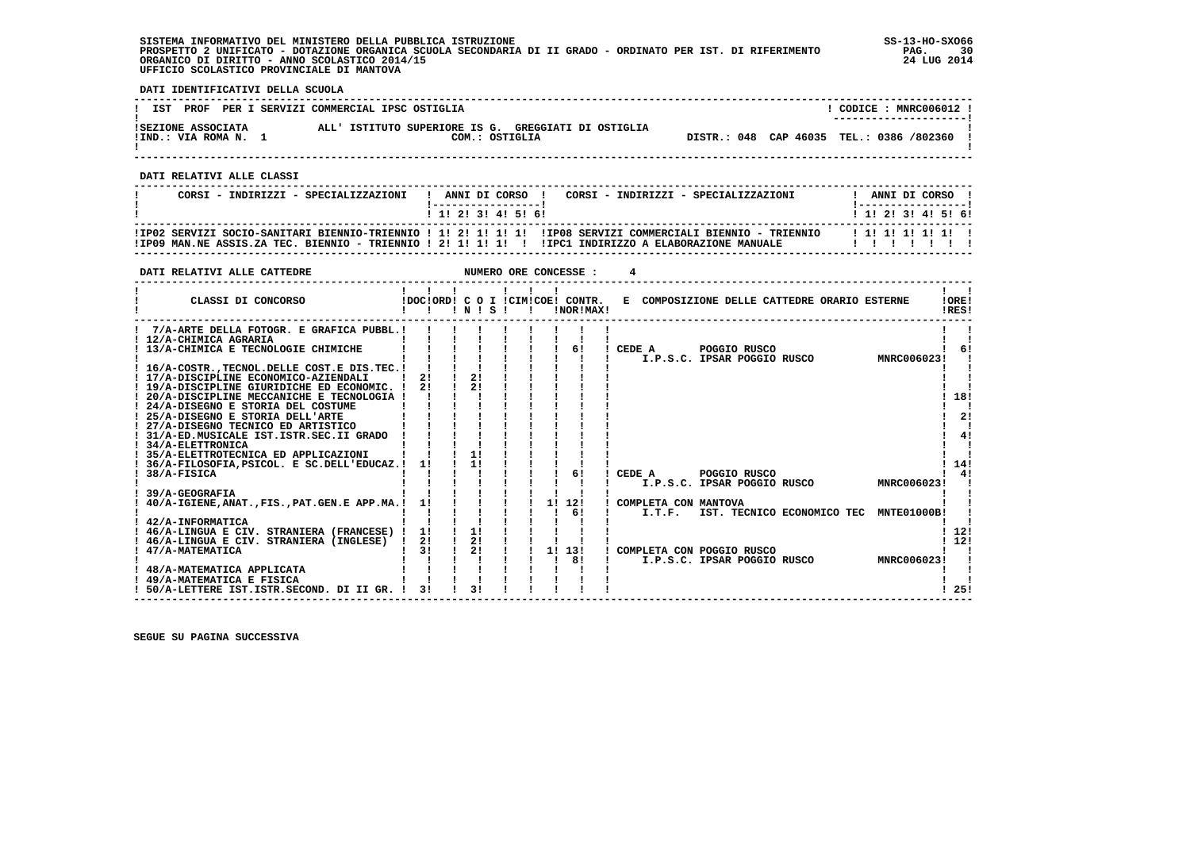**SISTEMA INFORMATIVO DEL MINISTERO DELLA PUBBLICA ISTRUZIONE SS-13-HO-SXO66 PROSPETTO 2 UNIFICATO - DOTAZIONE ORGANICA SCUOLA SECONDARIA DI II GRADO - ORDINATO PER IST. DI RIFERIMENTO PAG. 30 ORGANICO DI DIRITTO - ANNO SCOLASTICO 2014/15 24 LUG 2014 UFFICIO SCOLASTICO PROVINCIALE DI MANTOVA**

 **DATI IDENTIFICATIVI DELLA SCUOLA**

| IST                                        | PROF PER I SERVIZI COMMERCIAL IPSC OSTIGLIA                           | CODICE: MNRC006012 !<br>--------------------- |
|--------------------------------------------|-----------------------------------------------------------------------|-----------------------------------------------|
| ISEZIONE ASSOCIATA<br>!IND.: VIA ROMA N. 1 | ALL' ISTITUTO SUPERIORE IS G. GREGGIATI DI OSTIGLIA<br>COM.: OSTIGLIA | DISTR.: 048 CAP 46035 TEL.: 0386 /802360      |

 **------------------------------------------------------------------------------------------------------------------------------------**

 **DATI RELATIVI ALLE CLASSI**

| CORSI - INDIRIZZI - SPECIALIZZAZIONI | ANNI DI CORSO !<br>! 1! 2! 3! 4! 5! 6! | CORSI - INDIRIZZI - SPECIALIZZAZIONI                                                                                                                                                                                | ANNI DI CORSO 1<br>1 1 1 2 1 3 1 4 1 5 1 6 1 |
|--------------------------------------|----------------------------------------|---------------------------------------------------------------------------------------------------------------------------------------------------------------------------------------------------------------------|----------------------------------------------|
|                                      |                                        | IIP02 SERVIZI SOCIO-SANITARI BIENNIO-TRIENNIO ! 1! 2! 1! 1! 1! IIP08 SERVIZI COMMERCIALI BIENNIO - TRIENNIO<br>IIPO9 MAN.NE ASSIS.ZA TEC. BIENNIO - TRIENNIO ! 2! 1! 1! 1! ! !IPC1 INDIRIZZO A ELABORAZIONE MANUALE | 1 1 1 1 1 1 1 1 1 1                          |

 **------------------------------------------------------------------------------------------------------------------------------------**

| DATI RELATIVI ALLE CATTEDRE                   |    |             |  | NUMERO ORE CONCESSE :            |        |                      |                                              |  |                                        |       |
|-----------------------------------------------|----|-------------|--|----------------------------------|--------|----------------------|----------------------------------------------|--|----------------------------------------|-------|
|                                               |    |             |  |                                  |        |                      |                                              |  |                                        |       |
| CLASSI DI CONCORSO                            |    |             |  | !DOC!ORD! C O I !CIM!COE! CONTR. |        |                      | E COMPOSIZIONE DELLE CATTEDRE ORARIO ESTERNE |  |                                        | !ORE! |
|                                               |    | $'$ N $'$ S |  | !NOR!MAX!                        |        |                      |                                              |  |                                        | IRES! |
| 7/A-ARTE DELLA FOTOGR. E GRAFICA PUBBL.!      |    |             |  |                                  |        |                      |                                              |  |                                        |       |
| ! 12/A-CHIMICA AGRARIA                        |    |             |  |                                  |        |                      |                                              |  |                                        |       |
| 13/A-CHIMICA E TECNOLOGIE CHIMICHE            |    |             |  | 6!                               | CEDE A |                      | POGGIO RUSCO                                 |  |                                        | 61    |
|                                               |    |             |  |                                  |        |                      | I.P.S.C. IPSAR POGGIO RUSCO                  |  | MNRC006023!                            |       |
| ! 16/A-COSTRTECNOL.DELLE COST.E DIS.TEC.!     |    |             |  |                                  |        |                      |                                              |  |                                        |       |
| ! 17/A-DISCIPLINE ECONOMICO-AZIENDALI         | 21 | 2!          |  |                                  |        |                      |                                              |  |                                        |       |
| ! 19/A-DISCIPLINE GIURIDICHE ED ECONOMIC. !   | 21 | 21          |  |                                  |        |                      |                                              |  |                                        |       |
| ! 20/A-DISCIPLINE MECCANICHE E TECNOLOGIA !   |    |             |  |                                  |        |                      |                                              |  |                                        | 18!   |
| ! 24/A-DISEGNO E STORIA DEL COSTUME           |    |             |  |                                  |        |                      |                                              |  |                                        |       |
| ! 25/A-DISEGNO E STORIA DELL'ARTE             |    |             |  |                                  |        |                      |                                              |  |                                        | 2!    |
| ! 27/A-DISEGNO TECNICO ED ARTISTICO           |    |             |  |                                  |        |                      |                                              |  |                                        |       |
| ! 31/A-ED.MUSICALE IST.ISTR.SEC.II GRADO      |    |             |  |                                  |        |                      |                                              |  |                                        | 41    |
| 34/A-ELETTRONICA                              |    |             |  |                                  |        |                      |                                              |  |                                        |       |
| 35/A-ELETTROTECNICA ED APPLICAZIONI           |    | 11          |  |                                  |        |                      |                                              |  |                                        |       |
| 36/A-FILOSOFIA, PSICOL. E SC. DELL'EDUCAZ. !  | 11 | 1!          |  |                                  |        |                      |                                              |  |                                        | 14!   |
| 38/A-FISICA                                   |    |             |  | 61                               | CEDE A |                      | POGGIO RUSCO                                 |  |                                        | 41    |
|                                               |    |             |  |                                  |        |                      | I.P.S.C. IPSAR POGGIO RUSCO                  |  | MNRC006023!                            |       |
| 39/A-GEOGRAFIA                                |    |             |  |                                  |        |                      |                                              |  |                                        |       |
| 40/A-IGIENE, ANAT., FIS., PAT. GEN.E APP.MA.! | 11 |             |  | 1! 12!                           |        | COMPLETA CON MANTOVA |                                              |  |                                        |       |
|                                               |    |             |  | 61                               |        | I.T.F.               |                                              |  | IST. TECNICO ECONOMICO TEC MNTE01000B! |       |
| 42/A-INFORMATICA                              |    |             |  |                                  |        |                      |                                              |  |                                        |       |
| 46/A-LINGUA E CIV. STRANIERA (FRANCESE) !     | 1! | 11          |  |                                  |        |                      |                                              |  |                                        | 12!   |
| 46/A-LINGUA E CIV. STRANIERA (INGLESE)        | 2! | 2!          |  |                                  |        |                      |                                              |  |                                        | 12!   |
| 47/A-MATEMATICA                               | 31 | 21          |  | 1! 13!                           |        |                      | COMPLETA CON POGGIO RUSCO                    |  |                                        |       |
|                                               |    |             |  | 81                               |        |                      | I.P.S.C. IPSAR POGGIO RUSCO                  |  | MNRC006023!                            |       |
| ! 48/A-MATEMATICA APPLICATA                   |    |             |  |                                  |        |                      |                                              |  |                                        |       |
| ! 49/A-MATEMATICA E FISICA                    |    |             |  |                                  |        |                      |                                              |  |                                        |       |
| 50/A-LETTERE IST.ISTR.SECOND. DI II GR.       | 31 | 31          |  |                                  |        |                      |                                              |  |                                        | 25!   |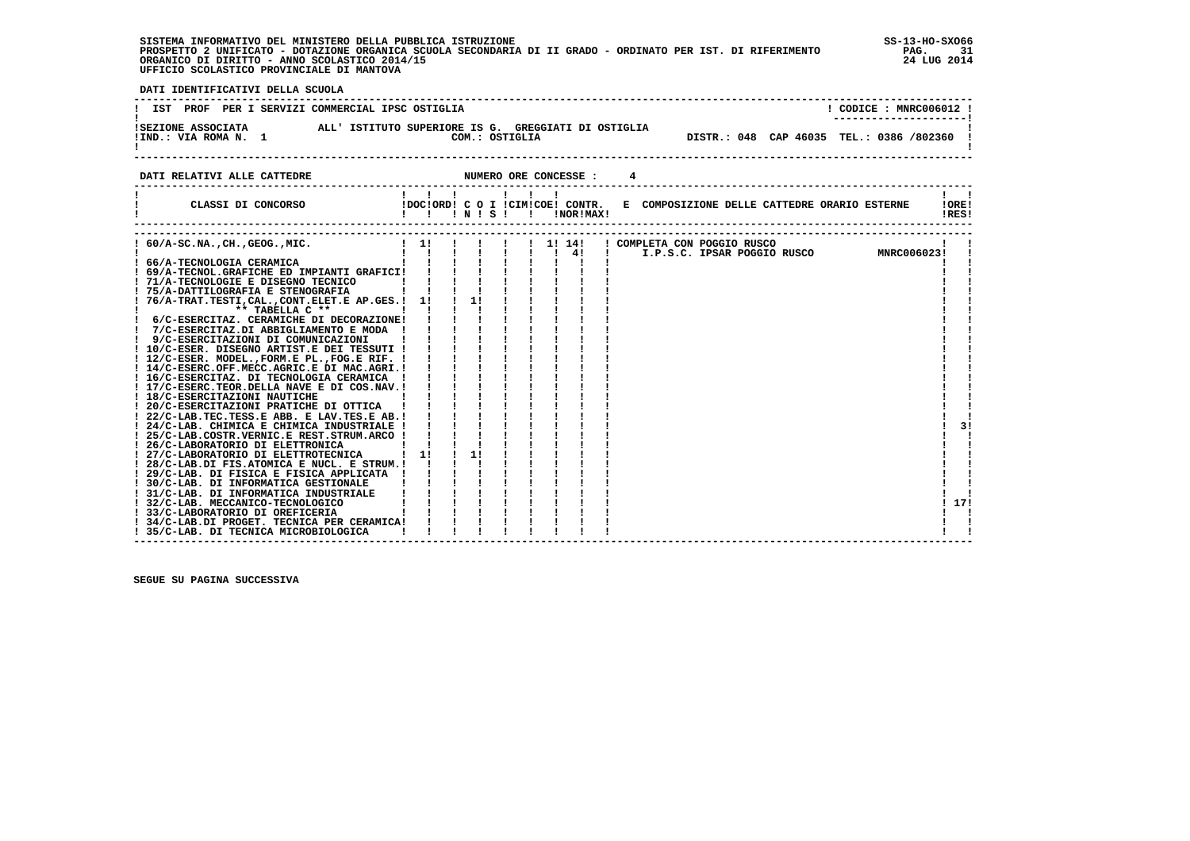| SISTEMA INFORMATIVO DEL MINISTERO DELLA PUBBLICA ISTRUZIONE                                                 | $SS-13-HO-SXO66$ |
|-------------------------------------------------------------------------------------------------------------|------------------|
| PROSPETTO 2 UNIFICATO - DOTAZIONE ORGANICA SCUOLA SECONDARIA DI II GRADO - ORDINATO PER IST. DI RIFERIMENTO | PAG.             |
| ORGANICO DI DIRITTO - ANNO SCOLASTICO 2014/15                                                               | 24 LUG 2014      |
| UFFICIO SCOLASTICO PROVINCIALE DI MANTOVA                                                                   |                  |

 $SS-13-HO-SXO66$ j

 **DATI IDENTIFICATIVI DELLA SCUOLA**

| IST PROF PER I SERVIZI COMMERCIAL IPSC OSTIGLIA |                                                                       | CODICE: MNRC006012 !<br>---------------------- |
|-------------------------------------------------|-----------------------------------------------------------------------|------------------------------------------------|
| ISEZIONE ASSOCIATA<br>!IND.: VIA ROMA N. 1      | ALL' ISTITUTO SUPERIORE IS G. GREGGIATI DI OSTIGLIA<br>COM.: OSTIGLIA | DISTR.: 048 CAP 46035 TEL.: 0386 /802360       |

 **DATI RELATIVI ALLE CATTEDRE NUMERO ORE CONCESSE : 4**

| CLASSI DI CONCORSO                                                                      | !!!N!S!!      | $\mathbf{1}$ $\mathbf{1}$ |    |  |  | !NOR!MAX!                    |  |                             |  |  | IDOCIORDI C O I ICIMICOEI CONTR. E COMPOSIZIONE DELLE CATTEDRE ORARIO ESTERNE |             | IORE <sub>1</sub><br>!RES! |
|-----------------------------------------------------------------------------------------|---------------|---------------------------|----|--|--|------------------------------|--|-----------------------------|--|--|-------------------------------------------------------------------------------|-------------|----------------------------|
|                                                                                         |               |                           |    |  |  |                              |  |                             |  |  |                                                                               |             |                            |
| $60/A-SC.NA.$ , $CH.$ , $GEOG.$ , $MIC.$                                                | $\frac{1}{2}$ |                           |    |  |  | $1 \quad 11 \quad 141$<br>41 |  | ! COMPLETA CON POGGIO RUSCO |  |  | I.P.S.C. IPSAR POGGIO RUSCO                                                   | MNRC006023! |                            |
| ! 66/A-TECNOLOGIA CERAMICA                                                              |               |                           |    |  |  |                              |  |                             |  |  |                                                                               |             |                            |
| ! 69/A-TECNOL.GRAFICHE ED IMPIANTI GRAFICI!                                             |               |                           |    |  |  |                              |  |                             |  |  |                                                                               |             |                            |
| ! 71/A-TECNOLOGIE E DISEGNO TECNICO                                                     |               |                           |    |  |  |                              |  |                             |  |  |                                                                               |             |                            |
| ! 75/A-DATTILOGRAFIA E STENOGRAFIA                                                      |               |                           |    |  |  |                              |  |                             |  |  |                                                                               |             |                            |
| 76/A-TRAT.TESTI, CAL., CONT. ELET. E AP. GES.! 1!                                       |               |                           | 1! |  |  |                              |  |                             |  |  |                                                                               |             |                            |
| ** TABELLA C **                                                                         |               |                           |    |  |  |                              |  |                             |  |  |                                                                               |             |                            |
| 6/C-ESERCITAZ. CERAMICHE DI DECORAZIONE!                                                |               |                           |    |  |  |                              |  |                             |  |  |                                                                               |             |                            |
| 7/C-ESERCITAZ.DI ABBIGLIAMENTO E MODA !                                                 |               |                           |    |  |  |                              |  |                             |  |  |                                                                               |             |                            |
| 9/C-ESERCITAZIONI DI COMUNICAZIONI                                                      |               |                           |    |  |  |                              |  |                             |  |  |                                                                               |             |                            |
| ! 10/C-ESER. DISEGNO ARTIST.E DEI TESSUTI !                                             |               |                           |    |  |  |                              |  |                             |  |  |                                                                               |             |                            |
| ! 12/C-ESER. MODEL., FORM.E PL., FOG.E RIF. !                                           |               |                           |    |  |  |                              |  |                             |  |  |                                                                               |             |                            |
| ! 14/C-ESERC.OFF.MECC.AGRIC.E DI MAC.AGRI.!                                             |               |                           |    |  |  |                              |  |                             |  |  |                                                                               |             |                            |
| ! 16/C-ESERCITAZ. DI TECNOLOGIA CERAMICA<br>! 17/C-ESERC.TEOR.DELLA NAVE E DI COS.NAV.! |               |                           |    |  |  |                              |  |                             |  |  |                                                                               |             |                            |
| ! 18/C-ESERCITAZIONI NAUTICHE                                                           |               |                           |    |  |  |                              |  |                             |  |  |                                                                               |             |                            |
| ! 20/C-ESERCITAZIONI PRATICHE DI OTTICA                                                 |               |                           |    |  |  |                              |  |                             |  |  |                                                                               |             |                            |
| ! 22/C-LAB.TEC.TESS.E ABB. E LAV.TES.E AB.!                                             |               |                           |    |  |  |                              |  |                             |  |  |                                                                               |             |                            |
| ! 24/C-LAB. CHIMICA E CHIMICA INDUSTRIALE !                                             |               |                           |    |  |  |                              |  |                             |  |  |                                                                               |             | 31                         |
| ! 25/C-LAB.COSTR.VERNIC.E REST.STRUM.ARCO !                                             |               |                           |    |  |  |                              |  |                             |  |  |                                                                               |             |                            |
| ! 26/C-LABORATORIO DI ELETTRONICA                                                       |               |                           |    |  |  |                              |  |                             |  |  |                                                                               |             |                            |
| ! 27/C-LABORATORIO DI ELETTROTECNICA                                                    | 11            |                           | 1! |  |  |                              |  |                             |  |  |                                                                               |             |                            |
| ! 28/C-LAB.DI FIS.ATOMICA E NUCL. E STRUM.!                                             |               |                           |    |  |  |                              |  |                             |  |  |                                                                               |             |                            |
| ! 29/C-LAB. DI FISICA E FISICA APPLICATA                                                |               |                           |    |  |  |                              |  |                             |  |  |                                                                               |             |                            |
| 30/C-LAB. DI INFORMATICA GESTIONALE                                                     |               |                           |    |  |  |                              |  |                             |  |  |                                                                               |             |                            |
| ! 31/C-LAB. DI INFORMATICA INDUSTRIALE                                                  |               |                           |    |  |  |                              |  |                             |  |  |                                                                               |             |                            |
| 32/C-LAB. MECCANICO-TECNOLOGICO                                                         |               |                           |    |  |  |                              |  |                             |  |  |                                                                               |             | 17!                        |
| 33/C-LABORATORIO DI OREFICERIA                                                          |               |                           |    |  |  |                              |  |                             |  |  |                                                                               |             |                            |
| ! 34/C-LAB.DI PROGET. TECNICA PER CERAMICA!                                             |               |                           |    |  |  |                              |  |                             |  |  |                                                                               |             |                            |
| ! 35/C-LAB. DI TECNICA MICROBIOLOGICA                                                   |               |                           |    |  |  |                              |  |                             |  |  |                                                                               |             |                            |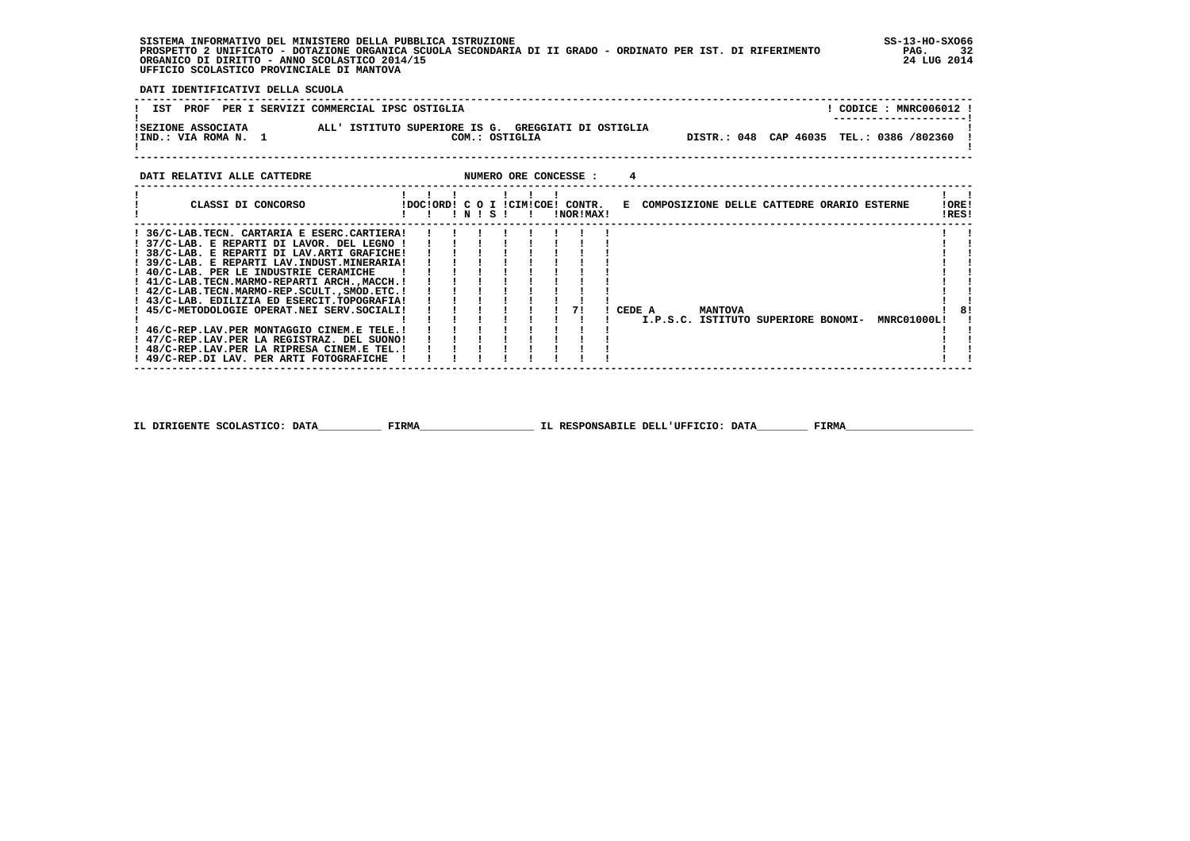**SISTEMA INFORMATIVO DEL MINISTERO DELLA PUBBLICA ISTRUZIONE SS-13-HO-SXO66 PROSPETTO 2 UNIFICATO - DOTAZIONE ORGANICA SCUOLA SECONDARIA DI II GRADO - ORDINATO PER IST. DI RIFERIMENTO PAG. 32 ORGANICO DI DIRITTO - ANNO SCOLASTICO 2014/15 24 LUG 2014 UFFICIO SCOLASTICO PROVINCIALE DI MANTOVA**

 **DATI IDENTIFICATIVI DELLA SCUOLA**

| PROF<br>IST                                | PER I SERVIZI COMMERCIAL IPSC OSTIGLIA                                | CODICE: MNRC006012 !<br>--------------------- |  |
|--------------------------------------------|-----------------------------------------------------------------------|-----------------------------------------------|--|
| ISEZIONE ASSOCIATA<br>!IND.: VIA ROMA N. 1 | ALL' ISTITUTO SUPERIORE IS G. GREGGIATI DI OSTIGLIA<br>COM.: OSTIGLIA | DISTR.: 048 CAP 46035 TEL.: 0386 /802360      |  |

j

| DATI RELATIVI ALLE CATTEDRE                   |                                  |           |  |  | NUMERO ORE CONCESSE : |        |  |                |                                              |  |             |                |  |
|-----------------------------------------------|----------------------------------|-----------|--|--|-----------------------|--------|--|----------------|----------------------------------------------|--|-------------|----------------|--|
| CLASSI DI CONCORSO                            | IDOCIORDI C O I ICIMICOEI CONTR. | ! N ! S ! |  |  | !NOR!MAX!             |        |  |                | E COMPOSIZIONE DELLE CATTEDRE ORARIO ESTERNE |  |             | !ORE!<br>!RES! |  |
| ! 36/C-LAB.TECN. CARTARIA E ESERC.CARTIERA!   |                                  |           |  |  |                       |        |  |                |                                              |  |             |                |  |
| ! 37/C-LAB. E REPARTI DI LAVOR. DEL LEGNO !   |                                  |           |  |  |                       |        |  |                |                                              |  |             |                |  |
| ! 38/C-LAB. E REPARTI DI LAV.ARTI GRAFICHE!   |                                  |           |  |  |                       |        |  |                |                                              |  |             |                |  |
| ! 39/C-LAB. E REPARTI LAV.INDUST.MINERARIA!   |                                  |           |  |  |                       |        |  |                |                                              |  |             |                |  |
| ! 40/C-LAB. PER LE INDUSTRIE CERAMICHE        |                                  |           |  |  |                       |        |  |                |                                              |  |             |                |  |
| ! 41/C-LAB.TECN.MARMO-REPARTI ARCH.,MACCH.!   |                                  |           |  |  |                       |        |  |                |                                              |  |             |                |  |
| ! 42/C-LAB.TECN.MARMO-REP.SCULT., SMOD.ETC. ! |                                  |           |  |  |                       |        |  |                |                                              |  |             |                |  |
| ! 43/C-LAB. EDILIZIA ED ESERCIT.TOPOGRAFIA!   |                                  |           |  |  |                       |        |  |                |                                              |  |             |                |  |
| ! 45/C-METODOLOGIE OPERAT.NEI SERV.SOCIALI!   |                                  |           |  |  | 71                    | CEDE A |  | <b>MANTOVA</b> |                                              |  |             | 8!             |  |
|                                               |                                  |           |  |  |                       |        |  |                | I.P.S.C. ISTITUTO SUPERIORE BONOMI-          |  | MNRC01000L! |                |  |
| ! 46/C-REP.LAV.PER MONTAGGIO CINEM.E TELE.!   |                                  |           |  |  |                       |        |  |                |                                              |  |             |                |  |
| ! 47/C-REP.LAV.PER LA REGISTRAZ. DEL SUONO!   |                                  |           |  |  |                       |        |  |                |                                              |  |             |                |  |
| ! 48/C-REP.LAV.PER LA RIPRESA CINEM.E TEL.!   |                                  |           |  |  |                       |        |  |                |                                              |  |             |                |  |
| ! 49/C-REP.DI LAV. PER ARTI FOTOGRAFICHE      |                                  |           |  |  |                       |        |  |                |                                              |  |             |                |  |
|                                               |                                  |           |  |  |                       |        |  |                |                                              |  |             |                |  |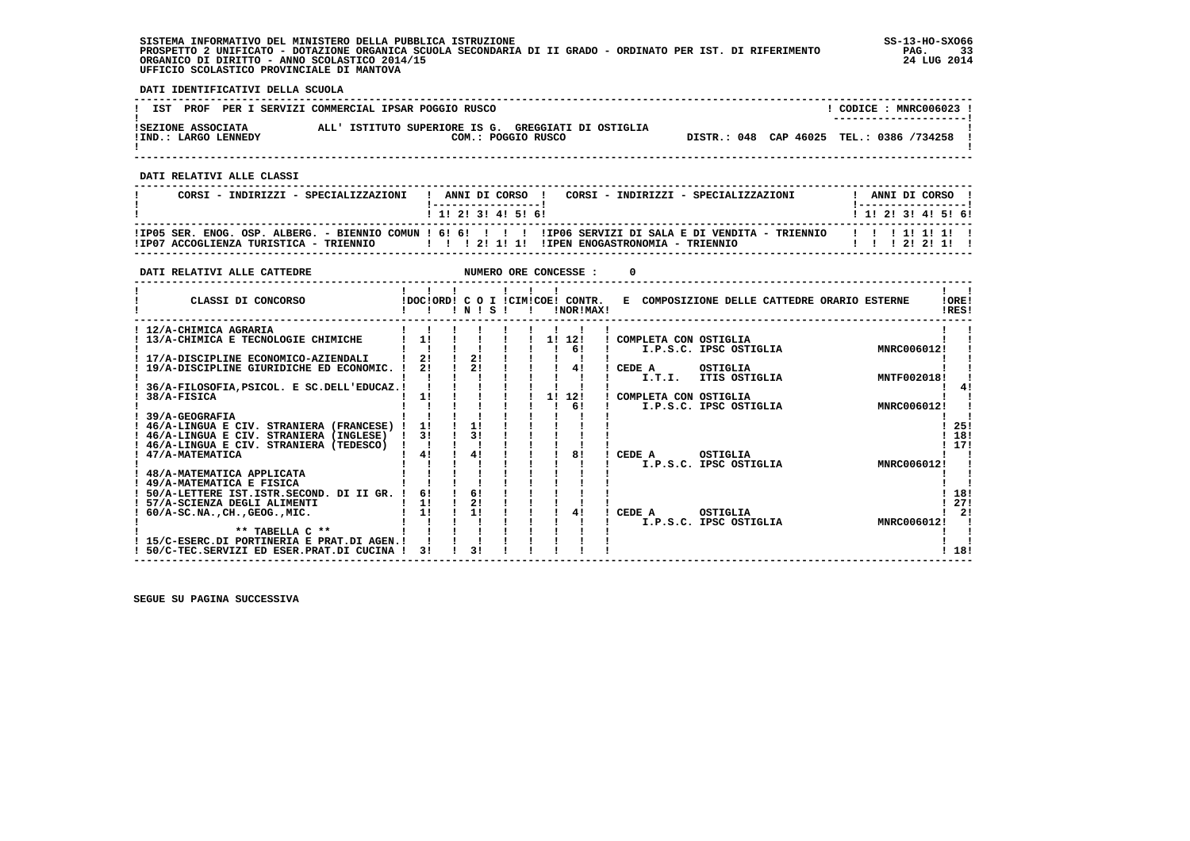**SISTEMA INFORMATIVO DEL MINISTERO DELLA PUBBLICA ISTRUZIONE SS-13-HO-SXO66 PROSPETTO 2 UNIFICATO - DOTAZIONE ORGANICA SCUOLA SECONDARIA DI II GRADO - ORDINATO PER IST. DI RIFERIMENTO PAG. 33 ORGANICO DI DIRITTO - ANNO SCOLASTICO 2014/15 24 LUG 2014 UFFICIO SCOLASTICO PROVINCIALE DI MANTOVA**

j

 **DATI IDENTIFICATIVI DELLA SCUOLA**

| <b>PROF</b><br>IST                         | PER I SERVIZI COMMERCIAL IPSAR POGGIO RUSCO                               |  | $CODE: MNRC006023$ !<br>---------------------- |
|--------------------------------------------|---------------------------------------------------------------------------|--|------------------------------------------------|
| ISEZIONE ASSOCIATA<br>!IND.: LARGO LENNEDY | ALL' ISTITUTO SUPERIORE IS G. GREGGIATI DI OSTIGLIA<br>COM.: POGGIO RUSCO |  | DISTR.: 048 CAP 46025 TEL.: 0386 /734258       |

 **------------------------------------------------------------------------------------------------------------------------------------**

 **DATI RELATIVI ALLE CLASSI**

| CORSI - INDIRIZZI - SPECIALIZZAZIONI   | ! ANNI DI CORSO !<br>CORSI - INDIRIZZI - SPECIALIZZAZIONI | ANNI DI CORSO !           |
|----------------------------------------|-----------------------------------------------------------|---------------------------|
|                                        | 1 1 1 2 1 3 1 4 1 5 1 6 1                                 | 1 1 1 2 1 3 1 4 1 5 1 6 1 |
| ITPOZ ACCOGLIENZA TURISTICA - TRIENNIO | 1 1 2 1 1 1 1<br>ITPEN ENOGASTRONOMTA - TRIENNIO          | 1 1 1 2 1 2 1 1 1         |

 **------------------------------------------------------------------------------------------------------------------------------------**

| DATI RELATIVI ALLE CATTEDRE                                                            |    |           |  | NUMERO ORE CONCESSE :                           |                       |                                              |  |             |                |
|----------------------------------------------------------------------------------------|----|-----------|--|-------------------------------------------------|-----------------------|----------------------------------------------|--|-------------|----------------|
| CLASSI DI CONCORSO                                                                     |    | 1 N 1 S 1 |  | IDOCIORDI C O I ICIMICOEI CONTR.<br>INOR ! MAX! |                       | E COMPOSIZIONE DELLE CATTEDRE ORARIO ESTERNE |  |             | !ORE!<br>IRES! |
| ! 12/A-CHIMICA AGRARIA                                                                 |    |           |  |                                                 |                       |                                              |  |             |                |
| 13/A-CHIMICA E TECNOLOGIE CHIMICHE                                                     | 11 |           |  | 11<br>12!                                       | COMPLETA CON OSTIGLIA |                                              |  |             |                |
|                                                                                        |    |           |  | 6!                                              |                       | I.P.S.C. IPSC OSTIGLIA                       |  | MNRC006012! |                |
| 17/A-DISCIPLINE ECONOMICO-AZIENDALI                                                    | 2! | 2!        |  |                                                 |                       |                                              |  |             |                |
| 19/A-DISCIPLINE GIURIDICHE ED ECONOMIC.                                                | 2! | 21        |  | 41                                              | CEDE A                | OSTIGLIA                                     |  |             |                |
|                                                                                        |    |           |  |                                                 | I.T.I.                | ITIS OSTIGLIA                                |  | MNTF002018! |                |
| 36/A-FILOSOFIA, PSICOL. E SC. DELL'EDUCAZ. !                                           |    |           |  |                                                 |                       |                                              |  |             |                |
| 38/A-FISICA                                                                            | 11 |           |  | 11<br>12!                                       | COMPLETA CON OSTIGLIA |                                              |  |             |                |
|                                                                                        |    |           |  | 6!                                              |                       | I.P.S.C. IPSC OSTIGLIA                       |  | MNRC006012! |                |
| 39/A-GEOGRAFIA                                                                         |    |           |  |                                                 |                       |                                              |  |             |                |
| 46/A-LINGUA E CIV. STRANIERA (FRANCESE)                                                | 11 | 1!<br>31  |  |                                                 |                       |                                              |  |             | 25!            |
| 46/A-LINGUA E CIV. STRANIERA (INGLESE)                                                 | 31 |           |  |                                                 |                       |                                              |  |             | 18!            |
| ! 46/A-LINGUA E CIV. STRANIERA (TEDESCO)                                               |    |           |  |                                                 |                       |                                              |  |             | ! 17!          |
| 47/A-MATEMATICA                                                                        | 41 | 41        |  | 81                                              | CEDE A                | OSTIGLIA                                     |  |             |                |
|                                                                                        |    |           |  |                                                 |                       | I.P.S.C. IPSC OSTIGLIA                       |  | MNRC006012! |                |
| 48/A-MATEMATICA APPLICATA                                                              |    |           |  |                                                 |                       |                                              |  |             |                |
| 49/A-MATEMATICA E FISICA                                                               | 6! | 61        |  |                                                 |                       |                                              |  |             |                |
| 50/A-LETTERE IST.ISTR.SECOND. DI II GR.                                                | 11 | 21        |  |                                                 |                       |                                              |  |             | 18!<br>27!     |
| 57/A-SCIENZA DEGLI ALIMENTI                                                            |    |           |  |                                                 |                       |                                              |  |             |                |
| $60/A-SC.NA.$ , $CH.$ , $GEOG.$ , $MIC.$                                               | 11 | 11        |  | 41                                              | CEDE A                | OSTIGLIA<br>I.P.S.C. IPSC OSTIGLIA           |  | MNRC006012! | 21             |
| ** TABELLA C **                                                                        |    |           |  |                                                 |                       |                                              |  |             |                |
|                                                                                        |    |           |  |                                                 |                       |                                              |  |             |                |
| 15/C-ESERC.DI PORTINERIA E PRAT.DI AGEN.!<br>50/C-TEC.SERVIZI ED ESER.PRAT.DI CUCINA ! | 31 | 31        |  |                                                 |                       |                                              |  |             | ! 18!          |
|                                                                                        |    |           |  |                                                 |                       |                                              |  |             |                |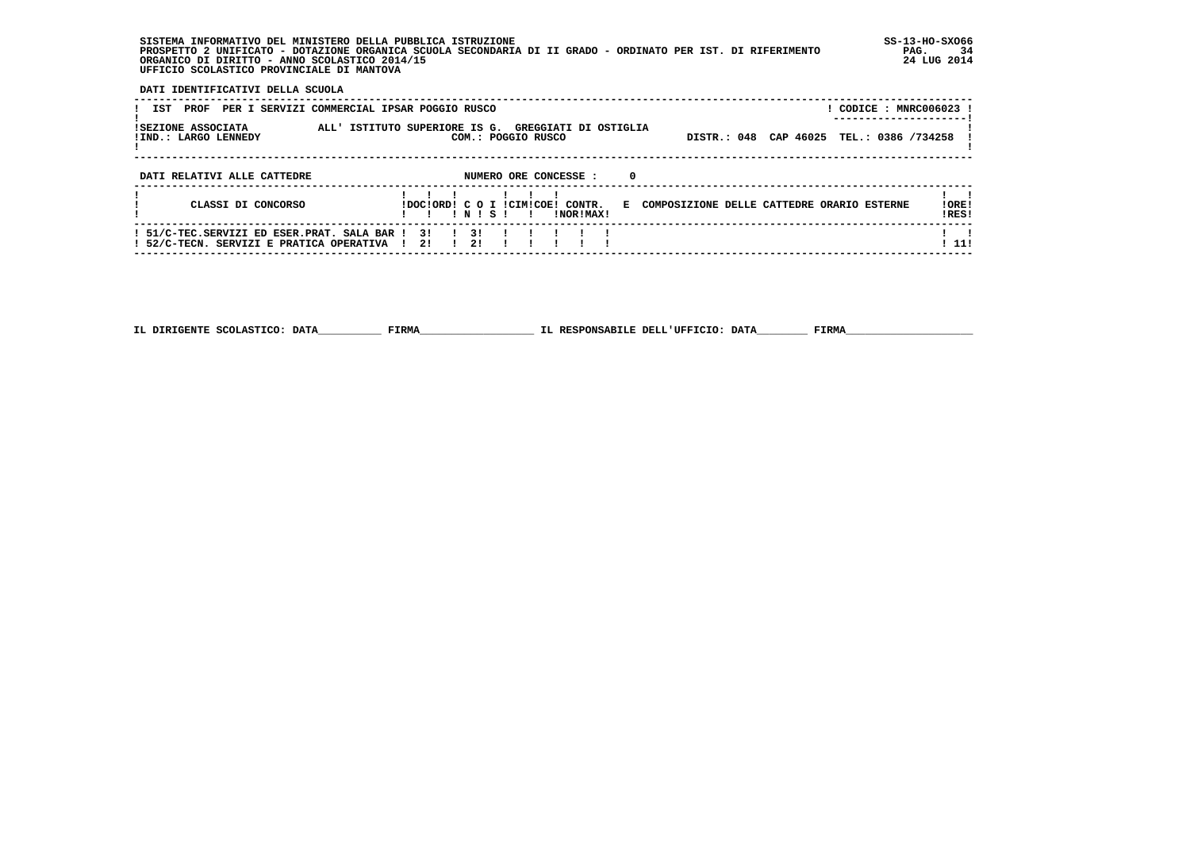**SISTEMA INFORMATIVO DEL MINISTERO DELLA PUBBLICA ISTRUZIONE SS-13-HO-SXO66 PROSPETTO 2 UNIFICATO - DOTAZIONE ORGANICA SCUOLA SECONDARIA DI II GRADO - ORDINATO PER IST. DI RIFERIMENTO PAG. 34 ORGANICO DI DIRITTO - ANNO SCOLASTICO 2014/15 24 LUG 2014 UFFICIO SCOLASTICO PROVINCIALE DI MANTOVA**

:

 **DATI IDENTIFICATIVI DELLA SCUOLA**

| PER I SERVIZI COMMERCIAL IPSAR POGGIO RUSCO<br>IST<br>PROF                              | CODICE : MNRC006023 !                                                                                                  |                |
|-----------------------------------------------------------------------------------------|------------------------------------------------------------------------------------------------------------------------|----------------|
| ISEZIONE ASSOCIATA<br>! IND.: LARGO LENNEDY                                             | ALL' ISTITUTO SUPERIORE IS G. GREGGIATI DI OSTIGLIA<br>DISTR.: 048 CAP 46025 TEL.: 0386 /734258<br>COM.: POGGIO RUSCO  |                |
| DATI RELATIVI ALLE CATTEDRE                                                             | 0<br>NUMERO ORE CONCESSE :                                                                                             |                |
| CLASSI DI CONCORSO                                                                      | IDOCIORD! C O I ICIMICOE! CONTR.<br>E COMPOSIZIONE DELLE CATTEDRE ORARIO ESTERNE<br>INISI<br>INORIMAXI<br>$\mathbf{I}$ | !ORE!<br>!RES! |
| ! 51/C-TEC.SERVIZI ED ESER.PRAT. SALA BAR !<br>! 52/C-TECN. SERVIZI E PRATICA OPERATIVA | 31<br>$\frac{1}{3}$<br>21<br>21                                                                                        | ! 11!          |

 **------------------------------------------------------------------------------------------------------------------------------------**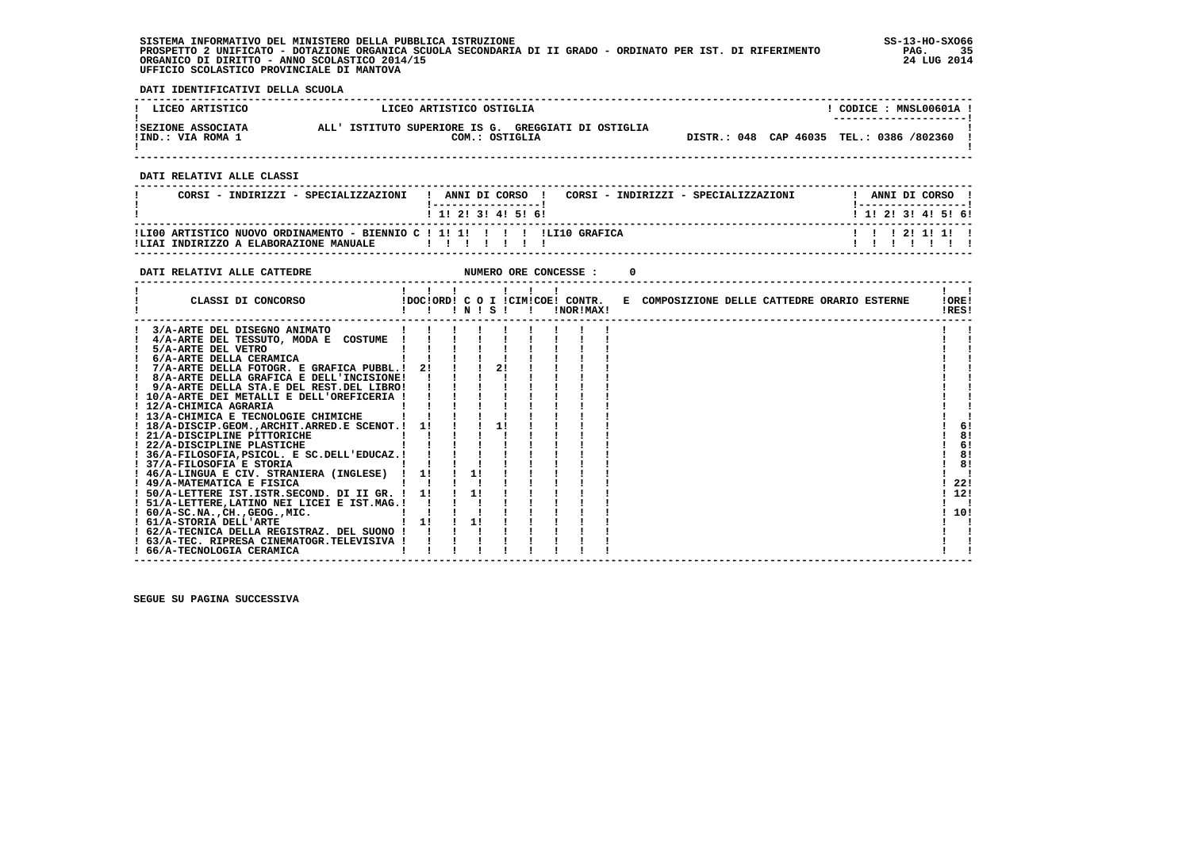**SISTEMA INFORMATIVO DEL MINISTERO DELLA PUBBLICA ISTRUZIONE SS-13-HO-SXO66 PROSPETTO 2 UNIFICATO - DOTAZIONE ORGANICA SCUOLA SECONDARIA DI II GRADO - ORDINATO PER IST. DI RIFERIMENTO PAG. 35 ORGANICO DI DIRITTO - ANNO SCOLASTICO 2014/15 24 LUG 2014 UFFICIO SCOLASTICO PROVINCIALE DI MANTOVA**

j

 **DATI IDENTIFICATIVI DELLA SCUOLA**

| ! LICEO ARTISTICO                       | LICEO ARTISTICO OSTIGLIA                                              | CODICE: MNSL00601A !<br>---------------------- |
|-----------------------------------------|-----------------------------------------------------------------------|------------------------------------------------|
| ISEZIONE ASSOCIATA<br>!IND.: VIA ROMA 1 | ALL' ISTITUTO SUPERIORE IS G. GREGGIATI DI OSTIGLIA<br>COM.: OSTIGLIA | DISTR.: 048 CAP 46035 TEL.: 0386 /802360       |

 **------------------------------------------------------------------------------------------------------------------------------------**

 **DATI RELATIVI ALLE CLASSI**

| CORSI - INDIRIZZI - SPECIALIZZAZIONI                                                                                  | ANNI DI CORSO !<br>CORSI - INDIRIZZI - SPECIALIZZAZIONI | ANNI DI CORSO             |
|-----------------------------------------------------------------------------------------------------------------------|---------------------------------------------------------|---------------------------|
|                                                                                                                       | 1 1 1 2 1 3 1 4 1 5 1 6 1                               | 1 1 1 2 1 3 1 4 1 5 1 6 1 |
| ILI00 ARTISTICO NUOVO ORDINAMENTO - BIENNIO C ! 1! 1! ! ! ! ! LLI10 GRAFICA<br>!LIAI INDIRIZZO A ELABORAZIONE MANUALE |                                                         | 1 1 1 2 1 1 1 1 1         |

 **------------------------------------------------------------------------------------------------------------------------------------**

| DATI RELATIVI ALLE CATTEDRE                    |    |    |             | NUMERO ORE CONCESSE : |                                                                               |  |                            |
|------------------------------------------------|----|----|-------------|-----------------------|-------------------------------------------------------------------------------|--|----------------------------|
| CLASSI DI CONCORSO                             |    |    | 1 N 1 S 1 1 | !NOR!MAX!             | !DOC!ORD! C O I !CIM!COE! CONTR. E COMPOSIZIONE DELLE CATTEDRE ORARIO ESTERNE |  | IORE <sub>1</sub><br>!RES! |
| 3/A-ARTE DEL DISEGNO ANIMATO                   |    |    |             |                       |                                                                               |  |                            |
| 4/A-ARTE DEL TESSUTO, MODA E COSTUME           |    |    |             |                       |                                                                               |  |                            |
| 5/A-ARTE DEL VETRO                             |    |    |             |                       |                                                                               |  |                            |
| 6/A-ARTE DELLA CERAMICA                        |    |    |             |                       |                                                                               |  |                            |
| ! 7/A-ARTE DELLA FOTOGR. E GRAFICA PUBBL.!     | 21 |    |             |                       |                                                                               |  |                            |
| 8/A-ARTE DELLA GRAFICA E DELL'INCISIONE!       |    |    |             |                       |                                                                               |  |                            |
| ! 9/A-ARTE DELLA STA.E DEL REST.DEL LIBRO!     |    |    |             |                       |                                                                               |  |                            |
| ! 10/A-ARTE DEI METALLI E DELL'OREFICERIA !    |    |    |             |                       |                                                                               |  |                            |
| ! 12/A-CHIMICA AGRARIA                         |    |    |             |                       |                                                                               |  |                            |
| ! 13/A-CHIMICA E TECNOLOGIE CHIMICHE           |    |    |             |                       |                                                                               |  |                            |
| ! 18/A-DISCIP.GEOM., ARCHIT. ARRED.E SCENOT. ! | 11 |    |             |                       |                                                                               |  | 6!                         |
| ! 21/A-DISCIPLINE PITTORICHE                   |    |    |             |                       |                                                                               |  | 8!                         |
| ! 22/A-DISCIPLINE PLASTICHE                    |    |    |             |                       |                                                                               |  | 6!                         |
| ! 36/A-FILOSOFIA, PSICOL. E SC. DELL'EDUCAZ.!  |    |    |             |                       |                                                                               |  | 8!                         |
| ! 37/A-FILOSOFIA E STORIA                      |    |    |             |                       |                                                                               |  | 81                         |
| ! 46/A-LINGUA E CIV. STRANIERA (INGLESE) !     | 11 |    |             |                       |                                                                               |  |                            |
| ! 49/A-MATEMATICA E FISICA                     |    |    |             |                       |                                                                               |  | 22!                        |
| ! 50/A-LETTERE IST.ISTR.SECOND. DI II GR. !    | 11 | 1! |             |                       |                                                                               |  | 12!                        |
| ! 51/A-LETTERE, LATINO NEI LICEI E IST.MAG.!   |    |    |             |                       |                                                                               |  |                            |
| $: 60/A-SC.NA.$ , $CH.$ , $GEOG.$ , $MIC.$     |    |    |             |                       |                                                                               |  | 10!                        |
| ! 61/A-STORIA DELL'ARTE                        | 11 | 1! |             |                       |                                                                               |  |                            |
| ! 62/A-TECNICA DELLA REGISTRAZ. DEL SUONO !    |    |    |             |                       |                                                                               |  |                            |
| ! 63/A-TEC. RIPRESA CINEMATOGR.TELEVISIVA !    |    |    |             |                       |                                                                               |  |                            |
| ! 66/A-TECNOLOGIA CERAMICA                     |    |    |             |                       |                                                                               |  |                            |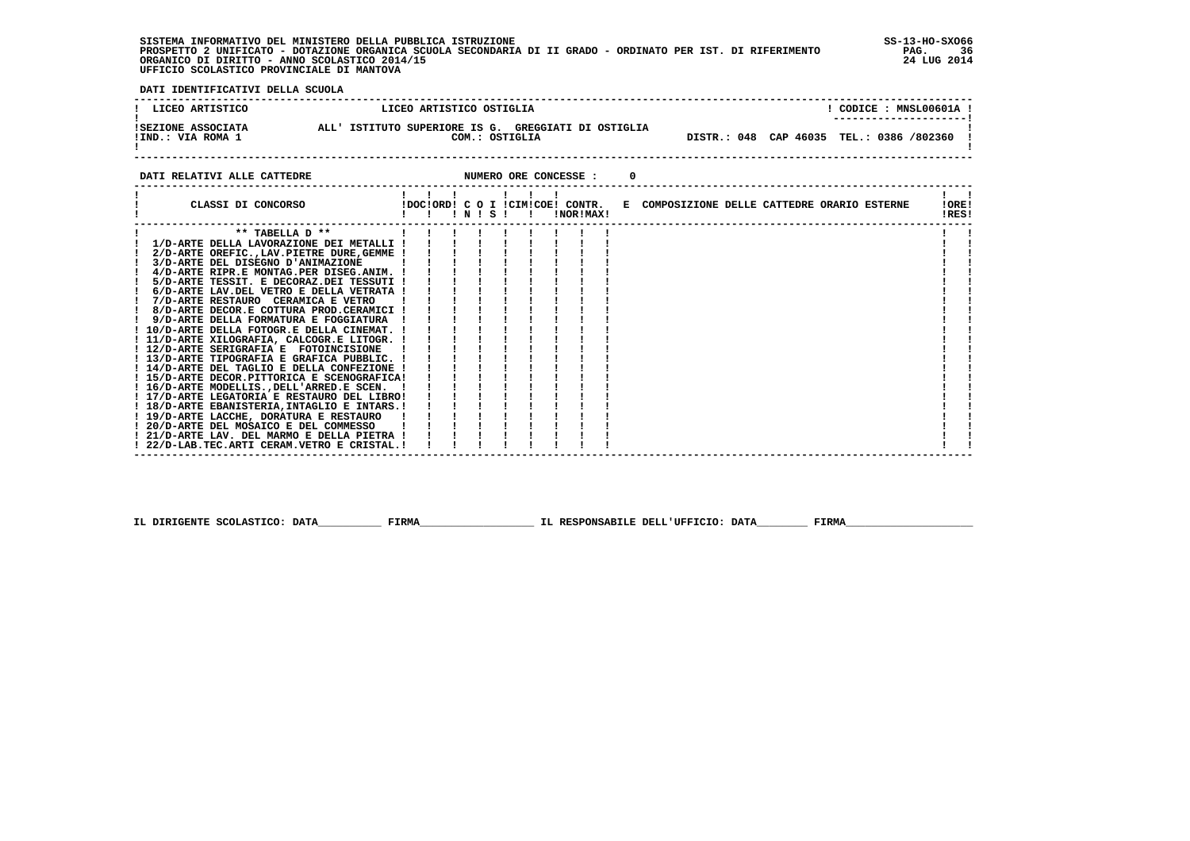**SISTEMA INFORMATIVO DEL MINISTERO DELLA PUBBLICA ISTRUZIONE SS-13-HO-SXO66 PROSPETTO 2 UNIFICATO - DOTAZIONE ORGANICA SCUOLA SECONDARIA DI II GRADO - ORDINATO PER IST. DI RIFERIMENTO PAG. 36 ORGANICO DI DIRITTO - ANNO SCOLASTICO 2014/15 24 LUG 2014 UFFICIO SCOLASTICO PROVINCIALE DI MANTOVA**

 **DATI IDENTIFICATIVI DELLA SCUOLA**

| LICEO ARTISTICO                                | LICEO ARTISTICO OSTIGLIA                                              | CODICE: MNSL00601A !<br>--------------------- |
|------------------------------------------------|-----------------------------------------------------------------------|-----------------------------------------------|
| <b>ISEZIONE ASSOCIATA</b><br>!IND.: VIA ROMA 1 | ALL' ISTITUTO SUPERIORE IS G. GREGGIATI DI OSTIGLIA<br>COM.: OSTIGLIA | DISTR.: 048 CAP 46035 TEL.: 0386 /802360      |

**DATI RELATIVI ALLE CATTEDRE CONCESSE : 0** 

| CLASSI DI CONCORSO                                                                |  | INISI |  |  | !NOR!MAX! | IDOCIORDI C O I ICIMICOEI CONTR. E COMPOSIZIONE DELLE CATTEDRE ORARIO ESTERNE |  |  | !ORE!<br>!RES! |  |
|-----------------------------------------------------------------------------------|--|-------|--|--|-----------|-------------------------------------------------------------------------------|--|--|----------------|--|
| ** TABELLA D **                                                                   |  |       |  |  |           |                                                                               |  |  |                |  |
| 1/D-ARTE DELLA LAVORAZIONE DEI METALLI                                            |  |       |  |  |           |                                                                               |  |  |                |  |
| 2/D-ARTE OREFIC., LAV. PIETRE DURE, GEMME !                                       |  |       |  |  |           |                                                                               |  |  |                |  |
| 3/D-ARTE DEL DISEGNO D'ANIMAZIONE                                                 |  |       |  |  |           |                                                                               |  |  |                |  |
| 4/D-ARTE RIPR.E MONTAG.PER DISEG.ANIM.                                            |  |       |  |  |           |                                                                               |  |  |                |  |
| 5/D-ARTE TESSIT. E DECORAZ.DEI TESSUTI !                                          |  |       |  |  |           |                                                                               |  |  |                |  |
| 6/D-ARTE LAV.DEL VETRO E DELLA VETRATA !                                          |  |       |  |  |           |                                                                               |  |  |                |  |
| 7/D-ARTE RESTAURO CERAMICA E VETRO                                                |  |       |  |  |           |                                                                               |  |  |                |  |
| 8/D-ARTE DECOR.E COTTURA PROD.CERAMICI !                                          |  |       |  |  |           |                                                                               |  |  |                |  |
| 9/D-ARTE DELLA FORMATURA E FOGGIATURA                                             |  |       |  |  |           |                                                                               |  |  |                |  |
| ! 10/D-ARTE DELLA FOTOGR.E DELLA CINEMAT.                                         |  |       |  |  |           |                                                                               |  |  |                |  |
| ! 11/D-ARTE XILOGRAFIA, CALCOGR.E LITOGR.                                         |  |       |  |  |           |                                                                               |  |  |                |  |
| ! 12/D-ARTE SERIGRAFIA E FOTOINCISIONE                                            |  |       |  |  |           |                                                                               |  |  |                |  |
| ! 13/D-ARTE TIPOGRAFIA E GRAFICA PUBBLIC.                                         |  |       |  |  |           |                                                                               |  |  |                |  |
| 14/D-ARTE DEL TAGLIO E DELLA CONFEZIONE                                           |  |       |  |  |           |                                                                               |  |  |                |  |
| ! 15/D-ARTE DECOR.PITTORICA E SCENOGRAFICA!                                       |  |       |  |  |           |                                                                               |  |  |                |  |
| ! 16/D-ARTE MODELLIS., DELL'ARRED.E SCEN.                                         |  |       |  |  |           |                                                                               |  |  |                |  |
| ! 17/D-ARTE LEGATORIA E RESTAURO DEL LIBRO!                                       |  |       |  |  |           |                                                                               |  |  |                |  |
| ! 18/D-ARTE EBANISTERIA.INTAGLIO E INTARS.!                                       |  |       |  |  |           |                                                                               |  |  |                |  |
| ! 19/D-ARTE LACCHE, DORATURA E RESTAURO<br>! 20/D-ARTE DEL MOSAICO E DEL COMMESSO |  |       |  |  |           |                                                                               |  |  |                |  |
| ! 21/D-ARTE LAV. DEL MARMO E DELLA PIETRA !                                       |  |       |  |  |           |                                                                               |  |  |                |  |
| ! 22/D-LAB.TEC.ARTI CERAM.VETRO E CRISTAL.!                                       |  |       |  |  |           |                                                                               |  |  |                |  |
|                                                                                   |  |       |  |  |           |                                                                               |  |  |                |  |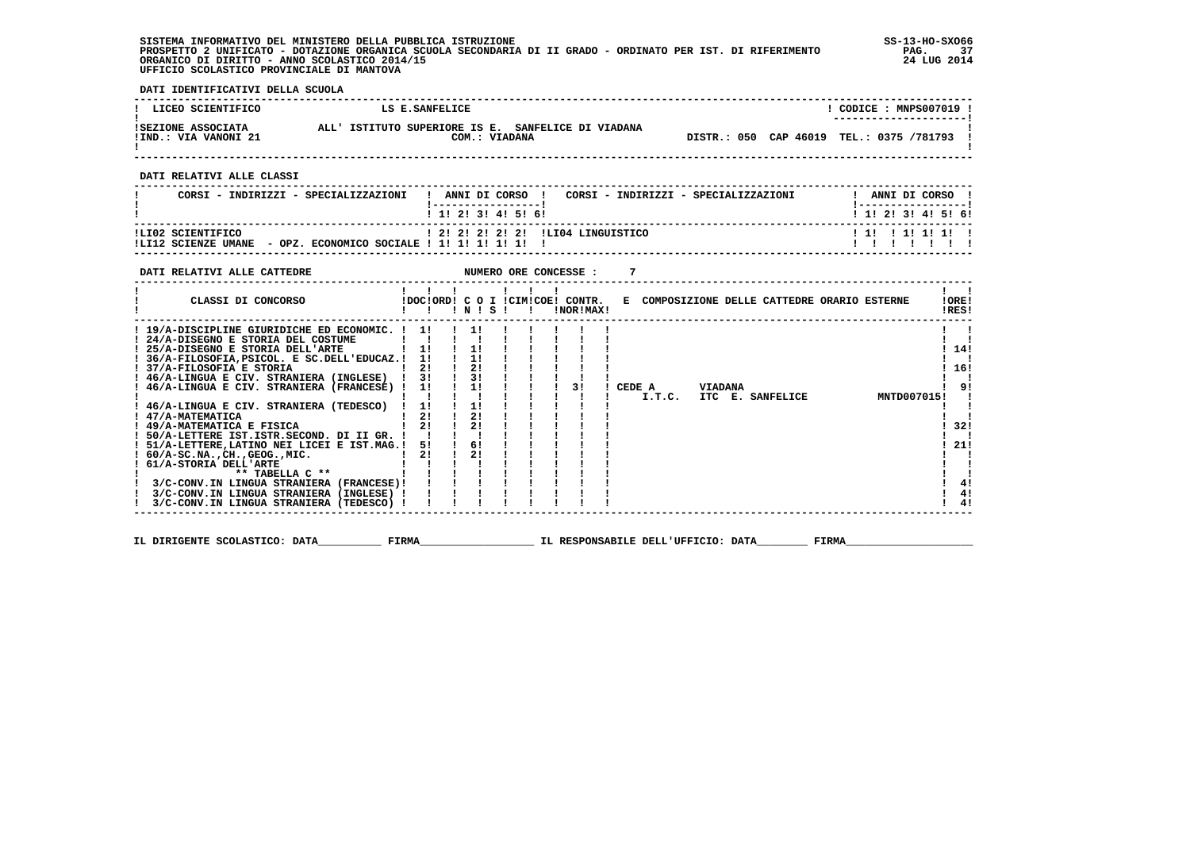**SISTEMA INFORMATIVO DEL MINISTERO DELLA PUBBLICA ISTRUZIONE SS-13-HO-SXO66 PROSPETTO 2 UNIFICATO - DOTAZIONE ORGANICA SCUOLA SECONDARIA DI II GRADO - ORDINATO PER IST. DI RIFERIMENTO PAG. 37 ORGANICO DI DIRITTO - ANNO SCOLASTICO 2014/15 24 LUG 2014 UFFICIO SCOLASTICO PROVINCIALE DI MANTOVA**

j

 **DATI IDENTIFICATIVI DELLA SCUOLA**

| LICEO SCIENTIFICO                          | LS E.SANFELICE                                                      | $CODICE: MNPS007019$ !<br>--------------------- |
|--------------------------------------------|---------------------------------------------------------------------|-------------------------------------------------|
| ISEZIONE ASSOCIATA<br>!IND.: VIA VANONI 21 | ALL' ISTITUTO SUPERIORE IS E. SANFELICE DI VIADANA<br>COM.: VIADANA | DISTR.: 050 CAP 46019 TEL.: 0375 /781793        |

 **------------------------------------------------------------------------------------------------------------------------------------**

 **DATI RELATIVI ALLE CLASSI**

| CORSI - INDIRIZZI - SPECIALIZZAZIONI                                                    | ANNI DI CORSO<br>CORSI - INDIRIZZI - SPECIALIZZAZIONI<br>1 1 1 2 1 3 1 4 1 5 1 6 1 | ANNI DI CORSO<br>1 1 1 2 1 3 1 4 1 5 1 6 1 |
|-----------------------------------------------------------------------------------------|------------------------------------------------------------------------------------|--------------------------------------------|
| ILI02 SCIENTIFICO<br>- OPZ. ECONOMICO SOCIALE ! 1! 1! 1! 1! 1! !<br>!LI12 SCIENZE UMANE | 1 21 21 21 21 21 1LI04 LINGUISTICO                                                 | 111 11111111                               |

 **------------------------------------------------------------------------------------------------------------------------------------**

| DATI RELATIVI ALLE CATTEDRE                                                                                                                                                                                                                                                                                                                                                                                                                                                                                                                                                                                                                                                                                      |                                                          |          |  |  | NUMERO ORE CONCESSE :                         |        |        |                |                                              |             |                   |                             |
|------------------------------------------------------------------------------------------------------------------------------------------------------------------------------------------------------------------------------------------------------------------------------------------------------------------------------------------------------------------------------------------------------------------------------------------------------------------------------------------------------------------------------------------------------------------------------------------------------------------------------------------------------------------------------------------------------------------|----------------------------------------------------------|----------|--|--|-----------------------------------------------|--------|--------|----------------|----------------------------------------------|-------------|-------------------|-----------------------------|
| CLASSI DI CONCORSO                                                                                                                                                                                                                                                                                                                                                                                                                                                                                                                                                                                                                                                                                               |                                                          | INISI    |  |  | IDOCIORD! C O I ICIMICOE! CONTR.<br>!NOR!MAX! |        |        |                | E COMPOSIZIONE DELLE CATTEDRE ORARIO ESTERNE |             | !ORE!<br>!RES!    |                             |
| ! 19/A-DISCIPLINE GIURIDICHE ED ECONOMIC. !<br>! 24/A-DISEGNO E STORIA DEL COSTUME<br>25/A-DISEGNO E STORIA DELL'ARTE<br>! 36/A-FILOSOFIA, PSICOL. E SC.DELL'EDUCAZ.!<br>! 37/A-FILOSOFIA E STORIA<br>! 46/A-LINGUA E CIV. STRANIERA (INGLESE) !<br>! 46/A-LINGUA E CIV. STRANIERA (FRANCESE) !<br>! 46/A-LINGUA E CIV. STRANIERA (TEDESCO)<br>! 47/A-MATEMATICA<br>! 49/A-MATEMATICA E FISICA<br>50/A-LETTERE IST.ISTR.SECOND. DI II GR. !<br>! 51/A-LETTERE, LATINO NEI LICEI E IST.MAG.!<br>! 60/A-SC.NA., CH., GEOG., MIC.<br>61/A-STORIA DELL'ARTE<br>** TABELLA $C$ **<br>3/C-CONV.IN LINGUA STRANIERA (FRANCESE)!<br>3/C-CONV.IN LINGUA STRANIERA (INGLESE) !<br>3/C-CONV.IN LINGUA STRANIERA (TEDESCO) ! | 11<br>11<br>11<br>2!<br>3!<br>1!<br>1!<br>21<br>51<br>2! | 21<br>6! |  |  | 31                                            | CEDE A | I.T.C. | <b>VIADANA</b> | ITC E. SANFELICE                             | MNTD007015! | 14!<br>16!<br>21! | 91<br>32!<br>4!<br>4!<br>4! |
|                                                                                                                                                                                                                                                                                                                                                                                                                                                                                                                                                                                                                                                                                                                  |                                                          |          |  |  |                                               |        |        |                |                                              |             |                   |                             |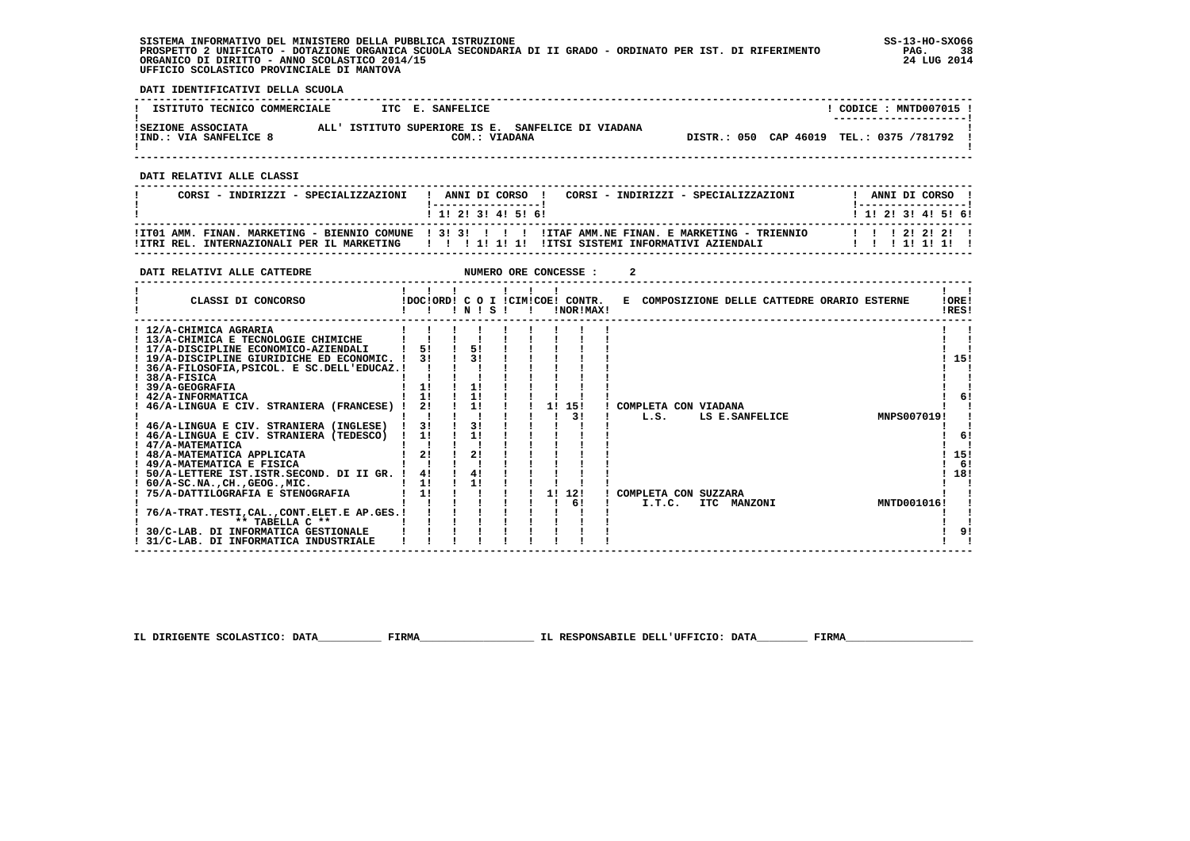**SISTEMA INFORMATIVO DEL MINISTERO DELLA PUBBLICA ISTRUZIONE SS-13-HO-SXO66 PROSPETTO 2 UNIFICATO - DOTAZIONE ORGANICA SCUOLA SECONDARIA DI II GRADO - ORDINATO PER IST. DI RIFERIMENTO PAG. 38 ORGANICO DI DIRITTO - ANNO SCOLASTICO 2014/15 24 LUG 2014 UFFICIO SCOLASTICO PROVINCIALE DI MANTOVA**

֚֚֡

 **DATI IDENTIFICATIVI DELLA SCUOLA**

| ISTITUTO TECNICO COMMERCIALE                 |  | ITC E. SANFELICE |                                                    |                                          |  | CODICE: MNTD007015 !<br>--------------------- |  |
|----------------------------------------------|--|------------------|----------------------------------------------------|------------------------------------------|--|-----------------------------------------------|--|
| ISEZIONE ASSOCIATA<br>IIND.: VIA SANFELICE 8 |  | COM.: VIADANA    | ALL' ISTITUTO SUPERIORE IS E. SANFELICE DI VIADANA | DISTR.: 050 CAP 46019 TEL.: 0375 /781792 |  |                                               |  |

 **------------------------------------------------------------------------------------------------------------------------------------**

 **DATI RELATIVI ALLE CLASSI**

| CORSI - INDIRIZZI - SPECIALIZZAZIONI | ! ANNI DI CORSO !<br>CORSI - INDIRIZZI - SPECIALIZZAZIONI<br>1 1 1 2 1 3 1 4 1 5 1 6 1                                                                                                                   | ANNI DI CORSO !<br>1 1 1 2 1 3 1 4 1 5 1 6 1 |
|--------------------------------------|----------------------------------------------------------------------------------------------------------------------------------------------------------------------------------------------------------|----------------------------------------------|
|                                      | ITT01 AMM. FINAN. MARKETING - BIENNIO COMUNE   3! 3! ! ! ! ! ITAF AMM.NE FINAN. E MARKETING - TRIENNIO<br>ITRI REL. INTERNAZIONALI PER IL MARKETING III IIIII IIIIII IITSI SISTEMI INFORMATIVI AZIENDALI | 112222<br>11111111                           |

 **------------------------------------------------------------------------------------------------------------------------------------**

| DATI RELATIVI ALLE CATTEDRE                  |    |                |       |              |    | NUMERO ORE CONCESSE :                         |  |                      |                |                                              |             |                |     |
|----------------------------------------------|----|----------------|-------|--------------|----|-----------------------------------------------|--|----------------------|----------------|----------------------------------------------|-------------|----------------|-----|
| CLASSI DI CONCORSO                           |    |                | INISI | $\mathbf{I}$ |    | IDOCIORD! C O I ICIMICOE! CONTR.<br>!NOR!MAX! |  |                      |                | E COMPOSIZIONE DELLE CATTEDRE ORARIO ESTERNE |             | !ORE!<br>!RES! |     |
| ! 12/A-CHIMICA AGRARIA                       |    |                |       |              |    |                                               |  |                      |                |                                              |             |                |     |
| ! 13/A-CHIMICA E TECNOLOGIE CHIMICHE         |    |                |       |              |    |                                               |  |                      |                |                                              |             |                |     |
| ! 17/A-DISCIPLINE ECONOMICO-AZIENDALI        | 5! | 5!             |       |              |    |                                               |  |                      |                |                                              |             |                |     |
| ! 19/A-DISCIPLINE GIURIDICHE ED ECONOMIC. !  | 31 |                |       |              |    |                                               |  |                      |                |                                              |             | 15!            |     |
| ! 36/A-FILOSOFIA, PSICOL. E SC.DELL'EDUCAZ.! |    |                |       |              |    |                                               |  |                      |                |                                              |             |                |     |
| $1.38/A-FISICA$                              |    |                |       |              |    |                                               |  |                      |                |                                              |             |                |     |
| 39/A-GEOGRAFIA                               | 1! | 11             |       |              |    |                                               |  |                      |                |                                              |             |                |     |
| ! 42/A-INFORMATICA                           | 1! | 11             |       |              |    |                                               |  |                      |                |                                              |             |                | 6!  |
| 46/A-LINGUA E CIV. STRANIERA (FRANCESE)      | 21 | 11             |       |              | 1! | 15!                                           |  | COMPLETA CON VIADANA |                |                                              |             |                |     |
|                                              |    |                |       |              |    | 31                                            |  | L.S.                 | LS E.SANFELICE |                                              | MNPS007019! |                |     |
| ! 46/A-LINGUA E CIV. STRANIERA (INGLESE)     | 31 | 3 <sub>1</sub> |       |              |    |                                               |  |                      |                |                                              |             |                |     |
| ! 46/A-LINGUA E CIV. STRANIERA (TEDESCO)     | 1! | 1!             |       |              |    |                                               |  |                      |                |                                              |             |                | 6!  |
| 47/A-MATEMATICA                              |    |                |       |              |    |                                               |  |                      |                |                                              |             |                |     |
| ! 48/A-MATEMATICA APPLICATA                  | 21 | 2!             |       |              |    |                                               |  |                      |                |                                              |             |                | 15! |
| ! 49/A-MATEMATICA E FISICA                   |    |                |       |              |    |                                               |  |                      |                |                                              |             |                | 6!  |
| 50/A-LETTERE IST.ISTR.SECOND. DI II GR.      | 41 | 4!             |       |              |    |                                               |  |                      |                |                                              |             |                | 18! |
| $60/A-SC.NA.$ , $CH.$ , $GEOG.$ , $MIC.$     | 11 | 11             |       |              |    |                                               |  |                      |                |                                              |             |                |     |
| 75/A-DATTILOGRAFIA E STENOGRAFIA             | 11 |                |       |              | 1! | 12!                                           |  | COMPLETA CON SUZZARA |                |                                              |             |                |     |
|                                              |    |                |       |              |    | 61                                            |  | I.T.C.               | ITC MANZONI    |                                              | MNTD001016! |                |     |
| 76/A-TRAT.TESTI, CAL., CONT.ELET.E AP.GES.!  |    |                |       |              |    |                                               |  |                      |                |                                              |             |                |     |
| ** TABELLA C **                              |    |                |       |              |    |                                               |  |                      |                |                                              |             |                |     |
| 30/C-LAB. DI INFORMATICA GESTIONALE          |    |                |       |              |    |                                               |  |                      |                |                                              |             |                | 9!  |
| 31/C-LAB. DI INFORMATICA INDUSTRIALE         |    |                |       |              |    |                                               |  |                      |                |                                              |             |                |     |
|                                              |    |                |       |              |    |                                               |  |                      |                |                                              |             |                |     |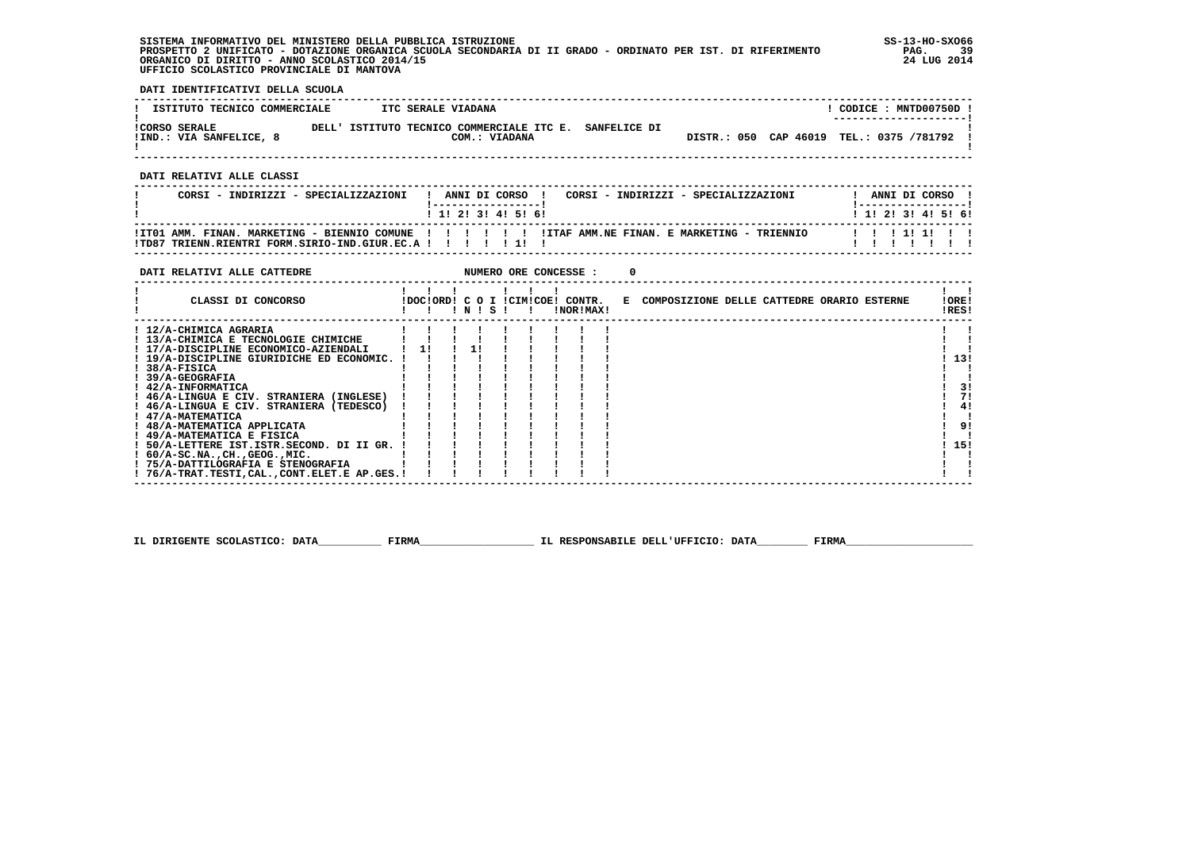**SISTEMA INFORMATIVO DEL MINISTERO DELLA PUBBLICA ISTRUZIONE SS-13-HO-SXO66 PROSPETTO 2 UNIFICATO - DOTAZIONE ORGANICA SCUOLA SECONDARIA DI II GRADO - ORDINATO PER IST. DI RIFERIMENTO PAG. 39 ORGANICO DI DIRITTO - ANNO SCOLASTICO 2014/15 24 LUG 2014 UFFICIO SCOLASTICO PROVINCIALE DI MANTOVA**

j

 **DATI IDENTIFICATIVI DELLA SCUOLA**

| ISTITUTO TECNICO COMMERCIALE                    |       | ITC SERALE VIADANA                                                |                                          | CODICE: MNTD00750D.<br>--------------------- |  |
|-------------------------------------------------|-------|-------------------------------------------------------------------|------------------------------------------|----------------------------------------------|--|
| <b>!CORSO SERALE</b><br>IIND.: VIA SANFELICE, 8 | DELL' | ISTITUTO TECNICO COMMERCIALE ITC E. SANFELICE DI<br>COM.: VIADANA | DISTR.: 050 CAP 46019 TEL.: 0375 /781792 |                                              |  |

 **------------------------------------------------------------------------------------------------------------------------------------**

 **DATI RELATIVI ALLE CLASSI**

| CORSI - INDIRIZZI - SPECIALIZZAZIONI                                                                                                                                  |  |  | ANNI DI CORSO !   |  |  | CORSI - INDIRIZZI - SPECIALIZZAZIONI | ANNI DI CORSO !<br>! ____________________ |  |  |
|-----------------------------------------------------------------------------------------------------------------------------------------------------------------------|--|--|-------------------|--|--|--------------------------------------|-------------------------------------------|--|--|
|                                                                                                                                                                       |  |  | 1 1 2 3 3 4 5 6 1 |  |  |                                      | 1 1 1 2 1 3 1 4 1 5 1 6 1                 |  |  |
| ITTO1 AMM. FINAN. MARKETING - BIENNIO COMUNE !!!!!!!!!!!ITAF AMM.NE FINAN. E MARKETING - TRIENNIO!!!<br>!TD87 TRIENN.RIENTRI FORM.SIRIO-IND.GIUR.EC.A ! ! ! ! ! ! ! ! |  |  |                   |  |  |                                      | 1 1 1 1 1 1 1 1                           |  |  |

 **------------------------------------------------------------------------------------------------------------------------------------**

| DATI RELATIVI ALLE CATTEDRE                 |                           |           |  |  | NUMERO ORE CONCESSE : |    |                                            |                |    |
|---------------------------------------------|---------------------------|-----------|--|--|-----------------------|----|--------------------------------------------|----------------|----|
| CLASSI DI CONCORSO                          | IDOCIORD! C O I ICIMICOE! | ! N ! S ! |  |  | CONTR.<br>!NOR!MAX!   | к. | COMPOSIZIONE DELLE CATTEDRE ORARIO ESTERNE | !ORE!<br>!RES! |    |
| ! 12/A-CHIMICA AGRARIA                      |                           |           |  |  |                       |    |                                            |                |    |
| ! 13/A-CHIMICA E TECNOLOGIE CHIMICHE        |                           |           |  |  |                       |    |                                            |                |    |
| ! 17/A-DISCIPLINE ECONOMICO-AZIENDALI       |                           |           |  |  |                       |    |                                            |                |    |
| ! 19/A-DISCIPLINE GIURIDICHE ED ECONOMIC.   |                           |           |  |  |                       |    |                                            | 13!            |    |
| $!$ 38/A-FISICA                             |                           |           |  |  |                       |    |                                            |                |    |
| <b>39/A-GEOGRAFIA</b>                       |                           |           |  |  |                       |    |                                            |                |    |
| ! 42/A-INFORMATICA                          |                           |           |  |  |                       |    |                                            |                | 3! |
| ! 46/A-LINGUA E CIV. STRANIERA (INGLESE)    |                           |           |  |  |                       |    |                                            |                | 71 |
| ! 46/A-LINGUA E CIV. STRANIERA (TEDESCO)    |                           |           |  |  |                       |    |                                            |                | 41 |
| ! 47/A-MATEMATICA                           |                           |           |  |  |                       |    |                                            |                |    |
| ! 48/A-MATEMATICA APPLICATA                 |                           |           |  |  |                       |    |                                            |                | 9! |
| ! 49/A-MATEMATICA E FISICA                  |                           |           |  |  |                       |    |                                            |                |    |
| 50/A-LETTERE IST.ISTR.SECOND. DI II GR.     |                           |           |  |  |                       |    |                                            | 15!            |    |
| $1.60/A-SC.NA.$ , $CH.$ , $GEOG.$ , $MIC.$  |                           |           |  |  |                       |    |                                            |                |    |
| ! 75/A-DATTILOGRAFIA E STENOGRAFIA          |                           |           |  |  |                       |    |                                            |                |    |
| ! 76/A-TRAT.TESTI,CAL.,CONT.ELET.E AP.GES.! |                           |           |  |  |                       |    |                                            |                |    |

 **IL DIRIGENTE SCOLASTICO: DATA\_\_\_\_\_\_\_\_\_\_ FIRMA\_\_\_\_\_\_\_\_\_\_\_\_\_\_\_\_\_\_ IL RESPONSABILE DELL'UFFICIO: DATA\_\_\_\_\_\_\_\_ FIRMA\_\_\_\_\_\_\_\_\_\_\_\_\_\_\_\_\_\_\_\_**

 **------------------------------------------------------------------------------------------------------------------------------------**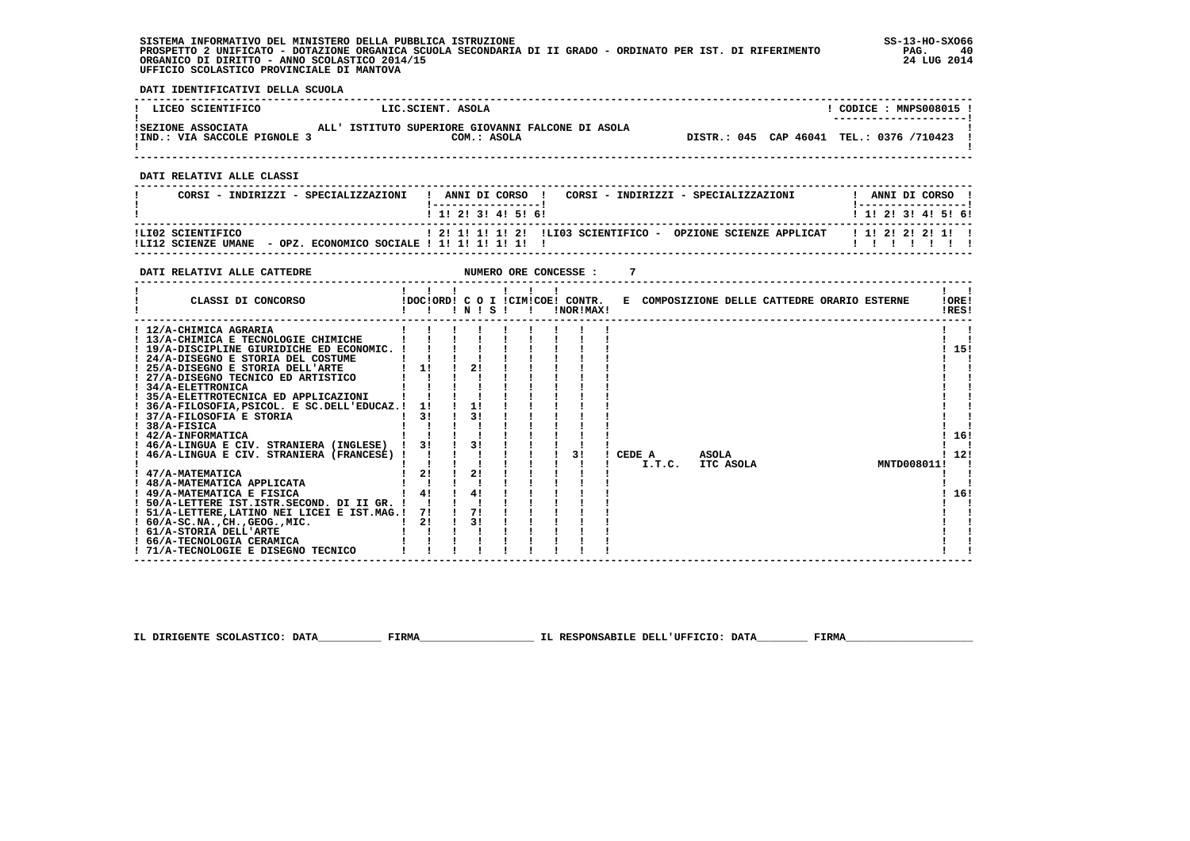**SISTEMA INFORMATIVO DEL MINISTERO DELLA PUBBLICA ISTRUZIONE SS-13-HO-SXO66 PROSPETTO 2 UNIFICATO - DOTAZIONE ORGANICA SCUOLA SECONDARIA DI II GRADO - ORDINATO PER IST. DI RIFERIMENTO PAG. 40 ORGANICO DI DIRITTO - ANNO SCOLASTICO 2014/15 24 LUG 2014 UFFICIO SCOLASTICO PROVINCIALE DI MANTOVA**

 **DATI IDENTIFICATIVI DELLA SCUOLA**

| ! LICEO SCIENTIFICO                                | LIC.SCIENT. ASOLA                                                | CODICE: MNPS008015 !<br>--------------------- |
|----------------------------------------------------|------------------------------------------------------------------|-----------------------------------------------|
| ISEZIONE ASSOCIATA<br>!IND.: VIA SACCOLE PIGNOLE 3 | ALL' ISTITUTO SUPERIORE GIOVANNI FALCONE DI ASOLA<br>COM.: ASOLA | DISTR.: 045 CAP 46041 TEL.: 0376 /710423 !    |

 **------------------------------------------------------------------------------------------------------------------------------------**

 **DATI RELATIVI ALLE CLASSI**

| CORSI - INDIRIZZI - SPECIALIZZAZIONI                                                  | ANNI DI CORSO<br>CORSI - INDIRIZZI - SPECIALIZZAZIONI            | ANNI DI CORSO             |
|---------------------------------------------------------------------------------------|------------------------------------------------------------------|---------------------------|
|                                                                                       | $1$ 1! 2! 3! 4! 5! 6!                                            | 1 1 2 2 1 3 1 4 1 5 1 6 1 |
| ILI02 SCIENTIFICO<br>- OPZ. ECONOMICO SOCIALE ! 1! 1! 1! 1! 1!<br>!LI12 SCIENZE UMANE | ! 2! 1! 1! 1! 2! !LI03 SCIENTIFICO -<br>OPZIONE SCIENZE APPLICAT | 1 1 1 2 1 2 1 2 1 1 1     |

 **------------------------------------------------------------------------------------------------------------------------------------**

| DATI RELATIVI ALLE CATTEDRE                   |    |    |       |  | NUMERO ORE CONCESSE :                         |                                              |       |           |  |             |                |  |
|-----------------------------------------------|----|----|-------|--|-----------------------------------------------|----------------------------------------------|-------|-----------|--|-------------|----------------|--|
| CLASSI DI CONCORSO                            |    |    | INISI |  | !DOC!ORD! C O I !CIM!COE! CONTR.<br>!NOR!MAX! | E COMPOSIZIONE DELLE CATTEDRE ORARIO ESTERNE |       |           |  |             | !ORE!<br>!RES! |  |
| ! 12/A-CHIMICA AGRARIA                        |    |    |       |  |                                               |                                              |       |           |  |             |                |  |
| ! 13/A-CHIMICA E TECNOLOGIE CHIMICHE          |    |    |       |  |                                               |                                              |       |           |  |             |                |  |
| ! 19/A-DISCIPLINE GIURIDICHE ED ECONOMIC.     |    |    |       |  |                                               |                                              |       |           |  |             | 15!            |  |
| ! 24/A-DISEGNO E STORIA DEL COSTUME           |    |    |       |  |                                               |                                              |       |           |  |             |                |  |
| ! 25/A-DISEGNO E STORIA DELL'ARTE             | 11 |    | 21    |  |                                               |                                              |       |           |  |             |                |  |
| 27/A-DISEGNO TECNICO ED ARTISTICO             |    |    |       |  |                                               |                                              |       |           |  |             |                |  |
| ! 34/A-ELETTRONICA                            |    |    |       |  |                                               |                                              |       |           |  |             |                |  |
| ! 35/A-ELETTROTECNICA ED APPLICAZIONI         |    |    |       |  |                                               |                                              |       |           |  |             |                |  |
| ! 36/A-FILOSOFIA, PSICOL. E SC. DELL'EDUCAZ.! | 11 | 1! | 31    |  |                                               |                                              |       |           |  |             |                |  |
| 37/A-FILOSOFIA E STORIA<br>38/A-FISICA        | 31 |    |       |  |                                               |                                              |       |           |  |             |                |  |
| ! 42/A-INFORMATICA                            |    |    |       |  |                                               |                                              |       |           |  |             | 16!            |  |
| ! 46/A-LINGUA E CIV. STRANIERA (INGLESE)      | 3! |    | 31    |  |                                               |                                              |       |           |  |             |                |  |
| 46/A-LINGUA E CIV. STRANIERA (FRANCESE)       |    |    |       |  | 31                                            | CEDE A                                       | ASOLA |           |  |             | 12!            |  |
|                                               |    |    |       |  |                                               | I.T.C.                                       |       | ITC ASOLA |  | MNTD008011! |                |  |
| 47/A-MATEMATICA                               | 21 |    | 2!    |  |                                               |                                              |       |           |  |             |                |  |
| ! 48/A-MATEMATICA APPLICATA                   |    |    |       |  |                                               |                                              |       |           |  |             |                |  |
| ! 49/A-MATEMATICA E FISICA                    | 4! |    | 4!    |  |                                               |                                              |       |           |  |             | 16!            |  |
| 50/A-LETTERE IST.ISTR.SECOND. DI II GR.       |    |    |       |  |                                               |                                              |       |           |  |             |                |  |
| ! 51/A-LETTERE, LATINO NEI LICEI E IST.MAG.!  | 71 | 71 |       |  |                                               |                                              |       |           |  |             |                |  |
| $: 60/A-SC.NA.$ , $CH.$ , $GEOG.$ , $MIC.$    | 21 |    | 31    |  |                                               |                                              |       |           |  |             |                |  |
| ! 61/A-STORIA DELL'ARTE                       |    |    |       |  |                                               |                                              |       |           |  |             |                |  |
| 66/A-TECNOLOGIA CERAMICA                      |    |    |       |  |                                               |                                              |       |           |  |             |                |  |
| ! 71/A-TECNOLOGIE E DISEGNO TECNICO           |    |    |       |  |                                               |                                              |       |           |  |             |                |  |

 **IL DIRIGENTE SCOLASTICO: DATA\_\_\_\_\_\_\_\_\_\_ FIRMA\_\_\_\_\_\_\_\_\_\_\_\_\_\_\_\_\_\_ IL RESPONSABILE DELL'UFFICIO: DATA\_\_\_\_\_\_\_\_ FIRMA\_\_\_\_\_\_\_\_\_\_\_\_\_\_\_\_\_\_\_\_**

 **------------------------------------------------------------------------------------------------------------------------------------**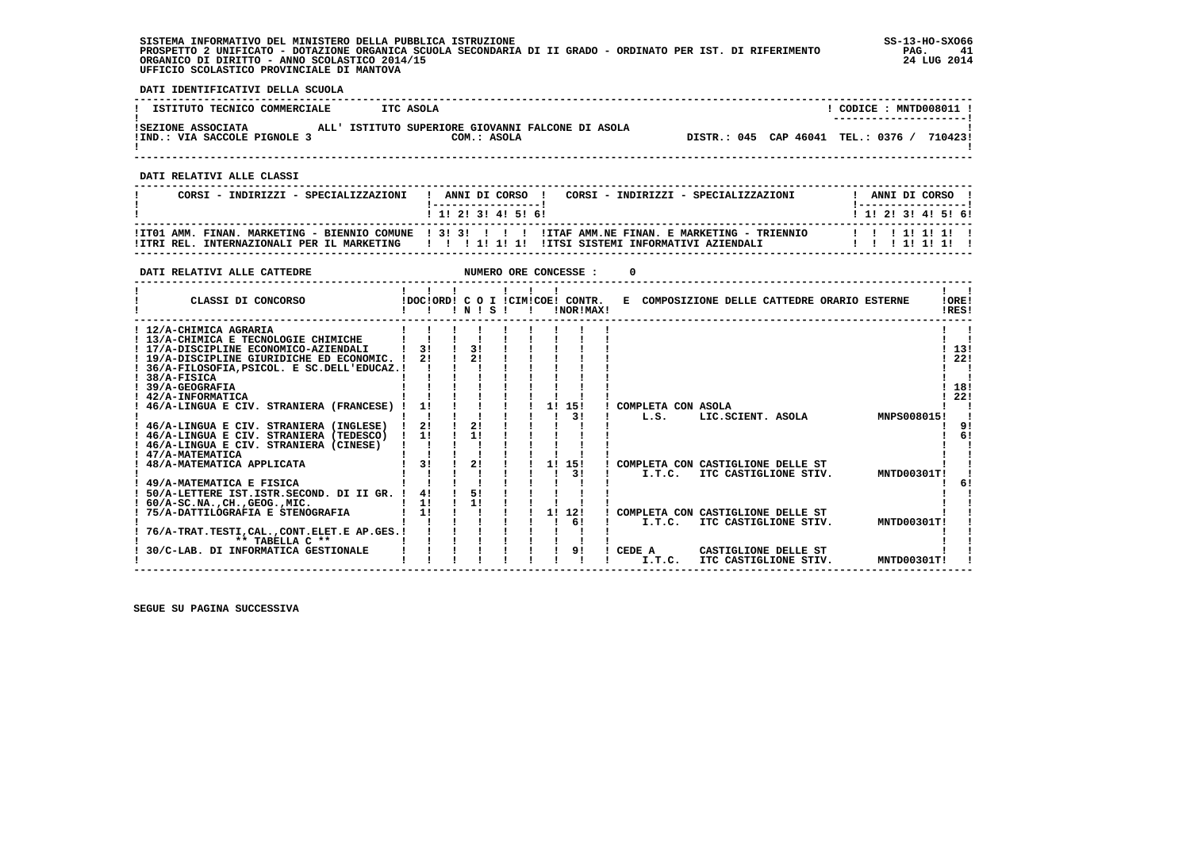**SISTEMA INFORMATIVO DEL MINISTERO DELLA PUBBLICA ISTRUZIONE SS-13-HO-SXO66 PROSPETTO 2 UNIFICATO - DOTAZIONE ORGANICA SCUOLA SECONDARIA DI II GRADO - ORDINATO PER IST. DI RIFERIMENTO PAG. 41 ORGANICO DI DIRITTO - ANNO SCOLASTICO 2014/15 24 LUG 2014 UFFICIO SCOLASTICO PROVINCIALE DI MANTOVA**

j

 **DATI IDENTIFICATIVI DELLA SCUOLA**

| ISTITUTO TECNICO COMMERCIALE                       | ITC ASOLA                                                        | CODICE: MNTD008011 !<br>---------------------- |
|----------------------------------------------------|------------------------------------------------------------------|------------------------------------------------|
| ISEZIONE ASSOCIATA<br>!IND.: VIA SACCOLE PIGNOLE 3 | ALL' ISTITUTO SUPERIORE GIOVANNI FALCONE DI ASOLA<br>COM.: ASOLA | DISTR.: 045 CAP 46041 TEL.: 0376 /<br>7104231  |

 **------------------------------------------------------------------------------------------------------------------------------------**

 **DATI RELATIVI ALLE CLASSI**

| CORSI - INDIRIZZI - SPECIALIZZAZIONI | ! ANNI DI CORSO !<br>CORSI - INDIRIZZI - SPECIALIZZAZIONI<br>1 1 1 2 1 3 1 4 1 5 1 6 1                                                                                                                          | ANNI DI CORSO !<br>1 1 1 2 1 3 1 4 1 5 1 6 1 |
|--------------------------------------|-----------------------------------------------------------------------------------------------------------------------------------------------------------------------------------------------------------------|----------------------------------------------|
|                                      | ITT01 AMM, FINAN, MARKETING - BIENNIO COMUNE   3! 3! ! ! ! ! ITAF AMM, NE FINAN, E MARKETING - TRIENNIO<br>ITRI REL. INTERNAZIONALI PER IL MARKETING     !   ! 1! 1! 1! III IITSI SISTEMI INFORMATIVI AZIENDALI | 1 1 1 1 1 1 1 1<br>1 1 1 1 1 1 1 1 1         |

 **------------------------------------------------------------------------------------------------------------------------------------**

| DATI RELATIVI ALLE CATTEDRE                                                                                                                                                                                                                                             |                                  |                |  | NUMERO ORE CONCESSE : |                                              |                                               |  |             |                          |
|-------------------------------------------------------------------------------------------------------------------------------------------------------------------------------------------------------------------------------------------------------------------------|----------------------------------|----------------|--|-----------------------|----------------------------------------------|-----------------------------------------------|--|-------------|--------------------------|
| CLASSI DI CONCORSO                                                                                                                                                                                                                                                      | IDOCIORDI C O I ICIMICOEI CONTR. | 1 N 1 S 1      |  | !NOR!MAX!             | E COMPOSIZIONE DELLE CATTEDRE ORARIO ESTERNE |                                               |  |             | !ORE!<br>!RES!           |
| ! 12/A-CHIMICA AGRARIA<br>! 13/A-CHIMICA E TECNOLOGIE CHIMICHE<br>! 17/A-DISCIPLINE ECONOMICO-AZIENDALI<br>! 19/A-DISCIPLINE GIURIDICHE ED ECONOMIC. !<br>36/A-FILOSOFIA, PSICOL. E SC. DELL'EDUCAZ.!<br>$1.38/A-FISTCA$<br><b>39/A-GEOGRAFIA</b><br>! 42/A-INFORMATICA | 31<br>21                         | 31<br>21       |  |                       |                                              |                                               |  |             | 13!<br>22!<br>18!<br>22! |
| 46/A-LINGUA E CIV. STRANIERA (FRANCESE) !<br>46/A-LINGUA E CIV. STRANIERA (INGLESE)<br>! 46/A-LINGUA E CIV. STRANIERA (TEDESCO)<br>46/A-LINGUA E CIV. STRANIERA (CINESE)<br>! 47/A-MATEMATICA                                                                           | 1!<br>21<br>11                   | 21<br>11       |  | 11<br>15!<br>3 I      | COMPLETA CON ASOLA<br>L.S.                   | LIC.SCIENT. ASOLA                             |  | MNPS008015! | 91<br>61                 |
| 48/A-MATEMATICA APPLICATA<br>49/A-MATEMATICA E FISICA<br>50/A-LETTERE IST.ISTR.SECOND. DI II GR.<br>$60/A-SC.NA.$ , $CH.$ , $GEOG.$ , $MIC.$                                                                                                                            | 31<br>41<br>11                   | 21<br>51<br>11 |  | 1!<br>15!<br>31       | COMPLETA CON CASTIGLIONE DELLE ST<br>I.T.C.  | ITC CASTIGLIONE STIV.                         |  | MNTD00301T! | 6!                       |
| 75/A-DATTILOGRAFIA E STENOGRAFIA<br>76/A-TRAT.TESTI.CALCONT.ELET.E AP.GES.!<br>** TABELLA C **                                                                                                                                                                          | 1!                               |                |  | 1!<br>12!<br>61       | COMPLETA CON CASTIGLIONE DELLE ST<br>I.T.C.  | ITC CASTIGLIONE STIV.                         |  | MNTD00301T! |                          |
| 30/C-LAB. DI INFORMATICA GESTIONALE                                                                                                                                                                                                                                     |                                  |                |  | 91                    | CEDE A<br>I.T.C.                             | CASTIGLIONE DELLE ST<br>ITC CASTIGLIONE STIV. |  | MNTD00301T! |                          |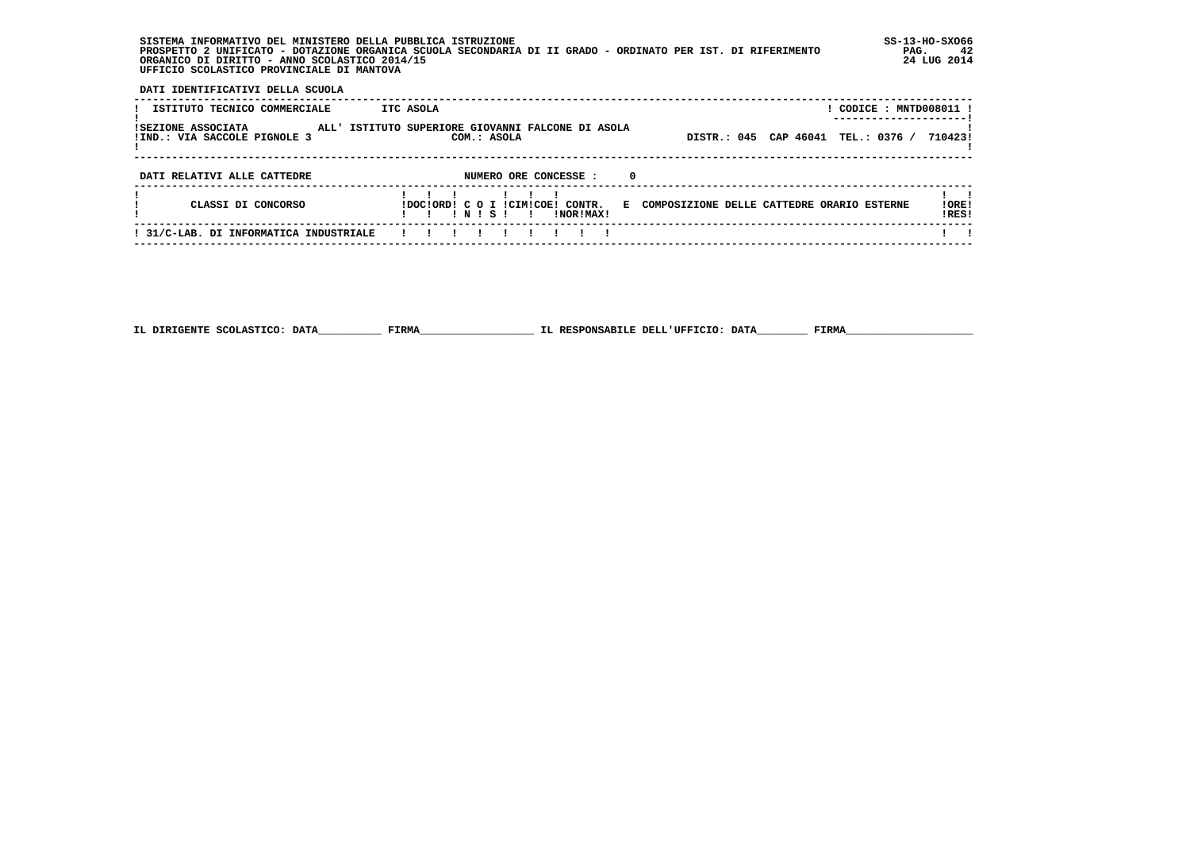| SISTEMA INFORMATIVO DEL MINISTERO DELLA PUBBLICA ISTRUZIONE                                                 | $SS-13-HO-SXO66$ |
|-------------------------------------------------------------------------------------------------------------|------------------|
| PROSPETTO 2 UNIFICATO - DOTAZIONE ORGANICA SCUOLA SECONDARIA DI II GRADO - ORDINATO PER IST. DI RIFERIMENTO | PAG.             |
| ORGANICO DI DIRITTO - ANNO SCOLASTICO 2014/15                                                               | 24 LUG 2014      |
| UFFICIO SCOLASTICO PROVINCIALE DI MANTOVA                                                                   |                  |

 **DATI IDENTIFICATIVI DELLA SCUOLA**

| ISTITUTO TECNICO COMMERCIALE                       | ITC ASOLA                                                                                                              | ! CODICE : MNTD008011 ! |
|----------------------------------------------------|------------------------------------------------------------------------------------------------------------------------|-------------------------|
| ISEZIONE ASSOCIATA<br>!IND.: VIA SACCOLE PIGNOLE 3 | ALL' ISTITUTO SUPERIORE GIOVANNI FALCONE DI ASOLA<br>DISTR.: 045 CAP 46041 TEL.: 0376 /<br>COM.: ASOLA                 | 7104231                 |
| DATI RELATIVI ALLE CATTEDRE                        | NUMERO ORE CONCESSE :<br>- 0                                                                                           |                         |
| CLASSI DI CONCORSO                                 | IDOCIORDI C O I ICIMICOE! CONTR.<br>E COMPOSIZIONE DELLE CATTEDRE ORARIO ESTERNE<br>INISI<br>INORIMAX!<br>$\mathbf{I}$ | 10RE!<br>!RES!          |
| ! 31/C-LAB. DI INFORMATICA INDUSTRIALE             |                                                                                                                        |                         |

 **------------------------------------------------------------------------------------------------------------------------------------**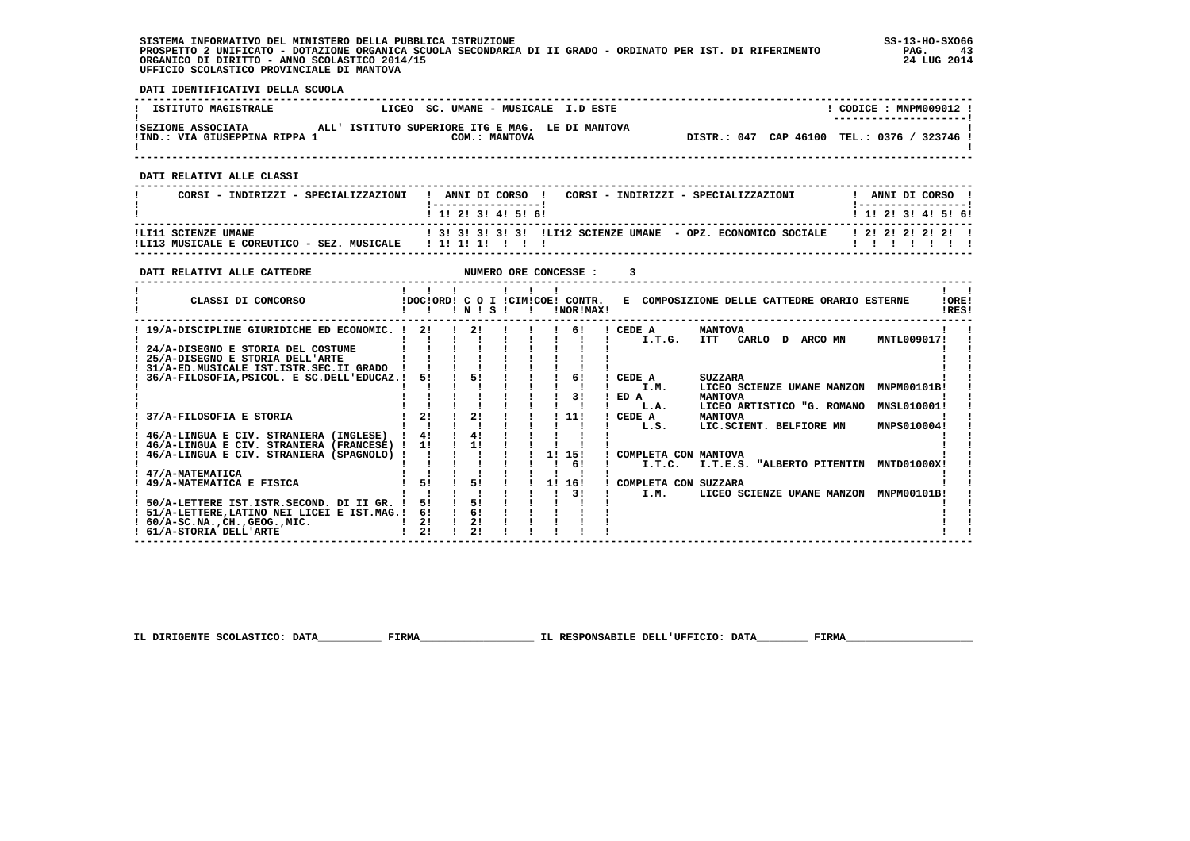**SISTEMA INFORMATIVO DEL MINISTERO DELLA PUBBLICA ISTRUZIONE SS-13-HO-SXO66 PROSPETTO 2 UNIFICATO - DOTAZIONE ORGANICA SCUOLA SECONDARIA DI II GRADO - ORDINATO PER IST. DI RIFERIMENTO PAG. 43 ORGANICO DI DIRITTO - ANNO SCOLASTICO 2014/15 24 LUG 2014 UFFICIO SCOLASTICO PROVINCIALE DI MANTOVA**

j

 **DATI IDENTIFICATIVI DELLA SCUOLA**

| <b>ISTITUTO MAGISTRALE</b>                          | LICEO SC. UMANE - MUSICALE I.D ESTE                               | CODICE: MNPM009012 !<br>--------------------- |
|-----------------------------------------------------|-------------------------------------------------------------------|-----------------------------------------------|
| ISEZIONE ASSOCIATA<br>!IND.: VIA GIUSEPPINA RIPPA 1 | ALL' ISTITUTO SUPERIORE ITG E MAG. LE DI MANTOVA<br>COM.: MANTOVA | DISTR.: 047 CAP 46100 TEL.: 0376 / 323746 !   |

 **------------------------------------------------------------------------------------------------------------------------------------**

 **DATI RELATIVI ALLE CLASSI**

| CORSI - INDIRIZZI - SPECIALIZZAZIONI                              | CORSI - INDIRIZZI - SPECIALIZZAZIONI<br>ANNI DI CORSO !<br>$1$ 1! 2! 3! 4! 5! 6! | ANNI DI CORSO !<br>! 1! 2! 3! 4! 5! 6! |
|-------------------------------------------------------------------|----------------------------------------------------------------------------------|----------------------------------------|
| !LI11 SCIENZE UMANE<br>ILI13 MUSICALE E COREUTICO - SEZ. MUSICALE | ! 3! 3! 3! 3! 3! ILI12 SCIENZE UMANE - OPZ. ECONOMICO SOCIALE<br>11111111        | 1 2 1 2 1 2 1 2 1 2 1                  |

 **------------------------------------------------------------------------------------------------------------------------------------**

| CLASSI DI CONCORSO<br>IDOCIORD! C O I ICIMICOE! CONTR.<br>E COMPOSIZIONE DELLE CATTEDRE ORARIO ESTERNE<br>$'$ N $'$ S $'$<br>!NOR!MAX!<br>! 19/A-DISCIPLINE GIURIDICHE ED ECONOMIC. !<br>2!<br>CEDE A<br><b>MANTOVA</b><br>21<br>61 | !ORE!<br>!RES! |
|-------------------------------------------------------------------------------------------------------------------------------------------------------------------------------------------------------------------------------------|----------------|
|                                                                                                                                                                                                                                     |                |
|                                                                                                                                                                                                                                     |                |
| MNTL009017!<br>ITT CARLO D ARCOMN<br>I.T.G.                                                                                                                                                                                         |                |
| 24/A-DISEGNO E STORIA DEL COSTUME                                                                                                                                                                                                   |                |
| 25/A-DISEGNO E STORIA DELL'ARTE                                                                                                                                                                                                     |                |
| 31/A-ED.MUSICALE IST.ISTR.SEC.II GRADO                                                                                                                                                                                              |                |
| 51<br>36/A-FILOSOFIA.PSICOL. E SC.DELL'EDUCAZ.!<br>61<br>CEDE A<br><b>SUZZARA</b><br>5!                                                                                                                                             |                |
| LICEO SCIENZE UMANE MANZON MNPM00101B!<br>I.M.                                                                                                                                                                                      |                |
| 31<br>ED A<br><b>MANTOVA</b>                                                                                                                                                                                                        |                |
| LICEO ARTISTICO "G. ROMANO MNSL010001!<br>L.A.                                                                                                                                                                                      |                |
| 21<br>21<br>11!<br>CEDE A<br>37/A-FILOSOFIA E STORIA<br><b>MANTOVA</b>                                                                                                                                                              |                |
| MNPS010004!<br>LIC.SCIENT. BELFIORE MN<br>L.S.                                                                                                                                                                                      |                |
| 41<br>41<br>46/A-LINGUA E CIV. STRANIERA (INGLESE)                                                                                                                                                                                  |                |
| 11<br>11<br>46/A-LINGUA E CIV. STRANIERA (FRANCESE)                                                                                                                                                                                 |                |
| 1! 15!<br>46/A-LINGUA E CIV. STRANIERA (SPAGNOLO)<br>COMPLETA CON MANTOVA                                                                                                                                                           |                |
| 61<br>I.T.E.S. "ALBERTO PITENTIN MNTD01000X!<br>I.T.C.                                                                                                                                                                              |                |
| 47/A-MATEMATICA                                                                                                                                                                                                                     |                |
| 51<br>51<br>1! 16!<br>49/A-MATEMATICA E FISICA<br>COMPLETA CON SUZZARA                                                                                                                                                              |                |
| 31<br>I.M.<br>LICEO SCIENZE UMANE MANZON MNPM00101B!                                                                                                                                                                                |                |
| 51<br>50/A-LETTERE IST.ISTR.SECOND. DI II GR. !<br>51                                                                                                                                                                               |                |
| 61<br>51/A-LETTERE, LATINO NEI LICEI E IST.MAG.!<br>61                                                                                                                                                                              |                |
| 2!<br>2!<br>$: 60/A-SC.NA.$ , $CH.$ , $GEOG.$ , $MIC.$                                                                                                                                                                              |                |
| 21<br>21<br>! 61/A-STORIA DELL'ARTE                                                                                                                                                                                                 |                |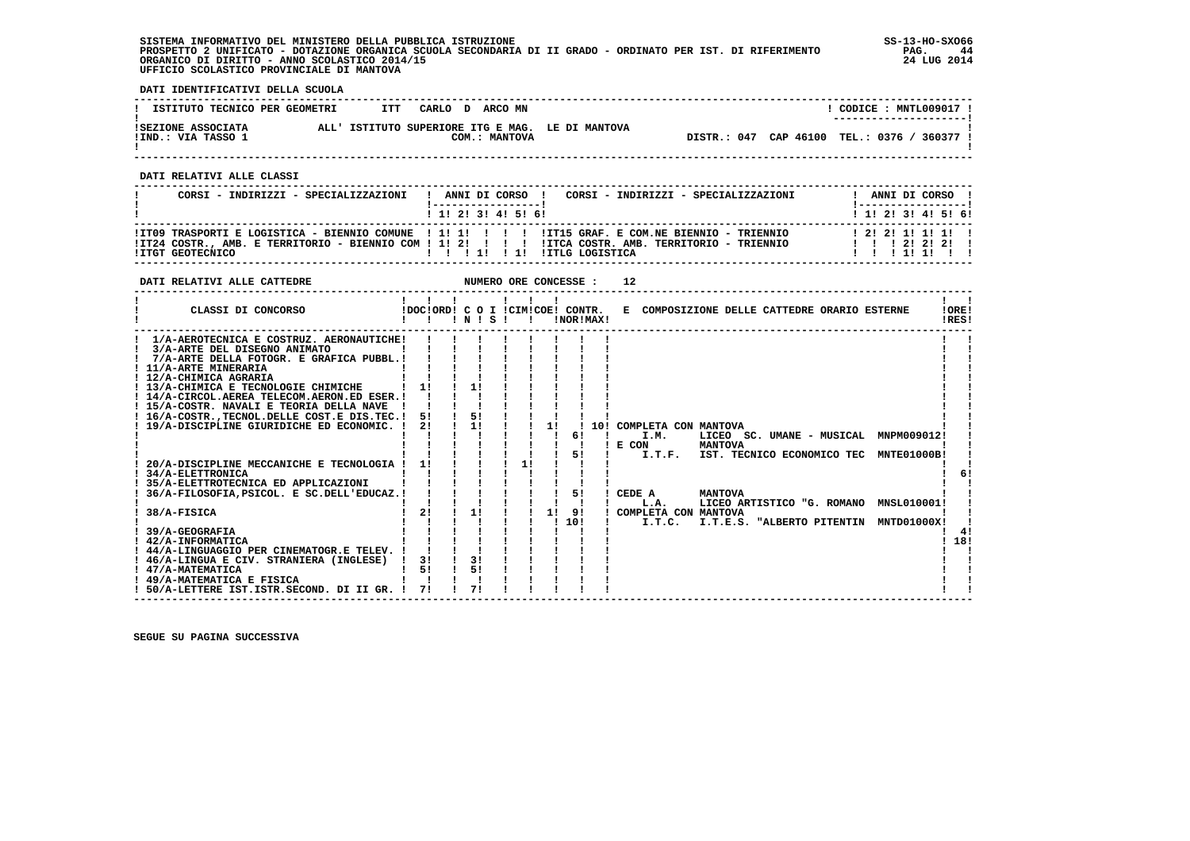**SISTEMA INFORMATIVO DEL MINISTERO DELLA PUBBLICA ISTRUZIONE SS-13-HO-SXO66 PROSPETTO 2 UNIFICATO - DOTAZIONE ORGANICA SCUOLA SECONDARIA DI II GRADO - ORDINATO PER IST. DI RIFERIMENTO PAG. 44 ORGANICO DI DIRITTO - ANNO SCOLASTICO 2014/15 24 LUG 2014 UFFICIO SCOLASTICO PROVINCIALE DI MANTOVA**

:

 **DATI IDENTIFICATIVI DELLA SCUOLA**

| ISTITUTO TECNICO PER GEOMETRI            | ITT | CARLO DARCOMN |               |                                                  |  |                                             | CODICE: MNTL009017 !<br>---------------------- |  |  |
|------------------------------------------|-----|---------------|---------------|--------------------------------------------------|--|---------------------------------------------|------------------------------------------------|--|--|
| ISEZIONE ASSOCIATA<br>!IND.: VIA TASSO 1 |     |               | COM.: MANTOVA | ALL' ISTITUTO SUPERIORE ITG E MAG. LE DI MANTOVA |  | DISTR.: 047 CAP 46100 TEL.: 0376 / 360377 ! |                                                |  |  |

 **------------------------------------------------------------------------------------------------------------------------------------**

 **DATI RELATIVI ALLE CLASSI**

| CORSI - INDIRIZZI - SPECIALIZZAZIONI                                                                                                                                                                                               | ------------------                          | CORSI - INDIRIZZI - SPECIALIZZAZIONI<br>ANNI DI CORSO ! | ANNI DI CORSO !<br>  _ _ _ _ _ _ _ _ _ _ _ _ _ _ _ _ 1 |
|------------------------------------------------------------------------------------------------------------------------------------------------------------------------------------------------------------------------------------|---------------------------------------------|---------------------------------------------------------|--------------------------------------------------------|
|                                                                                                                                                                                                                                    | $1 \; 1 \; 2 \; 3 \; 1 \; 4 \; 5 \; 6 \; 1$ |                                                         | ! 1! 2! 3! 4! 5! 6!                                    |
| ITO9 TRASPORTI E LOGISTICA - BIENNIO COMUNE   1! 1!          IT15 GRAF. E COM.NE BIENNIO - TRIENNIO<br>ITZ4 COSTR., AMB. E TERRITORIO - BIENNIO COM ! 1! 2! ! !! ITCA COSTR. AMB. TERRITORIO - TRIENNIO<br><b>!ITGT GEOTECNICO</b> | 1111111                                     | IITLG LOGISTICA                                         | 1 1 1 2 1 2 1 2 1<br>1 1 1 1 1 1 1 1                   |

| !ORE!<br>IDOCIORD! C O I ICIMICOE! CONTR.<br>E COMPOSIZIONE DELLE CATTEDRE ORARIO ESTERNE<br>CLASSI DI CONCORSO<br>!RES!<br>1 N 1 S 1<br>!NOR!MAX!<br>$\mathbf{I}$<br>1/A-AEROTECNICA E COSTRUZ. AERONAUTICHE!<br>3/A-ARTE DEL DISEGNO ANIMATO<br>7/A-ARTE DELLA FOTOGR. E GRAFICA PUBBL.!<br>! 11/A-ARTE MINERARIA<br>! 12/A-CHIMICA AGRARIA<br>11<br>! 13/A-CHIMICA E TECNOLOGIE CHIMICHE<br>11<br>! 14/A-CIRCOL.AEREA TELECOM.AERON.ED ESER.!<br>! 15/A-COSTR. NAVALI E TEORIA DELLA NAVE<br>5!<br>! 16/A-COSTR., TECNOL. DELLE COST. E DIS. TEC. !<br>51<br>1!<br>11<br>2!<br>19/A-DISCIPLINE GIURIDICHE ED ECONOMIC. !<br>10! COMPLETA CON MANTOVA<br>61<br>LICEO SC. UMANE - MUSICAL MNPM009012!<br>I.M.<br><b>MANTOVA</b><br>E CON<br>51<br>I.T.F.<br>IST. TECNICO ECONOMICO TEC<br><b>MNTE01000B!</b><br>11<br>20/A-DISCIPLINE MECCANICHE E TECNOLOGIA<br><b>34/A-ELETTRONICA</b><br>35/A-ELETTROTECNICA ED APPLICAZIONI<br>51<br>36/A-FILOSOFIA, PSICOL. E SC. DELL'EDUCAZ. !<br>CEDE A<br><b>MANTOVA</b><br>LICEO ARTISTICO "G. ROMANO MNSL010001!<br>L.A.<br>2!<br>11<br>1!<br>91<br>38/A-FISICA<br>COMPLETA CON MANTOVA<br>10!<br>I.T.E.S. "ALBERTO PITENTIN<br><b>MNTD01000X!</b><br>I.T.C.<br>39/A-GEOGRAFIA<br>41<br>18!<br>! 42/A-INFORMATICA<br>! 44/A-LINGUAGGIO PER CINEMATOGR.E TELEV. !<br>31<br>! 46/A-LINGUA E CIV. STRANIERA (INGLESE)<br>3!<br>51<br>51<br>! 47/A-MATEMATICA<br>! 49/A-MATEMATICA E FISICA | DATI RELATIVI ALLE CATTEDRE                 |    |    | NUMERO ORE CONCESSE : |  | 12 |  |  |  |  |
|-------------------------------------------------------------------------------------------------------------------------------------------------------------------------------------------------------------------------------------------------------------------------------------------------------------------------------------------------------------------------------------------------------------------------------------------------------------------------------------------------------------------------------------------------------------------------------------------------------------------------------------------------------------------------------------------------------------------------------------------------------------------------------------------------------------------------------------------------------------------------------------------------------------------------------------------------------------------------------------------------------------------------------------------------------------------------------------------------------------------------------------------------------------------------------------------------------------------------------------------------------------------------------------------------------------------------------------------------------------------------------------------------------------------------------------|---------------------------------------------|----|----|-----------------------|--|----|--|--|--|--|
|                                                                                                                                                                                                                                                                                                                                                                                                                                                                                                                                                                                                                                                                                                                                                                                                                                                                                                                                                                                                                                                                                                                                                                                                                                                                                                                                                                                                                                     |                                             |    |    |                       |  |    |  |  |  |  |
|                                                                                                                                                                                                                                                                                                                                                                                                                                                                                                                                                                                                                                                                                                                                                                                                                                                                                                                                                                                                                                                                                                                                                                                                                                                                                                                                                                                                                                     |                                             |    |    |                       |  |    |  |  |  |  |
|                                                                                                                                                                                                                                                                                                                                                                                                                                                                                                                                                                                                                                                                                                                                                                                                                                                                                                                                                                                                                                                                                                                                                                                                                                                                                                                                                                                                                                     | ! 50/A-LETTERE IST.ISTR.SECOND. DI II GR. ! | 71 | 71 |                       |  |    |  |  |  |  |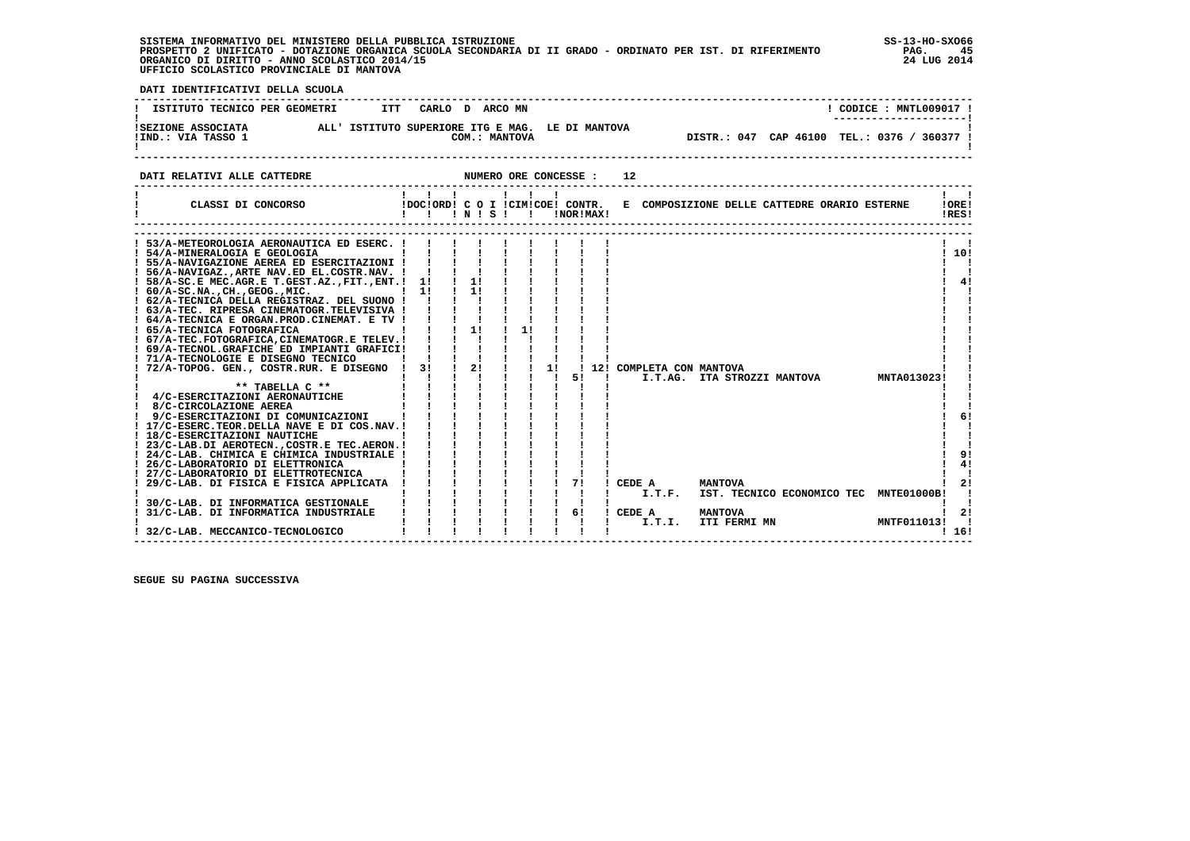| SISTEMA INFORMATIVO DEL MINISTERO DELLA PUBBLICA ISTRUZIONE                                                 | $SS-13-HO-SXO66$ |
|-------------------------------------------------------------------------------------------------------------|------------------|
| PROSPETTO 2 UNIFICATO - DOTAZIONE ORGANICA SCUOLA SECONDARIA DI II GRADO - ORDINATO PER IST. DI RIFERIMENTO | 45<br>PAG.       |
| ORGANICO DI DIRITTO - ANNO SCOLASTICO 2014/15                                                               | 24 LUG 2014      |
| UFFICIO SCOLASTICO PROVINCIALE DI MANTOVA                                                                   |                  |

 **DATI IDENTIFICATIVI DELLA SCUOLA ------------------------------------------------------------------------------------------------------------------------------------**! CODICE : MNTL009017 !  **! ISTITUTO TECNICO PER GEOMETRI ITT CARLO D ARCO MN** \_\_\_\_\_\_\_\_\_\_\_\_\_\_\_\_\_\_\_\_\_\_\_\_  **! ---------------------! !SEZIONE ASSOCIATA ALL' ISTITUTO SUPERIORE ITG E MAG. LE DI MANTOVA ! !IND.: VIA TASSO 1 COM.: MANTOVA DISTR.: 047 CAP 46100 TEL.: 0376 / 360377 ! ! !** $\mathbf{I}$ DISTR.: 047 CAP 46100 TEL.: 0376 / 360377 !  $\mathbf{I}$   **------------------------------------------------------------------------------------------------------------------------------------DATI RELATIVI ALLE CATTEDRE NUMERO ORE CONCESSE : 12 ------------------------------------------------------------------------------------------------------------------------------------ ! ! ! ! ! ! ! ! ! ! CLASSI DI CONCORSO !DOC!ORD! C O I !CIM!COE! CONTR. E COMPOSIZIONE DELLE CATTEDRE ORARIO ESTERNE !ORE!** $\frac{1}{2}$   $\frac{1}{2}$  $1000$ 

| CAADDI DI CONCORDO                               |    |    | $'$ N $'$ S $'$ |    |    | !NOR!MAX! |  |                            |                     |                                        |             | $\ddotsc$<br>!RES! |    |
|--------------------------------------------------|----|----|-----------------|----|----|-----------|--|----------------------------|---------------------|----------------------------------------|-------------|--------------------|----|
|                                                  |    |    |                 |    |    |           |  |                            |                     |                                        |             |                    |    |
| 53/A-METEOROLOGIA AERONAUTICA ED ESERC. !        |    |    |                 |    |    |           |  |                            |                     |                                        |             |                    |    |
| ! 54/A-MINERALOGIA E GEOLOGIA                    |    |    |                 |    |    |           |  |                            |                     |                                        |             | ! 10!              |    |
| ! 55/A-NAVIGAZIONE AEREA ED ESERCITAZIONI !      |    |    |                 |    |    |           |  |                            |                     |                                        |             |                    |    |
| ! 56/A-NAVIGAZ., ARTE NAV.ED EL.COSTR.NAV. !     |    |    |                 |    |    |           |  |                            |                     |                                        |             |                    |    |
| ! 58/A-SC.E MEC.AGR.E T.GEST.AZ., FIT., ENT.! 1! |    | 1! |                 |    |    |           |  |                            |                     |                                        |             |                    | 4! |
| ! 60/A-SC.NA., CH., GEOG., MIC.                  | 11 | 11 |                 |    |    |           |  |                            |                     |                                        |             |                    |    |
| ! 62/A-TECNICA DELLA REGISTRAZ. DEL SUONO !      |    |    |                 |    |    |           |  |                            |                     |                                        |             |                    |    |
| ! 63/A-TEC. RIPRESA CINEMATOGR.TELEVISIVA !      |    |    |                 |    |    |           |  |                            |                     |                                        |             |                    |    |
| ! 64/A-TECNICA E ORGAN. PROD. CINEMAT. E TV !    |    |    |                 |    |    |           |  |                            |                     |                                        |             |                    |    |
| ! 65/A-TECNICA FOTOGRAFICA                       |    | 1! |                 | 11 |    |           |  |                            |                     |                                        |             |                    |    |
| ! 67/A-TEC.FOTOGRAFICA, CINEMATOGR.E TELEV. !    |    |    |                 |    |    |           |  |                            |                     |                                        |             |                    |    |
| ! 69/A-TECNOL.GRAFICHE ED IMPIANTI GRAFICI!      |    |    |                 |    |    |           |  |                            |                     |                                        |             |                    |    |
| ! 71/A-TECNOLOGIE E DISEGNO TECNICO              |    |    |                 |    |    |           |  |                            |                     |                                        |             |                    |    |
| 72/A-TOPOG. GEN., COSTR.RUR. E DISEGNO           | 3! | 2! |                 |    | 11 |           |  | ! 12! COMPLETA CON MANTOVA |                     |                                        |             |                    |    |
|                                                  |    |    |                 |    |    | 51        |  | I.T.AG.                    | ITA STROZZI MANTOVA |                                        | MNTA013023! |                    |    |
| ** TABELLA C **                                  |    |    |                 |    |    |           |  |                            |                     |                                        |             |                    |    |
| 4/C-ESERCITAZIONI AERONAUTICHE                   |    |    |                 |    |    |           |  |                            |                     |                                        |             |                    |    |
| 8/C-CIRCOLAZIONE AEREA                           |    |    |                 |    |    |           |  |                            |                     |                                        |             |                    |    |
| 9/C-ESERCITAZIONI DI COMUNICAZIONI               |    |    |                 |    |    |           |  |                            |                     |                                        |             |                    | 6! |
| ! 17/C-ESERC.TEOR.DELLA NAVE E DI COS.NAV.!      |    |    |                 |    |    |           |  |                            |                     |                                        |             |                    |    |
| ! 18/C-ESERCITAZIONI NAUTICHE                    |    |    |                 |    |    |           |  |                            |                     |                                        |             |                    |    |
| ! 23/C-LAB.DI AEROTECN., COSTR.E TEC.AERON.!     |    |    |                 |    |    |           |  |                            |                     |                                        |             |                    |    |
| ! 24/C-LAB. CHIMICA E CHIMICA INDUSTRIALE !      |    |    |                 |    |    |           |  |                            |                     |                                        |             |                    | 9! |
| 26/C-LABORATORIO DI ELETTRONICA                  |    |    |                 |    |    |           |  |                            |                     |                                        |             |                    | 4! |
| 27/C-LABORATORIO DI ELETTROTECNICA               |    |    |                 |    |    |           |  |                            |                     |                                        |             |                    |    |
| 29/C-LAB. DI FISICA E FISICA APPLICATA           |    |    |                 |    |    | 71        |  | CEDE A                     | <b>MANTOVA</b>      |                                        |             |                    | 21 |
|                                                  |    |    |                 |    |    |           |  | I.T.F.                     |                     | IST. TECNICO ECONOMICO TEC MNTE01000B! |             |                    |    |
| 30/C-LAB. DI INFORMATICA GESTIONALE              |    |    |                 |    |    |           |  |                            |                     |                                        |             |                    |    |
| 31/C-LAB. DI INFORMATICA INDUSTRIALE             |    |    |                 |    |    | 6!        |  | CEDE A                     | <b>MANTOVA</b>      |                                        |             |                    | 2! |
|                                                  |    |    |                 |    |    |           |  | I.T.I.                     | ITI FERMI MN        |                                        | MNTF011013! |                    |    |
| 32/C-LAB. MECCANICO-TECNOLOGICO                  |    |    |                 |    |    |           |  |                            |                     |                                        |             | ! 16!              |    |
|                                                  |    |    |                 |    |    |           |  |                            |                     |                                        |             |                    |    |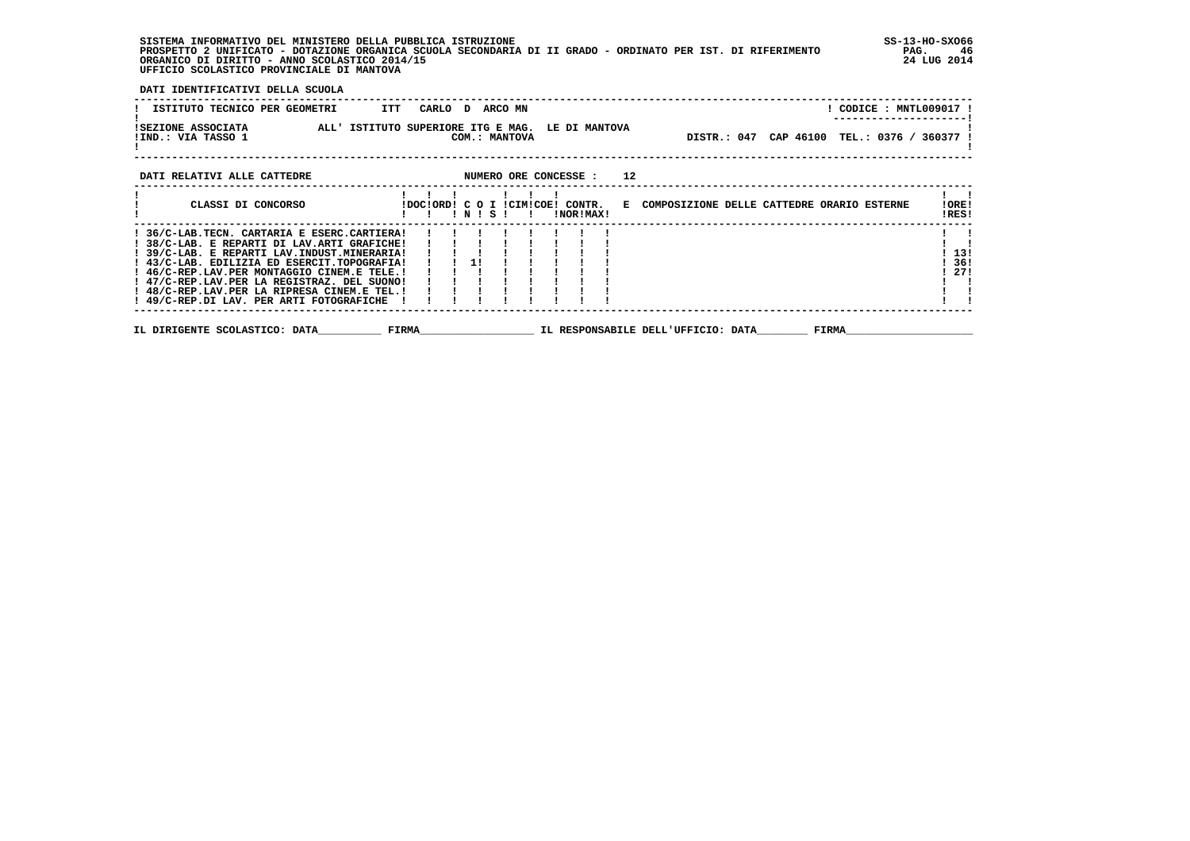**SISTEMA INFORMATIVO DEL MINISTERO DELLA PUBBLICA ISTRUZIONE SS-13-HO-SXO66 PROSPETTO 2 UNIFICATO - DOTAZIONE ORGANICA SCUOLA SECONDARIA DI II GRADO - ORDINATO PER IST. DI RIFERIMENTO PAG. 46 ORGANICO DI DIRITTO - ANNO SCOLASTICO 2014/15 24 LUG 2014 UFFICIO SCOLASTICO PROVINCIALE DI MANTOVA**

 **DATI IDENTIFICATIVI DELLA SCUOLA**

| ISTITUTO TECNICO PER GEOMETRI<br>ITT                                                                                                                                                                                                                                                                                                                                                  |                                              | CARLO D ARCOMN |  |           |    | ! CODICE : MNTL009017 !                            |                      |
|---------------------------------------------------------------------------------------------------------------------------------------------------------------------------------------------------------------------------------------------------------------------------------------------------------------------------------------------------------------------------------------|----------------------------------------------|----------------|--|-----------|----|----------------------------------------------------|----------------------|
| !SEZIONE ASSOCIATA ALL' ISTITUTO SUPERIORE ITG E MAG. LE DI MANTOVA<br>!IND.: VIA TASSO 1                                                                                                                                                                                                                                                                                             |                                              | COM.: MANTOVA  |  |           |    | DISTR.: 047 CAP 46100 TEL.: 0376 / 360377          |                      |
| DATI RELATIVI ALLE CATTEDRE                                                                                                                                                                                                                                                                                                                                                           | NUMERO ORE CONCESSE :                        |                |  |           | 12 |                                                    |                      |
| CLASSI DI CONCORSO                                                                                                                                                                                                                                                                                                                                                                    | !DOC!ORD! C O I !CIM!COE! CONTR.<br>!!!N!S!! |                |  | !NOR!MAX! |    | E COMPOSIZIONE DELLE CATTEDRE ORARIO ESTERNE       | IORE!<br>!RES!       |
| ! 36/C-LAB. TECN. CARTARIA E ESERC. CARTIERA!<br>! 38/C-LAB. E REPARTI DI LAV.ARTI GRAFICHE!<br>! 39/C-LAB. E REPARTI LAV. INDUST. MINERARIA!<br>! 43/C-LAB. EDILIZIA ED ESERCIT.TOPOGRAFIA!<br>! 46/C-REP.LAV.PER MONTAGGIO CINEM.E TELE.!<br>! 47/C-REP.LAV.PER LA REGISTRAZ. DEL SUONO!<br>! 48/C-REP.LAV.PER LA RIPRESA CINEM.E TEL.!<br>! 49/C-REP.DI LAV. PER ARTI FOTOGRAFICHE |                                              | $1 \t1 \t11$   |  |           |    |                                                    | 13!<br>- 36 !<br>271 |
| IL DIRIGENTE SCOLASTICO: DATA                                                                                                                                                                                                                                                                                                                                                         | <b>FIRMA</b>                                 |                |  |           |    | IL RESPONSABILE DELL'UFFICIO: DATA<br><b>FIRMA</b> |                      |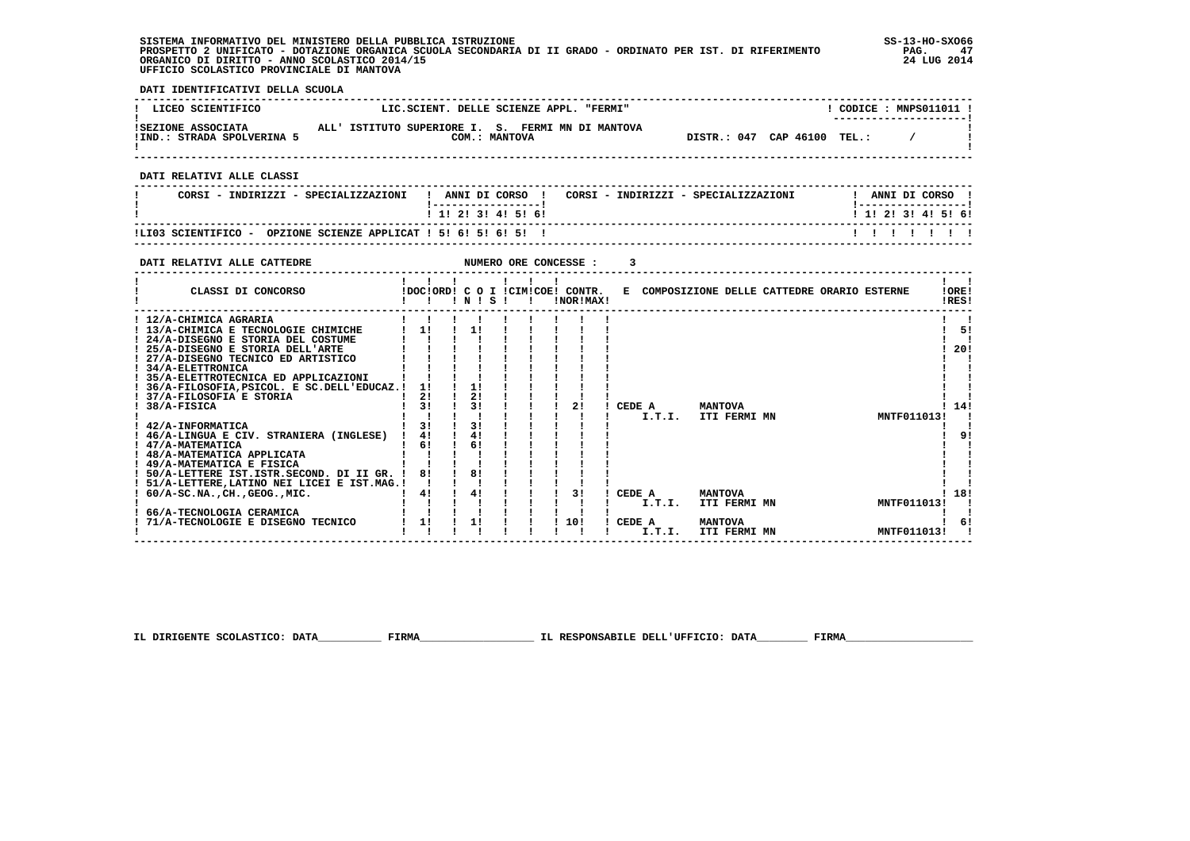**SISTEMA INFORMATIVO DEL MINISTERO DELLA PUBBLICA ISTRUZIONE SS-13-HO-SXO66 PROSPETTO 2 UNIFICATO - DOTAZIONE ORGANICA SCUOLA SECONDARIA DI II GRADO - ORDINATO PER IST. DI RIFERIMENTO PAG. 47 ORGANICO DI DIRITTO - ANNO SCOLASTICO 2014/15 24 LUG 2014 UFFICIO SCOLASTICO PROVINCIALE DI MANTOVA**

j

 **DATI IDENTIFICATIVI DELLA SCUOLA**

| LICEO SCIENTIFICO                                                                                                                                                                                                                                                                                                                                                                                                            | LIC.SCIENT. DELLE SCIENZE APPL. "FERMI"                                                                                                                                                                                        | ! CODICE : MNPS011011 !                                                                                                                                                                   |
|------------------------------------------------------------------------------------------------------------------------------------------------------------------------------------------------------------------------------------------------------------------------------------------------------------------------------------------------------------------------------------------------------------------------------|--------------------------------------------------------------------------------------------------------------------------------------------------------------------------------------------------------------------------------|-------------------------------------------------------------------------------------------------------------------------------------------------------------------------------------------|
| ISEZIONE ASSOCIATA ALL'ISTITUTO SUPERIORE I. S. FERMI MN DI MANTOVA<br>IND.: STRADA SPOLVERINA 5 COM.: MANTOVA                                                                                                                                                                                                                                                                                                               |                                                                                                                                                                                                                                | DISTR.: 047 CAP 46100 TEL.: /                                                                                                                                                             |
| DATI RELATIVI ALLE CLASSI                                                                                                                                                                                                                                                                                                                                                                                                    |                                                                                                                                                                                                                                |                                                                                                                                                                                           |
|                                                                                                                                                                                                                                                                                                                                                                                                                              | CORSI - INDIRIZZI - SPECIALIZZAZIONI   ANNI DI CORSO   CORSI - INDIRIZZI - SPECIALIZZAZIONI     ANNI DI CORSO                                                                                                                  |                                                                                                                                                                                           |
|                                                                                                                                                                                                                                                                                                                                                                                                                              | 1 1 2 3 3 4 5 5 6 9                                                                                                                                                                                                            | <u>  -----------------</u>  <br>1 1 1 2 1 3 1 4 1 5 1 6 1                                                                                                                                 |
| !LI03 SCIENTIFICO - OPZIONE SCIENZE APPLICAT ! 5! 6! 5! 6! 5! !                                                                                                                                                                                                                                                                                                                                                              |                                                                                                                                                                                                                                |                                                                                                                                                                                           |
| DATI RELATIVI ALLE CATTEDRE                                                                                                                                                                                                                                                                                                                                                                                                  |                                                                                                                                                                                                                                |                                                                                                                                                                                           |
|                                                                                                                                                                                                                                                                                                                                                                                                                              | $1 \quad 1 \quad 1 \quad 1 \quad 1 \quad 1$<br>CLASSI DI CONCORSO (DOCIORDI C O I ICIMICOEI CONTR. E COMPOSIZIONE DELLE CATTEDRE ORARIO ESTERNE                                                                                | $\mathbf{I}$ $\mathbf{I}$<br>IOREI<br>!RES!                                                                                                                                               |
| ! 35/A-ELETTROTECNICA ED APPLICAZIONI !!!!!!!!<br>! 36/A-FILOSOFIA, PSICOL. E SC. DELL'EDUCAZ. ! 1 ! ! ! ! ! ! ! !<br>! 37/A-FILOSOFIA E STORIA<br>! 38/A-FISICA<br>! 42/A-INFORMATICA<br>$1.46/A$ -LINGUA E CIV. STRANIERA (INGLESE) $1.41$ $1.41$ $1.1$<br>! 47/A-MATEMATICA<br>1 48/A-MATEMATICA APPLICATA 1 1 1 1<br>1 49/A-MATEMATICA E FISICA 1 1 1 1<br>! 50/A-LETTERE IST. ISTR. SECOND. DI II GR. ! 8! ! 8! ! ! ! ! | 1 31 1 31 1 1 1 21<br>1 1 1 1 1 1 1 1 1<br>$\frac{1}{2}$ $\frac{1}{2}$ $\frac{1}{2}$ $\frac{1}{2}$ $\frac{1}{2}$ $\frac{1}{2}$ $\frac{1}{2}$ $\frac{1}{2}$ $\frac{1}{2}$ $\frac{1}{2}$<br>$1 \t6! \t16! \t1$<br><b>MANTOVA</b> | $\mathbf{1}$ $\mathbf{1}$<br>$1 \quad 51$<br>$1 \quad 1$<br>1201<br>! CEDE A MANTOVA ! 14!<br>! I.T.I. ITI FERMI MN MITFO11013! !<br>! 9!<br>! 18!<br>I.T.I. ITI FERMI MN<br>MNTF011013!! |

 **IL DIRIGENTE SCOLASTICO: DATA\_\_\_\_\_\_\_\_\_\_ FIRMA\_\_\_\_\_\_\_\_\_\_\_\_\_\_\_\_\_\_ IL RESPONSABILE DELL'UFFICIO: DATA\_\_\_\_\_\_\_\_ FIRMA\_\_\_\_\_\_\_\_\_\_\_\_\_\_\_\_\_\_\_\_**

 **------------------------------------------------------------------------------------------------------------------------------------**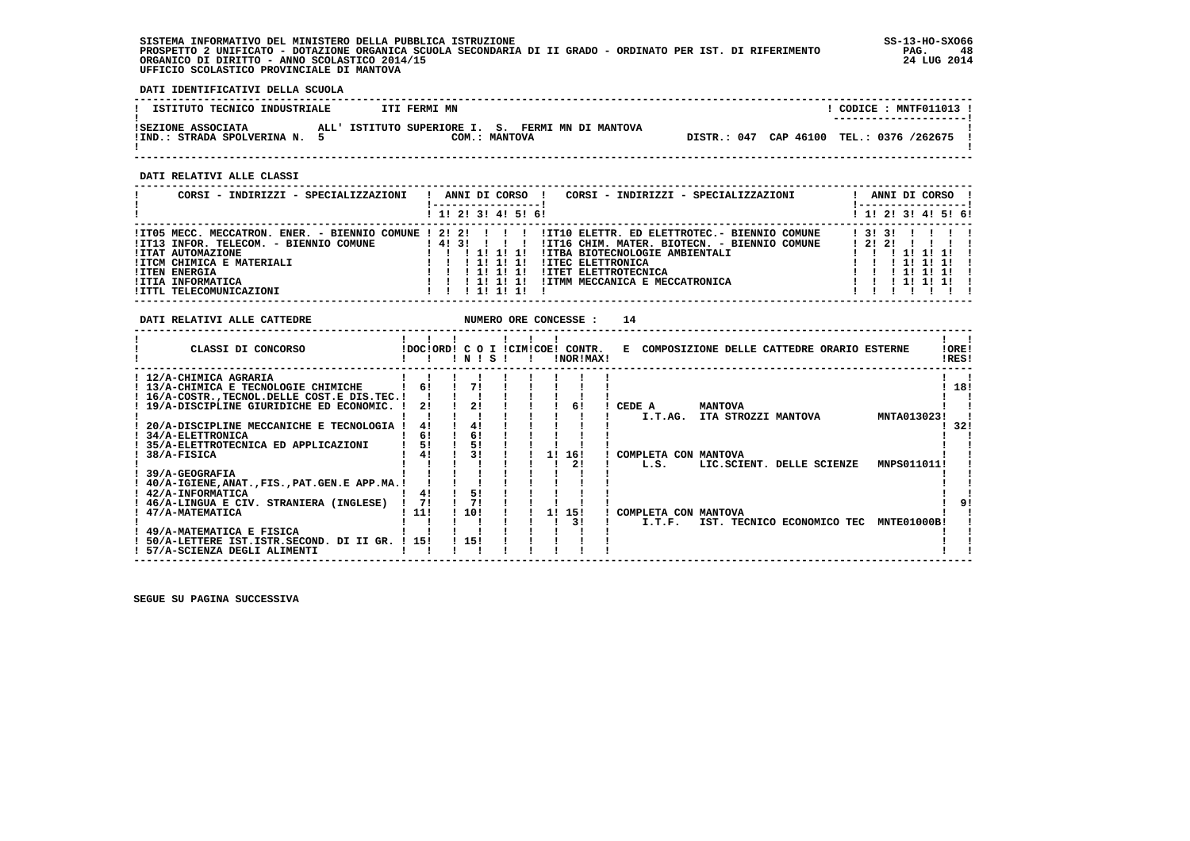**SISTEMA INFORMATIVO DEL MINISTERO DELLA PUBBLICA ISTRUZIONE SS-13-HO-SXO66 PROSPETTO 2 UNIFICATO - DOTAZIONE ORGANICA SCUOLA SECONDARIA DI II GRADO - ORDINATO PER IST. DI RIFERIMENTO PAG. 48 ORGANICO DI DIRITTO - ANNO SCOLASTICO 2014/15 24 LUG 2014 UFFICIO SCOLASTICO PROVINCIALE DI MANTOVA**

֚֚֡

 **DATI IDENTIFICATIVI DELLA SCUOLA**

| ISTITUTO TECNICO INDUSTRIALE                      | ITI FERMI MN |                                                                    |  | CODICE: MNTF011013 !                                               |  |
|---------------------------------------------------|--------------|--------------------------------------------------------------------|--|--------------------------------------------------------------------|--|
| ISEZIONE ASSOCIATA<br>!IND.: STRADA SPOLVERINA N. |              | ALL' ISTITUTO SUPERIORE I. S. FERMI MN DI MANTOVA<br>COM.: MANTOVA |  | --------------------- <br>DISTR.: 047 CAP 46100 TEL.: 0376 /262675 |  |

 **------------------------------------------------------------------------------------------------------------------------------------**

 **DATI RELATIVI ALLE CLASSI**

| CORSI - INDIRIZZI - SPECIALIZZAZIONI                                                                                                                                                                                             | ANNI DI CORSO<br>CORSI - INDIRIZZI - SPECIALIZZAZIONI                                                                                                                                                                                                                            | ANNI DI CORSO !                                                |
|----------------------------------------------------------------------------------------------------------------------------------------------------------------------------------------------------------------------------------|----------------------------------------------------------------------------------------------------------------------------------------------------------------------------------------------------------------------------------------------------------------------------------|----------------------------------------------------------------|
|                                                                                                                                                                                                                                  | ! 1! 2! 3! 4! 5! 6!                                                                                                                                                                                                                                                              | ! 1! 2! 3! 4! 5! 6!                                            |
| !IT05 MECC. MECCATRON. ENER. - BIENNIO COMUNE ! 2! 2!<br>IIT13 INFOR. TELECOM. - BIENNIO COMUNE<br><b>!ITAT AUTOMAZIONE</b><br>!ITCM CHIMICA E MATERIALI<br><b>!ITEN ENERGIA</b><br>!ITIA INFORMATICA<br>!ITTL TELECOMUNICAZIONI | !IT10 ELETTR. ED ELETTROTEC.- BIENNIO COMUNE<br>413111<br>!IT16 CHIM. MATER. BIOTECN. - BIENNIO COMUNE<br>!ITBA BIOTECNOLOGIE AMBIENTALI<br><b>!ITEC ELETTRONICA</b><br>11 11<br><b>!ITET ELETTROTECNICA</b><br>1 11 11 11<br>!ITMM MECCANICA E MECCATRONICA<br>111111<br>111111 | 13131<br>12121<br>, 11 11 11<br>1 11 11 11<br>111111<br>111111 |

| !ORE!<br>CLASSI DI CONCORSO<br>IDOCIORD! C O I ICIMICOE! CONTR.<br>E COMPOSIZIONE DELLE CATTEDRE ORARIO ESTERNE<br>!RES!<br>!NOR!MAX!<br>INISI<br>! 12/A-CHIMICA AGRARIA<br>71<br>18!<br>61<br>! 13/A-CHIMICA E TECNOLOGIE CHIMICHE<br>! 16/A-COSTR., TECNOL. DELLE COST. E DIS. TEC. !<br>21<br>2!<br>19/A-DISCIPLINE GIURIDICHE ED ECONOMIC.<br>CEDE A<br><b>MANTOVA</b><br>61<br>MNTA013023!<br>ITA STROZZI MANTOVA<br>I.T.AG.<br>41<br>20/A-DISCIPLINE MECCANICHE E TECNOLOGIA<br>4!<br>32!<br>61<br>61<br>! 34/A-ELETTRONICA<br>5!<br>51<br>35/A-ELETTROTECNICA ED APPLICAZIONI<br>41<br>16!<br>38/A-FISICA<br>11<br>COMPLETA CON MANTOVA<br>21<br>LIC.SCIENT. DELLE SCIENZE<br>MNPS011011!<br>L.S.<br>39/A-GEOGRAFIA<br>! 40/A-IGIENE,ANAT.,FIS.,PAT.GEN.E APP.MA.! |
|---------------------------------------------------------------------------------------------------------------------------------------------------------------------------------------------------------------------------------------------------------------------------------------------------------------------------------------------------------------------------------------------------------------------------------------------------------------------------------------------------------------------------------------------------------------------------------------------------------------------------------------------------------------------------------------------------------------------------------------------------------------------------|
|                                                                                                                                                                                                                                                                                                                                                                                                                                                                                                                                                                                                                                                                                                                                                                           |
|                                                                                                                                                                                                                                                                                                                                                                                                                                                                                                                                                                                                                                                                                                                                                                           |
|                                                                                                                                                                                                                                                                                                                                                                                                                                                                                                                                                                                                                                                                                                                                                                           |
|                                                                                                                                                                                                                                                                                                                                                                                                                                                                                                                                                                                                                                                                                                                                                                           |
|                                                                                                                                                                                                                                                                                                                                                                                                                                                                                                                                                                                                                                                                                                                                                                           |
|                                                                                                                                                                                                                                                                                                                                                                                                                                                                                                                                                                                                                                                                                                                                                                           |
|                                                                                                                                                                                                                                                                                                                                                                                                                                                                                                                                                                                                                                                                                                                                                                           |
|                                                                                                                                                                                                                                                                                                                                                                                                                                                                                                                                                                                                                                                                                                                                                                           |
|                                                                                                                                                                                                                                                                                                                                                                                                                                                                                                                                                                                                                                                                                                                                                                           |
|                                                                                                                                                                                                                                                                                                                                                                                                                                                                                                                                                                                                                                                                                                                                                                           |
|                                                                                                                                                                                                                                                                                                                                                                                                                                                                                                                                                                                                                                                                                                                                                                           |
|                                                                                                                                                                                                                                                                                                                                                                                                                                                                                                                                                                                                                                                                                                                                                                           |
|                                                                                                                                                                                                                                                                                                                                                                                                                                                                                                                                                                                                                                                                                                                                                                           |
| 51<br>! 42/A-INFORMATICA<br>41                                                                                                                                                                                                                                                                                                                                                                                                                                                                                                                                                                                                                                                                                                                                            |
| 71<br>71<br>! 46/A-LINGUA E CIV. STRANIERA (INGLESE)                                                                                                                                                                                                                                                                                                                                                                                                                                                                                                                                                                                                                                                                                                                      |
| 10!<br>! 11!<br>47/A-MATEMATICA<br>15!<br>COMPLETA CON MANTOVA<br>11                                                                                                                                                                                                                                                                                                                                                                                                                                                                                                                                                                                                                                                                                                      |
| 31<br>IST. TECNICO ECONOMICO TEC<br>MNTE01000B!<br>I.T.F.                                                                                                                                                                                                                                                                                                                                                                                                                                                                                                                                                                                                                                                                                                                 |
| ! 49/A-MATEMATICA E FISICA                                                                                                                                                                                                                                                                                                                                                                                                                                                                                                                                                                                                                                                                                                                                                |
| 115!<br>50/A-LETTERE IST. ISTR. SECOND. DI II GR. ! 15!                                                                                                                                                                                                                                                                                                                                                                                                                                                                                                                                                                                                                                                                                                                   |
| ! 57/A-SCIENZA DEGLI ALIMENTI                                                                                                                                                                                                                                                                                                                                                                                                                                                                                                                                                                                                                                                                                                                                             |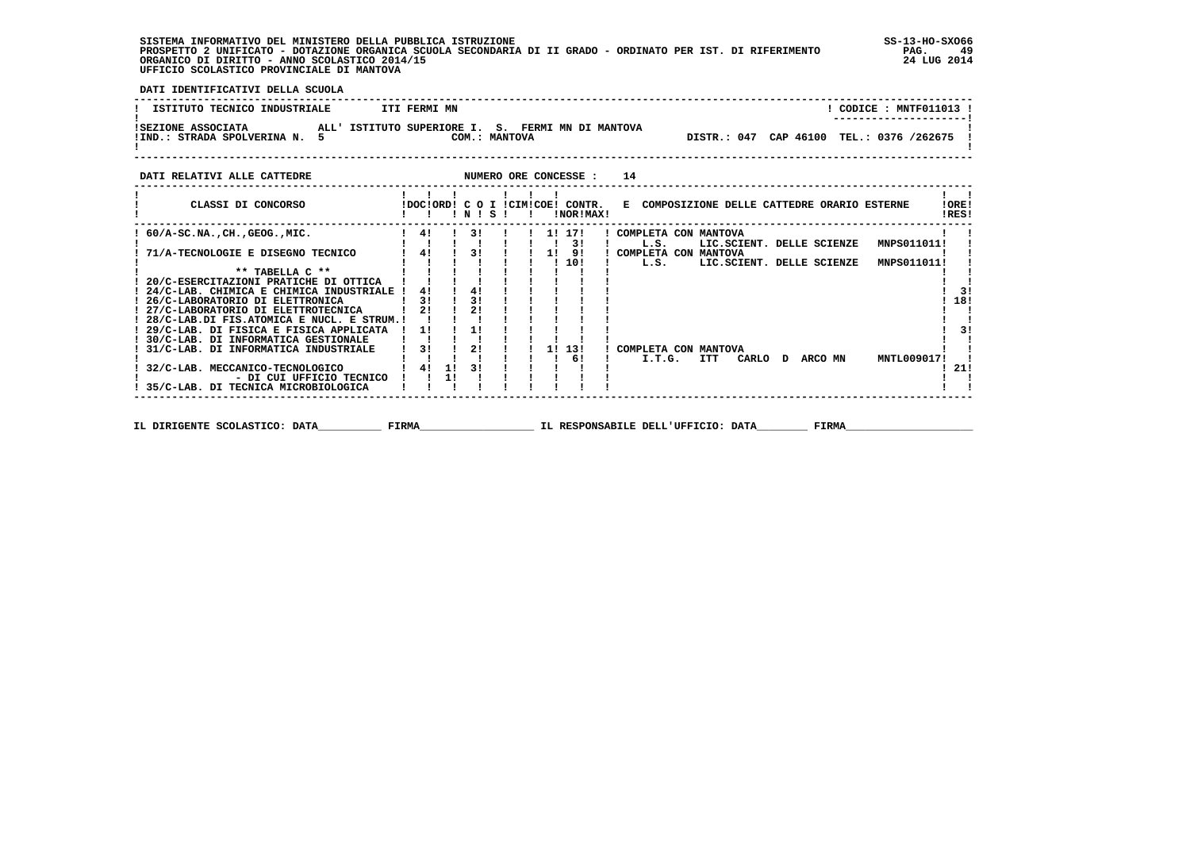**SISTEMA INFORMATIVO DEL MINISTERO DELLA PUBBLICA ISTRUZIONE SS-13-HO-SXO66 PROSPETTO 2 UNIFICATO - DOTAZIONE ORGANICA SCUOLA SECONDARIA DI II GRADO - ORDINATO PER IST. DI RIFERIMENTO PAG. 49 ORGANICO DI DIRITTO - ANNO SCOLASTICO 2014/15 24 LUG 2014 UFFICIO SCOLASTICO PROVINCIALE DI MANTOVA**

j

 **DATI IDENTIFICATIVI DELLA SCUOLA**

|                                                                                                                                                                       | ---------------------- |
|-----------------------------------------------------------------------------------------------------------------------------------------------------------------------|------------------------|
| ALL' ISTITUTO SUPERIORE I. S. FERMI MN DI MANTOVA<br>ISEZIONE ASSOCIATA<br>DISTR.: 047 CAP 46100 TEL.: 0376 /262675<br>COM.: MANTOVA<br>!IND.: STRADA SPOLVERINA N. 5 |                        |

| DATI RELATIVI ALLE CATTEDRE                 |              |      |    |                                             |  |          | NUMERO ORE CONCESSE :                         | 14                                           |     |                           |         |             |                |
|---------------------------------------------|--------------|------|----|---------------------------------------------|--|----------|-----------------------------------------------|----------------------------------------------|-----|---------------------------|---------|-------------|----------------|
| CLASSI DI CONCORSO                          |              |      |    | $'$ N $'$ S $'$                             |  | $\sim 1$ | !DOC!ORD! C O I !CIM!COE! CONTR.<br>!NOR!MAX! | E COMPOSIZIONE DELLE CATTEDRE ORARIO ESTERNE |     |                           |         |             | !ORE!<br>!RES! |
| : 60/A-SC.NA.,CH.,GEOG.,MIC.                |              | 4!   |    | $\begin{array}{ccc} 1 & 3! & 1 \end{array}$ |  |          | ! 1! 17!<br>31                                | ! COMPLETA CON MANTOVA<br>L.S.               |     | LIC.SCIENT. DELLE SCIENZE |         | MNPS011011! |                |
| 71/A-TECNOLOGIE E DISEGNO TECNICO           | $1 \quad 41$ |      |    | $\frac{1}{3}$ $\frac{3}{1}$                 |  |          | 1! 9!                                         | ! COMPLETA CON MANTOVA                       |     |                           |         |             |                |
|                                             |              |      |    |                                             |  |          | ! 10!                                         | L.S.                                         |     | LIC.SCIENT. DELLE SCIENZE |         | MNPS011011! |                |
| $***$ TABELLA $C***$                        |              |      |    |                                             |  |          |                                               |                                              |     |                           |         |             |                |
| 20/C-ESERCITAZIONI PRATICHE DI OTTICA       |              |      |    |                                             |  |          |                                               |                                              |     |                           |         |             |                |
| ! 24/C-LAB. CHIMICA E CHIMICA INDUSTRIALE ! |              | 41   |    | 41                                          |  |          |                                               |                                              |     |                           |         |             | 31             |
| ! 26/C-LABORATORIO DI ELETTRONICA           |              | 31   |    | 31                                          |  |          |                                               |                                              |     |                           |         |             | 18!            |
| ! 27/C-LABORATORIO DI ELETTROTECNICA        |              | 2!   |    | 2!                                          |  |          |                                               |                                              |     |                           |         |             |                |
| ! 28/C-LAB.DI FIS.ATOMICA E NUCL. E STRUM.! |              |      |    |                                             |  |          |                                               |                                              |     |                           |         |             |                |
| ! 29/C-LAB. DI FISICA E FISICA APPLICATA    |              | -11  |    | -11                                         |  |          |                                               |                                              |     |                           |         |             | 31             |
| ! 30/C-LAB. DI INFORMATICA GESTIONALE       |              |      |    |                                             |  |          |                                               |                                              |     |                           |         |             |                |
| 31/C-LAB. DI INFORMATICA INDUSTRIALE        |              | -3 I |    | 2!                                          |  |          | 11 131                                        | COMPLETA CON MANTOVA                         |     |                           |         |             |                |
|                                             |              |      |    |                                             |  |          | 61                                            | I.T.G.                                       | ITT | CARLO D                   | ARCO MN | MNTL009017! |                |
| 32/C-LAB. MECCANICO-TECNOLOGICO             |              | 41   | 1! | -3 I                                        |  |          |                                               |                                              |     |                           |         |             | -21!           |
| - DI CUI UFFICIO TECNICO                    |              |      |    |                                             |  |          |                                               |                                              |     |                           |         |             |                |
| 35/C-LAB. DI TECNICA MICROBIOLOGICA         |              |      |    |                                             |  |          |                                               |                                              |     |                           |         |             |                |
|                                             |              |      |    |                                             |  |          |                                               |                                              |     |                           |         |             |                |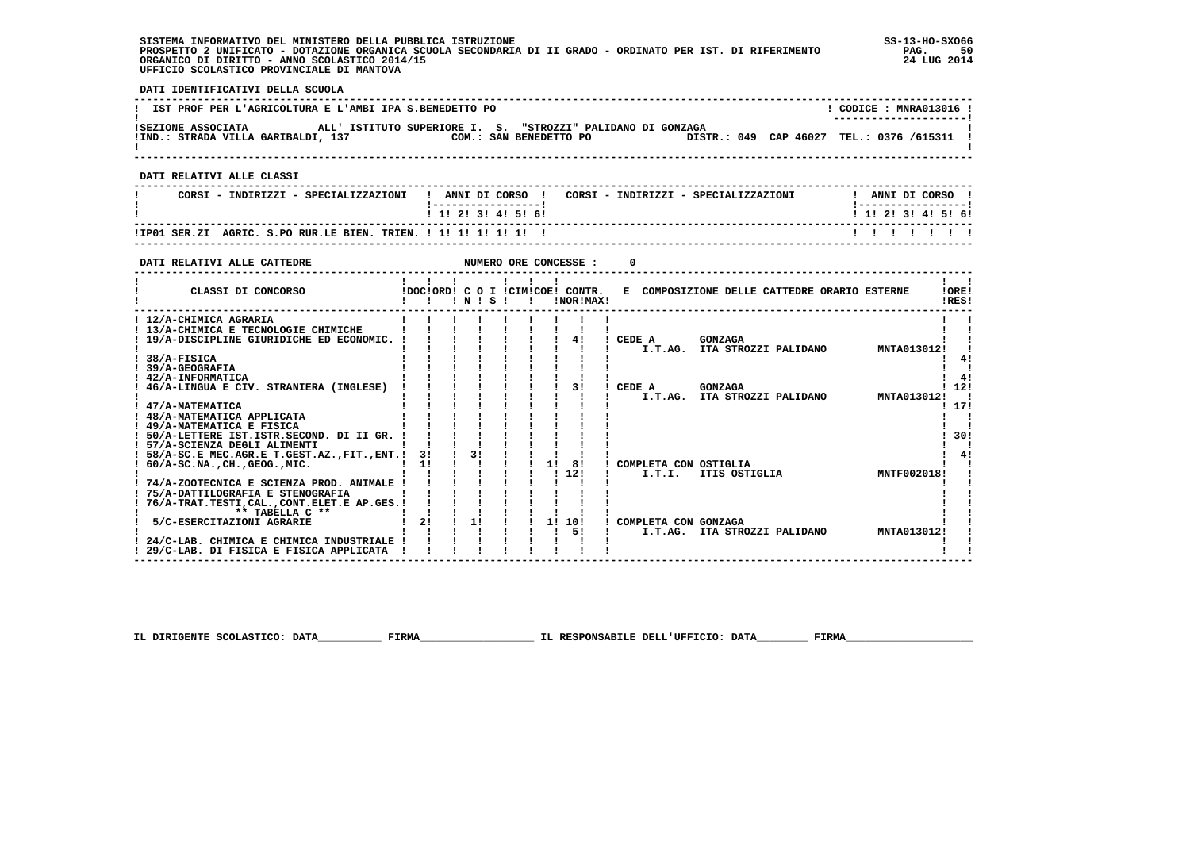| SISTEMA INFORMATIVO DEL MINISTERO DELLA PUBBLICA ISTRUZIONE                                                 | $SS-13-HO-SXO66$ |
|-------------------------------------------------------------------------------------------------------------|------------------|
| PROSPETTO 2 UNIFICATO - DOTAZIONE ORGANICA SCUOLA SECONDARIA DI II GRADO - ORDINATO PER IST. DI RIFERIMENTO | PAG.             |
| ORGANICO DI DIRITTO - ANNO SCOLASTICO 2014/15                                                               | 24 LUG 2014      |
| UFFICIO SCOLASTICO PROVINCIALE DI MANTOVA                                                                   |                  |

 $SS-13-HO-SXO66$ 

 **DATI IDENTIFICATIVI DELLA SCUOLA**

| IST PROF PER L'AGRICOLTURA E L'AMBI IPA S.BENEDETTO PO   |                                                                                       | CODICE: MNRA013016 !<br>--------------------- |
|----------------------------------------------------------|---------------------------------------------------------------------------------------|-----------------------------------------------|
| ISEZIONE ASSOCIATA<br>!IND.: STRADA VILLA GARIBALDI, 137 | ALL' ISTITUTO SUPERIORE I. S. "STROZZI" PALIDANO DI GONZAGA<br>COM.: SAN BENEDETTO PO | DISTR.: 049 CAP 46027 TEL.: 0376 /615311 !    |
| DATT RELATIVI ALLE CLASSI                                |                                                                                       |                                               |

  **------------------------------------------------------------------------------------------------------------------------------------**! ANNI DI CORSO !  **! CORSI - INDIRIZZI - SPECIALIZZAZIONI ! ANNI DI CORSO ! CORSI - INDIRIZZI - SPECIALIZZAZIONI ! ANNI DI CORSO !**-------------------- **! !-----------------! !-----------------!**1 1 2 3 3 4 5 6  **! ! 1! 2! 3! 4! 5! 6! ! 1! 2! 3! 4! 5! 6! ------------------------------------------------------------------------------------------------------------------------------------** $\begin{array}{cccccccccccccc} & & 1 & & 1 & & 1 & & 1 & & 1 & & 1 & & 1 \end{array}$  **!IP01 SER.ZI AGRIC. S.PO RUR.LE BIEN. TRIEN. ! 1! 1! 1! 1! 1! ! ! ! ! ! ! ! !**

 **------------------------------------------------------------------------------------------------------------------------------------**

| DATI RELATIVI ALLE CATTEDRE                                                         |                                                  |                |       |              | NUMERO ORE CONCESSE : |           |        |                                              |                      |  |             |                       |
|-------------------------------------------------------------------------------------|--------------------------------------------------|----------------|-------|--------------|-----------------------|-----------|--------|----------------------------------------------|----------------------|--|-------------|-----------------------|
| CLASSI DI CONCORSO                                                                  | IDOCIORD! C O I ICIMICOE! CONTR.<br>$\mathbf{I}$ |                | INISI | $\mathbf{I}$ |                       | INORIMAXI |        | E COMPOSIZIONE DELLE CATTEDRE ORARIO ESTERNE |                      |  |             | <b>!ORE!</b><br>IRES! |
| ! 12/A-CHIMICA AGRARIA<br>! 13/A-CHIMICA E TECNOLOGIE CHIMICHE                      |                                                  |                |       |              |                       |           |        |                                              |                      |  |             |                       |
| 19/A-DISCIPLINE GIURIDICHE ED ECONOMIC.                                             |                                                  |                |       |              |                       | 41        | CEDE A |                                              | <b>GONZAGA</b>       |  |             |                       |
| 38/A-FISICA                                                                         |                                                  |                |       |              |                       |           |        | I.T.AG. ITA STROZZI PALIDANO                 |                      |  | MNTA013012! | 41                    |
| <b>39/A-GEOGRAFIA</b>                                                               |                                                  |                |       |              |                       |           |        |                                              |                      |  |             |                       |
| 42/A-INFORMATICA<br>46/A-LINGUA E CIV. STRANIERA (INGLESE)                          |                                                  |                |       |              |                       | 3!        | CEDE A |                                              | <b>GONZAGA</b>       |  |             | 12!                   |
| 47/A-MATEMATICA                                                                     |                                                  |                |       |              |                       |           |        | I.T.AG.                                      | ITA STROZZI PALIDANO |  | MNTA013012! | 17!                   |
| ! 48/A-MATEMATICA APPLICATA                                                         |                                                  |                |       |              |                       |           |        |                                              |                      |  |             |                       |
| ! 49/A-MATEMATICA E FISICA<br>50/A-LETTERE IST. ISTR. SECOND. DI II GR.             |                                                  |                |       |              |                       |           |        |                                              |                      |  |             | 30!                   |
| ! 57/A-SCIENZA DEGLI ALIMENTI                                                       |                                                  |                |       |              |                       |           |        |                                              |                      |  |             |                       |
| 58/A-SC.E MEC.AGR.E T.GEST.AZ., FIT., ENT.!<br>$60/A$ -SC.NA., CH., GEOG., MIC.     | 31                                               | 3 <sub>1</sub> |       |              | 1! 8!                 |           |        | COMPLETA CON OSTIGLIA                        |                      |  |             | 41                    |
|                                                                                     |                                                  |                |       |              | 1121                  |           |        | I.T.I.                                       | ITIS OSTIGLIA        |  | MNTF002018! |                       |
| 74/A-ZOOTECNICA E SCIENZA PROD. ANIMALE<br>! 75/A-DATTILOGRAFIA E STENOGRAFIA       |                                                  |                |       |              |                       |           |        |                                              |                      |  |             |                       |
| ! 76/A-TRAT.TESTI.CALCONT.ELET.E AP.GES.!                                           |                                                  |                |       |              |                       |           |        |                                              |                      |  |             |                       |
| ** TABELLA C **<br>5/C-ESERCITAZIONI AGRARIE                                        | 2!                                               | 1!             |       |              | 1! 10!                |           |        | COMPLETA CON GONZAGA                         |                      |  |             |                       |
|                                                                                     |                                                  |                |       |              |                       | 51        |        | I.T.AG.                                      | ITA STROZZI PALIDANO |  | MNTA013012! |                       |
| 24/C-LAB. CHIMICA E CHIMICA INDUSTRIALE<br>! 29/C-LAB. DI FISICA E FISICA APPLICATA |                                                  |                |       |              |                       |           |        |                                              |                      |  |             |                       |

 **IL DIRIGENTE SCOLASTICO: DATA\_\_\_\_\_\_\_\_\_\_ FIRMA\_\_\_\_\_\_\_\_\_\_\_\_\_\_\_\_\_\_ IL RESPONSABILE DELL'UFFICIO: DATA\_\_\_\_\_\_\_\_ FIRMA\_\_\_\_\_\_\_\_\_\_\_\_\_\_\_\_\_\_\_\_**

 **------------------------------------------------------------------------------------------------------------------------------------**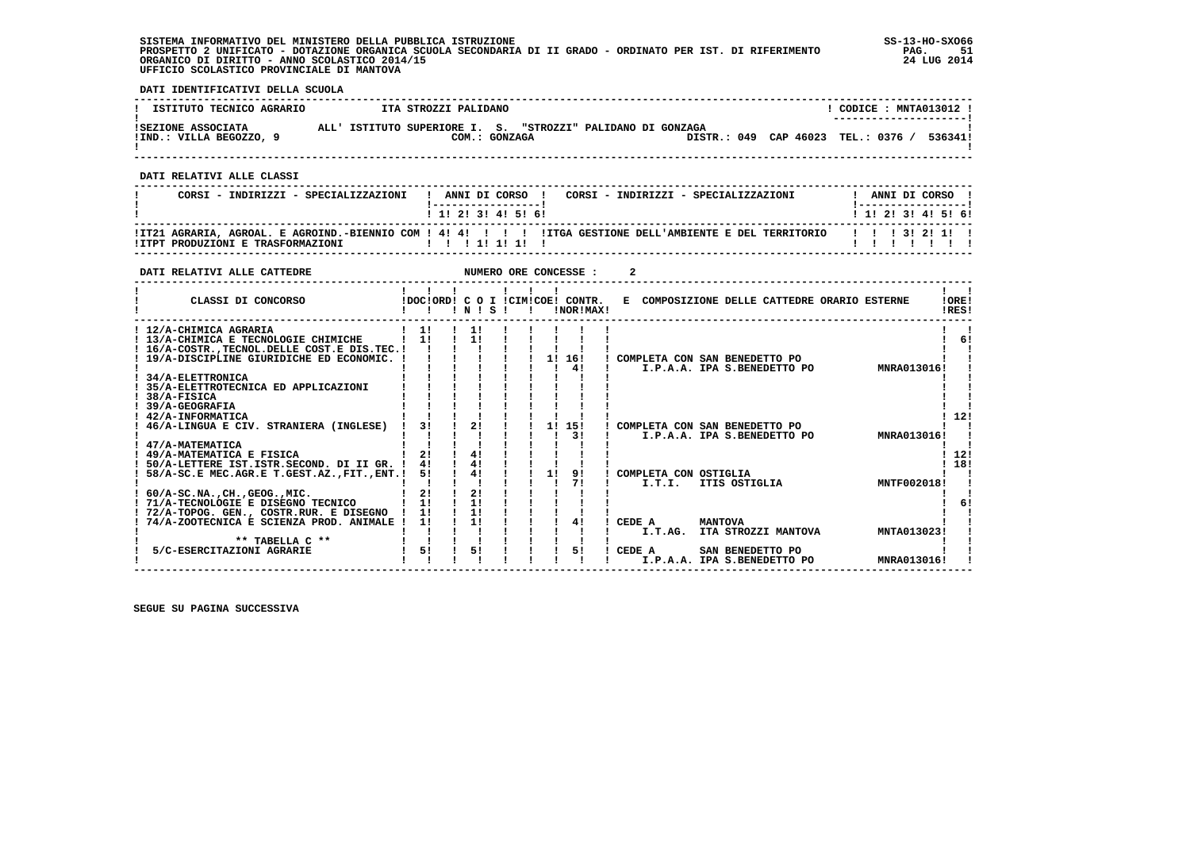**SISTEMA INFORMATIVO DEL MINISTERO DELLA PUBBLICA ISTRUZIONE SS-13-HO-SXO66 PROSPETTO 2 UNIFICATO - DOTAZIONE ORGANICA SCUOLA SECONDARIA DI II GRADO - ORDINATO PER IST. DI RIFERIMENTO PAG. 51 ORGANICO DI DIRITTO - ANNO SCOLASTICO 2014/15 24 LUG 2014 UFFICIO SCOLASTICO PROVINCIALE DI MANTOVA**

j

 **DATI IDENTIFICATIVI DELLA SCUOLA**

| ISTITUTO TECNICO AGRARIO | ITA STROZZI PALIDANO                                        | CODICE : MNTA013012 !<br>---------------------- |
|--------------------------|-------------------------------------------------------------|-------------------------------------------------|
| ISEZIONE ASSOCIATA       | ALL' ISTITUTO SUPERIORE I. S. "STROZZI" PALIDANO DI GONZAGA | DISTR.: 049 CAP 46023 TEL.: 0376 /              |
| IIND.: VILLA BEGOZZO, 9  | COM.: GONZAGA                                               | 536341!                                         |

 **------------------------------------------------------------------------------------------------------------------------------------**

 **DATI RELATIVI ALLE CLASSI**

| CORSI - INDIRIZZI - SPECIALIZZAZIONI | ! ANNI DI CORSO !<br>CORSI - INDIRIZZI - SPECIALIZZAZIONI                                                              | ANNI DI CORSO !           |
|--------------------------------------|------------------------------------------------------------------------------------------------------------------------|---------------------------|
|                                      | 1 1 2 3 3 4 5 6 1                                                                                                      | 1 1 1 2 1 3 1 4 1 5 1 6 1 |
|                                      | !IT21 AGRARIA, AGROAL, E AGROIND.-BIENNIO COM ! 4! 4! !!!!ITGA GESTIONE DELL'AMBIENTE E DEL TERRITORIO   !!! 3! 2! 1!! |                           |

 **------------------------------------------------------------------------------------------------------------------------------------**

| DATI RELATIVI ALLE CATTEDRE                                                                                                                                                                                                             |                            |                            |  |    | NUMERO ORE CONCESSE :                           |   |                                                              |                |                                         |                            |                |
|-----------------------------------------------------------------------------------------------------------------------------------------------------------------------------------------------------------------------------------------|----------------------------|----------------------------|--|----|-------------------------------------------------|---|--------------------------------------------------------------|----------------|-----------------------------------------|----------------------------|----------------|
| CLASSI DI CONCORSO                                                                                                                                                                                                                      |                            | INIS                       |  |    | IDOCIORDI C O I ICIMICOEI CONTR.<br>INOR ! MAX! | Е | COMPOSIZIONE DELLE CATTEDRE ORARIO ESTERNE                   |                |                                         |                            | !ORE!<br>IRES! |
| ! 12/A-CHIMICA AGRARIA<br>! 13/A-CHIMICA E TECNOLOGIE CHIMICHE<br>! 16/A-COSTR., TECNOL. DELLE COST. E DIS. TEC. !<br>19/A-DISCIPLINE GIURIDICHE ED ECONOMIC.<br>34/A-ELETTRONICA<br>35/A-ELETTROTECNICA ED APPLICAZIONI<br>38/A-FISICA | 11<br>11                   | 11<br>11                   |  |    | 1! 16!<br>41                                    |   | COMPLETA CON SAN BENEDETTO PO<br>I.P.A.A. IPA S.BENEDETTO PO |                |                                         | MNRA013016!                | 6!             |
| 39/A-GEOGRAFIA<br>42/A-INFORMATICA<br>46/A-LINGUA E CIV. STRANIERA (INGLESE)<br>47/A-MATEMATICA<br>! 49/A-MATEMATICA E FISICA                                                                                                           | 31<br>21                   | 21<br>41                   |  | 11 | 15!<br>31                                       |   | COMPLETA CON SAN BENEDETTO PO<br>I.P.A.A. IPA S.BENEDETTO PO |                |                                         | MNRA013016!                | 12!<br>12!     |
| 50/A-LETTERE IST.ISTR.SECOND. DI II GR. !<br>58/A-SC.E MEC.AGR.E T.GEST.AZ., FIT., ENT.!<br>$60/A-SC.NA.$ . CH GEOG MIC.<br>! 71/A-TECNOLOGIE E DISEGNO TECNICO<br>! 72/A-TOPOG. GEN., COSTR.RUR. E DISEGNO                             | 4!<br>51<br>21<br>1!<br>11 | 41<br>4!<br>21<br>1!<br>11 |  | 11 | 91<br>71                                        |   | COMPLETA CON OSTIGLIA<br>I.T.I.                              | ITIS OSTIGLIA  |                                         | MNTF002018!                | 18!<br>6       |
| 74/A-ZOOTECNICA E SCIENZA PROD. ANIMALE !<br>** TABELLA C **<br>5/C-ESERCITAZIONI AGRARIE                                                                                                                                               | 11<br>51                   | 11<br>51                   |  |    | 41<br>51                                        |   | CEDE A<br>I.T.AG.<br>CEDE A<br>I.P.A.A. IPA S.BENEDETTO PO   | <b>MANTOVA</b> | ITA STROZZI MANTOVA<br>SAN BENEDETTO PO | MNTA013023!<br>MNRA013016! |                |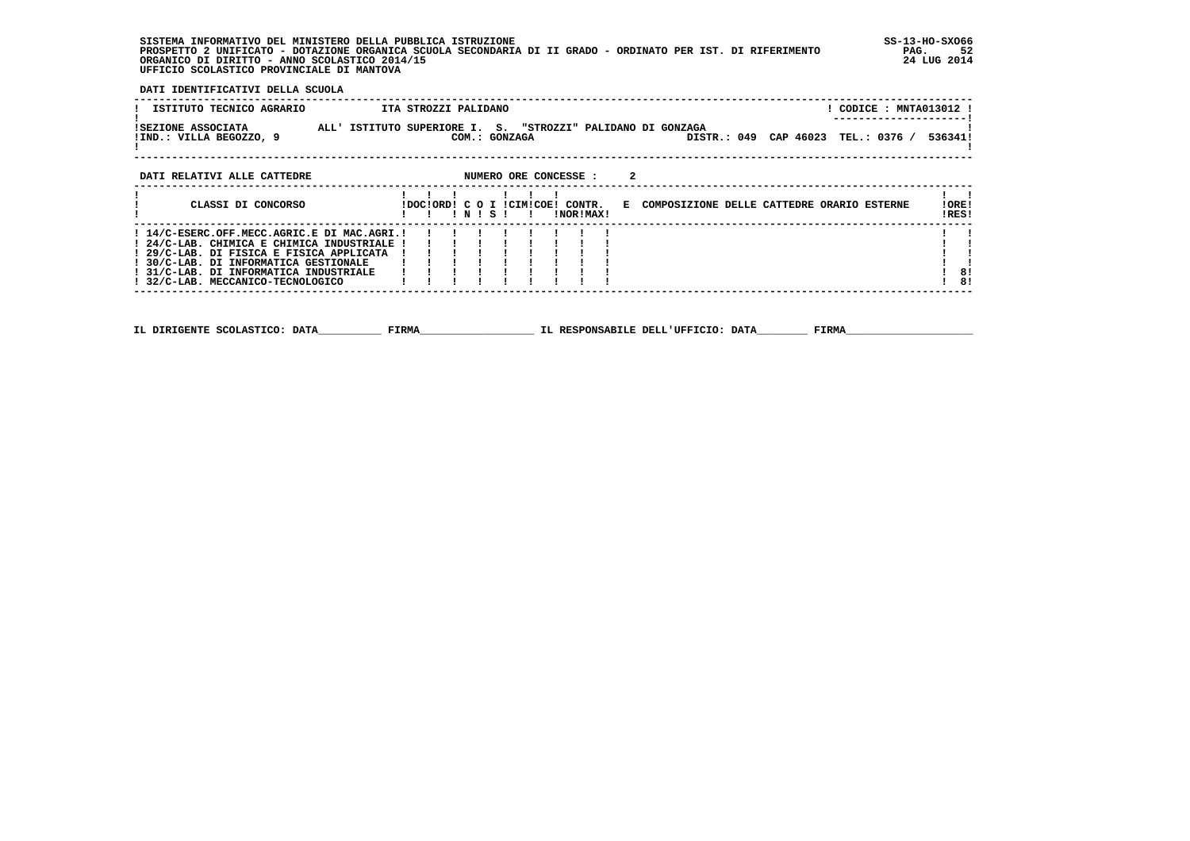**SISTEMA INFORMATIVO DEL MINISTERO DELLA PUBBLICA ISTRUZIONE SS-13-HO-SXO66 PROSPETTO 2 UNIFICATO - DOTAZIONE ORGANICA SCUOLA SECONDARIA DI II GRADO - ORDINATO PER IST. DI RIFERIMENTO PAG. 52 ORGANICO DI DIRITTO - ANNO SCOLASTICO 2014/15 24 LUG 2014 UFFICIO SCOLASTICO PROVINCIALE DI MANTOVA**

j

 **DATI IDENTIFICATIVI DELLA SCUOLA**

| ISTITUTO TECNICO AGRARIO                                                                                                                                                                                                                                       | ITA STROZZI PALIDANO<br>! CODICE : MNTA013012 !                                                                    |                |
|----------------------------------------------------------------------------------------------------------------------------------------------------------------------------------------------------------------------------------------------------------------|--------------------------------------------------------------------------------------------------------------------|----------------|
| <b>ISEZIONE ASSOCIATA</b><br>!IND.: VILLA BEGOZZO, 9                                                                                                                                                                                                           | ALL' ISTITUTO SUPERIORE I. S. "STROZZI" PALIDANO DI GONZAGA<br>DISTR.: 049 CAP 46023 TEL.: 0376 /<br>COM.: GONZAGA | 536341!        |
| DATI RELATIVI ALLE CATTEDRE                                                                                                                                                                                                                                    | NUMERO ORE CONCESSE :<br>2                                                                                         |                |
| CLASSI DI CONCORSO                                                                                                                                                                                                                                             | IDOCIORDI C O I ICIMICOEI CONTR. E COMPOSIZIONE DELLE CATTEDRE ORARIO ESTERNE<br>INISI I<br>INORIMAXI              | !ORE!<br>!RES! |
| ! 14/C-ESERC.OFF.MECC.AGRIC.E DI MAC.AGRI.!<br>! 24/C-LAB. CHIMICA E CHIMICA INDUSTRIALE !<br>! 29/C-LAB. DI FISICA E FISICA APPLICATA<br>! 30/C-LAB. DI INFORMATICA GESTIONALE<br>! 31/C-LAB. DI INFORMATICA INDUSTRIALE<br>! 32/C-LAB. MECCANICO-TECNOLOGICO |                                                                                                                    | 8!<br>8!       |
|                                                                                                                                                                                                                                                                |                                                                                                                    |                |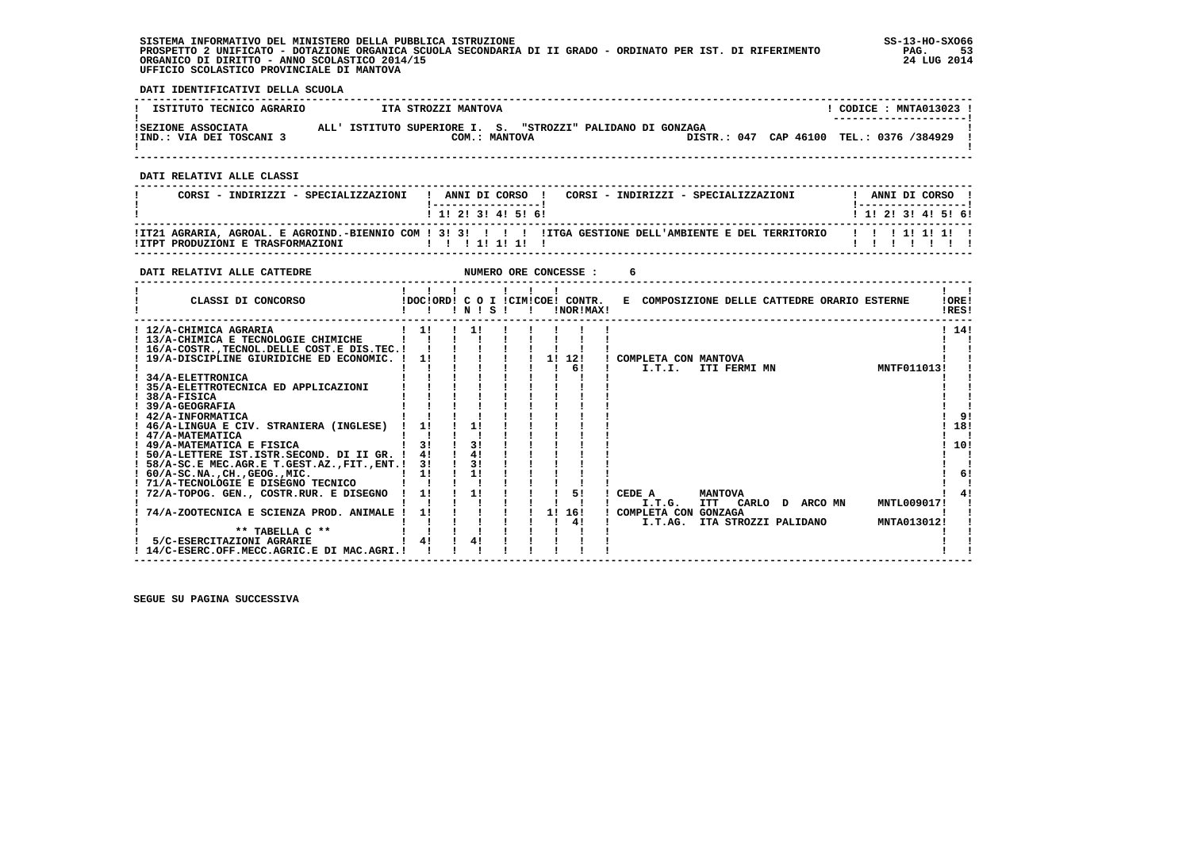**SISTEMA INFORMATIVO DEL MINISTERO DELLA PUBBLICA ISTRUZIONE SS-13-HO-SXO66 PROSPETTO 2 UNIFICATO - DOTAZIONE ORGANICA SCUOLA SECONDARIA DI II GRADO - ORDINATO PER IST. DI RIFERIMENTO PAG. 53 ORGANICO DI DIRITTO - ANNO SCOLASTICO 2014/15 24 LUG 2014 UFFICIO SCOLASTICO PROVINCIALE DI MANTOVA**

j

 **DATI IDENTIFICATIVI DELLA SCUOLA**

| ISTITUTO TECNICO AGRARIO                       | ITA STROZZI MANTOVA                                                             | CODICE: MNTA013023 !<br>---------------------- |
|------------------------------------------------|---------------------------------------------------------------------------------|------------------------------------------------|
| ISEZIONE ASSOCIATA<br>!IND.: VIA DEI TOSCANI 3 | "STROZZI" PALIDANO DI GONZAGA<br>ALL' ISTITUTO SUPERIORE I. S.<br>COM.: MANTOVA | DISTR.: 047 CAP 46100 TEL.: 0376 /384929       |

 **------------------------------------------------------------------------------------------------------------------------------------**

 **DATI RELATIVI ALLE CLASSI**

| CORSI - INDIRIZZI - SPECIALIZZAZIONI | ANNI DI CORSO !<br>CORSI - INDIRIZZI - SPECIALIZZAZIONI                                                                        | ANNI DI CORSO             |
|--------------------------------------|--------------------------------------------------------------------------------------------------------------------------------|---------------------------|
|                                      | 1 1 1 2 1 3 1 4 1 5 1 6 1                                                                                                      | 1 1 1 2 1 3 1 4 1 5 1 6 1 |
| IITPT PRODUZIONI E TRASFORMAZIONI    | !IT21 AGRARIA, AGROAL, E AGROIND.-BIENNIO COM ! 3! 3! !!! !ITGA GESTIONE DELL'AMBIENTE E DEL TERRITORIO   !!!!!!!!!<br>1111111 |                           |

 **------------------------------------------------------------------------------------------------------------------------------------**

| DATI RELATIVI ALLE CATTEDRE                                                                                                                                    |                      |                                  |           |    | NUMERO ORE CONCESSE :                         |                                 |                                              |  |             |                |
|----------------------------------------------------------------------------------------------------------------------------------------------------------------|----------------------|----------------------------------|-----------|----|-----------------------------------------------|---------------------------------|----------------------------------------------|--|-------------|----------------|
| CLASSI DI CONCORSO                                                                                                                                             |                      |                                  | 1 N 1 S 1 |    | !DOC!ORD! C O I !CIM!COE! CONTR.<br>!NOR!MAX! |                                 | E COMPOSIZIONE DELLE CATTEDRE ORARIO ESTERNE |  |             | !ORE!<br>!RES! |
| ! 12/A-CHIMICA AGRARIA<br>! 13/A-CHIMICA E TECNOLOGIE CHIMICHE<br>! 16/A-COSTRTECNOL.DELLE COST.E DIS.TEC.!<br>19/A-DISCIPLINE GIURIDICHE ED ECONOMIC.         | 11<br>11             | 11                               |           | 1! | 12!                                           | ! COMPLETA CON MANTOVA          |                                              |  |             | 1141           |
| ! 34/A-ELETTRONICA<br>35/A-ELETTROTECNICA ED APPLICAZIONI<br>! 38/A-FISICA<br>39/A-GEOGRAFIA                                                                   |                      |                                  |           |    | 61                                            | I.T.I.                          | ITI FERMI MN                                 |  | MNTF011013! |                |
| ! 42/A-INFORMATICA<br>46/A-LINGUA E CIV. STRANIERA (INGLESE)<br>! 47/A-MATEMATICA                                                                              | 11                   | 11                               |           |    |                                               |                                 |                                              |  |             | 91<br>18!      |
| ! 49/A-MATEMATICA E FISICA<br>! 50/A-LETTERE IST.ISTR.SECOND. DI II GR. !<br>! 58/A-SC.E MEC.AGR.E T.GEST.AZ., FIT., ENT.!<br>$60/A$ -SC.NA., CH., GEOG., MIC. | 31<br>41<br>3!<br>11 | 3 <sub>1</sub><br>4!<br>3!<br>11 |           |    |                                               |                                 |                                              |  |             | 10!<br>61      |
| ! 71/A-TECNOLOGIE E DISEGNO TECNICO<br>! 72/A-TOPOG. GEN., COSTR.RUR. E DISEGNO                                                                                | 1!                   | 11                               |           |    | 51                                            | CEDE A<br>I.T.G.                | <b>MANTOVA</b><br>ITT CARLO D ARCOMN         |  | MNTL009017! |                |
| 74/A-ZOOTECNICA E SCIENZA PROD. ANIMALE<br>** TABELLA C **<br>5/C-ESERCITAZIONI AGRARIE                                                                        | 1!<br>41             | 4!                               |           | 11 | 16!<br>41                                     | COMPLETA CON GONZAGA<br>I.T.AG. | ITA STROZZI PALIDANO                         |  | MNTA013012! |                |
| 14/C-ESERC.OFF.MECC.AGRIC.E DI MAC.AGRI.!                                                                                                                      |                      |                                  |           |    |                                               |                                 |                                              |  |             |                |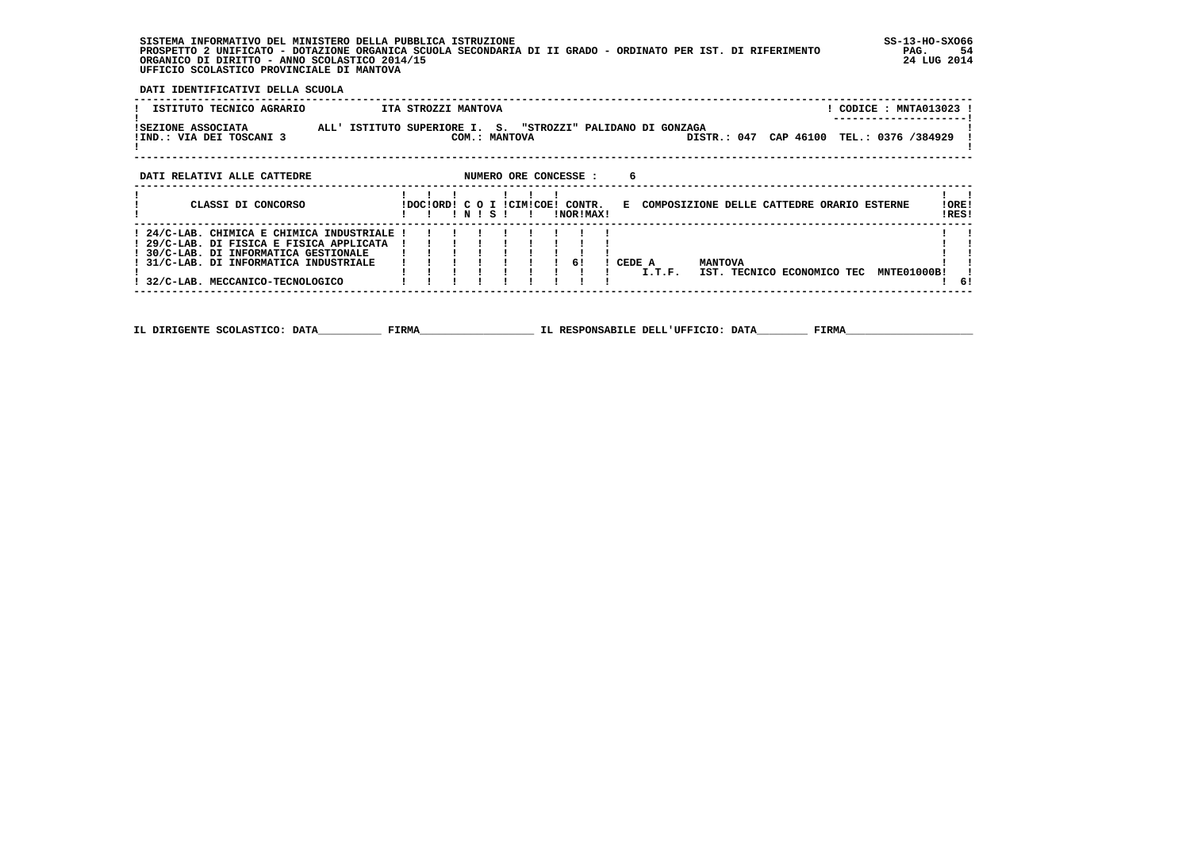**SISTEMA INFORMATIVO DEL MINISTERO DELLA PUBBLICA ISTRUZIONE SS-13-HO-SXO66**PAG. 54  **PROSPETTO 2 UNIFICATO - DOTAZIONE ORGANICA SCUOLA SECONDARIA DI II GRADO - ORDINATO PER IST. DI RIFERIMENTO PAG. 54**24 LUG 2014 ORGANICO DI DIRITTO - ANNO SCOLASTICO 2014/15  **UFFICIO SCOLASTICO PROVINCIALE DI MANTOVA**

| DATI IDENTIFICATIVI DELLA SCUOLA               |                                                                                                          |                                                            |
|------------------------------------------------|----------------------------------------------------------------------------------------------------------|------------------------------------------------------------|
| ISTITUTO TECNICO AGRARIO                       | ITA STROZZI MANTOVA                                                                                      | CODICE : MNTA013023 !<br>. _ _ _ _ _ _ _ _ _ _ _ _ _ _ _ _ |
| ISEZIONE ASSOCIATA<br>!IND.: VIA DEI TOSCANI 3 | ISTITUTO SUPERIORE I. S. "STROZZI" PALIDANO DI GONZAGA<br>ALL'<br>COM.: MANTOVA<br>DISTR.: 047           | CAP 46100 TEL.: 0376 /384929                               |
| DATI RELATIVI ALLE CATTEDRE                    | NUMERO ORE CONCESSE :<br>6                                                                               |                                                            |
| CLASSI DI CONCORSO                             | IDOCIORD! C O I ICIMICOE!<br>CONTR.<br>E COMPOSIZIONE DELLE CATTEDRE ORARIO ESTERNE<br>INORIMAXI<br>NISI | !ORE!<br>!RES!                                             |

 **! ! ! ! N ! S ! ! !NOR!MAX! !RES! ------------------------------------------------------------------------------------------------------------------------------------ ! 29/C-LAB. DI FISICA E FISICA APPLICATA ! ! ! ! ! ! ! ! ! ! ! ! 30/C-LAB. DI INFORMATICA GESTIONALE ! ! ! ! ! ! ! ! ! ! ! ! 31/C-LAB. DI INFORMATICA INDUSTRIALE ! ! ! ! ! ! ! 6! ! CEDE A MANTOVA ! ! ! ! ! ! ! ! ! ! ! ! I.T.F. IST. TECNICO ECONOMICO TEC MNTE01000B! ! ! 24/C-LAB. CHIMICA E CHIMICA INDUSTRIALE ! ! ! ! ! ! ! ! ! ! !** $\frac{1}{1}$  61  **! 32/C-LAB. MECCANICO-TECNOLOGICO ! ! ! ! ! ! ! ! ! ! 6!**

 **------------------------------------------------------------------------------------------------------------------------------------**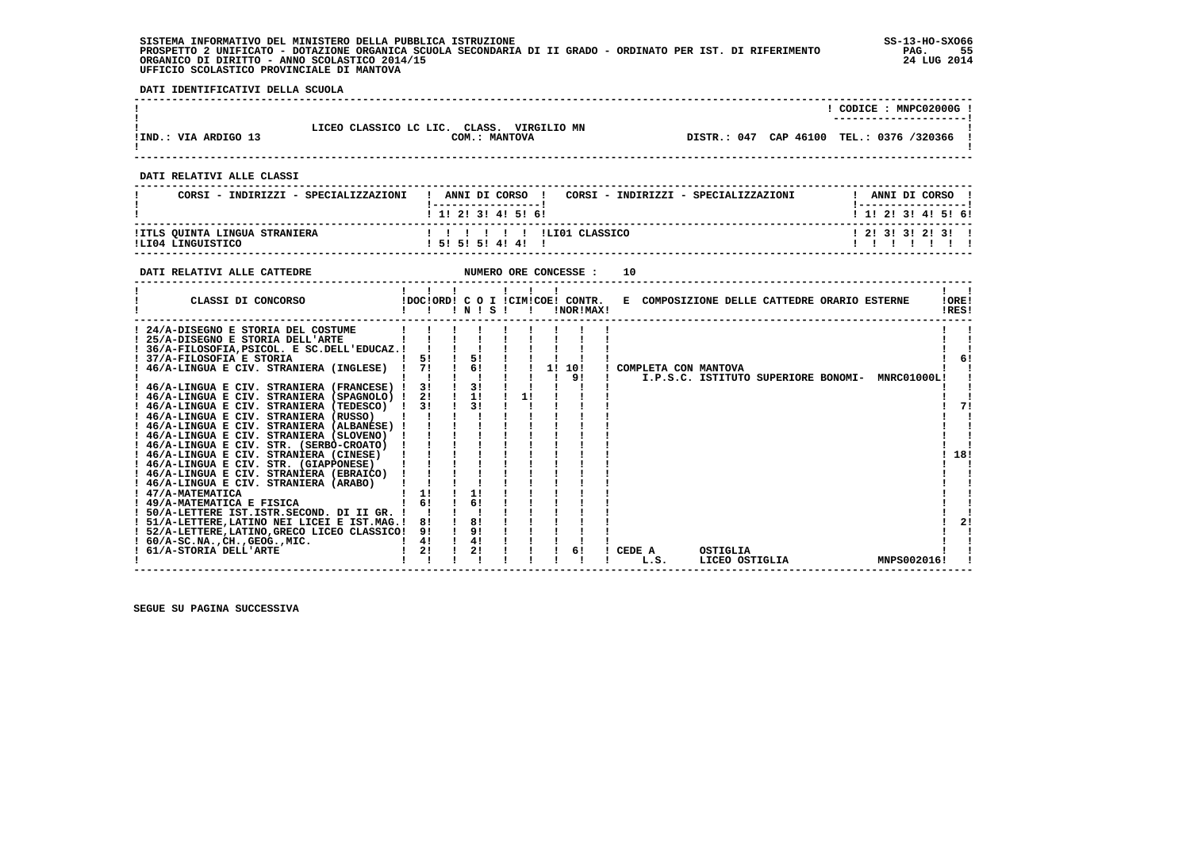**SISTEMA INFORMATIVO DEL MINISTERO DELLA PUBBLICA ISTRUZIONE SS-13-HO-SXO66 PROSPETTO 2 UNIFICATO - DOTAZIONE ORGANICA SCUOLA SECONDARIA DI II GRADO - ORDINATO PER IST. DI RIFERIMENTO PAG. 55 ORGANICO DI DIRITTO - ANNO SCOLASTICO 2014/15 24 LUG 2014 UFFICIO SCOLASTICO PROVINCIALE DI MANTOVA**

j

 **DATI IDENTIFICATIVI DELLA SCUOLA**

|                      |                                                               | CODICE: MNPC02000G!                      |
|----------------------|---------------------------------------------------------------|------------------------------------------|
| !IND.: VIA ARDIGO 13 | LICEO CLASSICO LC LIC. CLASS.<br>VIRGILIO MN<br>COM.: MANTOVA | DISTR.: 047 CAP 46100 TEL.: 0376 /320366 |
|                      |                                                               |                                          |

 **DATI RELATIVI ALLE CLASSI**

| CORSI - INDIRIZZI - SPECIALIZZAZIONI                      | ANNI DI CORSO<br>CORSI - INDIRIZZI - SPECIALIZZAZIONI<br>1 1 1 2 1 3 1 4 1 5 1 6 1 | ANNI DI CORSO<br>1 1 1 2 1 3 1 4 1 5 1 6 1 |
|-----------------------------------------------------------|------------------------------------------------------------------------------------|--------------------------------------------|
| <b>!ITLS QUINTA LINGUA STRANIERA</b><br>ILI04 LINGUISTICO | 1 5 1 5 1 5 1 4 1 4 1                                                              | 1 2 1 3 1 3 1 2 1 3 1 1                    |

 **------------------------------------------------------------------------------------------------------------------------------------**

| DATI RELATIVI ALLE CATTEDRE                                                                                                                                                                                                                                                                                                                                                                                                                                                                                                                                                                                                                                                                                                                                                                                                                 |                                                    |                                                                |    | NUMERO ORE CONCESSE :                         | 10                                                                         |                       |
|---------------------------------------------------------------------------------------------------------------------------------------------------------------------------------------------------------------------------------------------------------------------------------------------------------------------------------------------------------------------------------------------------------------------------------------------------------------------------------------------------------------------------------------------------------------------------------------------------------------------------------------------------------------------------------------------------------------------------------------------------------------------------------------------------------------------------------------------|----------------------------------------------------|----------------------------------------------------------------|----|-----------------------------------------------|----------------------------------------------------------------------------|-----------------------|
| CLASSI DI CONCORSO                                                                                                                                                                                                                                                                                                                                                                                                                                                                                                                                                                                                                                                                                                                                                                                                                          |                                                    | INIS                                                           |    | !DOC!ORD! C O I !CIM!COE! CONTR.<br>!NOR!MAX! | E COMPOSIZIONE DELLE CATTEDRE ORARIO ESTERNE                               | !ORE!<br>!RES!        |
| 24/A-DISEGNO E STORIA DEL COSTUME<br>25/A-DISEGNO E STORIA DELL'ARTE<br>! 36/A-FILOSOFIA, PSICOL. E SC.DELL'EDUCAZ.!<br>37/A-FILOSOFIA E STORIA<br>46/A-LINGUA E CIV. STRANIERA (INGLESE)<br>! 46/A-LINGUA E CIV. STRANIERA (FRANCESE) !<br>! 46/A-LINGUA E CIV. STRANIERA (SPAGNOLO) !<br>! 46/A-LINGUA E CIV. STRANIERA (TEDESCO)<br>46/A-LINGUA E CIV. STRANIERA (RUSSO)<br>! 46/A-LINGUA E CIV. STRANIERA (ALBANESE) !<br>! 46/A-LINGUA E CIV. STRANIERA (SLOVENO)<br>! 46/A-LINGUA E CIV. STR. (SERBO-CROATO)<br>! 46/A-LINGUA E CIV. STRANIERA (CINESE)<br>46/A-LINGUA E CIV. STR. (GIAPPONESE)<br>! 46/A-LINGUA E CIV. STRANIERA (EBRAICO)<br>! 46/A-LINGUA E CIV. STRANIERA (ARABO)<br>! 47/A-MATEMATICA<br>! 49/A-MATEMATICA E FISICA<br>! 50/A-LETTERE IST.ISTR.SECOND. DI II GR. !<br>51/A-LETTERE, LATINO NEI LICEI E IST.MAG.! | 51<br>71<br>31<br>2!<br>31<br>11<br>61<br>81<br>91 | 51<br>6!<br>3!<br>1!<br>3 <sub>1</sub><br>1!<br>61<br>8!<br>9! | 11 | 10!<br>11<br>91                               | COMPLETA CON MANTOVA<br>I.P.S.C. ISTITUTO SUPERIORE BONOMI-<br>MNRC01000L! | 61<br>71<br>18!<br>21 |
| ! 52/A-LETTERE, LATINO, GRECO LICEO CLASSICO!<br>$60/A-SC.NA.$ , $CH.$ , $GEOG.$ , $MIC.$<br>61/A-STORIA DELL'ARTE                                                                                                                                                                                                                                                                                                                                                                                                                                                                                                                                                                                                                                                                                                                          | 41<br>2!                                           | 4!<br>2!                                                       |    | 6!                                            | CEDE A<br>OSTIGLIA<br>MNPS002016!<br>LICEO OSTIGLIA<br>L.S.                |                       |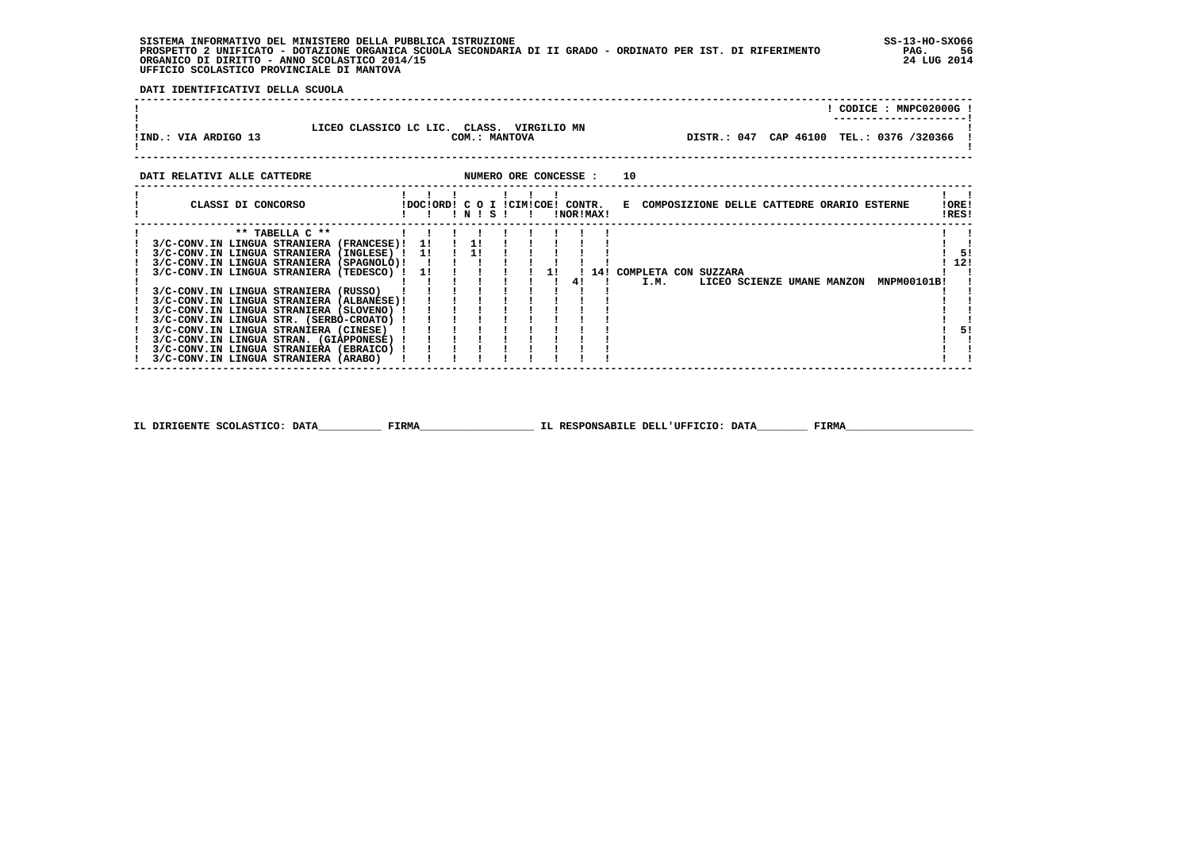**SISTEMA INFORMATIVO DEL MINISTERO DELLA PUBBLICA ISTRUZIONE SS-13-HO-SXO66 PROSPETTO 2 UNIFICATO - DOTAZIONE ORGANICA SCUOLA SECONDARIA DI II GRADO - ORDINATO PER IST. DI RIFERIMENTO PAG. 56 ORGANICO DI DIRITTO - ANNO SCOLASTICO 2014/15 24 LUG 2014 UFFICIO SCOLASTICO PROVINCIALE DI MANTOVA**

 **DATI IDENTIFICATIVI DELLA SCUOLA**

|                      |                                                               | CODICE: MNPC02000G!<br>----------------------- |
|----------------------|---------------------------------------------------------------|------------------------------------------------|
| !IND.: VIA ARDIGO 13 | LICEO CLASSICO LC LIC. CLASS.<br>VIRGILIO MN<br>COM.: MANTOVA | DISTR.: 047 CAP 46100 TEL.: 0376 /320366 !     |
|                      |                                                               |                                                |

| DATI RELATIVI ALLE CATTEDRE                                                                                                                                                                                                                                                                                                                                                                                                                                                                                       |                                  |   |    | NUMERO ORE CONCESSE : |           | 10 |      |                          |                            |                                              |                |                  |
|-------------------------------------------------------------------------------------------------------------------------------------------------------------------------------------------------------------------------------------------------------------------------------------------------------------------------------------------------------------------------------------------------------------------------------------------------------------------------------------------------------------------|----------------------------------|---|----|-----------------------|-----------|----|------|--------------------------|----------------------------|----------------------------------------------|----------------|------------------|
| CLASSI DI CONCORSO                                                                                                                                                                                                                                                                                                                                                                                                                                                                                                | IDOCIORDI C O I ICIMICOEI CONTR. | N | S. |                       | INORIMAX! |    |      |                          |                            | E COMPOSIZIONE DELLE CATTEDRE ORARIO ESTERNE | !ORE!<br>!RES! |                  |
| $***$ TABELLA $C***$<br>3/C-CONV.IN LINGUA STRANIERA (FRANCESE)!<br>3/C-CONV.IN LINGUA STRANIERA (INGLESE) !<br>3/C-CONV.IN LINGUA STRANIERA (SPAGNOLO)!<br>3/C-CONV.IN LINGUA STRANIERA (TEDESCO) !<br>3/C-CONV.IN LINGUA STRANIERA (RUSSO)<br>3/C-CONV.IN LINGUA STRANIERA (ALBANESE)!<br>3/C-CONV.IN LINGUA STRANIERA (SLOVENO) !<br>3/C-CONV.IN LINGUA STR. (SERBO-CROATO) !<br>3/C-CONV.IN LINGUA STRANIERA (CINESE)<br>3/C-CONV.IN LINGUA STRAN. (GIAPPONESE) !<br>3/C-CONV.IN LINGUA STRANIERA (EBRAICO) ! | 11<br>11<br>11                   |   |    |                       | 41        |    | I.M. | 14! COMPLETA CON SUZZARA | LICEO SCIENZE UMANE MANZON | MNPM00101B!                                  |                | 51<br>-12!<br>51 |
| 3/C-CONV.IN LINGUA STRANIERA (ARABO)                                                                                                                                                                                                                                                                                                                                                                                                                                                                              |                                  |   |    |                       |           |    |      |                          |                            |                                              |                |                  |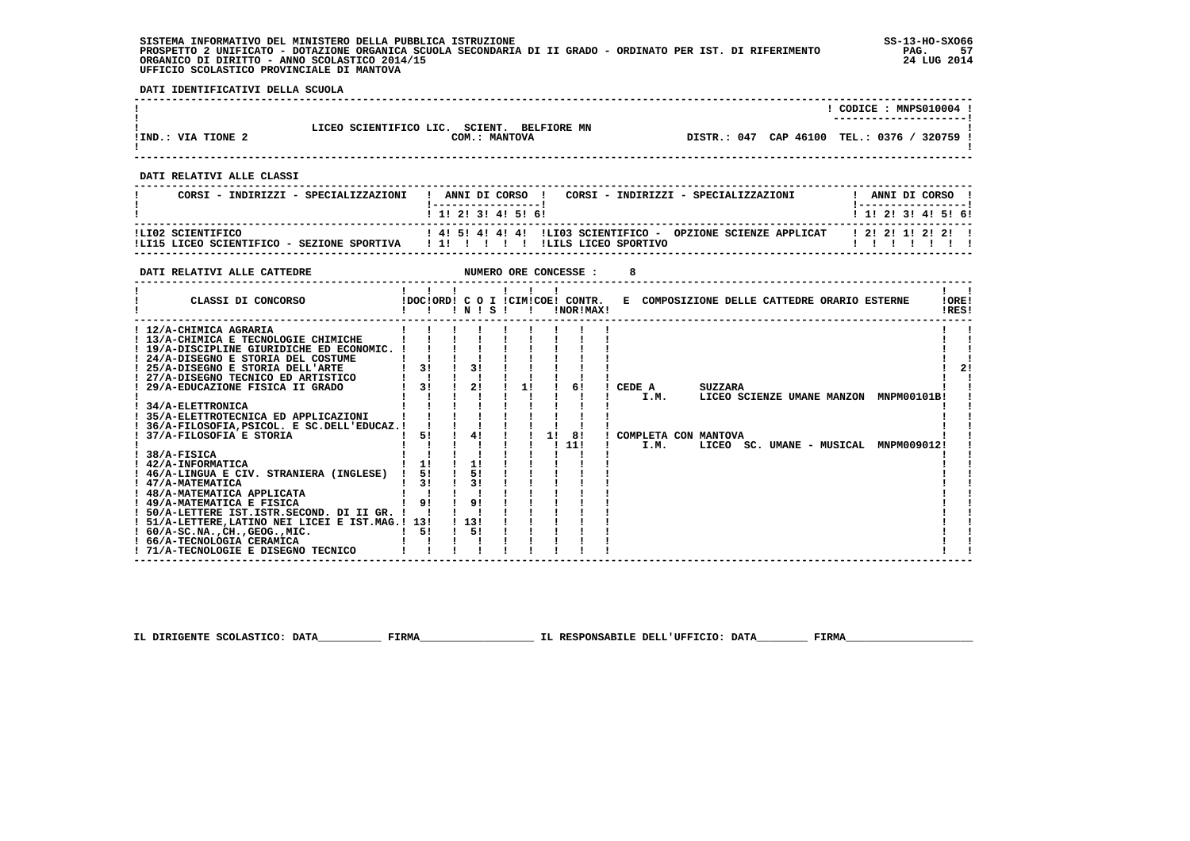**SISTEMA INFORMATIVO DEL MINISTERO DELLA PUBBLICA ISTRUZIONE SS-13-HO-SXO66 PROSPETTO 2 UNIFICATO - DOTAZIONE ORGANICA SCUOLA SECONDARIA DI II GRADO - ORDINATO PER IST. DI RIFERIMENTO PAG. 57**ORGANICO DI DIRITTO - ANNO SCOLASTICO 2014/15  **UFFICIO SCOLASTICO PROVINCIALE DI MANTOVA**

j

 **DATI IDENTIFICATIVI DELLA SCUOLA**

|                    |                                                         | CODICE: MNPS010004 !                        |
|--------------------|---------------------------------------------------------|---------------------------------------------|
|                    |                                                         | ---------------------                       |
|                    | LICEO SCIENTIFICO LIC.<br>SCIENT.<br><b>BELFIORE MN</b> |                                             |
| !IND.: VIA TIONE 2 | COM.: MANTOVA                                           | DISTR.: 047 CAP 46100 TEL.: 0376 / 320759 ! |
|                    |                                                         |                                             |

 **------------------------------------------------------------------------------------------------------------------------------------**

 **------------------------------------------------------------------------------------------------------------------------------------**

#### **DATI RELATIVI ALLE CLASSI**

| CORSI - INDIRIZZI - SPECIALIZZAZIONI                            | ANNI DI CORSO !<br>CORSI - INDIRIZZI - SPECIALIZZAZIONI<br>1 1 2 3 3 4 5 6 1                      | ANNI DI CORSO<br>1 1 1 2 1 3 1 4 1 5 1 6 1 |
|-----------------------------------------------------------------|---------------------------------------------------------------------------------------------------|--------------------------------------------|
| ILI02 SCIENTIFICO<br>!LI15 LICEO SCIENTIFICO - SEZIONE SPORTIVA | $1.41$ 51.41.41.41 11.103 SCIENTIFICO - OPZIONE SCIENZE APPLICAT<br>11111<br>ILILS LICEO SPORTIVO | 1 2 1 2 1 1 2 1 2 1                        |

 **------------------------------------------------------------------------------------------------------------------------------------**

| DATI RELATIVI ALLE CATTEDRE                                                                                                                                                                                                                                                                                                                                                                                                                                                                                                                                                                                                                                                                                                                 |                                              |                                                                              |           |              |    | NUMERO ORE CONCESSE :                         |        |              |                                        |                                              |                                                                                 |                |
|---------------------------------------------------------------------------------------------------------------------------------------------------------------------------------------------------------------------------------------------------------------------------------------------------------------------------------------------------------------------------------------------------------------------------------------------------------------------------------------------------------------------------------------------------------------------------------------------------------------------------------------------------------------------------------------------------------------------------------------------|----------------------------------------------|------------------------------------------------------------------------------|-----------|--------------|----|-----------------------------------------------|--------|--------------|----------------------------------------|----------------------------------------------|---------------------------------------------------------------------------------|----------------|
| CLASSI DI CONCORSO                                                                                                                                                                                                                                                                                                                                                                                                                                                                                                                                                                                                                                                                                                                          |                                              |                                                                              | 1 N 1 S 1 | $\mathbf{I}$ |    | !DOC!ORD! C O I !CIM!COE! CONTR.<br>!NOR!MAX! |        |              |                                        | E COMPOSIZIONE DELLE CATTEDRE ORARIO ESTERNE |                                                                                 | !ORE!<br>!RES! |
| ! 12/A-CHIMICA AGRARIA<br>! 13/A-CHIMICA E TECNOLOGIE CHIMICHE<br>! 19/A-DISCIPLINE GIURIDICHE ED ECONOMIC.<br>! 24/A-DISEGNO E STORIA DEL COSTUME<br>! 25/A-DISEGNO E STORIA DELL'ARTE<br>27/A-DISEGNO TECNICO ED ARTISTICO<br>29/A-EDUCAZIONE FISICA II GRADO<br>34/A-ELETTRONICA<br>35/A-ELETTROTECNICA ED APPLICAZIONI<br>36/A-FILOSOFIA.PSICOL. E SC.DELL'EDUCAZ.!<br>37/A-FILOSOFIA E STORIA<br>38/A-FISICA<br>! 42/A-INFORMATICA<br>46/A-LINGUA E CIV. STRANIERA (INGLESE)<br>! 47/A-MATEMATICA<br>! 48/A-MATEMATICA APPLICATA<br>! 49/A-MATEMATICA E FISICA<br>! 50/A-LETTERE IST.ISTR.SECOND. DI II GR. !<br>! 51/A-LETTERE, LATINO NEI LICEI E IST. MAG.! 13!<br>$1.60/A-SC.NA.$ , CH., GEOG., MIC.<br>! 66/A-TECNOLOGIA CERAMICA | 3!<br>3!<br>51<br>11<br>51<br>3!<br>91<br>5! | 3 <sub>1</sub><br>21<br>41<br>1!<br>51<br>3!<br>9 <sub>1</sub><br>1131<br>5! |           | 1!           | 11 | 61<br>81<br>111                               | CEDE A | I.M.<br>I.M. | <b>SUZZARA</b><br>COMPLETA CON MANTOVA |                                              | LICEO SCIENZE UMANE MANZON MNPM00101B!<br>LICEO SC. UMANE - MUSICAL MNPM009012! | 2 <sub>1</sub> |
| ! 71/A-TECNOLOGIE E DISEGNO TECNICO                                                                                                                                                                                                                                                                                                                                                                                                                                                                                                                                                                                                                                                                                                         |                                              |                                                                              |           |              |    |                                               |        |              |                                        |                                              |                                                                                 |                |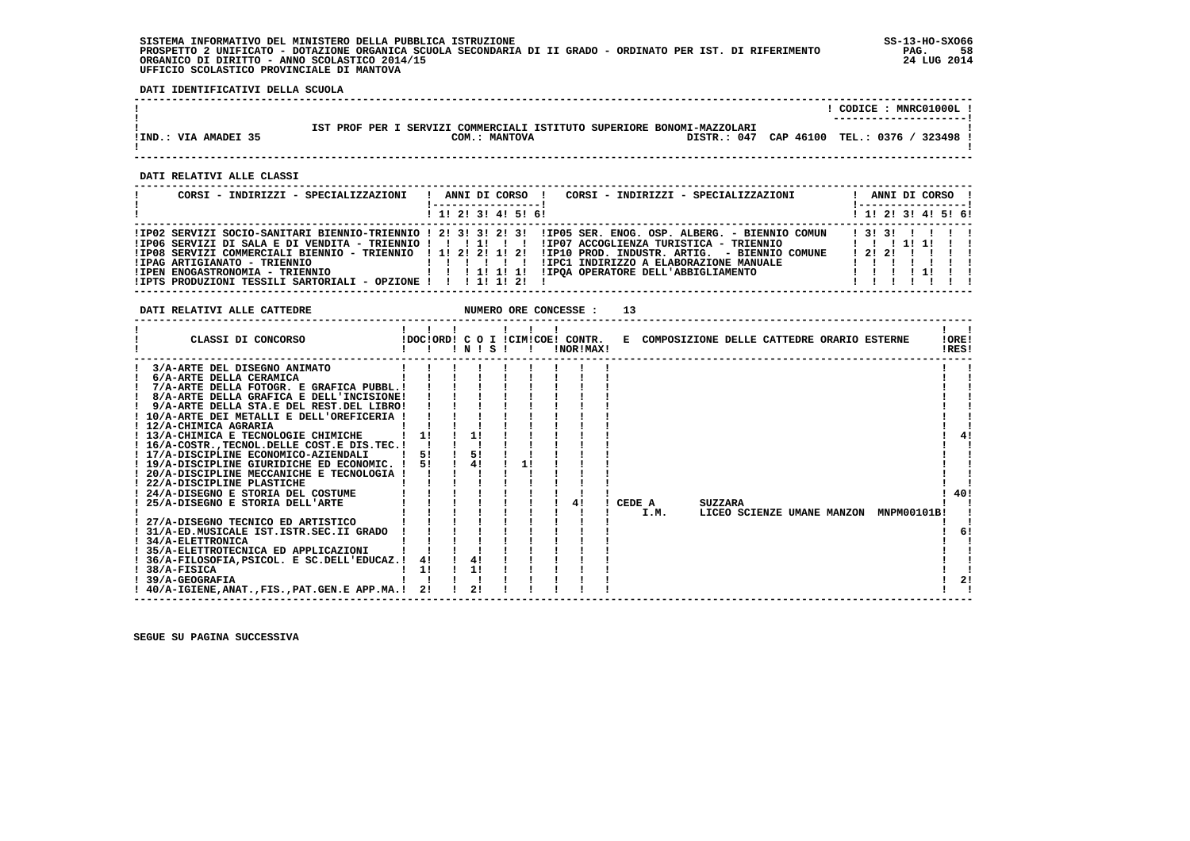#### **SISTEMA INFORMATIVO DEL MINISTERO DELLA PUBBLICA ISTRUZIONE SS-13-HO-SXO66 PROSPETTO 2 UNIFICATO - DOTAZIONE ORGANICA SCUOLA SECONDARIA DI II GRADO - ORDINATO PER IST. DI RIFERIMENTO PAG. 58**ORGANICO DI DIRITTO - ANNO SCOLASTICO 2014/15  **UFFICIO SCOLASTICO PROVINCIALE DI MANTOVA**

֚֚֡

 **DATI IDENTIFICATIVI DELLA SCUOLA**

|                      |                                                                             | CODICE: MNRC01000L!    |
|----------------------|-----------------------------------------------------------------------------|------------------------|
|                      |                                                                             | ---------------------- |
|                      | : SERVIZI COMMERCIALI ISTITUTO SUPERIORE BONOMI-MAZZOLARI<br>IST PROF PER I |                        |
| !IND.: VIA AMADEI 35 | DISTR.: 047 CAP 46100<br>COM.: MANTOVA                                      | TEL.: 0376 / 323498    |
|                      |                                                                             |                        |

 **------------------------------------------------------------------------------------------------------------------------------------**

 **DATI RELATIVI ALLE CLASSI**

| CORSI - INDIRIZZI - SPECIALIZZAZIONI                                                                                                                          | CORSI - INDIRIZZI - SPECIALIZZAZIONI<br>ANNI DI CORSO !                                                                                                                                                                                                                                                                                                   | ANNI DI CORSO !<br>! ------------------! |
|---------------------------------------------------------------------------------------------------------------------------------------------------------------|-----------------------------------------------------------------------------------------------------------------------------------------------------------------------------------------------------------------------------------------------------------------------------------------------------------------------------------------------------------|------------------------------------------|
|                                                                                                                                                               | $1$ , 1! 2! 3! 4! 5! 6!                                                                                                                                                                                                                                                                                                                                   | 1 1 2 3 3 4 5 5 6 9                      |
| !IP08 SERVIZI COMMERCIALI BIENNIO - TRIENNIO ! 1! 2! 2! 1! 2!<br>!IPAG ARTIGIANATO - TRIENNIO<br>!IPTS PRODUZIONI TESSILI SARTORIALI - OPZIONE ! ! ! 1! 1! 2! | !IP02 SERVIZI SOCIO-SANITARI BIENNIO-TRIENNIO ! 2! 3! 3! 2! 3! !IP05 SER. ENOG. OSP. ALBERG. - BIENNIO COMUN<br>IP06 SERVIZI DI SALA E DI VENDITA - TRIENNIO !!!!!!!!!!!!P07 ACCOGLIENZA TURISTICA - TRIENNIO!!!!!!!<br>!IP10 PROD. INDUSTR. ARTIG. - BIENNIO COMUNE<br>!IPC1 INDIRIZZO A ELABORAZIONE MANUALE<br>.<br>!IPOA OPERATORE DELL'ABBIGLIAMENTO | 131311111<br>12121 111<br>11111111       |

**DATI RELATIVI ALLE CATTEDRE NUMERO ORE CONCESSE : 13** 

| CLASSI DI CONCORSO                             |    |    | INISI |    | !DOC!ORD! C O I !CIM!COE! CONTR.<br>!NOR!MAX! |        |                | E COMPOSIZIONE DELLE CATTEDRE ORARIO ESTERNE |             | !ORE!<br>!RES! |
|------------------------------------------------|----|----|-------|----|-----------------------------------------------|--------|----------------|----------------------------------------------|-------------|----------------|
| 3/A-ARTE DEL DISEGNO ANIMATO                   |    |    |       |    |                                               |        |                |                                              |             |                |
| 6/A-ARTE DELLA CERAMICA                        |    |    |       |    |                                               |        |                |                                              |             |                |
| 7/A-ARTE DELLA FOTOGR. E GRAFICA PUBBL.!       |    |    |       |    |                                               |        |                |                                              |             |                |
| 8/A-ARTE DELLA GRAFICA E DELL'INCISIONE!       |    |    |       |    |                                               |        |                |                                              |             |                |
| 9/A-ARTE DELLA STA.E DEL REST.DEL LIBRO!       |    |    |       |    |                                               |        |                |                                              |             |                |
| ! 10/A-ARTE DEI METALLI E DELL'OREFICERIA      |    |    |       |    |                                               |        |                |                                              |             |                |
| ! 12/A-CHIMICA AGRARIA                         |    |    |       |    |                                               |        |                |                                              |             |                |
| ! 13/A-CHIMICA E TECNOLOGIE CHIMICHE           |    | 1! |       |    |                                               |        |                |                                              |             |                |
| ! 16/A-COSTRTECNOL.DELLE COST.E DIS.TEC.!      |    |    |       |    |                                               |        |                |                                              |             |                |
| ! 17/A-DISCIPLINE ECONOMICO-AZIENDALI          | 51 |    | 5!    |    |                                               |        |                |                                              |             |                |
| ! 19/A-DISCIPLINE GIURIDICHE ED ECONOMIC. !    | 51 |    | 41    | 11 |                                               |        |                |                                              |             |                |
| ! 20/A-DISCIPLINE MECCANICHE E TECNOLOGIA !    |    |    |       |    |                                               |        |                |                                              |             |                |
| ! 22/A-DISCIPLINE PLASTICHE                    |    |    |       |    |                                               |        |                |                                              |             |                |
| ! 24/A-DISEGNO E STORIA DEL COSTUME            |    |    |       |    |                                               |        |                |                                              |             | 40!            |
| 25/A-DISEGNO E STORIA DELL'ARTE                |    |    |       |    | 41                                            | CEDE A | <b>SUZZARA</b> |                                              |             |                |
|                                                |    |    |       |    |                                               | I.M.   |                | LICEO SCIENZE UMANE MANZON                   | MNPM00101B! |                |
| ! 27/A-DISEGNO TECNICO ED ARTISTICO            |    |    |       |    |                                               |        |                |                                              |             |                |
| 31/A-ED.MUSICALE IST.ISTR.SEC.II GRADO         |    |    |       |    |                                               |        |                |                                              |             | 6!             |
| ! 34/A-ELETTRONICA                             |    |    |       |    |                                               |        |                |                                              |             |                |
| ! 35/A-ELETTROTECNICA ED APPLICAZIONI          |    |    |       |    |                                               |        |                |                                              |             |                |
| ! 36/A-FILOSOFIA, PSICOL. E SC.DELL'EDUCAZ.!   | 4! | 4! |       |    |                                               |        |                |                                              |             |                |
| 38/A-FISICA                                    | 11 | 1! |       |    |                                               |        |                |                                              |             |                |
| ! 39/A-GEOGRAFIA                               |    |    |       |    |                                               |        |                |                                              |             | 2!             |
| ! 40/A-IGIENE, ANAT., FIS., PAT.GEN.E APP.MA.! | 21 | 2! |       |    |                                               |        |                |                                              |             |                |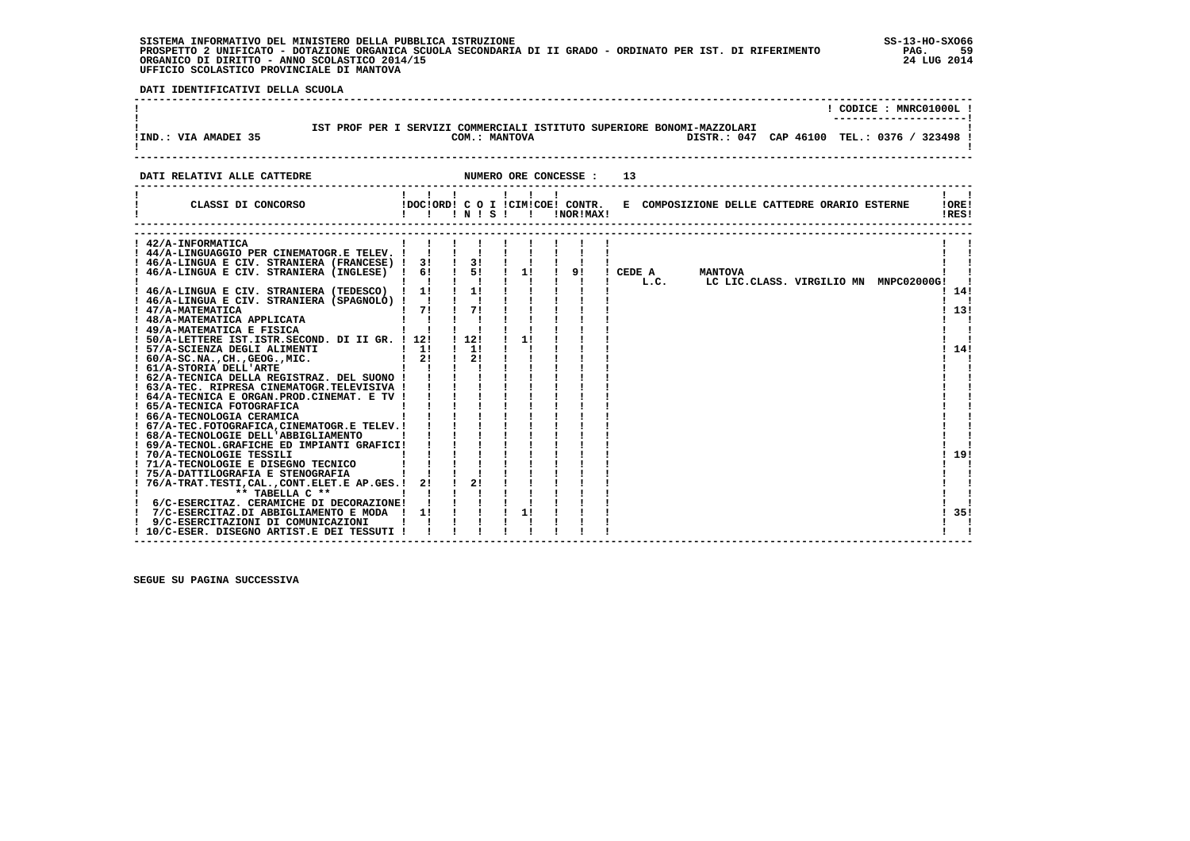# **SISTEMA INFORMATIVO DEL MINISTERO DELLA PUBBLICA ISTRUZIONE SS-13-HO-SXO66 PROSPETTO 2 UNIFICATO - DOTAZIONE ORGANICA SCUOLA SECONDARIA DI II GRADO - ORDINATO PER IST. DI RIFERIMENTO PAG. 59 ORGANICO DI DIRITTO - ANNO SCOLASTICO 2014/15 24 LUG 2014 UFFICIO SCOLASTICO PROVINCIALE DI MANTOVA**

j

 **DATI IDENTIFICATIVI DELLA SCUOLA**

|                                                                                                                                                                            |                                                         |                           |                     |    |                                                                         | $!$ CODICE : MNRC01000L $!$<br>----------------- |
|----------------------------------------------------------------------------------------------------------------------------------------------------------------------------|---------------------------------------------------------|---------------------------|---------------------|----|-------------------------------------------------------------------------|--------------------------------------------------|
| IST PROF PER I SERVIZI COMMERCIALI ISTITUTO SUPERIORE BONOMI-MAZZOLARI<br>! IND.: VIA AMADEI 35                                                                            |                                                         |                           | COM.: MANTOVA       |    | DISTR.: 047 CAP 46100 TEL.: 0376 / 323498 !                             |                                                  |
| DATI RELATIVI ALLE CATTEDRE                                                                                                                                                |                                                         |                           |                     | 13 |                                                                         |                                                  |
|                                                                                                                                                                            | $\mathbf{1}$ $\mathbf{1}$ $\mathbf{1}$ $\mathbf{1}$     |                           | $1 \quad 1 \quad 1$ |    |                                                                         | !ORE!<br>IRES!                                   |
| ! 42/A-INFORMATICA                                                                                                                                                         |                                                         |                           |                     |    |                                                                         |                                                  |
|                                                                                                                                                                            |                                                         |                           |                     |    |                                                                         |                                                  |
| ! 46/A-LINGUA E CIV. STRANIERA (FRANCESE) ! 3! ! 3! ! ! ! ! !<br>! 46/A-LINGUA E CIV. STRANIERA (INGLESE) ! 6!                                                             |                                                         | $15!$ 1 1                 |                     |    |                                                                         |                                                  |
|                                                                                                                                                                            | $\mathbf{I}$ $\mathbf{I}$                               | $\mathbf{I}$ $\mathbf{I}$ |                     |    | ! 9! ! CEDE A MANTOVA<br>!!! L.C. LC LIC.CLASS. VIRGILIO MN MNPC02000G! |                                                  |
| ! 46/A-LINGUA E CIV. STRANIERA (TEDESCO) ! 1!                                                                                                                              |                                                         | $\frac{1}{1}$             | $\mathbf{I}$        |    |                                                                         | ! 14!                                            |
| ! 46/A-LINGUA E CIV. STRANIERA (SPAGNOLO) ! ! ! !                                                                                                                          |                                                         |                           |                     |    |                                                                         |                                                  |
|                                                                                                                                                                            | $1 \t71 \t171$                                          |                           |                     |    |                                                                         | 13!                                              |
| ! 47/А-МАТЕМАТІСА<br>! 48/А-МАТЕМАТІСА АРРЫІСАТА<br>! 49/А-МАТЕМАТІСА Е FISICA                                                                                             | $\mathbf{I}$ $\mathbf{I}$                               |                           |                     |    |                                                                         |                                                  |
| ! 49/A-MATEMATICA E FISICA                                                                                                                                                 | $\mathbf{I}$ $\mathbf{I}$                               |                           |                     |    |                                                                         |                                                  |
| ! 50/A-LETTERE IST. ISTR. SECOND. DI II GR. ! 12!                                                                                                                          |                                                         | 112!                      | $\mathbf{I}$        |    |                                                                         |                                                  |
| $\frac{1}{2}$ 11<br>! 57/A-SCIENZA DEGLI ALIMENTI                                                                                                                          |                                                         | $\sqrt{1}$ 11             |                     |    |                                                                         | ! 14!                                            |
| $: 60/A-SC.NA.$ , $CH.$ , $GEOG.$ , $MIC.$                                                                                                                                 | $1 \quad 21$                                            | $\frac{1}{2}$             |                     |    |                                                                         |                                                  |
| ! 61/A-STORIA DELL'ARTE                                                                                                                                                    | $\mathbf{1}$ $\mathbf{1}$ $\mathbf{1}$                  |                           |                     |    |                                                                         |                                                  |
| ! 62/A-TECNICA DELLA REGISTRAZ. DEL SUONO ! ! ! !                                                                                                                          |                                                         |                           |                     |    |                                                                         |                                                  |
| ! 63/A-TEC. RIPRESA CINEMATOGR. TELEVISIVA ! ! ! !                                                                                                                         |                                                         |                           |                     |    |                                                                         |                                                  |
| ! 64/A-TECNICA E ORGAN. PROD. CINEMAT. E TV ! ! ! !                                                                                                                        |                                                         |                           |                     |    |                                                                         |                                                  |
| ! 65/A-TECNICA FOTOGRAFICA                                                                                                                                                 | $\frac{1}{2}$ $\frac{1}{2}$ $\frac{1}{2}$ $\frac{1}{2}$ |                           |                     |    |                                                                         |                                                  |
| ! 66/A-TECNOLOGIA CERAMICA                                                                                                                                                 | $\mathbf{i}$ iii                                        |                           |                     |    |                                                                         |                                                  |
| ! 67/A-TEC.FOTOGRAFICA, CINEMATOGR.E TELEV.!                                                                                                                               | <u>ii i</u>                                             |                           |                     |    |                                                                         |                                                  |
| ! 68/A-TECNOLOGIE DELL'ABBIGLIAMENTO                                                                                                                                       | $\cdots$ iii                                            |                           |                     |    |                                                                         |                                                  |
| ! 69/A-TECNOL.GRAFICHE ED IMPIANTI GRAFICI! ! ! !                                                                                                                          |                                                         |                           |                     |    |                                                                         | 19!                                              |
| <b>Contract Contract Contract Contract Contract</b><br>! 70/A-TECNOLOGIE TESSILI                                                                                           |                                                         |                           |                     |    |                                                                         |                                                  |
| ! 71/A-TECNOLOGIE E DISEGNO TECNICO                                                                                                                                        | $\mathbf{i}$ $\mathbf{j}$ $\mathbf{k}$                  |                           |                     |    |                                                                         |                                                  |
| ! 75/A-DATTILOGRAFIA E STENOGRAFIA                                                                                                                                         |                                                         |                           |                     |    |                                                                         |                                                  |
| ! 76/A-TRAT.TESTI,CAL.,CONT.ELET.E AP.GES.! 2! ! 2!<br>** TABELLA C **<br>$\mathbf{1}$ and $\mathbf{1}$ and $\mathbf{1}$<br>$\mathbf{I}$ and $\mathbf{I}$ and $\mathbf{I}$ |                                                         |                           |                     |    |                                                                         |                                                  |
| ! 6/C-ESERCITAZ. CERAMICHE DI DECORAZIONE! !                                                                                                                               |                                                         |                           |                     |    |                                                                         |                                                  |
| ! 7/C-ESERCITAZ.DI ABBIGLIAMENTO E MODA ! 1!                                                                                                                               |                                                         |                           |                     |    |                                                                         | 135!                                             |
| 9/C-ESERCITAZIONI DI COMUNICAZIONI                                                                                                                                         |                                                         |                           |                     |    |                                                                         |                                                  |
| ! 10/C-ESER. DISEGNO ARTIST.E DEI TESSUTI !                                                                                                                                |                                                         |                           |                     |    |                                                                         |                                                  |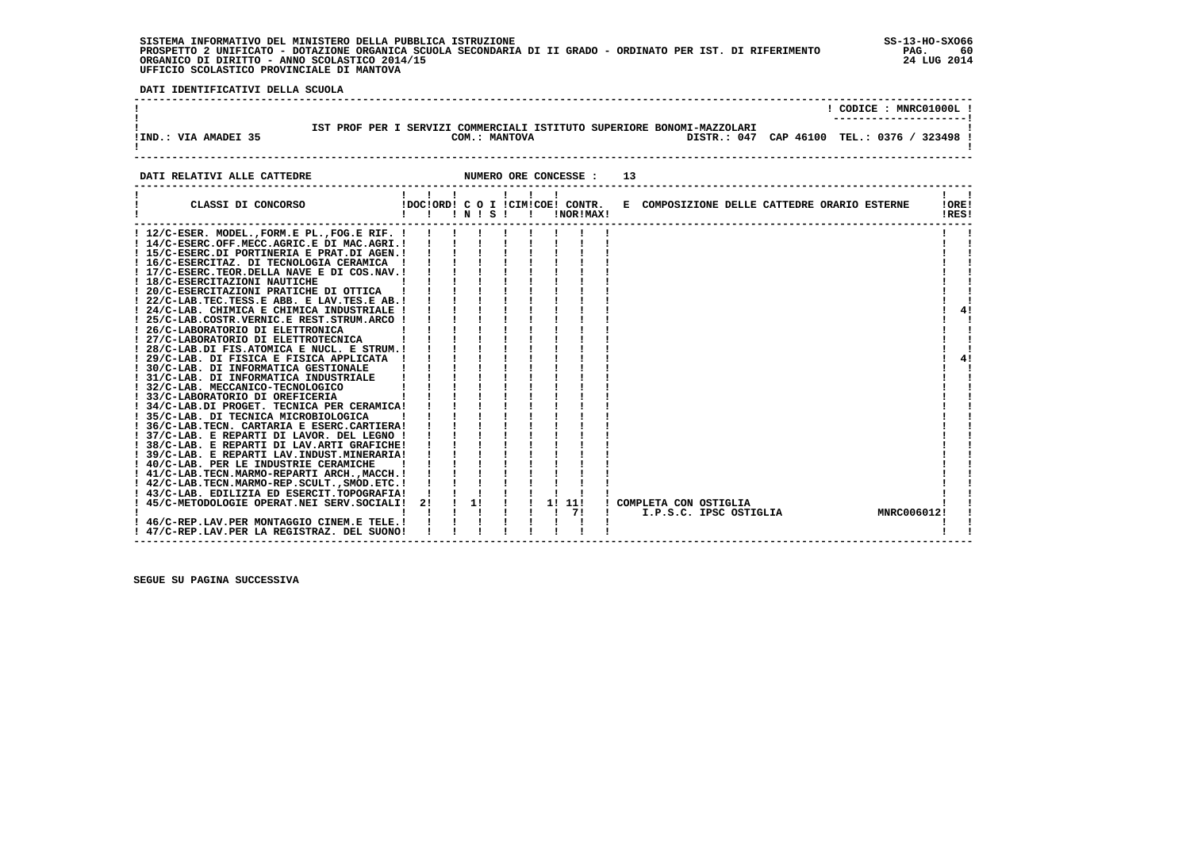## **SISTEMA INFORMATIVO DEL MINISTERO DELLA PUBBLICA ISTRUZIONE SS-13-HO-SXO66 PROSPETTO 2 UNIFICATO - DOTAZIONE ORGANICA SCUOLA SECONDARIA DI II GRADO - ORDINATO PER IST. DI RIFERIMENTO PAG. 60 ORGANICO DI DIRITTO - ANNO SCOLASTICO 2014/15 24 LUG 2014 UFFICIO SCOLASTICO PROVINCIALE DI MANTOVA**

 **DATI IDENTIFICATIVI DELLA SCUOLA**

|                      |  |               |  |                                                                                                                       |  | CODICE: MNRC01000L!<br>--------------------- |
|----------------------|--|---------------|--|-----------------------------------------------------------------------------------------------------------------------|--|----------------------------------------------|
| !IND.: VIA AMADEI 35 |  | COM.: MANTOVA |  | IST PROF PER I SERVIZI COMMERCIALI ISTITUTO SUPERIORE BONOMI-MAZZOLARI<br>DISTR.: 047 CAP 46100 TEL.: 0376 / 323498 ! |  |                                              |

| DATI RELATIVI ALLE CATTEDRE                                                                                                                                                                                                                                                                                                                                                                                                                                                                                                                                                                                                                                                                                                                                                                                                                            |                                                   |    |  | NUMERO ORE CONCESSE :        | 13 |                                                                  |                |
|--------------------------------------------------------------------------------------------------------------------------------------------------------------------------------------------------------------------------------------------------------------------------------------------------------------------------------------------------------------------------------------------------------------------------------------------------------------------------------------------------------------------------------------------------------------------------------------------------------------------------------------------------------------------------------------------------------------------------------------------------------------------------------------------------------------------------------------------------------|---------------------------------------------------|----|--|------------------------------|----|------------------------------------------------------------------|----------------|
| CLASSI DI CONCORSO                                                                                                                                                                                                                                                                                                                                                                                                                                                                                                                                                                                                                                                                                                                                                                                                                                     | .<br>!DOC!ORD! C O I !CIM!COE! CONTR.<br>!!!N!S!! |    |  | !NOR!MAX!                    |    | E COMPOSIZIONE DELLE CATTEDRE ORARIO ESTERNE                     | !ORE!<br>!RES! |
| ! 12/C-ESER. MODEL., FORM.E PL., FOG.E RIF. !<br>! 14/C-ESERC.OFF.MECC.AGRIC.E DI MAC.AGRI.!<br>! 15/C-ESERC.DI PORTINERIA E PRAT.DI AGEN.!<br>! 16/C-ESERCITAZ. DI TECNOLOGIA CERAMICA !<br>! 17/C-ESERC.TEOR.DELLA NAVE E DI COS.NAV.!<br>! 18/C-ESERCITAZIONI NAUTICHE<br>! 20/C-ESERCITAZIONI PRATICHE DI OTTICA<br>! 22/C-LAB.TEC.TESS.E ABB. E LAV.TES.E AB.!<br>! 24/C-LAB. CHIMICA E CHIMICA INDUSTRIALE !<br>! 25/C-LAB.COSTR.VERNIC.E REST.STRUM.ARCO !<br>! 26/C-LABORATORIO DI ELETTRONICA<br>! 27/C-LABORATORIO DI ELETTROTECNICA<br>! 28/C-LAB.DI FIS.ATOMICA E NUCL. E STRUM.!<br>! 29/C-LAB. DI FISICA E FISICA APPLICATA !<br>! 30/C-LAB. DI INFORMATICA GESTIONALE<br>! 31/C-LAB. DI INFORMATICA INDUSTRIALE<br>! 32/C-LAB. MECCANICO-TECNOLOGICO<br>! 33/C-LABORATORIO DI OREFICERIA<br>! 34/C-LAB.DI PROGET. TECNICA PER CERAMICA! |                                                   |    |  |                              |    |                                                                  | 41<br>4!       |
| ! 35/C-LAB. DI TECNICA MICROBIOLOGICA<br>! 36/C-LAB. TECN. CARTARIA E ESERC. CARTIERA!<br>! 37/C-LAB. E REPARTI DI LAVOR. DEL LEGNO !<br>! 38/C-LAB. E REPARTI DI LAV.ARTI GRAFICHE!<br>! 39/C-LAB. E REPARTI LAV.INDUST.MINERARIA!<br>! 40/C-LAB. PER LE INDUSTRIE CERAMICHE<br>! 41/C-LAB. TECN. MARMO-REPARTI ARCH., MACCH. !<br>! 42/C-LAB.TECN.MARMO-REP.SCULT., SMOD.ETC.!<br>! 43/C-LAB. EDILIZIA ED ESERCIT.TOPOGRAFIA!<br>! 45/C-METODOLOGIE OPERAT.NEI SERV.SOCIALI!<br>46/C-REP.LAV.PER MONTAGGIO CINEM.E TELE.!<br>! 47/C-REP.LAV.PER LA REGISTRAZ. DEL SUONO!                                                                                                                                                                                                                                                                             | 21                                                | 1! |  | 1! 11!<br>71<br>$\mathbf{I}$ |    | ! COMPLETA CON OSTIGLIA<br>MNRC006012!<br>I.P.S.C. IPSC OSTIGLIA |                |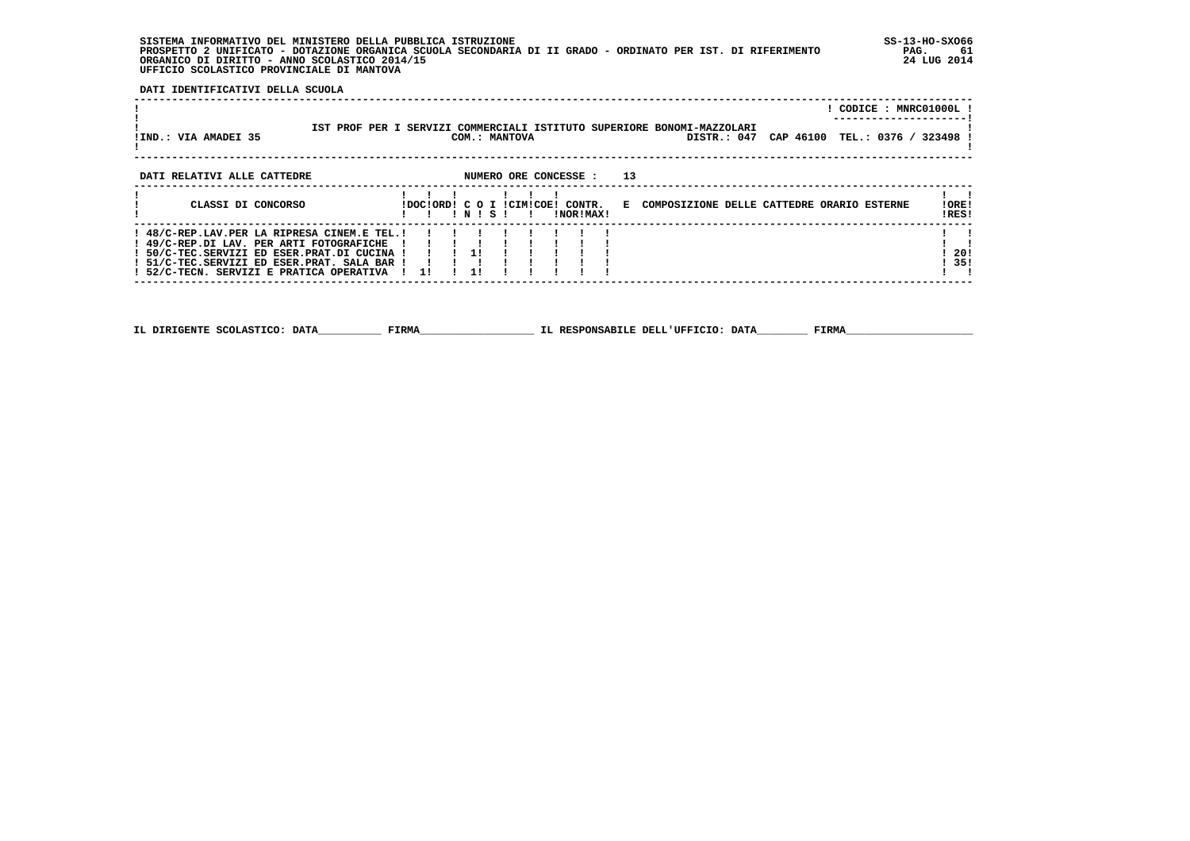**SISTEMA INFORMATIVO DEL MINISTERO DELLA PUBBLICA ISTRUZIONE SS-13-HO-SXO66 PROSPETTO 2 UNIFICATO - DOTAZIONE ORGANICA SCUOLA SECONDARIA DI II GRADO - ORDINATO PER IST. DI RIFERIMENTO PAG. 61 ORGANICO DI DIRITTO - ANNO SCOLASTICO 2014/15 24 LUG 2014 UFFICIO SCOLASTICO PROVINCIALE DI MANTOVA**

j

 **DATI IDENTIFICATIVI DELLA SCUOLA**

|                                                                                                                                                                                                                                   |                   |       |               |  |                                               |                                                                                       |  |  | ! CODICE : MNRC01000L !       |
|-----------------------------------------------------------------------------------------------------------------------------------------------------------------------------------------------------------------------------------|-------------------|-------|---------------|--|-----------------------------------------------|---------------------------------------------------------------------------------------|--|--|-------------------------------|
| !IND.: VIA AMADEI 35                                                                                                                                                                                                              |                   |       | COM.: MANTOVA |  |                                               | IST PROF PER I SERVIZI COMMERCIALI ISTITUTO SUPERIORE BONOMI-MAZZOLARI<br>DISTR.: 047 |  |  | CAP 46100 TEL.: 0376 / 323498 |
| DATI RELATIVI ALLE CATTEDRE                                                                                                                                                                                                       |                   |       |               |  | NUMERO ORE CONCESSE : 13                      |                                                                                       |  |  |                               |
| CLASSI DI CONCORSO                                                                                                                                                                                                                |                   | INISI |               |  | !DOC!ORD! C O I !CIM!COE! CONTR.<br>!NOR!MAX! | E COMPOSIZIONE DELLE CATTEDRE ORARIO ESTERNE                                          |  |  | !ORE!<br>!RES!                |
| ! 48/C-REP.LAV.PER LA RIPRESA CINEM.E TEL.!<br>! 49/C-REP.DI LAV. PER ARTI FOTOGRAFICHE<br>! 50/C-TEC.SERVIZI ED ESER.PRAT.DI CUCINA !<br>! 51/C-TEC.SERVIZI ED ESER.PRAT. SALA BAR !<br>! 52/C-TECN. SERVIZI E PRATICA OPERATIVA | 1 1 1 1 1 1<br>11 | 11    |               |  |                                               |                                                                                       |  |  | -201<br>! 35!                 |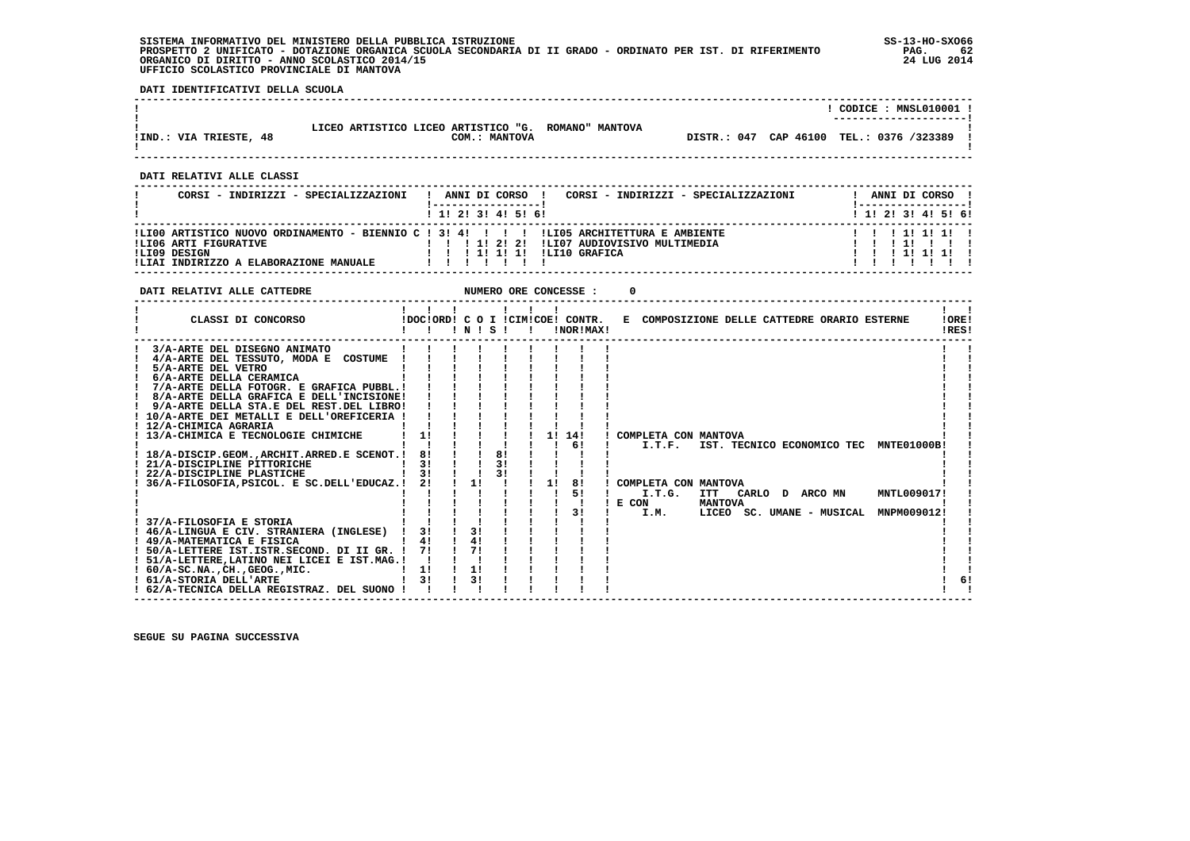**SISTEMA INFORMATIVO DEL MINISTERO DELLA PUBBLICA ISTRUZIONE SS-13-HO-SXO66 PROSPETTO 2 UNIFICATO - DOTAZIONE ORGANICA SCUOLA SECONDARIA DI II GRADO - ORDINATO PER IST. DI RIFERIMENTO PAG. 62**ORGANICO DI DIRITTO - ANNO SCOLASTICO 2014/15  **UFFICIO SCOLASTICO PROVINCIALE DI MANTOVA**

j

 **DATI IDENTIFICATIVI DELLA SCUOLA**

|                                                                                                                                                                                                                                                                                                                                                                                                                                                                                                                                                                                                                                                                  |                                                                           |               |                                              | ! CODICE : MNSL010001 !                          |
|------------------------------------------------------------------------------------------------------------------------------------------------------------------------------------------------------------------------------------------------------------------------------------------------------------------------------------------------------------------------------------------------------------------------------------------------------------------------------------------------------------------------------------------------------------------------------------------------------------------------------------------------------------------|---------------------------------------------------------------------------|---------------|----------------------------------------------|--------------------------------------------------|
| LICEO ARTISTICO LICEO ARTISTICO "G. ROMANO" MANTOVA<br>!IND.: VIA TRIESTE, 48                                                                                                                                                                                                                                                                                                                                                                                                                                                                                                                                                                                    |                                                                           | COM.: MANTOVA |                                              | DISTR.: 047 CAP 46100 TEL.: 0376 /323389 !       |
| DATI RELATIVI ALLE CLASSI                                                                                                                                                                                                                                                                                                                                                                                                                                                                                                                                                                                                                                        |                                                                           |               |                                              |                                                  |
| CORSI - INDIRIZZI - SPECIALIZZAZIONI   ANNI DI CORSO   CORSI - INDIRIZZI - SPECIALIZZAZIONI                                                                                                                                                                                                                                                                                                                                                                                                                                                                                                                                                                      |                                                                           |               |                                              | ! ANNI DI CORSO!                                 |
|                                                                                                                                                                                                                                                                                                                                                                                                                                                                                                                                                                                                                                                                  | ---------------------<br>1 1 2 3 3 4 5 5 6 9                              |               |                                              | 1------------------<br>1 1 1 2 1 3 1 4 1 5 1 6 1 |
|                                                                                                                                                                                                                                                                                                                                                                                                                                                                                                                                                                                                                                                                  |                                                                           |               |                                              |                                                  |
| DATI RELATIVI ALLE CATTEDRE                                                                                                                                                                                                                                                                                                                                                                                                                                                                                                                                                                                                                                      |                                                                           |               |                                              |                                                  |
| DOCIORDI COTICIMICOBI CONTR.<br>! ! ! N ! S ! ! INORIMAX!<br>CLASSI DI CONCORSO<br>---------------------------------                                                                                                                                                                                                                                                                                                                                                                                                                                                                                                                                             | $\begin{array}{cccccccccccccc} 1 & 1 & 1 & 1 & 1 & 1 & 1 & 1 \end{array}$ |               | E COMPOSIZIONE DELLE CATTEDRE ORARIO ESTERNE | $\mathbf{1}$ $\mathbf{1}$<br>!ORE!<br>IRES!      |
| 3/A-ARTE DEL DISEGNO ANIMATO<br>$4/A-ARTE$ DEL TESSUTO, MODA E COSTUME ! ! ! ! ! ! ! !<br>1 5/A-ARTE DEL VETRO<br>1 6/A-ARTE DELLA CERAMICA<br>1 7/A-ARTE DELLA GRAMICA<br>1 7/A-ARTE DELLA GRAFICA PUBBL.<br>1 8/A-ARTE DELLA GRAFICA PUBBL.<br>1 9/A-ARTE DELLA GRAFICA E DELL'INCISIONE!<br>1 9/A-ARTE DELLA GRAFICA E DELL'INCIS<br>! 9/A-ARTE DELLA STA.E DEL REST.DEL LIBRO! ! ! ! !<br>$\frac{1}{10/A-ARTE}$ DEI METALLI E DELL'OREFICERIA ! ! ! ! ! ! ! !<br>1 21/A-DISCIPLINE PITTORICHE<br>1 22/A-DISCIPLINE PLASTICHE<br>1 31 1 1 31 1 1 1 1 1 1 1 22/A-DISCIPLINE PLASTICHE<br>1 36/A-FILOSOFIA, PSICOL. E SC. DELL'EDUCAZ. 1 21 1 1 1 1 1 1 81 1 CO |                                                                           |               | ! COMPLETA CON MANTOVA                       |                                                  |
| ! 62/A-TECNICA DELLA REGISTRAZ. DEL SUONO ! ! ! !                                                                                                                                                                                                                                                                                                                                                                                                                                                                                                                                                                                                                |                                                                           |               |                                              | 6!                                               |

 **------------------------------------------------------------------------------------------------------------------------------------**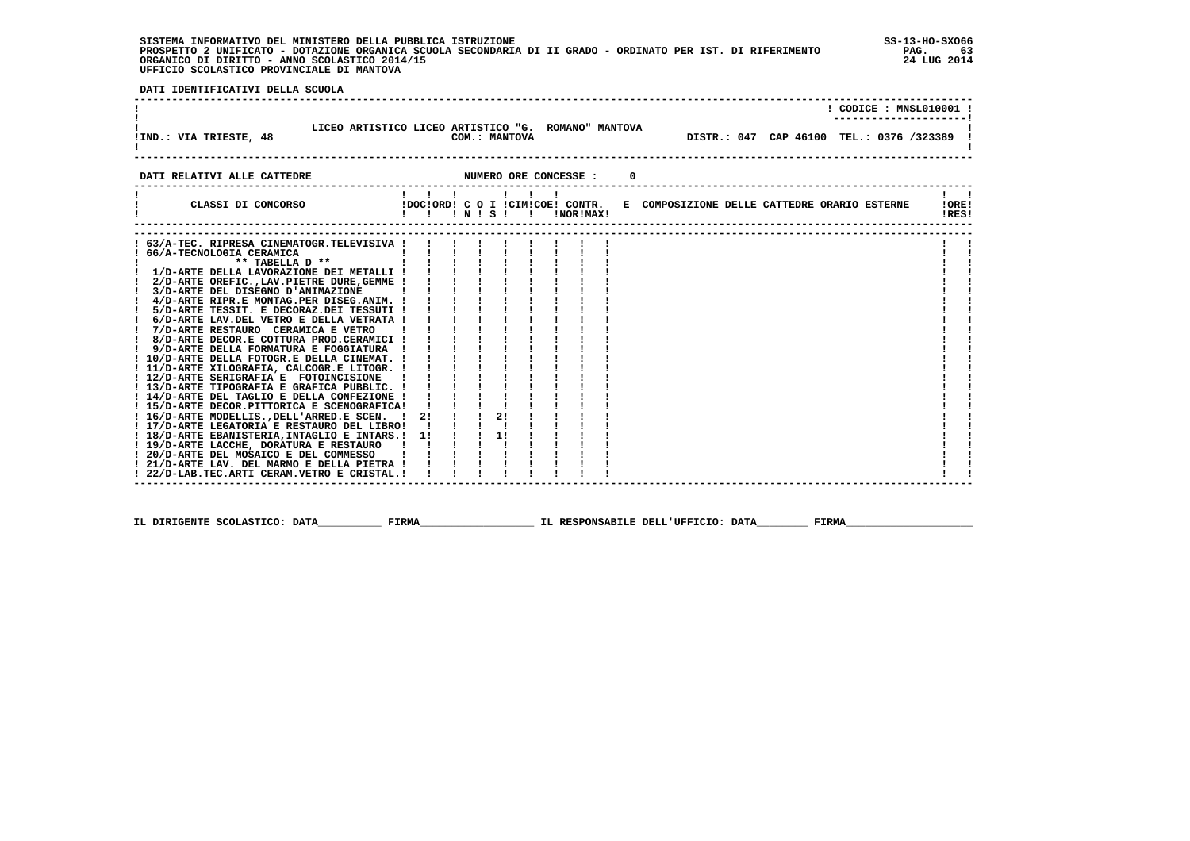**SISTEMA INFORMATIVO DEL MINISTERO DELLA PUBBLICA ISTRUZIONE SS-13-HO-SXO66 PROSPETTO 2 UNIFICATO - DOTAZIONE ORGANICA SCUOLA SECONDARIA DI II GRADO - ORDINATO PER IST. DI RIFERIMENTO PAG. 63 ORGANICO DI DIRITTO - ANNO SCOLASTICO 2014/15 24 LUG 2014 UFFICIO SCOLASTICO PROVINCIALE DI MANTOVA**

j

 **DATI IDENTIFICATIVI DELLA SCUOLA**

|                                                                                                                                                                                                                                                                                                                                                                                                                                                                                                                                                                                                                                                                                                   |                        |              |                                                                                  |               |           |  |                                            |  | ! CODICE : MNSL010001 !                     |
|---------------------------------------------------------------------------------------------------------------------------------------------------------------------------------------------------------------------------------------------------------------------------------------------------------------------------------------------------------------------------------------------------------------------------------------------------------------------------------------------------------------------------------------------------------------------------------------------------------------------------------------------------------------------------------------------------|------------------------|--------------|----------------------------------------------------------------------------------|---------------|-----------|--|--------------------------------------------|--|---------------------------------------------|
| LICEO ARTISTICO LICEO ARTISTICO "G. ROMANO" MANTOVA<br>!IND.: VIA TRIESTE, 48                                                                                                                                                                                                                                                                                                                                                                                                                                                                                                                                                                                                                     |                        |              |                                                                                  | COM.: MANTOVA |           |  | DISTR.: 047 CAP 46100 TEL.: 0376 /323389 ! |  |                                             |
| NUMERO ORE CONCESSE :<br>DATI RELATIVI ALLE CATTEDRE                                                                                                                                                                                                                                                                                                                                                                                                                                                                                                                                                                                                                                              |                        |              |                                                                                  |               |           |  |                                            |  |                                             |
| CLASSI DI CONCORSO (DOCIORDI C O I ICIMICOEI CONTR. E COMPOSIZIONE DELLE CATTEDRE ORARIO ESTERNE                                                                                                                                                                                                                                                                                                                                                                                                                                                                                                                                                                                                  | 1111111<br>!!!!!!!!!!! |              |                                                                                  |               | !NOR!MAX! |  |                                            |  | $\mathbf{1}$ $\mathbf{1}$<br>!ORE!<br>!RES! |
| 63/A-TEC. RIPRESA CINEMATOGR.TELEVISIVA !<br>! 66/A-TECNOLOGIA CERAMICA<br>** TABELLA D **<br>! 1/D-ARTE DELLA LAVORAZIONE DEI METALLI !<br>! 2/D-ARTE OREFIC., LAV. PIETRE DURE, GEMME !<br>3/D-ARTE DEL DISEGNO D'ANIMAZIONE<br>! 4/D-ARTE RIPR.E MONTAG.PER DISEG.ANIM. !<br>5/D-ARTE TESSIT. E DECORAZ.DEI TESSUTI !<br>6/D-ARTE LAV.DEL VETRO E DELLA VETRATA !<br>7/D-ARTE RESTAURO CERAMICA E VETRO<br>! 8/D-ARTE DECOR.E COTTURA PROD.CERAMICI !<br>! 13/D-ARTE TIPOGRAFIA E GRAFICA PUBBLIC. !<br>! 14/D-ARTE DEL TAGLIO E DELLA CONFEZIONE !<br>! 15/D-ARTE DECOR.PITTORICA E SCENOGRAFICA!<br>! 16/D-ARTE MODELLIS., DELL'ARRED.E SCEN.<br>! 17/D-ARTE LEGATORIA E RESTAURO DEL LIBRO! | $\mathbf{I}$           | $2!$ $1$ $1$ | i i i i i<br>$\frac{1}{1}$ $\frac{1}{1}$ $\frac{1}{1}$ $\frac{1}{1}$<br>2!<br>1! |               |           |  |                                            |  |                                             |
| ! 18/D-ARTE EBANISTERIA, INTAGLIO E INTARS.! 1!<br>! 19/D-ARTE LACCHE, DORATURA E RESTAURO !<br>! 20/D-ARTE DEL MOSAICO E DEL COMMESSO<br>! 21/D-ARTE LAV. DEL MARMO E DELLA PIETRA !<br>! 22/D-LAB.TEC.ARTI CERAM.VETRO E CRISTAL. !                                                                                                                                                                                                                                                                                                                                                                                                                                                             | $\mathbf{I}$           |              |                                                                                  |               |           |  |                                            |  |                                             |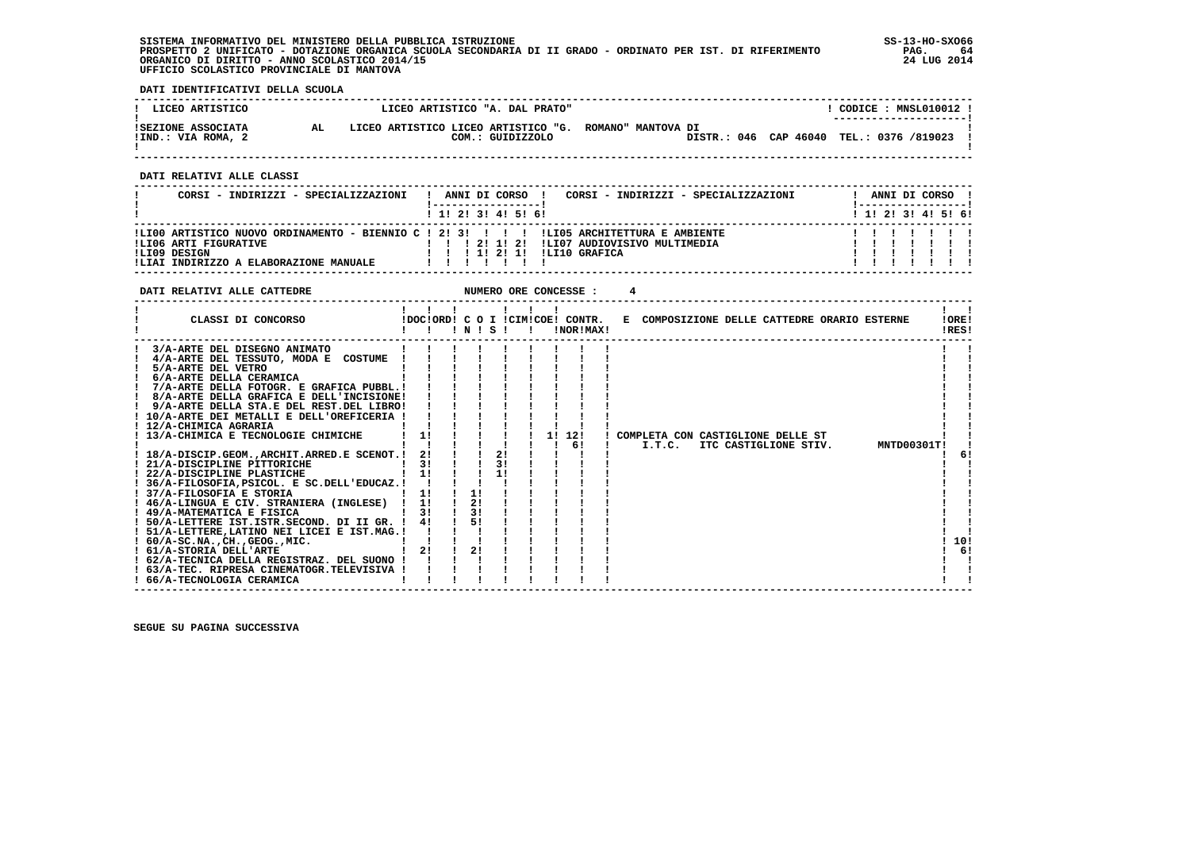**SISTEMA INFORMATIVO DEL MINISTERO DELLA PUBBLICA ISTRUZIONE SS-13-HO-SXO66 PROSPETTO 2 UNIFICATO - DOTAZIONE ORGANICA SCUOLA SECONDARIA DI II GRADO - ORDINATO PER IST. DI RIFERIMENTO PAG. 64 ORGANICO DI DIRITTO - ANNO SCOLASTICO 2014/15 24 LUG 2014 UFFICIO SCOLASTICO PROVINCIALE DI MANTOVA**

:

 **DATI IDENTIFICATIVI DELLA SCUOLA**

| ! LICEO ARTISTICO                        | LICEO ARTISTICO "A. DAL PRATO"                                             |  | CODICE: MNSL010012 !<br>--------------------- |  |
|------------------------------------------|----------------------------------------------------------------------------|--|-----------------------------------------------|--|
| ISEZIONE ASSOCIATA<br>!IND.: VIA ROMA, 2 | LICEO ARTISTICO LICEO ARTISTICO "G. ROMANO" MANTOVA DI<br>COM.: GUIDIZZOLO |  | DISTR.: 046 CAP 46040 TEL.: 0376 /819023      |  |

 **------------------------------------------------------------------------------------------------------------------------------------**

 **DATI RELATIVI ALLE CLASSI**

| CORSI - INDIRIZZI - SPECIALIZZAZIONI                                                                                                                                       |  |  | ANNI DI CORSO                |  |                                               | CORSI - INDIRIZZI - SPECIALIZZAZIONI |  |  |  | ANNI DI CORSO !           |  |
|----------------------------------------------------------------------------------------------------------------------------------------------------------------------------|--|--|------------------------------|--|-----------------------------------------------|--------------------------------------|--|--|--|---------------------------|--|
|                                                                                                                                                                            |  |  | 1 1 2 3 3 4 5 5 6            |  |                                               |                                      |  |  |  | 1 1 2 2 1 3 1 4 1 5 1 6 1 |  |
| !LI00 ARTISTICO NUOVO ORDINAMENTO - BIENNIO C ! 2! 3! ! ! !LI05 ARCHITETTURA E AMBIENTE<br>ILIO6 ARTI FIGURATIVE<br>!LI09 DESIGN<br>ILIAI INDIRIZZO A ELABORAZIONE MANUALE |  |  | 1 2 1 1 2 1<br>1 1 1 2 1 1 1 |  | ILI07 AUDIOVISIVO MULTIMEDIA<br>ILI10 GRAFICA |                                      |  |  |  |                           |  |

**DATI RELATIVI ALLE CATTEDRE NUMERO ORE CONCESSE : 4** 

| CLASSI DI CONCORSO<br>!DOC!ORD! C O I !CIM!COE! CONTR. E COMPOSIZIONE DELLE CATTEDRE ORARIO ESTERNE<br>!NOR!MAX!<br>'N'S'I | !ORE!<br>!RES! |
|----------------------------------------------------------------------------------------------------------------------------|----------------|
| 3/A-ARTE DEL DISEGNO ANIMATO                                                                                               |                |
| 4/A-ARTE DEL TESSUTO, MODA E COSTUME                                                                                       |                |
| 5/A-ARTE DEL VETRO                                                                                                         |                |
| 6/A-ARTE DELLA CERAMICA                                                                                                    |                |
| 7/A-ARTE DELLA FOTOGR. E GRAFICA PUBBL.!                                                                                   |                |
| 8/A-ARTE DELLA GRAFICA E DELL'INCISIONE!                                                                                   |                |
| 9/A-ARTE DELLA STA.E DEL REST.DEL LIBRO!                                                                                   |                |
| ! 10/A-ARTE DEI METALLI E DELL'OREFICERIA !                                                                                |                |
| 12/A-CHIMICA AGRARIA                                                                                                       |                |
| 1!<br>! 13/A-CHIMICA E TECNOLOGIE CHIMICHE<br>12!<br>11<br>COMPLETA CON CASTIGLIONE DELLE ST                               |                |
| 61<br>I.T.C.<br>ITC CASTIGLIONE STIV.                                                                                      | MNTD00301T!    |
| 2!<br>! 18/A-DISCIP.GEOM., ARCHIT. ARRED.E SCENOT.!<br>21                                                                  | 61             |
| 31<br>31<br>! 21/A-DISCIPLINE PITTORICHE                                                                                   |                |
| 11<br>11<br>! 22/A-DISCIPLINE PLASTICHE                                                                                    |                |
| ! 36/A-FILOSOFIA, PSICOL. E SC.DELL'EDUCAZ.!                                                                               |                |
| 1!<br>11<br>! 37/A-FILOSOFIA E STORIA                                                                                      |                |
| 2!<br>1!<br>! 46/A-LINGUA E CIV. STRANIERA (INGLESE) !                                                                     |                |
| 31<br>31<br>! 49/A-MATEMATICA E FISICA                                                                                     |                |
| 51<br>! 50/A-LETTERE IST.ISTR.SECOND. DI II GR. !                                                                          |                |
| ! 51/A-LETTERE, LATINO NEI LICEI E IST. MAG.!                                                                              |                |
| $: 60/A-SC.NA.$ , $CH.$ , $GEOG.$ , $MIC.$                                                                                 | 10!            |
| 2!<br>21<br>! 61/A-STORIA DELL'ARTE                                                                                        | 61             |
| ! 62/A-TECNICA DELLA REGISTRAZ. DEL SUONO !                                                                                |                |
| ! 63/A-TEC. RIPRESA CINEMATOGR.TELEVISIVA !                                                                                |                |
| ! 66/A-TECNOLOGIA CERAMICA                                                                                                 |                |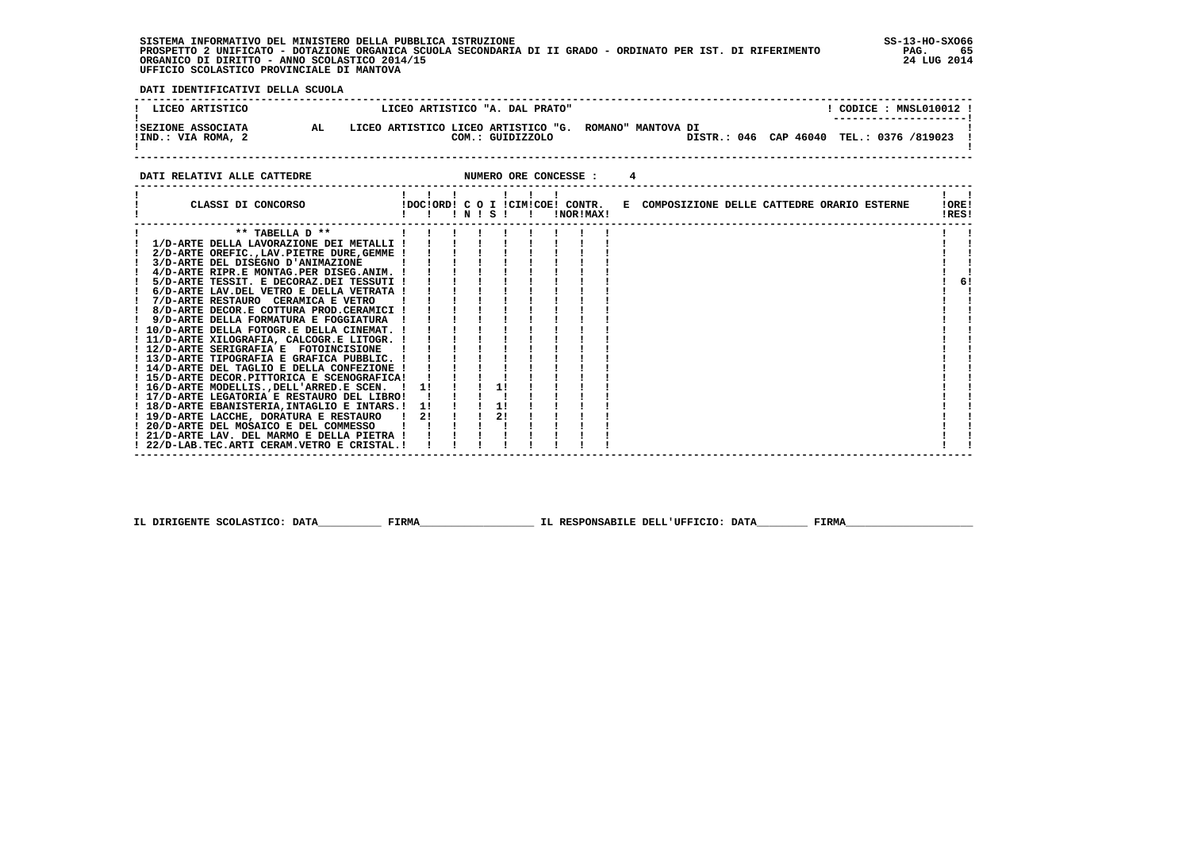**SISTEMA INFORMATIVO DEL MINISTERO DELLA PUBBLICA ISTRUZIONE SS-13-HO-SXO66 PROSPETTO 2 UNIFICATO - DOTAZIONE ORGANICA SCUOLA SECONDARIA DI II GRADO - ORDINATO PER IST. DI RIFERIMENTO PAG. 65 ORGANICO DI DIRITTO - ANNO SCOLASTICO 2014/15 24 LUG 2014 UFFICIO SCOLASTICO PROVINCIALE DI MANTOVA**

j

 **DATI IDENTIFICATIVI DELLA SCUOLA**

| LICEO ARTISTICO                          |  | LICEO ARTISTICO "A. DAL PRATO"                          |                    |  | CODICE : MNSL010012 !<br>---------------------- |  |
|------------------------------------------|--|---------------------------------------------------------|--------------------|--|-------------------------------------------------|--|
| ISEZIONE ASSOCIATA<br>!IND.: VIA ROMA, 2 |  | LICEO ARTISTICO LICEO ARTISTICO "G.<br>COM.: GUIDIZZOLO | ROMANO" MANTOVA DI |  | DISTR.: 046 CAP 46040 TEL.: 0376 /819023 !      |  |

**DATI RELATIVI ALLE CATTEDRE NUMERO ORE CONCESSE : 4** 

 **------------------------------------------------------------------------------------------------------------------------------------**

| CLASSI DI CONCORSO                           |    |  | ! N ! S ! |  | !NOR!MAX! | !DOC!ORD! C O I !CIM!COE! CONTR. E COMPOSIZIONE DELLE CATTEDRE ORARIO ESTERNE |  |  | !ORE!<br>!RES! |    |
|----------------------------------------------|----|--|-----------|--|-----------|-------------------------------------------------------------------------------|--|--|----------------|----|
| ** TABELLA D **                              |    |  |           |  |           |                                                                               |  |  |                |    |
| 1/D-ARTE DELLA LAVORAZIONE DEI METALLI !     |    |  |           |  |           |                                                                               |  |  |                |    |
| 2/D-ARTE OREFIC., LAV. PIETRE DURE, GEMME !  |    |  |           |  |           |                                                                               |  |  |                |    |
| 3/D-ARTE DEL DISEGNO D'ANIMAZIONE            |    |  |           |  |           |                                                                               |  |  |                |    |
| 4/D-ARTE RIPR.E MONTAG.PER DISEG.ANIM. !     |    |  |           |  |           |                                                                               |  |  |                |    |
| 5/D-ARTE TESSIT. E DECORAZ.DEI TESSUTI !     |    |  |           |  |           |                                                                               |  |  |                | 6! |
| 6/D-ARTE LAV.DEL VETRO E DELLA VETRATA !     |    |  |           |  |           |                                                                               |  |  |                |    |
| 7/D-ARTE RESTAURO CERAMICA E VETRO           |    |  |           |  |           |                                                                               |  |  |                |    |
| 8/D-ARTE DECOR.E COTTURA PROD.CERAMICI !     |    |  |           |  |           |                                                                               |  |  |                |    |
| 9/D-ARTE DELLA FORMATURA E FOGGIATURA        |    |  |           |  |           |                                                                               |  |  |                |    |
| ! 10/D-ARTE DELLA FOTOGR.E DELLA CINEMAT. !  |    |  |           |  |           |                                                                               |  |  |                |    |
| ! 11/D-ARTE XILOGRAFIA, CALCOGR.E LITOGR. !  |    |  |           |  |           |                                                                               |  |  |                |    |
| ! 12/D-ARTE SERIGRAFIA E FOTOINCISIONE       |    |  |           |  |           |                                                                               |  |  |                |    |
| ! 13/D-ARTE TIPOGRAFIA E GRAFICA PUBBLIC. !  |    |  |           |  |           |                                                                               |  |  |                |    |
| ! 14/D-ARTE DEL TAGLIO E DELLA CONFEZIONE !  |    |  |           |  |           |                                                                               |  |  |                |    |
| ! 15/D-ARTE DECOR.PITTORICA E SCENOGRAFICA!  |    |  |           |  |           |                                                                               |  |  |                |    |
| ! 16/D-ARTE MODELLIS., DELL'ARRED.E SCEN.    | 11 |  |           |  |           |                                                                               |  |  |                |    |
| ! 17/D-ARTE LEGATORIA E RESTAURO DEL LIBRO!  |    |  |           |  |           |                                                                               |  |  |                |    |
| ! 18/D-ARTE EBANISTERIA, INTAGLIO E INTARS.! | 11 |  |           |  |           |                                                                               |  |  |                |    |
| ! 19/D-ARTE LACCHE, DORATURA E RESTAURO      | 2! |  | 21        |  |           |                                                                               |  |  |                |    |
| ! 20/D-ARTE DEL MOSAICO E DEL COMMESSO       |    |  |           |  |           |                                                                               |  |  |                |    |
| ! 21/D-ARTE LAV. DEL MARMO E DELLA PIETRA !  |    |  |           |  |           |                                                                               |  |  |                |    |
| ! 22/D-LAB.TEC.ARTI CERAM.VETRO E CRISTAL.!  |    |  |           |  |           |                                                                               |  |  |                |    |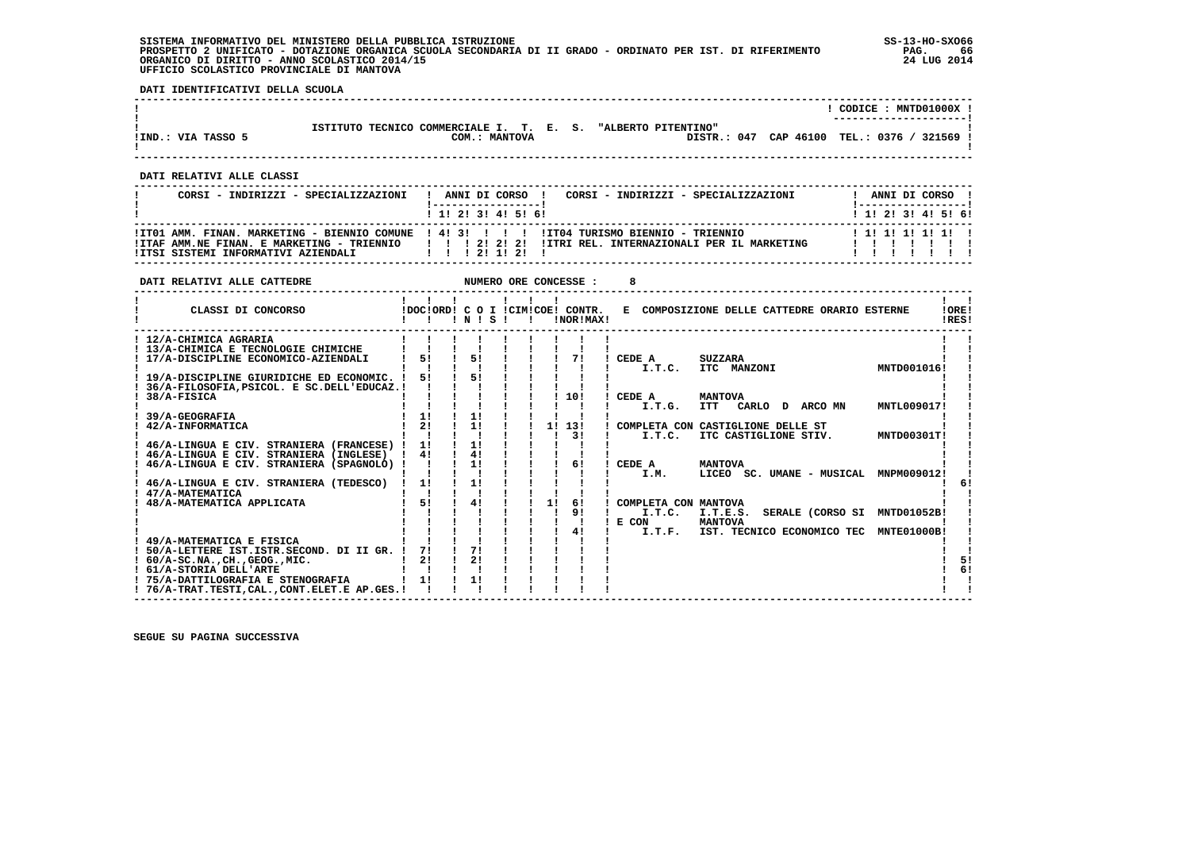**SISTEMA INFORMATIVO DEL MINISTERO DELLA PUBBLICA ISTRUZIONE SS-13-HO-SXO66 PROSPETTO 2 UNIFICATO - DOTAZIONE ORGANICA SCUOLA SECONDARIA DI II GRADO - ORDINATO PER IST. DI RIFERIMENTO PAG. 66 ORGANICO DI DIRITTO - ANNO SCOLASTICO 2014/15 24 LUG 2014 UFFICIO SCOLASTICO PROVINCIALE DI MANTOVA**

 **DATI IDENTIFICATIVI DELLA SCUOLA**

|                    |                                                                               |                       | CODICE : MNTD01000X !      |
|--------------------|-------------------------------------------------------------------------------|-----------------------|----------------------------|
| IIND.: VIA TASSO 5 | ISTITUTO TECNICO COMMERCIALE I. T. E. S. "ALBERTO PITENTINO"<br>COM.: MANTOVA | DISTR.: 047 CAP 46100 | TEL.: 0376 /<br>$321569$ . |

 **------------------------------------------------------------------------------------------------------------------------------------**

 **------------------------------------------------------------------------------------------------------------------------------------**

 **DATI RELATIVI ALLE CLASSI**

| CORSI - INDIRIZZI - SPECIALIZZAZIONI                                 | CORSI - INDIRIZZI - SPECIALIZZAZIONI<br>ANNI DI CORSO !                                            | ANNI DI CORSO !           |
|----------------------------------------------------------------------|----------------------------------------------------------------------------------------------------|---------------------------|
|                                                                      | 1 1 2 3 3 4 5 6 1                                                                                  | 1 1 1 2 1 3 1 4 1 5 1 6 1 |
|                                                                      | ITT01 AMM. FINAN. MARKETING - BIENNIO COMUNE   4! 3!   ! ! ITT04 TURISMO BIENNIO - TRIENNIO        | 1 1 1 1 1 1 1 1 1 1       |
| ! ITSI SISTEMI INFORMATIVI AZIENDALI                ! ! ! 2! 1! 2! ! | ITAF AMM.NE FINAN. E MARKETING - TRIENNIO       2  2  2  ITRI REL. INTERNAZIONALI PER IL MARKETING |                           |
|                                                                      |                                                                                                    |                           |

| DATI RELATIVI ALLE CATTEDRE                 |    |                 |              |    | NUMERO ORE CONCESSE :                         |        |                                              |                       |  |                            |                                       |                |    |
|---------------------------------------------|----|-----------------|--------------|----|-----------------------------------------------|--------|----------------------------------------------|-----------------------|--|----------------------------|---------------------------------------|----------------|----|
| CLASSI DI CONCORSO                          |    | $'$ N $'$ S $'$ | $\mathbf{I}$ |    | !DOC!ORD! C O I !CIM!COE! CONTR.<br>!NOR!MAX! |        | E COMPOSIZIONE DELLE CATTEDRE ORARIO ESTERNE |                       |  |                            |                                       | !ORE!<br>!RES! |    |
| ! 12/A-CHIMICA AGRARIA                      |    |                 |              |    |                                               |        |                                              |                       |  |                            |                                       |                |    |
| ! 13/A-CHIMICA E TECNOLOGIE CHIMICHE        |    |                 |              |    |                                               |        |                                              |                       |  |                            |                                       |                |    |
| 17/A-DISCIPLINE ECONOMICO-AZIENDALI         | 51 | 51              |              |    | 71                                            | CEDE A |                                              | <b>SUZZARA</b>        |  |                            |                                       |                |    |
|                                             |    |                 |              |    |                                               |        | I.T.C.                                       | ITC MANZONI           |  |                            | MNTD001016!                           |                |    |
| 19/A-DISCIPLINE GIURIDICHE ED ECONOMIC. !   | 51 | 51              |              |    |                                               |        |                                              |                       |  |                            |                                       |                |    |
| 36/A-FILOSOFIA, PSICOL. E SC.DELL'EDUCAZ. ! |    |                 |              |    |                                               |        |                                              |                       |  |                            |                                       |                |    |
| 38/A-FISICA                                 |    |                 |              |    | 10!                                           | CEDE A |                                              | <b>MANTOVA</b>        |  |                            |                                       |                |    |
|                                             |    |                 |              |    |                                               |        | I.T.G.                                       | <b>ITT</b>            |  | CARLO DARCOMN              | MNTL009017!                           |                |    |
| 39/A-GEOGRAFIA                              | 1! | 11              |              |    |                                               |        |                                              |                       |  |                            |                                       |                |    |
| 42/A-INFORMATICA                            | 21 | 1!              |              | 1! | 13!                                           |        | COMPLETA CON CASTIGLIONE DELLE ST            |                       |  |                            |                                       |                |    |
|                                             |    |                 |              |    | 31                                            |        | I.T.C.                                       | ITC CASTIGLIONE STIV. |  |                            | MNTD00301T!                           |                |    |
| 46/A-LINGUA E CIV. STRANIERA (FRANCESE) !   | 11 | 11              |              |    |                                               |        |                                              |                       |  |                            |                                       |                |    |
| 46/A-LINGUA E CIV. STRANIERA (INGLESE)      | 4! | 4!              |              |    |                                               |        |                                              |                       |  |                            |                                       |                |    |
| 46/A-LINGUA E CIV. STRANIERA (SPAGNOLO) !   |    | 11              |              |    | 61                                            | CEDE A |                                              | <b>MANTOVA</b>        |  |                            |                                       |                |    |
|                                             |    |                 |              |    |                                               |        | I.M.                                         |                       |  |                            | LICEO SC. UMANE - MUSICAL MNPM009012! |                |    |
| 46/A-LINGUA E CIV. STRANIERA (TEDESCO)      | 1! | 1!              |              |    |                                               |        |                                              |                       |  |                            |                                       |                |    |
| 47/A-MATEMATICA                             |    |                 |              |    |                                               |        |                                              |                       |  |                            |                                       |                |    |
| 48/A-MATEMATICA APPLICATA                   | 51 | 41              |              | 11 | 61                                            |        | COMPLETA CON MANTOVA                         |                       |  |                            |                                       |                |    |
|                                             |    |                 |              |    | 9 <sub>1</sub>                                |        | I.T.C.                                       | I.T.E.S.              |  |                            | SERALE (CORSO SI MNTD01052B!          |                |    |
|                                             |    |                 |              |    |                                               | E CON  |                                              | <b>MANTOVA</b>        |  |                            |                                       |                |    |
|                                             |    |                 |              |    | 41                                            |        | I.T.F.                                       |                       |  | IST. TECNICO ECONOMICO TEC | MNTE01000B!                           |                |    |
| 49/A-MATEMATICA E FISICA                    |    |                 |              |    |                                               |        |                                              |                       |  |                            |                                       |                |    |
| ! 50/A-LETTERE IST.ISTR.SECOND. DI II GR. ! | 71 | 71              |              |    |                                               |        |                                              |                       |  |                            |                                       |                |    |
| $60/A-SC.NA.$ . $CH.$ , $GEOG.$ , $MIC.$    | 21 | 21              |              |    |                                               |        |                                              |                       |  |                            |                                       |                | 51 |
| 61/A-STORIA DELL'ARTE                       |    |                 |              |    |                                               |        |                                              |                       |  |                            |                                       |                | 61 |
| ! 75/A-DATTILOGRAFIA E STENOGRAFIA          | 11 | 11              |              |    |                                               |        |                                              |                       |  |                            |                                       |                |    |
| ! 76/A-TRAT.TESTI.CALCONT.ELET.E AP.GES.!   |    |                 |              |    |                                               |        |                                              |                       |  |                            |                                       |                |    |
|                                             |    |                 |              |    |                                               |        |                                              |                       |  |                            |                                       |                |    |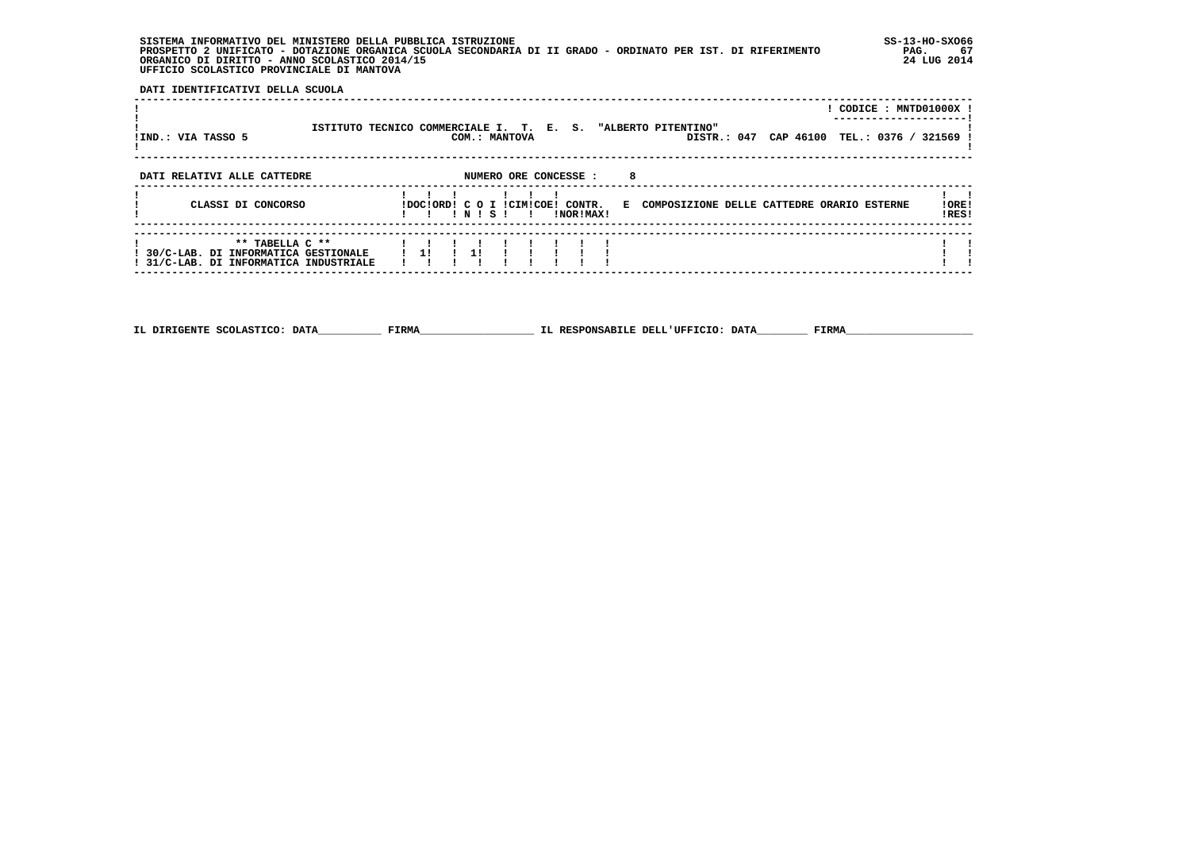**SISTEMA INFORMATIVO DEL MINISTERO DELLA PUBBLICA ISTRUZIONE SS-13-HO-SXO66 PROSPETTO 2 UNIFICATO - DOTAZIONE ORGANICA SCUOLA SECONDARIA DI II GRADO - ORDINATO PER IST. DI RIFERIMENTO PAG. 67 ORGANICO DI DIRITTO - ANNO SCOLASTICO 2014/15 24 LUG 2014 UFFICIO SCOLASTICO PROVINCIALE DI MANTOVA**

j

 **DATI IDENTIFICATIVI DELLA SCUOLA**

|                                                                                                              |                                                              |          |  |               |                                               |    |  |                                              |  | ! CODICE : MNTD01000X !                   |
|--------------------------------------------------------------------------------------------------------------|--------------------------------------------------------------|----------|--|---------------|-----------------------------------------------|----|--|----------------------------------------------|--|-------------------------------------------|
| IIND.: VIA TASSO 5                                                                                           | ISTITUTO TECNICO COMMERCIALE I. T. E. S. "ALBERTO PITENTINO" |          |  | COM.: MANTOVA |                                               |    |  |                                              |  | DISTR.: 047 CAP 46100 TEL.: 0376 / 321569 |
| DATI RELATIVI ALLE CATTEDRE                                                                                  |                                                              |          |  |               | NUMERO ORE CONCESSE :                         | -8 |  |                                              |  |                                           |
| CLASSI DI CONCORSO                                                                                           |                                                              | !!!N!S!! |  |               | !DOC!ORD! C O I !CIM!COE! CONTR.<br>!NOR!MAX! |    |  | E COMPOSIZIONE DELLE CATTEDRE ORARIO ESTERNE |  | !ORE!<br>!RES!                            |
| ** TABELLA C **<br>! 30/C-LAB. DI INFORMATICA GESTIONALE   1! ! 1!<br>! 31/C-LAB. DI INFORMATICA INDUSTRIALE |                                                              |          |  |               |                                               |    |  |                                              |  |                                           |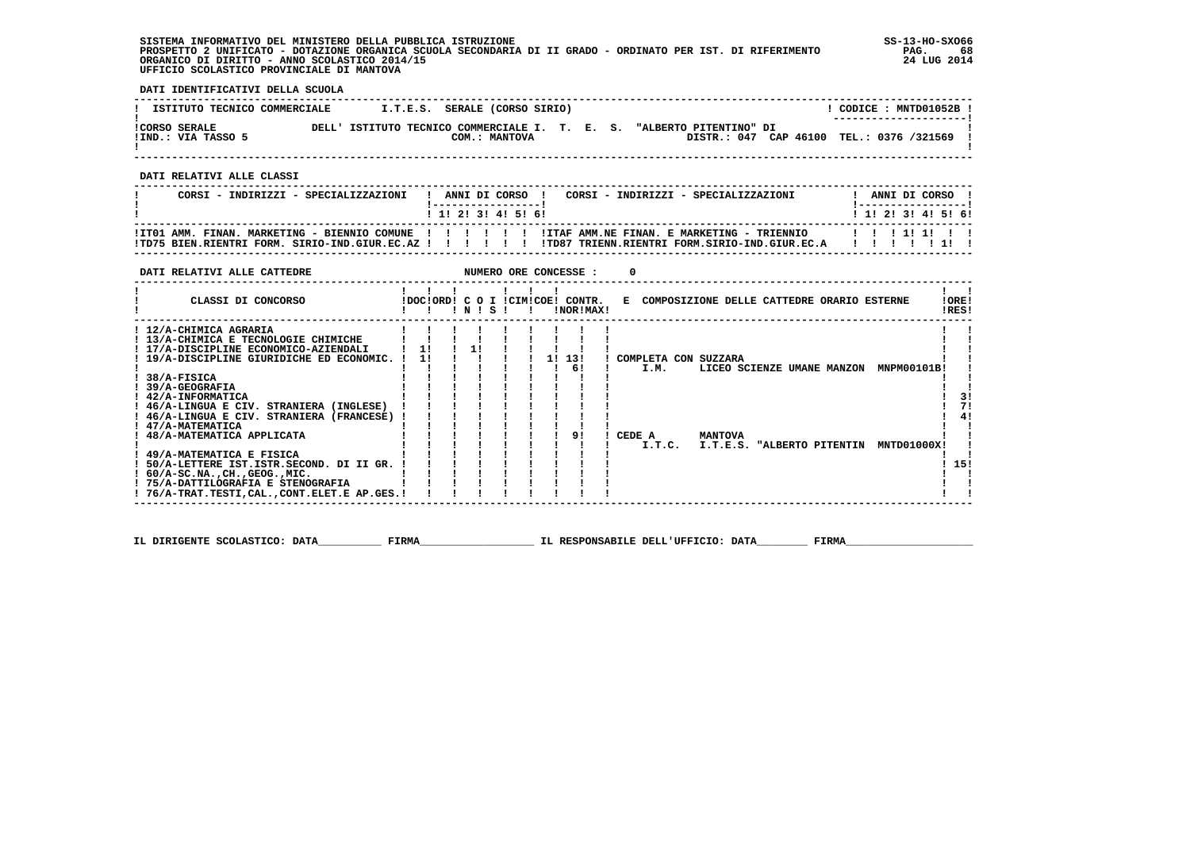## **SISTEMA INFORMATIVO DEL MINISTERO DELLA PUBBLICA ISTRUZIONE SS-13-HO-SXO66 PROSPETTO 2 UNIFICATO - DOTAZIONE ORGANICA SCUOLA SECONDARIA DI II GRADO - ORDINATO PER IST. DI RIFERIMENTO PAG. 68 ORGANICO DI DIRITTO - ANNO SCOLASTICO 2014/15 24 LUG 2014 UFFICIO SCOLASTICO PROVINCIALE DI MANTOVA**

֚֚֡

 **DATI IDENTIFICATIVI DELLA SCUOLA**

| ISTITUTO TECNICO COMMERCIALE               |  | I.T.E.S. SERALE (CORSO SIRIO) |  |                                                                       | CODICE : MNTD01052B !                    |
|--------------------------------------------|--|-------------------------------|--|-----------------------------------------------------------------------|------------------------------------------|
| <b>!CORSO SERALE</b><br>!IND.: VIA TASSO 5 |  | COM.: MANTOVA                 |  | DELL' ISTITUTO TECNICO COMMERCIALE I. T. E. S. "ALBERTO PITENTINO" DI | DISTR.: 047 CAP 46100 TEL.: 0376 /321569 |

 **------------------------------------------------------------------------------------------------------------------------------------**

 **DATI RELATIVI ALLE CLASSI**

| CORSI - INDIRIZZI - SPECIALIZZAZIONI | ANNI DI CORSO !<br>CORSI - INDIRIZZI - SPECIALIZZAZIONI<br>1 1 2 3 3 4 5 6 6                                                                                                                                              | ANNI DI CORSO !<br>1 1 1 2 1 3 1 4 1 5 1 6 1 |
|--------------------------------------|---------------------------------------------------------------------------------------------------------------------------------------------------------------------------------------------------------------------------|----------------------------------------------|
|                                      | !ITO1 AMM, FINAN, MARKETING - BIENNIO COMUNE !!!!!!!!!!!ITAF AMM,NE FINAN, E MARKETING - TRIENNIO ____________<br>ITDZ5 BIEN RIENTRI FORM, SIRIO-IND.GIUR.EC.AZ I I I I I I ITD87 TRIENN.RIENTRI FORM.SIRIO-IND.GIUR.EC.A |                                              |

| DATI RELATIVI ALLE CATTEDRE                 |    |                 |  |    | NUMERO ORE CONCESSE :                         | $\Omega$ |        |                      |                                              |  |                    |                |
|---------------------------------------------|----|-----------------|--|----|-----------------------------------------------|----------|--------|----------------------|----------------------------------------------|--|--------------------|----------------|
| CLASSI DI CONCORSO                          |    | $'$ N $'$ S $'$ |  |    | !DOC!ORD! C O I !CIM!COE! CONTR.<br>!NOR!MAX! |          |        |                      | E COMPOSIZIONE DELLE CATTEDRE ORARIO ESTERNE |  |                    | !ORE!<br>!RES! |
| ! 12/A-CHIMICA AGRARIA                      |    |                 |  |    |                                               |          |        |                      |                                              |  |                    |                |
| ! 13/A-CHIMICA E TECNOLOGIE CHIMICHE        |    |                 |  |    |                                               |          |        |                      |                                              |  |                    |                |
| ! 17/A-DISCIPLINE ECONOMICO-AZIENDALI       | 11 | 1!              |  |    |                                               |          |        |                      |                                              |  |                    |                |
| ! 19/A-DISCIPLINE GIURIDICHE ED ECONOMIC.   | 11 |                 |  | 11 | 13!                                           |          |        | COMPLETA CON SUZZARA |                                              |  |                    |                |
|                                             |    |                 |  |    | 6!                                            |          | I.M.   |                      | LICEO SCIENZE UMANE MANZON                   |  | <b>MNPM00101B!</b> |                |
| 38/A-FISICA                                 |    |                 |  |    |                                               |          |        |                      |                                              |  |                    |                |
| 39/A-GEOGRAFIA                              |    |                 |  |    |                                               |          |        |                      |                                              |  |                    |                |
| ! 42/A-INFORMATICA                          |    |                 |  |    |                                               |          |        |                      |                                              |  |                    | 31             |
| ! 46/A-LINGUA E CIV. STRANIERA (INGLESE)    |    |                 |  |    |                                               |          |        |                      |                                              |  |                    | 71             |
| ! 46/A-LINGUA E CIV. STRANIERA (FRANCESE)   |    |                 |  |    |                                               |          |        |                      |                                              |  |                    | 41             |
| ! 47/A-MATEMATICA                           |    |                 |  |    |                                               |          |        |                      |                                              |  |                    |                |
| ! 48/A-MATEMATICA APPLICATA                 |    |                 |  |    | 91                                            | CEDE A   |        | <b>MANTOVA</b>       |                                              |  |                    |                |
|                                             |    |                 |  |    |                                               |          | I.T.C. |                      | I.T.E.S. "ALBERTO PITENTIN                   |  | MNTD01000X!        |                |
| ! 49/A-MATEMATICA E FISICA                  |    |                 |  |    |                                               |          |        |                      |                                              |  |                    |                |
| 50/A-LETTERE IST.ISTR.SECOND. DI II GR.     |    |                 |  |    |                                               |          |        |                      |                                              |  |                    | 15!            |
| $1.60/A-SC.NA.$ , $CH.$ , $GEOG.$ , $MIC.$  |    |                 |  |    |                                               |          |        |                      |                                              |  |                    |                |
| ! 75/A-DATTILOGRAFIA E STENOGRAFIA          |    |                 |  |    |                                               |          |        |                      |                                              |  |                    |                |
| ! 76/A-TRAT.TESTI,CAL.,CONT.ELET.E AP.GES.! |    |                 |  |    |                                               |          |        |                      |                                              |  |                    |                |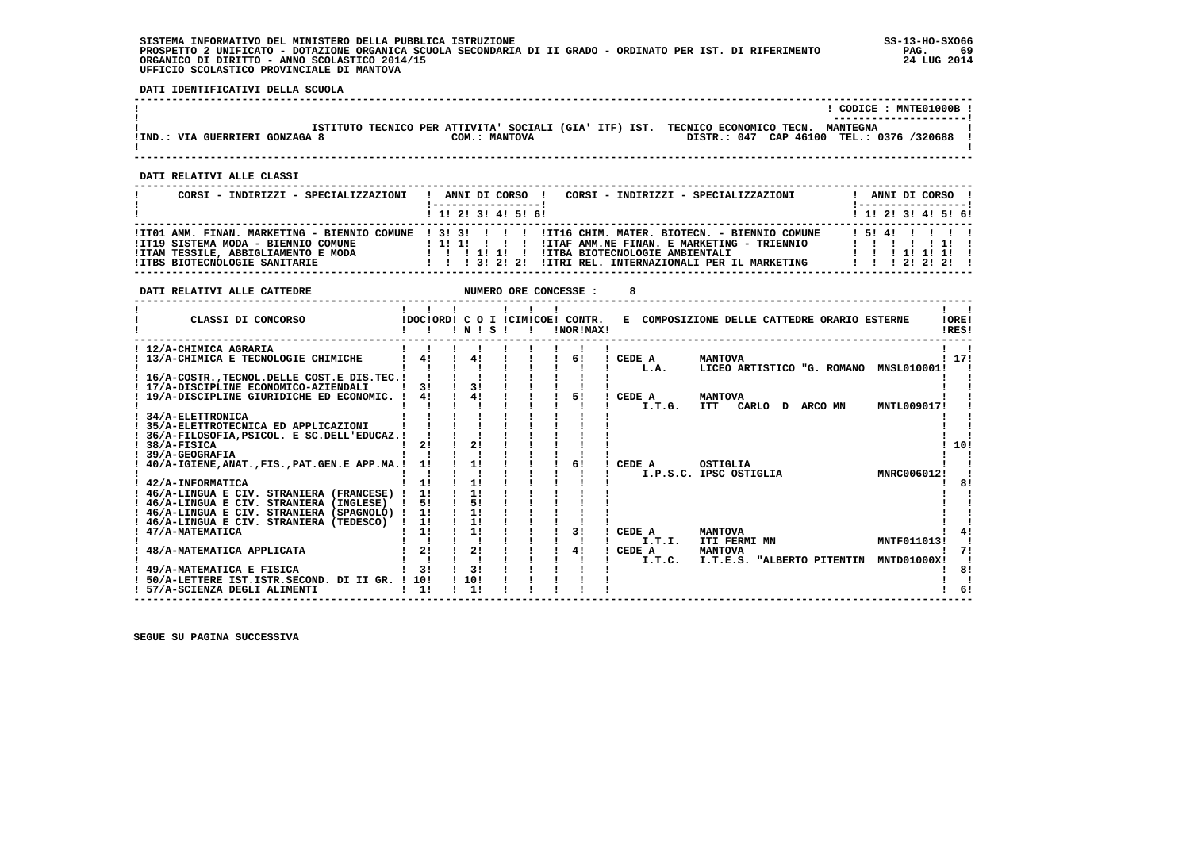## **SISTEMA INFORMATIVO DEL MINISTERO DELLA PUBBLICA ISTRUZIONE SS-13-HO-SXO66 PROSPETTO 2 UNIFICATO - DOTAZIONE ORGANICA SCUOLA SECONDARIA DI II GRADO - ORDINATO PER IST. DI RIFERIMENTO PAG. 69 ORGANICO DI DIRITTO - ANNO SCOLASTICO 2014/15 24 LUG 2014 UFFICIO SCOLASTICO PROVINCIALE DI MANTOVA**

 **DATI IDENTIFICATIVI DELLA SCUOLA**

|                                |                                                                                |               | CODICE: MNTE01000B !<br>---------------------- |
|--------------------------------|--------------------------------------------------------------------------------|---------------|------------------------------------------------|
|                                | ISTITUTO TECNICO PER ATTIVITA' SOCIALI (GIA' ITF) IST. TECNICO ECONOMICO TECN. |               | <b>MANTEGNA</b>                                |
| !IND.: VIA GUERRIERI GONZAGA 8 |                                                                                | COM.: MANTOVA | DISTR.: 047 CAP 46100 TEL.: 0376 /320688       |
|                                |                                                                                |               |                                                |

 **------------------------------------------------------------------------------------------------------------------------------------**

 **DATI RELATIVI ALLE CLASSI**

| CORSI - INDIRIZZI - SPECIALIZZAZIONI                                                                               | CORSI - INDIRIZZI - SPECIALIZZAZIONI<br>ANNI DI CORSO !<br>-----------------<br>1 1 1 2 1 3 1 4 1 5 1 6 1                                                           |  |  | ANNI DI CORSO !<br>! ------------------<br>! 1! 2! 3! 4! 5! 6! |  |
|--------------------------------------------------------------------------------------------------------------------|---------------------------------------------------------------------------------------------------------------------------------------------------------------------|--|--|----------------------------------------------------------------|--|
| !IT19 SISTEMA MODA - BIENNIO COMUNE<br>!ITAM TESSILE, ABBIGLIAMENTO E MODA<br><b>!ITBS BIOTECNOLOGIE SANITARIE</b> | 1111111<br>!ITAF AMM.NE FINAN. E MARKETING - TRIENNIO<br>!ITBA BIOTECNOLOGIE AMBIENTALI<br>11111<br>1 1 1 3 1 2 1 2 1<br>!ITRI REL. INTERNAZIONALI PER IL MARKETING |  |  | 15141111<br>1 1 1 1 1 1 1 1<br>1 1 1 2 1 2 1 2 1               |  |

| DATI RELATIVI ALLE CATTEDRE                                                                                                          |                    |                      | NUMERO ORE CONCESSE : |                                               | 8                                                                              |                                                 |
|--------------------------------------------------------------------------------------------------------------------------------------|--------------------|----------------------|-----------------------|-----------------------------------------------|--------------------------------------------------------------------------------|-------------------------------------------------|
| CLASSI DI CONCORSO                                                                                                                   |                    | INIS                 |                       | !DOC!ORD! C O I !CIM!COE! CONTR.<br>!NOR!MAX! | E COMPOSIZIONE DELLE CATTEDRE ORARIO ESTERNE                                   | !ORE!<br>!RES!                                  |
| ! 12/A-CHIMICA AGRARIA<br>! 13/A-CHIMICA E TECNOLOGIE CHIMICHE<br>! 16/A-COSTRTECNOL.DELLE COST.E DIS.TEC.!                          | 41                 | 41                   |                       | 61                                            | ! CEDE A<br><b>MANTOVA</b><br>L.A.                                             | ! 17!<br>LICEO ARTISTICO "G. ROMANO MNSL010001! |
| 17/A-DISCIPLINE ECONOMICO-AZIENDALI<br>19/A-DISCIPLINE GIURIDICHE ED ECONOMIC. !<br>34/A-ELETTRONICA                                 | 31<br>41           | 31<br>41             |                       | 51                                            | CEDE A<br><b>MANTOVA</b><br>I.T.G.<br><b>ITT</b><br>CARLO D ARCO MN            | MNTL009017!                                     |
| 35/A-ELETTROTECNICA ED APPLICAZIONI<br>36/A-FILOSOFIA, PSICOL. E SC.DELL'EDUCAZ. !<br>38/A-FISICA<br>39/A-GEOGRAFIA                  | 21                 | 2!                   |                       |                                               |                                                                                | 10!                                             |
| 40/A-IGIENE, ANAT., FIS., PAT. GEN.E APP.MA.!<br>! 42/A-INFORMATICA                                                                  | 11<br>1!           | 1!<br>1!             |                       | 61                                            | CEDE A<br>OSTIGLIA<br>I.P.S.C. IPSC OSTIGLIA                                   | MNRC006012!<br>81                               |
| 46/A-LINGUA E CIV. STRANIERA (FRANCESE) !<br>! 46/A-LINGUA E CIV. STRANIERA (INGLESE)<br>! 46/A-LINGUA E CIV. STRANIERA (SPAGNOLO) ! | 11<br>51<br>1!     | 1!<br>5!<br>11<br>11 |                       |                                               |                                                                                |                                                 |
| 46/A-LINGUA E CIV. STRANIERA (TEDESCO)<br>47/A-MATEMATICA<br>48/A-MATEMATICA APPLICATA                                               | 11<br>11<br>21     | 11<br>21             |                       | 31<br>41                                      | CEDE A<br><b>MANTOVA</b><br>I.T.T.<br>ITI FERMI MN<br>CEDE A<br><b>MANTOVA</b> | MNTF011013!<br>71                               |
| 49/A-MATEMATICA E FISICA<br>50/A-LETTERE IST. ISTR. SECOND. DI II GR. ! 10!<br>57/A-SCIENZA DEGLI ALIMENTI                           | 31<br>$1 \quad 11$ | 31<br>110!<br>11     |                       |                                               | I.T.E.S. "ALBERTO PITENTIN<br>I.T.C.                                           | <b>MNTD01000X!</b><br>8!<br>6!                  |
|                                                                                                                                      |                    |                      |                       |                                               |                                                                                |                                                 |